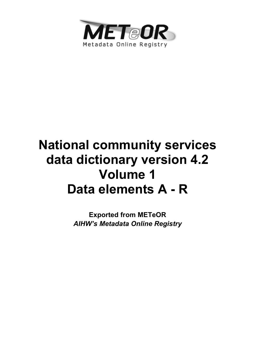

# **National community services data dictionary version 4.2 Volume 1 Data elements A - R**

**Exported from METeOR**  *AIHW's Metadata Online Registry*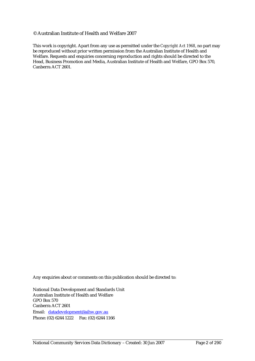#### © Australian Institute of Health and Welfare 2007

This work is copyright. Apart from any use as permitted under the *Copyright Act 1968*, no part may be reproduced without prior written permission from the Australian Institute of Health and Welfare. Requests and enquiries concerning reproduction and rights should be directed to the Head, Business Promotion and Media, Australian Institute of Health and Welfare, GPO Box 570, Canberra ACT 2601.

Any enquiries about or comments on this publication should be directed to:

National Data Development and Standards Unit Australian Institute of Health and Welfare GPO Box 570 Canberra ACT 2601 Email: datadevelopment@aihw.gov.au Phone: (02) 6244 1222 Fax: (02) 6244 1166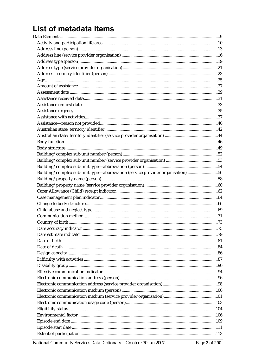# List of metadata items

| Building/complex sub-unit type-abbreviation (service provider organisation) 56 |  |
|--------------------------------------------------------------------------------|--|
|                                                                                |  |
|                                                                                |  |
|                                                                                |  |
|                                                                                |  |
|                                                                                |  |
|                                                                                |  |
|                                                                                |  |
|                                                                                |  |
|                                                                                |  |
|                                                                                |  |
|                                                                                |  |
|                                                                                |  |
|                                                                                |  |
|                                                                                |  |
|                                                                                |  |
|                                                                                |  |
|                                                                                |  |
|                                                                                |  |
|                                                                                |  |
|                                                                                |  |
|                                                                                |  |
|                                                                                |  |
|                                                                                |  |
|                                                                                |  |
|                                                                                |  |
|                                                                                |  |
|                                                                                |  |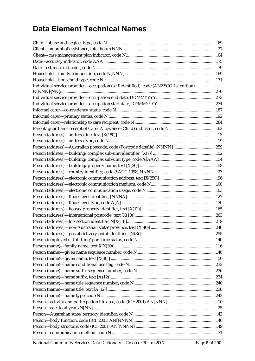# **Data Element Technical Names**

| Individual service provider-occupation (self-identified), code (ANZSCO 1st edition) |  |
|-------------------------------------------------------------------------------------|--|
|                                                                                     |  |
|                                                                                     |  |
|                                                                                     |  |
|                                                                                     |  |
|                                                                                     |  |
|                                                                                     |  |
|                                                                                     |  |
|                                                                                     |  |
|                                                                                     |  |
|                                                                                     |  |
|                                                                                     |  |
|                                                                                     |  |
|                                                                                     |  |
|                                                                                     |  |
|                                                                                     |  |
|                                                                                     |  |
|                                                                                     |  |
|                                                                                     |  |
|                                                                                     |  |
|                                                                                     |  |
|                                                                                     |  |
|                                                                                     |  |
|                                                                                     |  |
|                                                                                     |  |
|                                                                                     |  |
|                                                                                     |  |
|                                                                                     |  |
|                                                                                     |  |
|                                                                                     |  |
|                                                                                     |  |
|                                                                                     |  |
|                                                                                     |  |
|                                                                                     |  |
|                                                                                     |  |
|                                                                                     |  |
|                                                                                     |  |
|                                                                                     |  |
|                                                                                     |  |
|                                                                                     |  |
|                                                                                     |  |
|                                                                                     |  |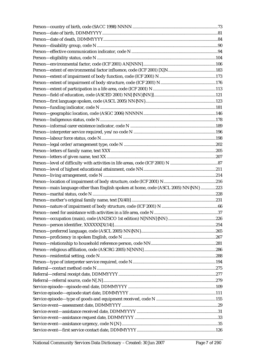| Person-main language other than English spoken at home, code (ASCL 2005) NN{NN} 223 |  |
|-------------------------------------------------------------------------------------|--|
|                                                                                     |  |
|                                                                                     |  |
|                                                                                     |  |
|                                                                                     |  |
|                                                                                     |  |
|                                                                                     |  |
|                                                                                     |  |
|                                                                                     |  |
|                                                                                     |  |
|                                                                                     |  |
|                                                                                     |  |
|                                                                                     |  |
|                                                                                     |  |
|                                                                                     |  |
|                                                                                     |  |
|                                                                                     |  |
|                                                                                     |  |
|                                                                                     |  |
|                                                                                     |  |
|                                                                                     |  |
|                                                                                     |  |
|                                                                                     |  |
|                                                                                     |  |
|                                                                                     |  |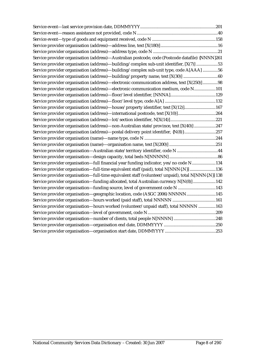| Service provider organisation (address)-Australian postcode, code (Postcode datafile) {NNNN}261   |  |
|---------------------------------------------------------------------------------------------------|--|
| Service provider organisation (address)—building/complex sub-unit identifier, [X(7)] 53           |  |
| Service provider organisation (address)-building/complex sub-unit type, code A[AAA] 56            |  |
| Service provider organisation (address)-building/property name, text [X(30)] 60                   |  |
| Service provider organisation (address)—electronic communication address, text [X(250)]98         |  |
| Service provider organisation (address)—electronic communication medium, code N101                |  |
|                                                                                                   |  |
|                                                                                                   |  |
| Service provider organisation (address)—house/property identifier, text [X(12)]167                |  |
| Service provider organisation (address)-international postcode, text [X(10)]264                   |  |
|                                                                                                   |  |
| Service provider organisation (address)-non-Australian state/province, text [X(40)] 247           |  |
| Service provider organisation (address)-postal delivery point identifier, {N(8)} 257              |  |
|                                                                                                   |  |
|                                                                                                   |  |
| Service provider organisation-Australian state/territory identifier, code N 44                    |  |
|                                                                                                   |  |
| Service provider organisation—full financial year funding indicator, yes/no code N134             |  |
| Service provider organisation-full-time equivalent staff (paid), total N[NNN{.N}] 136             |  |
| Service provider organisation-full-time equivalent staff (volunteer/unpaid), total N[NNN{.N}] 138 |  |
| Service provider organisation-funding allocated, total Australian currency N[N(8)] 142            |  |
| Service provider organisation-funding source, level of government code N 143                      |  |
| Service provider organisation-geographic location, code (ASGC 2006) NNNNN145                      |  |
|                                                                                                   |  |
| Service provider organisation-hours worked (volunteer/unpaid staff), total NNNNN 163              |  |
|                                                                                                   |  |
|                                                                                                   |  |
|                                                                                                   |  |
|                                                                                                   |  |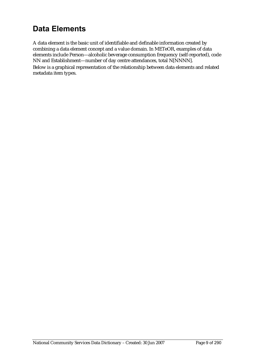# **Data Elements**

A data element is the basic unit of identifiable and definable information created by combining a data element concept and a value domain. In METeOR, examples of data elements include Person—alcoholic beverage consumption frequency (self-reported), code NN and Establishment—number of day centre attendances, total N[NNNN]. Below is a graphical representation of the relationship between data elements and related metadata item types.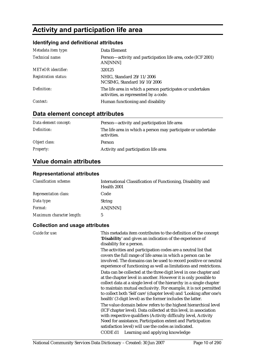# **Activity and participation life area**

# **Identifying and definitional attributes**

| Metadata item type:         | Data Element                                                                                        |
|-----------------------------|-----------------------------------------------------------------------------------------------------|
| Technical name:             | Person—activity and participation life area, code (ICF 2001)<br>AN[NNN]                             |
| <b>METeOR</b> identifier:   | 320125                                                                                              |
| <b>Registration status:</b> | NHIG, Standard 29/11/2006<br>NCSIMG, Standard 16/10/2006                                            |
| Definition:                 | The life area in which a person participates or undertakes<br>activities, as represented by a code. |
| Context:                    | Human functioning and disability                                                                    |

# **Data element concept attributes**

| Data element concept: | Person—activity and participation life area                                 |
|-----------------------|-----------------------------------------------------------------------------|
| Definition:           | The life area in which a person may participate or undertake<br>activities. |
| Object class:         | Person                                                                      |
| <i>Property:</i>      | Activity and participation life area                                        |

# **Value domain attributes**

#### **Representational attributes**

| <b>Classification scheme:</b> | International Classification of Functioning, Disability and<br>Health 2001 |
|-------------------------------|----------------------------------------------------------------------------|
| <b>Representation class:</b>  | Code                                                                       |
| Data type:                    | <b>String</b>                                                              |
| <i>Format:</i>                | AN[NNN]                                                                    |
| Maximum character length:     | 5                                                                          |

#### **Collection and usage attributes**

| Guide for use: | This metadata item contributes to the definition of the concept<br>'Disability' and gives an indication of the experience of<br>disability for a person.                                                                                                                                                                                                                                                              |
|----------------|-----------------------------------------------------------------------------------------------------------------------------------------------------------------------------------------------------------------------------------------------------------------------------------------------------------------------------------------------------------------------------------------------------------------------|
|                | The activities and participation codes are a neutral list that<br>covers the full range of life areas in which a person can be<br>involved. The domains can be used to record positive or neutral<br>experience of functioning as well as limitations and restrictions.                                                                                                                                               |
|                | Data can be collected at the three digit level in one chapter and<br>at the chapter level in another. However it is only possible to<br>collect data at a single level of the hierarchy in a single chapter<br>to maintain mutual exclusivity. For example, it is not permitted<br>to collect both 'Self care' (chapter level) and 'Looking after one's<br>health' (3 digit level) as the former includes the latter. |
|                | The value domain below refers to the highest hierarchical level<br>(ICF chapter level). Data collected at this level, in association<br>with respective qualifiers (Activity difficulty level, Activity<br>Need for assistance, Participation extent and Participation<br>satisfaction level) will use the codes as indicated.                                                                                        |
|                | CODE d1 Learning and applying knowledge                                                                                                                                                                                                                                                                                                                                                                               |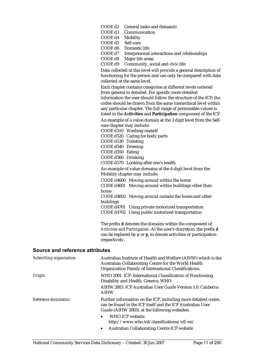| CODE d2                        | General tasks and demands                                          |
|--------------------------------|--------------------------------------------------------------------|
| CODE d3                        | Communication                                                      |
| CODE d4                        | Mobility                                                           |
| CODE d5                        | Self-care                                                          |
| CODE d6                        | Domestic life                                                      |
| CODE d7                        | Interpersonal interactions and relationships                       |
| CODE d8                        | Major life areas                                                   |
| CODE d9                        | Community, social and civic life                                   |
|                                | Data collected at this level will provide a general description of |
|                                | functioning for the person and can only be compared with data      |
|                                | collected at the same level.                                       |
|                                | Each chapter contains categories at different levels ordered       |
|                                | from general to detailed. For specific more detailed               |
|                                | information the user should follow the structure of the ICF; the   |
|                                | codes should be drawn from the same hierarchical level within      |
|                                | any particular chapter. The full range of permissible values is    |
|                                | listed in the Activities and Participation component of the ICF.   |
|                                | An example of a value domain at the 3 digit level from the Self-   |
|                                | care chapter may include:                                          |
|                                | CODE d510 Washing oneself                                          |
|                                | CODE d520 Caring for body parts                                    |
|                                | CODE d530 Toileting                                                |
|                                | CODE d540 Dressing                                                 |
| CODE d550 Eating               |                                                                    |
| CODE d560                      | Drinking                                                           |
| CODE d570                      | Looking after one's health                                         |
|                                | An example of value domains at the 4 digit level from the          |
|                                | Mobility chapter may include:                                      |
|                                | CODE d4600 Moving around within the home                           |
| <b>CODE d4601</b>              | Moving around within buildings other than                          |
| home                           |                                                                    |
| <b>CODE d4602</b>              | Moving around outside the home and other                           |
|                                |                                                                    |
|                                |                                                                    |
| buildings<br><b>CODE d4701</b> | Using private motorized transportation                             |

#### **Source and reference attributes**

| Submitting organisation: | Australian Institute of Health and Welfare (AIHW) which is the<br>Australian Collaborating Centre for the World Health<br>Organization Family of International Classifications.                                                                                    |
|--------------------------|--------------------------------------------------------------------------------------------------------------------------------------------------------------------------------------------------------------------------------------------------------------------|
| Origin:                  | WHO 2001. ICF: International Classification of Functioning,<br>Disability and Health. Geneva: WHO<br>AIHW 2003. ICF Australian User Guide Version 1.0. Canberra:<br><b>AIHW</b>                                                                                    |
| Reference documents:     | Further information on the ICF, including more detailed codes,<br>can be found in the ICF itself and the ICF Australian User<br>Guide (AIHW 2003), at the following websites:<br><b>WHO ICF website</b><br>$\bullet$<br>http://www.who.int/classifications/icf/en/ |

respectively.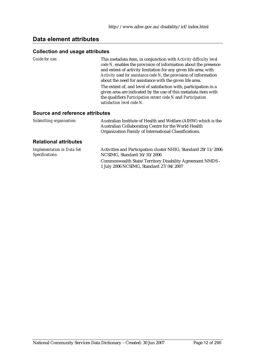# **Data element attributes**

#### **Collection and usage attributes**

*Guide for use:* This metadata item, in conjunction with *Activity difficulty level code N*, enables the provision of information about the presence and extent of activity limitation for any given life area; with *Activity need for assistance code N*, the provision of information about the need for assistance with the given life area.

The extent of, and level of satisfaction with, participation in a given area are indicated by the use of this metadata item with the qualifiers *Participation extent code N* and *Participation satisfaction level code N*.

#### **Source and reference attributes**

| Submitting organisation:                             | Australian Institute of Health and Welfare (AIHW) which is the<br>Australian Collaborating Centre for the World Health<br>Organization Family of International Classifications. |
|------------------------------------------------------|---------------------------------------------------------------------------------------------------------------------------------------------------------------------------------|
| <b>Relational attributes</b>                         |                                                                                                                                                                                 |
| <b>Implementation in Data Set</b><br>Specifications: | Activities and Participation cluster NHIG, Standard 29/11/2006<br>NCSIMG, Standard 16/10/2006                                                                                   |

NCSIMG, Standard 16/10/2006 Commonwealth State/Territory Disability Agreement NMDS - 1 July 2006 NCSIMG, Standard 27/04/2007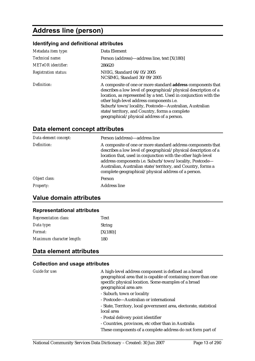# **Address line (person)**

#### **Identifying and definitional attributes**

| Metadata item type:         | Data Element                                                                                                                                                                                                                                                                                                                                                                                                   |
|-----------------------------|----------------------------------------------------------------------------------------------------------------------------------------------------------------------------------------------------------------------------------------------------------------------------------------------------------------------------------------------------------------------------------------------------------------|
| Technical name:             | Person (address)—address line, text [X(180)]                                                                                                                                                                                                                                                                                                                                                                   |
| METeOR identifier:          | 286620                                                                                                                                                                                                                                                                                                                                                                                                         |
| <b>Registration status:</b> | NHIG, Standard 04/05/2005<br>NCSIMG, Standard 30/09/2005                                                                                                                                                                                                                                                                                                                                                       |
| Definition:                 | A composite of one or more standard <b>address</b> components that<br>describes a low level of geographical/physical description of a<br>location, as represented by a text. Used in conjunction with the<br>other high-level address components i.e.<br>Suburb/town/locality, Postcode-Australian, Australian<br>state/territory, and Country, forms a complete<br>geographical/physical address of a person. |

#### **Data element concept attributes**

| Person (address)—address line                                                                                                                                                                                                                                                                                                                                                    |
|----------------------------------------------------------------------------------------------------------------------------------------------------------------------------------------------------------------------------------------------------------------------------------------------------------------------------------------------------------------------------------|
| A composite of one or more standard address components that<br>describes a low level of geographical/physical description of a<br>location that, used in conjunction with the other high-level<br>address components i.e. Suburb/town/locality, Postcode-<br>Australian, Australian state/territory, and Country, forms a<br>complete geographical/physical address of a person. |
| Person                                                                                                                                                                                                                                                                                                                                                                           |
| <b>Address line</b>                                                                                                                                                                                                                                                                                                                                                              |
|                                                                                                                                                                                                                                                                                                                                                                                  |

### **Value domain attributes**

#### **Representational attributes**

| <b>Representation class:</b> | <b>Text</b>   |
|------------------------------|---------------|
| Data type:                   | <b>String</b> |
| Format:                      | [X(180)]      |
| Maximum character length:    | 180           |

### **Data element attributes**

#### **Collection and usage attributes**

*Guide for use:* A high-level address component is defined as a broad geographical area that is capable of containing more than one specific physical location. Some examples of a broad geographical area are:

- Suburb, town or locality
- Postcode—Australian or international

- State, Territory, local government area, electorate, statistical local area

- Postal delivery point identifier
- Countries, provinces, etc other than in Australia

These components of a complete address do not form part of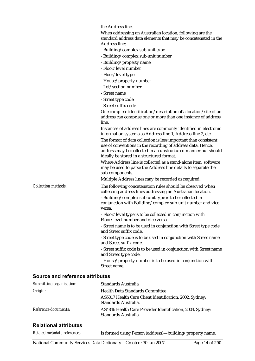the Address line.

|                                        | When addressing an Australian location, following are the<br>standard address data elements that may be concatenated in the<br><b>Address line:</b>                                                                                          |
|----------------------------------------|----------------------------------------------------------------------------------------------------------------------------------------------------------------------------------------------------------------------------------------------|
|                                        | - Building/complex sub-unit type                                                                                                                                                                                                             |
|                                        | - Building/complex sub-unit number                                                                                                                                                                                                           |
|                                        | - Building/property name                                                                                                                                                                                                                     |
|                                        | - Floor/level number                                                                                                                                                                                                                         |
|                                        | - Floor/level type                                                                                                                                                                                                                           |
|                                        | - House/property number                                                                                                                                                                                                                      |
|                                        | - Lot/section number                                                                                                                                                                                                                         |
|                                        | - Street name                                                                                                                                                                                                                                |
|                                        | - Street type code                                                                                                                                                                                                                           |
|                                        | - Street suffix code                                                                                                                                                                                                                         |
|                                        | One complete identification/description of a location/site of an                                                                                                                                                                             |
|                                        | address can comprise one or more than one instance of address<br>line.                                                                                                                                                                       |
|                                        | Instances of address lines are commonly identified in electronic<br>information systems as Address-line 1, Address-line 2, etc.                                                                                                              |
|                                        | The format of data collection is less important than consistent<br>use of conventions in the recording of address data. Hence,<br>address may be collected in an unstructured manner but should<br>ideally be stored in a structured format. |
|                                        | Where Address line is collected as a stand-alone item, software<br>may be used to parse the Address line details to separate the<br>sub-components.                                                                                          |
|                                        | Multiple Address lines may be recorded as required.                                                                                                                                                                                          |
| <b>Collection methods:</b>             | The following concatenation rules should be observed when<br>collecting address lines addressing an Australian location.<br>- Building/complex sub-unit type is to be collected in                                                           |
|                                        | conjunction with Building/complex sub-unit number and vice<br>versa.                                                                                                                                                                         |
|                                        | - Floor/level type is to be collected in conjunction with                                                                                                                                                                                    |
|                                        | Floor/level number and vice versa.                                                                                                                                                                                                           |
|                                        | - Street name is to be used in conjunction with Street type code<br>and Street suffix code.                                                                                                                                                  |
|                                        | - Street type code is to be used in conjunction with Street name<br>and Street suffix code.                                                                                                                                                  |
|                                        | - Street suffix code is to be used in conjunction with Street name<br>and Street type code.                                                                                                                                                  |
|                                        | - House/property number is to be used in conjunction with<br>Street name.                                                                                                                                                                    |
| <b>Source and reference attributes</b> |                                                                                                                                                                                                                                              |

| Submitting organisation: | Standards Australia                                                              |
|--------------------------|----------------------------------------------------------------------------------|
| Origin:                  | <b>Health Data Standards Committee</b>                                           |
|                          | AS5017 Health Care Client Identification, 2002, Sydney:<br>Standards Australia.  |
| Reference documents:     | AS4846 Health Care Provider Identification, 2004, Sydney:<br>Standards Australia |

# **Relational attributes**

| Related metadata references: | Is formed using Person (address)—building/property name, |
|------------------------------|----------------------------------------------------------|
|                              |                                                          |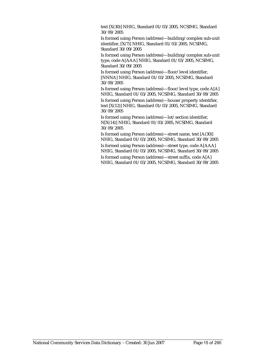text [X(30)] NHIG, Standard 01/03/2005, NCSIMG, Standard 30/09/2005

Is formed using Person (address)—building/complex sub-unit identifier, [X(7)] NHIG, Standard 01/03/2005, NCSIMG, Standard 30/09/2005

Is formed using Person (address)—building/complex sub-unit type, code A[AAA] NHIG, Standard 01/03/2005, NCSIMG, Standard 30/09/2005

Is formed using Person (address)—floor/level identifier, [NNNA] NHIG, Standard 01/03/2005, NCSIMG, Standard 30/09/2005

Is formed using Person (address)—floor/level type, code A[A] NHIG, Standard 01/03/2005, NCSIMG, Standard 30/09/2005

Is formed using Person (address)—house/property identifier, text [X(12)] NHIG, Standard 01/03/2005, NCSIMG, Standard 30/09/2005

Is formed using Person (address)—lot/section identifier, N[X(14)] NHIG, Standard 01/03/2005, NCSIMG, Standard 30/09/2005

Is formed using Person (address)—street name, text [A(30)] NHIG, Standard 01/03/2005, NCSIMG, Standard 30/09/2005

Is formed using Person (address)—street type, code A[AAA] NHIG, Standard 01/03/2005, NCSIMG, Standard 30/09/2005

Is formed using Person (address)—street suffix, code A[A] NHIG, Standard 01/03/2005, NCSIMG, Standard 30/09/2005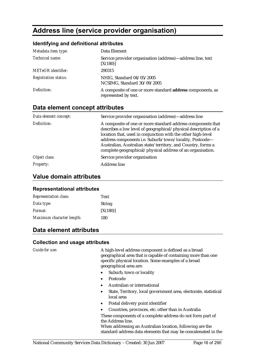# **Address line (service provider organisation)**

#### **Identifying and definitional attributes**

| Metadata item type:         | Data Element                                                                       |
|-----------------------------|------------------------------------------------------------------------------------|
| Technical name:             | Service provider organisation (address)—address line, text<br>[X(180)]             |
| <b>METeOR</b> identifier:   | 290315                                                                             |
| <b>Registration status:</b> | NHIG, Standard 04/05/2005<br>NCSIMG, Standard 30/09/2005                           |
| Definition:                 | A composite of one or more standard address components, as<br>represented by text. |

### **Data element concept attributes**

| Data element concept: | Service provider organisation (address)—address line                                                                                                                                                                                                                                                                                                                                    |
|-----------------------|-----------------------------------------------------------------------------------------------------------------------------------------------------------------------------------------------------------------------------------------------------------------------------------------------------------------------------------------------------------------------------------------|
| Definition:           | A composite of one or more standard address components that<br>describes a low level of geographical/physical description of a<br>location that, used in conjunction with the other high-level<br>address components i.e. Suburb/town/locality, Postcode-<br>Australian, Australian state/territory, and Country, forms a<br>complete geographical/physical address of an organisation. |
| Object class:         | Service provider organisation                                                                                                                                                                                                                                                                                                                                                           |
| <b>Property:</b>      | <b>Address line</b>                                                                                                                                                                                                                                                                                                                                                                     |

### **Value domain attributes**

#### **Representational attributes**

| <b>Representation class:</b> | Text          |
|------------------------------|---------------|
| Data type:                   | <b>String</b> |
| <i>Format:</i>               | [X(180)]      |
| Maximum character length:    | 180           |

# **Data element attributes**

#### **Collection and usage attributes**

*Guide for use:* A high-level address component is defined as a broad geographical area that is capable of containing more than one specific physical location. Some examples of a broad geographical area are:

- Suburb, town or locality
- Postcode
- Australian or international
- State, Territory, local government area, electorate, statistical local area
- Postal delivery point identifier
- Countries, provinces, etc. other than in Australia

These components of a complete address do not form part of the Address line.

When addressing an Australian location, following are the standard address data elements that may be concatenated in the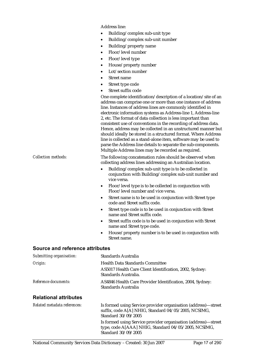Address line:

- Building/complex sub-unit type
- Building/complex sub-unit number
- Building/property name
- Floor/level number
- Floor/level type
- House/property number
- Lot/section number
- Street name
- Street type code
- Street suffix code

One complete identification/description of a location/site of an address can comprise one or more than one instance of address line. Instances of address lines are commonly identified in electronic information systems as Address-line 1, Address-line 2, etc. The format of data collection is less important than consistent use of conventions in the recording of address data. Hence, address may be collected in an unstructured manner but should ideally be stored in a structured format. Where Address line is collected as a stand-alone item, software may be used to parse the Address line details to separate the sub-components. Multiple Address lines may be recorded as required.

*Collection methods:* The following concatenation rules should be observed when collecting address lines addressing an Australian location.

- Building/complex sub-unit type is to be collected in conjunction with Building/complex sub-unit number and vice versa.
- Floor/level type is to be collected in conjunction with Floor/level number and vice versa.
- Street name is to be used in conjunction with Street type code and Street suffix code.
- Street type code is to be used in conjunction with Street name and Street suffix code.
- Street suffix code is to be used in conjunction with Street name and Street type code.
- House/property number is to be used in conjunction with Street name.

| Submitting organisation:     | Standards Australia                                                                                                                           |
|------------------------------|-----------------------------------------------------------------------------------------------------------------------------------------------|
| Origin:                      | <b>Health Data Standards Committee</b>                                                                                                        |
|                              | AS5017 Health Care Client Identification, 2002, Sydney:<br>Standards Australia.                                                               |
| Reference documents:         | AS4846 Health Care Provider Identification, 2004, Sydney:<br>Standards Australia                                                              |
| <b>Relational attributes</b> |                                                                                                                                               |
| Related metadata references: | Is formed using Service provider organisation (address)—street<br>suffix, code A[A] NHIG, Standard 04/05/2005, NCSIMG,<br>Standard 30/09/2005 |
|                              | Is formed using Service provider organisation (address)-street<br>type, code A[AAA] NHIG, Standard 04/05/2005, NCSIMG,<br>Standard 30/09/2005 |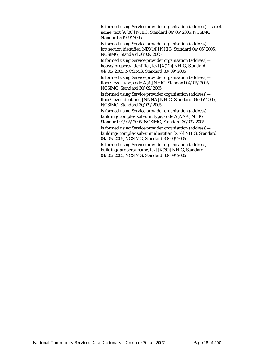Is formed using Service provider organisation (address)—street name, text  $[A(30)]$  NHIG, Standard  $04/05/2005$ , NCSIMG, Standard 30/09/2005

Is formed using Service provider organisation (address) lot/section identifier, N[X(14)] NHIG, Standard 04/05/2005, NCSIMG, Standard 30/09/2005

Is formed using Service provider organisation (address) house/property identifier, text [X(12)] NHIG, Standard 04/05/2005, NCSIMG, Standard 30/09/2005

Is formed using Service provider organisation (address) floor/level type, code A[A] NHIG, Standard 04/05/2005, NCSIMG, Standard 30/09/2005

Is formed using Service provider organisation (address) floor/level identifier, [NNNA] NHIG, Standard 04/05/2005, NCSIMG, Standard 30/09/2005

Is formed using Service provider organisation (address) building/complex sub-unit type, code A[AAA] NHIG, Standard 04/05/2005, NCSIMG, Standard 30/09/2005

Is formed using Service provider organisation (address) building/complex sub-unit identifier, [X(7)] NHIG, Standard 04/05/2005, NCSIMG, Standard 30/09/2005

Is formed using Service provider organisation (address) building/property name, text [X(30)] NHIG, Standard 04/05/2005, NCSIMG, Standard 30/09/2005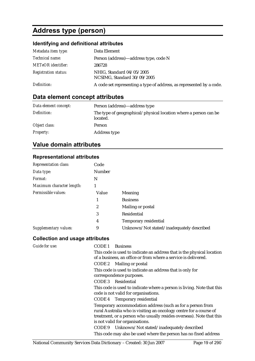# **Address type (person)**

# **Identifying and definitional attributes**

| Metadata item type:         | Data Element                                                         |
|-----------------------------|----------------------------------------------------------------------|
| <i>Technical name:</i>      | Person (address)—address type, code N                                |
| <b>METeOR</b> identifier:   | 286728                                                               |
| <b>Registration status:</b> | NHIG, Standard 04/05/2005<br>NCSIMG, Standard 30/09/2005             |
| Definition:                 | A code set representing a type of address, as represented by a code. |

# **Data element concept attributes**

| Data element concept: | Person (address)—address type                                                |
|-----------------------|------------------------------------------------------------------------------|
| Definition:           | The type of geographical/physical location where a person can be<br>located. |
| Object class:         | Person                                                                       |
| <b>Property:</b>      | Address type                                                                 |

# **Value domain attributes**

#### **Representational attributes**

| <b>Representation class:</b> | Code          |                                           |
|------------------------------|---------------|-------------------------------------------|
| Data type:                   | <b>Number</b> |                                           |
| Format:                      | N             |                                           |
| Maximum character length:    |               |                                           |
| Permissible values:          | Value         | <b>Meaning</b>                            |
|                              | 1             | <b>Business</b>                           |
|                              | 2             | Mailing or postal                         |
|                              | 3             | Residential                               |
|                              | 4             | Temporary residential                     |
| Supplementary values:        | 9             | Unknown/Not stated/inadequately described |

#### **Collection and usage attributes**

| <b>Guide for use:</b> | CODE 1<br><b>Business</b>                                                                                                                                                                                                                   |
|-----------------------|---------------------------------------------------------------------------------------------------------------------------------------------------------------------------------------------------------------------------------------------|
|                       | This code is used to indicate an address that is the physical location<br>of a business, an office or from where a service is delivered.                                                                                                    |
|                       | CODE 2 Mailing or postal                                                                                                                                                                                                                    |
|                       | This code is used to indicate an address that is only for                                                                                                                                                                                   |
|                       | correspondence purposes.                                                                                                                                                                                                                    |
|                       | CODE 3 Residential                                                                                                                                                                                                                          |
|                       | This code is used to indicate where a person is living. Note that this<br>code is not valid for organisations.                                                                                                                              |
|                       | CODE 4 Temporary residential                                                                                                                                                                                                                |
|                       | Temporary accommodation address (such as for a person from<br>rural Australia who is visiting an oncology centre for a course of<br>treatment, or a person who usually resides overseas). Note that this<br>is not valid for organisations. |
|                       | CODE 9 Unknown/Not stated/inadequately described                                                                                                                                                                                            |
|                       | This code may also be used where the person has no fixed address                                                                                                                                                                            |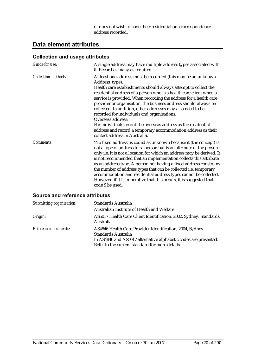or does not wish to have their residential or a correspondence address recorded.

# **Data element attributes**

#### **Collection and usage attributes**

| <b>Guide for use:</b>      | A single address may have multiple address types associated with<br>it. Record as many as required.                                                                                                                                                                                                                                                                                                                                                                                                                                                                                                                                                                     |
|----------------------------|-------------------------------------------------------------------------------------------------------------------------------------------------------------------------------------------------------------------------------------------------------------------------------------------------------------------------------------------------------------------------------------------------------------------------------------------------------------------------------------------------------------------------------------------------------------------------------------------------------------------------------------------------------------------------|
| <b>Collection methods:</b> | At least one address must be recorded (this may be an unknown<br>Address type).<br>Health care establishments should always attempt to collect the<br>residential address of a person who is a health care client when a<br>service is provided. When recording the address for a health care<br>provider or organisation, the business address should always be<br>collected. In addition, other addresses may also need to be<br>recorded for individuals and organisations.<br>Overseas address:<br>For individuals record the overseas address as the residential<br>address and record a temporary accommodation address as their<br>contact address in Australia. |
| Comments:                  | 'No fixed address' is coded as unknown because it (the concept) is<br>not a type of address for a person but is an attribute of the person<br>only i.e. it is not a location for which an address may be derived. It<br>is not recommended that an implementation collects this attribute<br>as an address type. A person not having a fixed address constrains<br>the number of address types that can be collected i.e. temporary<br>accommodation and residential address types cannot be collected.<br>However, if it is imperative that this occurs, it is suggested that<br>code 9 be used.                                                                       |

| Submitting organisation: | Standards Australia                                                                                                                                                                                     |
|--------------------------|---------------------------------------------------------------------------------------------------------------------------------------------------------------------------------------------------------|
|                          | Australian Institute of Health and Welfare                                                                                                                                                              |
| Origin:                  | AS5017 Health Care Client Identification, 2002, Sydney: Standards<br>Australia                                                                                                                          |
| Reference documents:     | AS4846 Health Care Provider Identification, 2004, Sydney:<br>Standards Australia<br>In AS4846 and AS5017 alternative alphabetic codes are presented.<br>Refer to the current standard for more details. |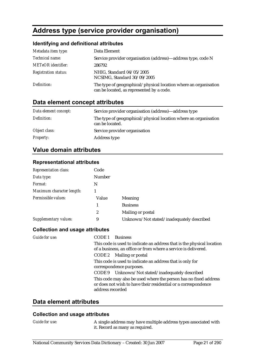# **Address type (service provider organisation)**

#### **Identifying and definitional attributes**

| Metadata item type:         | Data Element                                                                                                  |
|-----------------------------|---------------------------------------------------------------------------------------------------------------|
| Technical name:             | Service provider organisation (address)—address type, code N                                                  |
| <b>METeOR</b> identifier:   | 286792                                                                                                        |
| <b>Registration status:</b> | NHIG, Standard 04/05/2005<br>NCSIMG, Standard 30/09/2005                                                      |
| Definition:                 | The type of geographical/physical location where an organisation<br>can be located, as represented by a code. |

# **Data element concept attributes**

| Data element concept: | Service provider organisation (address)—address type                                |
|-----------------------|-------------------------------------------------------------------------------------|
| Definition:           | The type of geographical/physical location where an organisation<br>can be located. |
| Object class:         | Service provider organisation                                                       |
| <b>Property:</b>      | Address type                                                                        |

### **Value domain attributes**

#### **Representational attributes**

| <b>Representation class:</b> | Code             |                                           |
|------------------------------|------------------|-------------------------------------------|
| Data type:                   | Number           |                                           |
| Format:                      | N                |                                           |
| Maximum character length:    |                  |                                           |
| Permissible values:          | Value            | <b>Meaning</b>                            |
|                              |                  | <b>Business</b>                           |
|                              | $\boldsymbol{2}$ | Mailing or postal                         |
| Supplementary values:        | 9                | Unknown/Not stated/inadequately described |

#### **Collection and usage attributes**

| Guide for use: | CODE 1<br>Business                                                                                                                                     |
|----------------|--------------------------------------------------------------------------------------------------------------------------------------------------------|
|                | This code is used to indicate an address that is the physical location<br>of a business, an office or from where a service is delivered.               |
|                | CODE 2 Mailing or postal                                                                                                                               |
|                | This code is used to indicate an address that is only for<br>correspondence purposes.                                                                  |
|                | CODE 9 Unknown/Not stated/inadequately described                                                                                                       |
|                | This code may also be used where the person has no fixed address<br>or does not wish to have their residential or a correspondence<br>address recorded |

#### **Data element attributes**

#### **Collection and usage attributes**

*Guide for use:* A single address may have multiple address types associated with it. Record as many as required.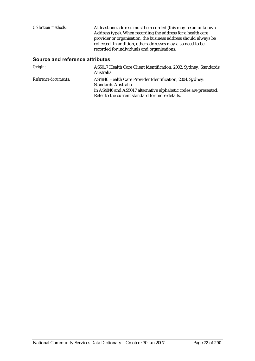| Collection methods: | At least one address must be recorded (this may be an unknown<br>Address type). When recording the address for a health care<br>provider or organisation, the business address should always be<br>collected. In addition, other addresses may also need to be<br>recorded for individuals and organisations. |
|---------------------|---------------------------------------------------------------------------------------------------------------------------------------------------------------------------------------------------------------------------------------------------------------------------------------------------------------|
|                     |                                                                                                                                                                                                                                                                                                               |

| Origin:              | AS5017 Health Care Client Identification, 2002, Sydney: Standards<br>Australia                                                                                                                          |
|----------------------|---------------------------------------------------------------------------------------------------------------------------------------------------------------------------------------------------------|
| Reference documents: | AS4846 Health Care Provider Identification, 2004, Sydney:<br>Standards Australia<br>In AS4846 and AS5017 alternative alphabetic codes are presented.<br>Refer to the current standard for more details. |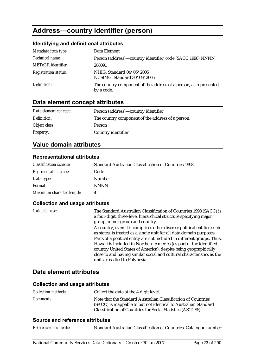# **Address—country identifier (person)**

#### **Identifying and definitional attributes**

| Metadata item type:         | Data Element                                                                   |
|-----------------------------|--------------------------------------------------------------------------------|
| Technical name:             | Person (address)-country identifier, code (SACC 1998) NNNN                     |
| <b>METeOR</b> identifier:   | 288091                                                                         |
| <b>Registration status:</b> | NHIG, Standard 04/05/2005<br>NCSIMG, Standard 30/09/2005                       |
| Definition:                 | The country component of the address of a person, as represented<br>by a code. |

# **Data element concept attributes**

| Data element concept: | Person (address)—country identifier               |
|-----------------------|---------------------------------------------------|
| Definition:           | The country component of the address of a person. |
| Object class:         | Person                                            |
| <i>Property:</i>      | Country identifier                                |

# **Value domain attributes**

#### **Representational attributes**

| <b>Classification scheme:</b> | <b>Standard Australian Classification of Countries 1998</b> |
|-------------------------------|-------------------------------------------------------------|
| <b>Representation class:</b>  | Code                                                        |
| Data type:                    | Number                                                      |
| <i>Format:</i>                | <b>NNNN</b>                                                 |
| Maximum character length:     |                                                             |

#### **Collection and usage attributes**

| Guide for use: | The Standard Australian Classification of Countries 1998 (SACC) is<br>a four-digit, three-level hierarchical structure specifying major<br>group, minor group and country. |
|----------------|----------------------------------------------------------------------------------------------------------------------------------------------------------------------------|
|                | A country, even if it comprises other discrete political entities such<br>as states, is treated as a single unit for all data domain purposes.                             |
|                | Parts of a political entity are not included in different groups. Thus,                                                                                                    |
|                | Hawaii is included in Northern America (as part of the identified                                                                                                          |
|                | country United States of America), despite being geographically                                                                                                            |
|                | close to and having similar social and cultural characteristics as the                                                                                                     |
|                | units classified to Polynesia.                                                                                                                                             |

### **Data element attributes**

#### **Collection and usage attributes**

| <b>Collection methods:</b> | Collect the data at the 4-digit level.                                                                                                                                                         |
|----------------------------|------------------------------------------------------------------------------------------------------------------------------------------------------------------------------------------------|
| <i>Comments:</i>           | Note that the Standard Australian Classification of Countries<br>(SACC) is mappable to but not identical to Australian Standard<br>Classification of Countries for Social Statistics (ASCCSS). |

| Standard Australian Classification of Countries, Catalogue number |
|-------------------------------------------------------------------|
|                                                                   |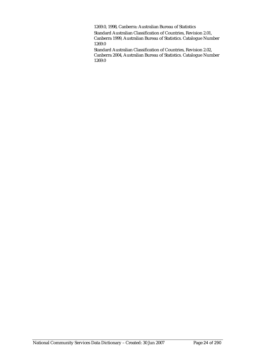1269.0, 1998, Canberra: Australian Bureau of Statistics

Standard Australian Classification of Countries, Revision 2.01, Canberra 1999, Australian Bureau of Statistics. Catalogue Number 1269.0

Standard Australian Classification of Countries, Revision 2.02, Canberra 2004, Australian Bureau of Statistics. Catalogue Number 1269.0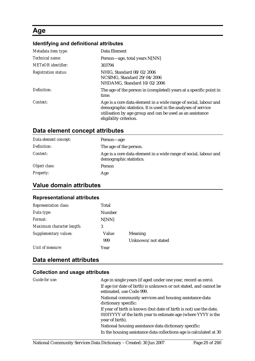# **Age**

# **Identifying and definitional attributes**

| Metadata item type:         | Data Element                                                                                                                                                                                                             |
|-----------------------------|--------------------------------------------------------------------------------------------------------------------------------------------------------------------------------------------------------------------------|
| Technical name:             | Person—age, total years N[NN]                                                                                                                                                                                            |
| METeOR identifier:          | 303794                                                                                                                                                                                                                   |
| <b>Registration status:</b> | NHIG, Standard 08/02/2006<br>NCSIMG, Standard 29/04/2006<br>NHDAMG, Standard 10/02/2006                                                                                                                                  |
| Definition:                 | The age of the person in (completed) years at a specific point in<br>time.                                                                                                                                               |
| Context:                    | Age is a core data element in a wide range of social, labour and<br>demographic statistics. It is used in the analyses of service<br>utilisation by age group and can be used as an assistance<br>eligibility criterion. |

# **Data element concept attributes**

| Data element concept: | Person—age                                                                                  |
|-----------------------|---------------------------------------------------------------------------------------------|
| Definition:           | The age of the person.                                                                      |
| Context:              | Age is a core data element in a wide range of social, labour and<br>demographic statistics. |
| Object class:         | Person                                                                                      |
| <b>Property:</b>      | Age                                                                                         |

# **Value domain attributes**

#### **Representational attributes**

| <b>Representation class:</b> | Total  |                    |
|------------------------------|--------|--------------------|
| Data type:                   | Number |                    |
| Format:                      | N[NN]  |                    |
| Maximum character length:    | 3      |                    |
| Supplementary values:        | Value  | Meaning            |
|                              | 999    | Unknown/not stated |
| Unit of measure:             | Year   |                    |

# **Data element attributes**

#### **Collection and usage attributes**

| Guide for use: | Age in single years (if aged under one year, record as zero).                                                                                          |
|----------------|--------------------------------------------------------------------------------------------------------------------------------------------------------|
|                | If age (or date of birth) is unknown or not stated, and cannot be<br>estimated, use Code 999.                                                          |
|                | National community services and housing assistance data                                                                                                |
|                | dictionary specific:                                                                                                                                   |
|                | If year of birth is known (but date of birth is not) use the date,<br>0101YYYY of the birth year to estimate age (where YYYY is the<br>year of birth). |
|                | National housing assistance data dictionary specific:                                                                                                  |
|                | In the housing assistance data collections age is calculated at 30                                                                                     |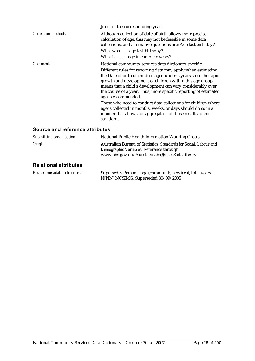|                            | June for the corresponding year.                                                                                                                                                                                                                                                                                                                       |
|----------------------------|--------------------------------------------------------------------------------------------------------------------------------------------------------------------------------------------------------------------------------------------------------------------------------------------------------------------------------------------------------|
| <b>Collection methods:</b> | Although collection of date of birth allows more precise<br>calculation of age, this may not be feasible in some data<br>collections, and alternative questions are: Age last birthday?<br>What was  age last birthday?                                                                                                                                |
|                            | What is  age in complete years?                                                                                                                                                                                                                                                                                                                        |
| <i>Comments:</i>           | National community services data dictionary specific:                                                                                                                                                                                                                                                                                                  |
|                            | Different rules for reporting data may apply when estimating<br>the Date of birth of children aged under 2 years since the rapid<br>growth and development of children within this age group<br>means that a child's development can vary considerably over<br>the course of a year. Thus, more specific reporting of estimated<br>age is recommended. |
|                            | Those who need to conduct data collections for children where<br>age is collected in months, weeks, or days should do so in a<br>manner that allows for aggregation of those results to this<br>standard.                                                                                                                                              |

| Submitting organisation:     | National Public Health Information Working Group                                                                                                                |  |
|------------------------------|-----------------------------------------------------------------------------------------------------------------------------------------------------------------|--|
| Origin:                      | Australian Bureau of Statistics, Standards for Social, Labour and<br>Demographic Variables. Reference through:<br>www.abs.gov.au/Ausstats/abs@.nsf/StatsLibrary |  |
| <b>Relational attributes</b> |                                                                                                                                                                 |  |
| Related metadata references: | Supersedes Person—age (community services), total years<br>N[NN] NCSIMG, Superseded 30/09/2005                                                                  |  |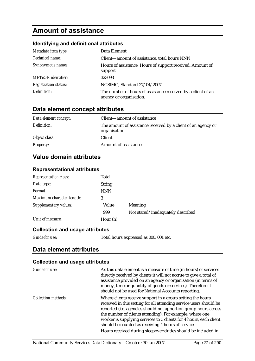# **Amount of assistance**

#### **Identifying and definitional attributes**

| Metadata item type:         | Data Element                                                                            |
|-----------------------------|-----------------------------------------------------------------------------------------|
| Technical name:             | Client—amount of assistance, total hours NNN                                            |
| Synonymous names:           | Hours of assistance, Hours of support received, Amount of<br>support                    |
| <b>METeOR</b> identifier:   | 323093                                                                                  |
| <b>Registration status:</b> | NCSIMG, Standard 27/04/2007                                                             |
| Definition:                 | The number of hours of assistance received by a client of an<br>agency or organisation. |

# **Data element concept attributes**

| Data element concept: | Client—amount of assistance                                                    |
|-----------------------|--------------------------------------------------------------------------------|
| Definition:           | The amount of assistance received by a client of an agency or<br>organisation. |
| Object class:         | Client                                                                         |
| <b>Property:</b>      | Amount of assistance                                                           |

# **Value domain attributes**

| <b>Representational attributes</b> |  |
|------------------------------------|--|
|------------------------------------|--|

| <b>Representation class:</b> | Total         |                                   |
|------------------------------|---------------|-----------------------------------|
| Data type:                   | <b>String</b> |                                   |
| Format:                      | <b>NNN</b>    |                                   |
| Maximum character length:    | 3             |                                   |
| Supplementary values:        | Value         | Meaning                           |
|                              | 999           | Not stated/inadequately described |
| Unit of measure:             | Hour (h)      |                                   |

#### **Collection and usage attributes**

*Guide for use:* Total hours expressed as 000, 001 etc.

### **Data element attributes**

#### **Collection and usage attributes**

| Guide for use:             | As this data element is a measure of time (in hours) of services<br>directly received by clients it will not accrue to give a total of<br>assistance provided on an agency or organisation (in terms of<br>money, time or quantity of goods or services). Therefore it<br>should not be used for National Accounts reporting.                                                                                                                               |
|----------------------------|-------------------------------------------------------------------------------------------------------------------------------------------------------------------------------------------------------------------------------------------------------------------------------------------------------------------------------------------------------------------------------------------------------------------------------------------------------------|
| <b>Collection methods:</b> | Where clients receive support in a group setting the hours<br>received in this setting for all attending service users should be<br>reported (i.e. agencies should not apportion group hours across<br>the number of clients attending). For example, where one<br>worker is supplying services to 3 clients for 4 hours, each client<br>should be counted as receiving 4 hours of service.<br>Hours received during sleepover duties should be included in |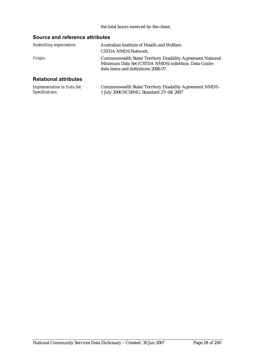#### the total hours received by the client.

| Submitting organisation:     | Australian Institute of Health and Welfare.                                                                                                                |
|------------------------------|------------------------------------------------------------------------------------------------------------------------------------------------------------|
|                              | CSTDA NMDS Network.                                                                                                                                        |
| Origin:                      | Commonwealth State/Territory Disability Agreement National<br>Minimum Data Set (CSTDA NMDS) collection. Data Guide:<br>data items and definitions 2006-07. |
| <b>Relational attributes</b> |                                                                                                                                                            |

| <b>Implementation in Data Set</b> | Commonwealth State/Territory Disability Agreement NMDS - |
|-----------------------------------|----------------------------------------------------------|
| Specifications:                   | 1 July 2006 NCSIMG, Standard 27/04/2007                  |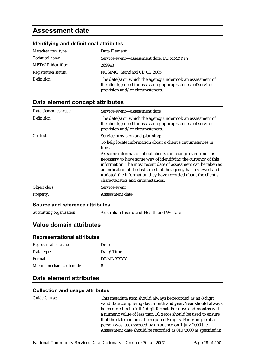# **Assessment date**

#### **Identifying and definitional attributes**

| Metadata item type:         | Data Element                                                                                                                                                   |
|-----------------------------|----------------------------------------------------------------------------------------------------------------------------------------------------------------|
| Technical name:             | Service event-assessment date, DDMMYYYY                                                                                                                        |
| <b>METeOR</b> identifier:   | 269943                                                                                                                                                         |
| <b>Registration status:</b> | NCSIMG, Standard 01/03/2005                                                                                                                                    |
| Definition:                 | The date(s) on which the agency undertook an assessment of<br>the client(s) need for assistance, appropriateness of service<br>provision and/or circumstances. |

### **Data element concept attributes**

| Data element concept: | Service event-assessment date                                                                                                                                                                                                                                                                                                                                               |
|-----------------------|-----------------------------------------------------------------------------------------------------------------------------------------------------------------------------------------------------------------------------------------------------------------------------------------------------------------------------------------------------------------------------|
| Definition:           | The date(s) on which the agency undertook an assessment of<br>the client(s) need for assistance, appropriateness of service<br>provision and/or circumstances.                                                                                                                                                                                                              |
| Context:              | Service provision and planning:                                                                                                                                                                                                                                                                                                                                             |
|                       | To help locate information about a client's circumstances in<br>time.                                                                                                                                                                                                                                                                                                       |
|                       | As some information about clients can change over time it is<br>necessary to have some way of identifying the currency of this<br>information. The most recent date of assessment can be taken as<br>an indication of the last time that the agency has reviewed and<br>updated the information they have recorded about the client's<br>characteristics and circumstances. |
| Object class:         | Service event                                                                                                                                                                                                                                                                                                                                                               |
| Property:             | Assessment date                                                                                                                                                                                                                                                                                                                                                             |

#### **Source and reference attributes**

*Submitting organisation:* Australian Institute of Health and Welfare

### **Value domain attributes**

#### **Representational attributes**

| <b>Representation class:</b> | Date            |
|------------------------------|-----------------|
| Data type:                   | Date/Time       |
| Format:                      | <b>DDMMYYYY</b> |
| Maximum character length:    | 8               |

### **Data element attributes**

#### **Collection and usage attributes**

*Guide for use:* This metadata item should always be recorded as an 8-digit valid date comprising day, month and year. Year should always be recorded in its full 4-digit format. For days and months with a numeric value of less than 10, zeros should be used to ensure that the date contains the required 8 digits. For example, if a person was last assessed by an agency on 1 July 2000 the Assessment date should be recorded as 01072000 as specified in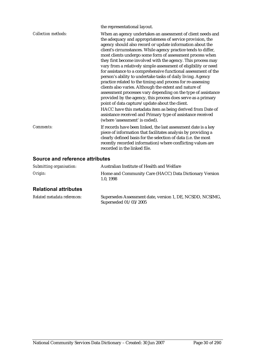|                            | the representational layout.                                                                                                                                                                                                                                                                                                                                                                                                                                                                                                                                                                                                                                                                                                                                                                                                                                                                          |
|----------------------------|-------------------------------------------------------------------------------------------------------------------------------------------------------------------------------------------------------------------------------------------------------------------------------------------------------------------------------------------------------------------------------------------------------------------------------------------------------------------------------------------------------------------------------------------------------------------------------------------------------------------------------------------------------------------------------------------------------------------------------------------------------------------------------------------------------------------------------------------------------------------------------------------------------|
| <b>Collection methods:</b> | When an agency undertakes an assessment of client needs and<br>the adequacy and appropriateness of service provision, the<br>agency should also record or update information about the<br>client's circumstances. While agency practice tends to differ,<br>most clients undergo some form of assessment process when<br>they first become involved with the agency. This process may<br>vary from a relatively simple assessment of eligibility or need<br>for assistance to a comprehensive functional assessment of the<br>person's ability to undertake tasks of daily living. Agency<br>practice related to the timing and process for re-assessing<br>clients also varies. Although the extent and nature of<br>assessment processes vary depending on the type of assistance<br>provided by the agency, this process does serve as a primary<br>point of data capture/update about the client. |
|                            | HACC have this metadata item as being derived from Date of<br>assistance received and Primary type of assistance received<br>(where 'assessment' is coded).                                                                                                                                                                                                                                                                                                                                                                                                                                                                                                                                                                                                                                                                                                                                           |
| Comments:                  | If records have been linked, the last assessment date is a key<br>piece of information that facilitates analysis by providing a<br>clearly defined basis for the selection of data (i.e. the most<br>recently recorded information) where conflicting values are<br>recorded in the linked file.                                                                                                                                                                                                                                                                                                                                                                                                                                                                                                                                                                                                      |

# **Source and reference attributes**

| Submitting organisation: | Australian Institute of Health and Welfare                         |
|--------------------------|--------------------------------------------------------------------|
| Origin:                  | Home and Community Care (HACC) Data Dictionary Version<br>1.0.1998 |

# **Relational attributes**

| Related metadata references: | Supersedes Assessment date, version 1, DE, NCSDD, NCSIMG, |
|------------------------------|-----------------------------------------------------------|
|                              | Superseded 01/03/2005                                     |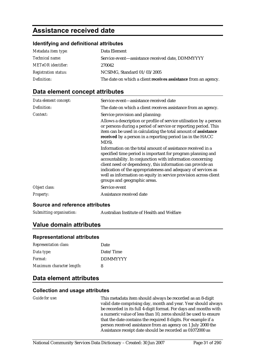# **Assistance received date**

#### **Identifying and definitional attributes**

| Metadata item type:         | Data Element                                                   |
|-----------------------------|----------------------------------------------------------------|
| <i>Technical name:</i>      | Service event-assistance received date, DDMMYYYY               |
| <b>METeOR</b> identifier:   | 270042                                                         |
| <b>Registration status:</b> | NCSIMG, Standard 01/03/2005                                    |
| Definition:                 | The date on which a client receives assistance from an agency. |

# **Data element concept attributes**

| Data element concept: | Service event—assistance received date                                                                                                                                                                                                                                                                                                                                                                                      |
|-----------------------|-----------------------------------------------------------------------------------------------------------------------------------------------------------------------------------------------------------------------------------------------------------------------------------------------------------------------------------------------------------------------------------------------------------------------------|
| Definition:           | The date on which a client receives assistance from an agency.                                                                                                                                                                                                                                                                                                                                                              |
| Context:              | Service provision and planning:<br>Allows a description or profile of service utilisation by a person<br>or persons during a period of service or reporting period. This<br>item can be used in calculating the total amount of assistance<br>received by a person in a reporting period (as in the HACC<br>MDS).                                                                                                           |
|                       | Information on the total amount of assistance received in a<br>specified time period is important for program planning and<br>accountability. In conjunction with information concerning<br>client need or dependency, this information can provide an<br>indication of the appropriateness and adequacy of services as<br>well as information on equity in service provision across client<br>groups and geographic areas. |
| Object class:         | Service event                                                                                                                                                                                                                                                                                                                                                                                                               |
| Property:             | Assistance received date                                                                                                                                                                                                                                                                                                                                                                                                    |

#### **Source and reference attributes**

*Submitting organisation:* Australian Institute of Health and Welfare

# **Value domain attributes**

#### **Representational attributes**

| <b>Representation class:</b> | Date            |
|------------------------------|-----------------|
| Data type:                   | Date/Time       |
| Format:                      | <b>DDMMYYYY</b> |
| Maximum character length:    | 8               |

# **Data element attributes**

#### **Collection and usage attributes**

*Guide for use:* This metadata item should always be recorded as an 8-digit valid date comprising day, month and year. Year should always be recorded in its full 4-digit format. For days and months with a numeric value of less than 10, zeros should be used to ensure that the date contains the required 8 digits. For example if a person received assistance from an agency on 1 July 2000 the Assistance receipt date should be recorded as 01072000 as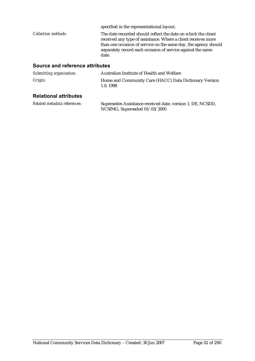|                            | specified in the representational layout.                                                                                                                                                                                                                                 |
|----------------------------|---------------------------------------------------------------------------------------------------------------------------------------------------------------------------------------------------------------------------------------------------------------------------|
| <b>Collection methods:</b> | The date recorded should reflect the date on which the client<br>received any type of assistance. Where a client receives more<br>than one occasion of service on the same day, the agency should<br>separately record each occasion of service against the same<br>date. |

#### **Source and reference attributes**

| Submitting organisation: | Australian Institute of Health and Welfare                         |
|--------------------------|--------------------------------------------------------------------|
| Origin:                  | Home and Community Care (HACC) Data Dictionary Version<br>1.0.1998 |
|                          |                                                                    |

#### **Relational attributes**

*Related metadata references:* Supersedes Assistance received date, version 1, DE, NCSDD, NCSIMG, Superseded 01/03/2005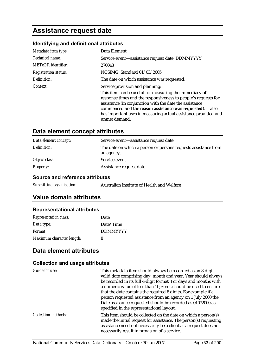# **Assistance request date**

# **Identifying and definitional attributes**

| Metadata item type:         | Data Element                                                                                                                                                                                                                                                                                                                          |
|-----------------------------|---------------------------------------------------------------------------------------------------------------------------------------------------------------------------------------------------------------------------------------------------------------------------------------------------------------------------------------|
| Technical name:             | Service event—assistance request date, DDMMYYYY                                                                                                                                                                                                                                                                                       |
| <b>METeOR</b> identifier:   | 270043                                                                                                                                                                                                                                                                                                                                |
| <b>Registration status:</b> | NCSIMG, Standard 01/03/2005                                                                                                                                                                                                                                                                                                           |
| Definition:                 | The date on which assistance was requested.                                                                                                                                                                                                                                                                                           |
| Context:                    | Service provision and planning:                                                                                                                                                                                                                                                                                                       |
|                             | This item can be useful for measuring the immediacy of<br>response times and the responsiveness to people's requests for<br>assistance (in conjunction with the date the assistance<br>commenced and the reason assistance was requested). It also<br>has important uses in measuring actual assistance provided and<br>unmet demand. |

# **Data element concept attributes**

| Data element concept: | Service event—assistance request date                                        |
|-----------------------|------------------------------------------------------------------------------|
| Definition:           | The date on which a person or persons requests assistance from<br>an agency. |
| Object class:         | Service event                                                                |
| <b>Property:</b>      | Assistance request date                                                      |

#### **Source and reference attributes**

| Australian Institute of Health and Welfare |
|--------------------------------------------|
|                                            |

# **Value domain attributes**

# **Representational attributes**

| <b>Representation class:</b> | Date            |
|------------------------------|-----------------|
| Data type:                   | Date/Time       |
| Format:                      | <b>DDMMYYYY</b> |
| Maximum character length:    | 8               |

### **Data element attributes**

#### **Collection and usage attributes**

| Guide for use:             | This metadata item should always be recorded as an 8-digit<br>valid date comprising day, month and year. Year should always<br>be recorded in its full 4-digit format. For days and months with<br>a numeric value of less than 10, zeros should be used to ensure<br>that the date contains the required 8 digits. For example if a<br>person requested assistance from an agency on 1 July 2000 the<br>Date assistance requested should be recorded as 01072000 as<br>specified in the representational layout. |
|----------------------------|-------------------------------------------------------------------------------------------------------------------------------------------------------------------------------------------------------------------------------------------------------------------------------------------------------------------------------------------------------------------------------------------------------------------------------------------------------------------------------------------------------------------|
| <b>Collection methods:</b> | This item should be collected on the date on which a person(s)<br>made the initial request for assistance. The person(s) requesting<br>assistance need not necessarily be a client as a request does not<br>necessarily result in provision of a service.                                                                                                                                                                                                                                                         |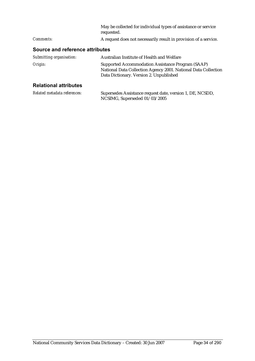|                  | May be collected for individual types of assistance or service<br>requested. |
|------------------|------------------------------------------------------------------------------|
| <i>Comments:</i> | A request does not necessarily result in provision of a service.             |

| Submitting organisation:     | Australian Institute of Health and Welfare                                                                                                                     |
|------------------------------|----------------------------------------------------------------------------------------------------------------------------------------------------------------|
| Origin:                      | Supported Accommodation Assistance Program (SAAP)<br>National Data Collection Agency 2001. National Data Collection<br>Data Dictionary. Version 2. Unpublished |
| <b>Relational attributes</b> |                                                                                                                                                                |

| Related metadata references: | Supersedes Assistance request date, version 1, DE, NCSDD, |
|------------------------------|-----------------------------------------------------------|
|                              | NCSIMG, Superseded 01/03/2005                             |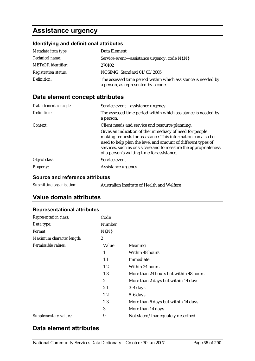# **Assistance urgency**

# **Identifying and definitional attributes**

| Metadata item type:         | Data Element                                                                                         |
|-----------------------------|------------------------------------------------------------------------------------------------------|
| <i>Technical name:</i>      | Service event—assistance urgency, code N{.N}                                                         |
| <b>METeOR</b> identifier:   | 270102                                                                                               |
| <b>Registration status:</b> | NCSIMG, Standard 01/03/2005                                                                          |
| Definition:                 | The assessed time period within which assistance is needed by<br>a person, as represented by a code. |

# **Data element concept attributes**

| Data element concept: | Service event—assistance urgency                                                                                                                                                                                                                                                                          |
|-----------------------|-----------------------------------------------------------------------------------------------------------------------------------------------------------------------------------------------------------------------------------------------------------------------------------------------------------|
| Definition:           | The assessed time period within which assistance is needed by<br>a person.                                                                                                                                                                                                                                |
| Context:              | Client needs and service and resource planning:                                                                                                                                                                                                                                                           |
|                       | Gives an indication of the immediacy of need for people<br>making requests for assistance. This information can also be<br>used to help plan the level and amount of different types of<br>services, such as crisis care and to measure the appropriateness<br>of a person's waiting time for assistance. |
| Object class:         | Service event                                                                                                                                                                                                                                                                                             |
| <b>Property:</b>      | Assistance urgency                                                                                                                                                                                                                                                                                        |

#### **Source and reference attributes**

| Submitting organisation:<br>Australian Institute of Health and Welfare |
|------------------------------------------------------------------------|
|------------------------------------------------------------------------|

# **Value domain attributes**

#### **Representational attributes**

| <b>Representation class:</b> | Code         |                                        |
|------------------------------|--------------|----------------------------------------|
| Data type:                   | Number       |                                        |
| Format:                      | $N\{N\}$     |                                        |
| Maximum character length:    | 2            |                                        |
| Permissible values:          | Value        | Meaning                                |
|                              | 1            | Within 48 hours                        |
|                              | 1.1          | Immediate                              |
|                              | 1.2          | Within 24 hours                        |
|                              | 1.3          | More than 24 hours but within 48 hours |
|                              | $\mathbf{2}$ | More than 2 days but within 14 days    |
|                              | 2.1          | $3-4$ days                             |
|                              | 2.2          | $5-6$ days                             |
|                              | 2.3          | More than 6 days but within 14 days    |
|                              | 3            | More than 14 days                      |
| Supplementary values:        | 9            | Not stated/inadequately described      |

# **Data element attributes**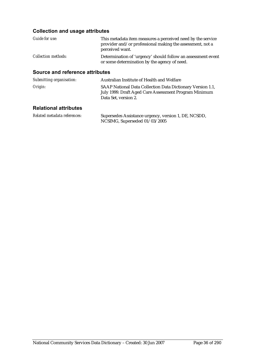# **Collection and usage attributes**

| Guide for use:             | This metadata item measures a perceived need by the service<br>provider and/or professional making the assessment, not a<br>perceived want. |
|----------------------------|---------------------------------------------------------------------------------------------------------------------------------------------|
| <i>Collection methods:</i> | Determination of 'urgency' should follow an assessment event<br>or some determination by the agency of need.                                |

#### **Source and reference attributes**

| Submitting organisation: | Australian Institute of Health and Welfare                                                                                                  |
|--------------------------|---------------------------------------------------------------------------------------------------------------------------------------------|
| Origin:                  | SAAP National Data Collection Data Dictionary Version 1.1,<br>July 1999. Draft Aged Care Assessment Program Minimum<br>Data Set. version 2. |

# **Relational attributes**

| Related metadata references: | Supersedes Assistance urgency, version 1, DE, NCSDD, |
|------------------------------|------------------------------------------------------|
|                              | NCSIMG, Superseded $01/03/2005$                      |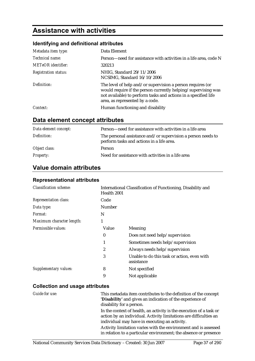# **Assistance with activities**

### **Identifying and definitional attributes**

| Metadata item type:         | Data Element                                                                                                                                                                                                                      |
|-----------------------------|-----------------------------------------------------------------------------------------------------------------------------------------------------------------------------------------------------------------------------------|
| <i>Technical name:</i>      | Person—need for assistance with activities in a life area, code N                                                                                                                                                                 |
| <b>METeOR</b> identifier:   | 320213                                                                                                                                                                                                                            |
| <b>Registration status:</b> | NHIG, Standard 29/11/2006<br>NCSIMG, Standard 16/10/2006                                                                                                                                                                          |
| Definition:                 | The level of help and/or supervision a person requires (or<br>would require if the person currently helping/supervising was<br>not available) to perform tasks and actions in a specified life<br>area, as represented by a code. |
| Context:                    | Human functioning and disability                                                                                                                                                                                                  |

### **Data element concept attributes**

| Data element concept: | Person—need for assistance with activities in a life area                                                 |
|-----------------------|-----------------------------------------------------------------------------------------------------------|
| Definition:           | The personal assistance and/or supervision a person needs to<br>perform tasks and actions in a life area. |
| Object class:         | <b>Person</b>                                                                                             |
| <b>Property:</b>      | Need for assistance with activities in a life area                                                        |

### **Value domain attributes**

#### **Representational attributes**

| <b>Classification scheme:</b> | Health 2001 | International Classification of Functioning, Disability and |
|-------------------------------|-------------|-------------------------------------------------------------|
| <b>Representation class:</b>  | Code        |                                                             |
| Data type:                    | Number      |                                                             |
| <i>Format:</i>                | N           |                                                             |
| Maximum character length:     | 1           |                                                             |
| Permissible values:           | Value       | Meaning                                                     |
|                               | $\bf{0}$    | Does not need help/supervision                              |
|                               | 1           | Sometimes needs help/supervision                            |
|                               | 2           | Always needs help/supervision                               |
|                               | 3           | Unable to do this task or action, even with<br>assistance   |
| Supplementary values:         | 8           | Not specified                                               |
|                               | 9           | Not applicable                                              |

| Guide for use: | This metadata item contributes to the definition of the concept<br>'Disability' and gives an indication of the experience of<br>disability for a person.                                  |
|----------------|-------------------------------------------------------------------------------------------------------------------------------------------------------------------------------------------|
|                | In the context of health, an activity is the execution of a task or<br>action by an individual. Activity limitations are difficulties an<br>individual may have in executing an activity. |
|                | Activity limitation varies with the environment and is assessed<br>in relation to a particular environment; the absence or presence                                                       |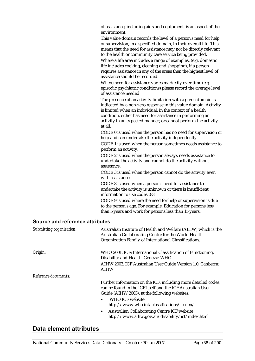of assistance, including aids and equipment, is an aspect of the environment.

This value domain records the level of a person's need for help or supervision, in a specified domain, in their overall life. This means that the need for assistance may not be directly relevant to the health or community care service being provided.

Where a life area includes a range of examples, (e.g. domestic life includes cooking, cleaning and shopping), if a person requires assistance in any of the areas then the highest level of assistance should be recorded.

Where need for assistance varies markedly over time (e.g. episodic psychiatric conditions) please record the average level of assistance needed.

The presence of an activity limitation with a given domain is indicated by a non-zero response in this value domain. Activity is limited when an individual, in the context of a health condition, either has need for assistance in performing an activity in an expected manner, or cannot perform the activity at all.

CODE 0 is used when the person has no need for supervision or help and can undertake the activity independently.

CODE 1 is used when the person sometimes needs assistance to perform an activity.

CODE 2 is used when the person always needs assistance to undertake the activity and cannot do the activity without assistance.

CODE 3 is used when the person cannot do the activity even with assistance

CODE 8 is used when a person's need for assistance to undertake the activity is unknown or there is insufficient information to use codes 0-3.

CODE 9 is used where the need for help or supervision is due to the person's age. For example, Education for persons less than 5 years and work for persons less than 15 years.

#### **Source and reference attributes**

| Submitting organisation: | Australian Institute of Health and Welfare (AIHW) which is the<br>Australian Collaborating Centre for the World Health<br>Organization Family of International Classifications. |
|--------------------------|---------------------------------------------------------------------------------------------------------------------------------------------------------------------------------|
| Origin:                  | WHO 2001. ICF: International Classification of Functioning,<br>Disability and Health. Geneva: WHO                                                                               |
|                          | AIHW 2003. ICF Australian User Guide Version 1.0. Canberra:<br><b>AIHW</b>                                                                                                      |
| Reference documents:     |                                                                                                                                                                                 |
|                          | Further information on the ICF, including more detailed codes,<br>can be found in the ICF itself and the ICF Australian User<br>Guide (AIHW 2003), at the following websites:   |
|                          | <b>WHO ICF website</b><br>$\bullet$<br>http://www.who.int/classifications/icf/en/                                                                                               |
|                          | <b>Australian Collaborating Centre ICF website</b><br>$\bullet$<br>http://www.aihw.gov.au/disability/icf/index.html                                                             |

### **Data element attributes**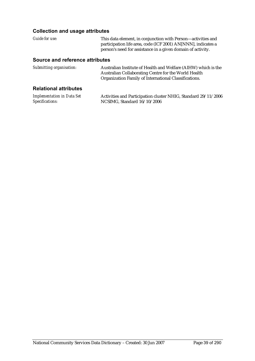| Guide for use:                                       | This data element, in conjunction with Person-activities and<br>participation life area, code (ICF 2001) AN[NNN], indicates a<br>person's need for assistance in a given domain of activity. |
|------------------------------------------------------|----------------------------------------------------------------------------------------------------------------------------------------------------------------------------------------------|
| Source and reference attributes                      |                                                                                                                                                                                              |
| Submitting organisation:                             | Australian Institute of Health and Welfare (AIHW) which is the<br>Australian Collaborating Centre for the World Health<br>Organization Family of International Classifications.              |
| <b>Relational attributes</b>                         |                                                                                                                                                                                              |
| <b>Implementation in Data Set</b><br>Specifications: | Activities and Participation cluster NHIG, Standard 29/11/2006<br>NCSIMG, Standard 16/10/2006                                                                                                |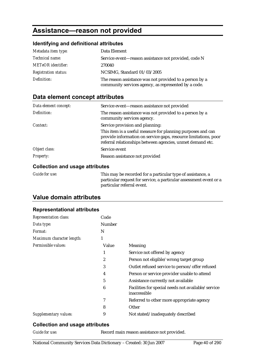# **Assistance—reason not provided**

#### **Identifying and definitional attributes**

| Metadata item type:         | Data Element                                                                                                    |
|-----------------------------|-----------------------------------------------------------------------------------------------------------------|
| <i>Technical name:</i>      | Service event—reason assistance not provided, code N                                                            |
| <b>METeOR</b> identifier:   | 270040                                                                                                          |
| <b>Registration status:</b> | NCSIMG, Standard 01/03/2005                                                                                     |
| Definition:                 | The reason assistance was not provided to a person by a<br>community services agency, as represented by a code. |

### **Data element concept attributes**

| Data element concept: | Service event-reason assistance not provided                                                                                                                                                 |
|-----------------------|----------------------------------------------------------------------------------------------------------------------------------------------------------------------------------------------|
| Definition:           | The reason assistance was not provided to a person by a<br>community services agency.                                                                                                        |
| Context:              | Service provision and planning:                                                                                                                                                              |
|                       | This item is a useful measure for planning purposes and can<br>provide information on service gaps, resource limitations, poor<br>referral relationships between agencies, unmet demand etc. |
| Object class:         | Service event                                                                                                                                                                                |
| <b>Property:</b>      | Reason assistance not provided                                                                                                                                                               |

#### **Collection and usage attributes**

| Guide for use: | This may be recorded for a particular type of assistance, a        |
|----------------|--------------------------------------------------------------------|
|                | particular request for service, a particular assessment event or a |
|                | particular referral event.                                         |

### **Value domain attributes**

### **Representational attributes**

| <b>Representation class:</b> | Code          |                                                                    |
|------------------------------|---------------|--------------------------------------------------------------------|
| Data type:                   | <b>Number</b> |                                                                    |
| <i>Format:</i>               | N             |                                                                    |
| Maximum character length:    | 1             |                                                                    |
| Permissible values:          | Value         | <b>Meaning</b>                                                     |
|                              | 1             | Service not offered by agency                                      |
|                              | 2             | Person not eligible/wrong target group                             |
|                              | 3             | Outlet refused service to person/offer refused                     |
|                              | 4             | Person or service provider unable to attend                        |
|                              | 5             | Assistance currently not available                                 |
|                              | 6             | Facilities for special needs not available/service<br>inaccessible |
|                              | 7             | Referred to other more appropriate agency                          |
|                              | 8             | Other                                                              |
| Supplementary values:        | 9             | Not stated/inadequately described                                  |

#### **Collection and usage attributes**

*Guide for use:* Record main reason assistance not provided.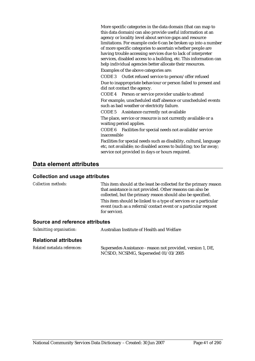More specific categories in the data domain (that can map to this data domain) can also provide useful information at an agency or locality level about service gaps and resource limitations. For example code 6 can be broken up into a number of more specific categories to ascertain whether people are having trouble accessing services due to lack of interpreter services, disabled access to a building, etc. This information can help individual agencies better allocate their resources.

Examples of the above categories are:

CODE 3 Outlet refused service to person/offer refused Due to inappropriate behaviour or person failed to present and did not contact the agency.

CODE 4 Person or service provider unable to attend For example, unscheduled staff absence or unscheduled events such as bad weather or electricity failure.

CODE 5 Assistance currently not available

The place, service or resource is not currently available or a waiting period applies.

CODE 6 Facilities for special needs not available/service inaccessible

Facilities for special needs such as disability, cultural, language etc, not available; no disabled access to building; too far away; service not provided in days or hours required.

#### **Data element attributes**

#### **Collection and usage attributes**

*Collection methods:* This item should at the least be collected for the primary reason that assistance is not provided. Other reasons can also be collected, but the primary reason should also be specified. This item should be linked to a type of services or a particular event (such as a referral/contact event or a particular request for service).

| Submitting organisation:     | Australian Institute of Health and Welfare                                                          |
|------------------------------|-----------------------------------------------------------------------------------------------------|
| <b>Relational attributes</b> |                                                                                                     |
| Related metadata references: | Supersedes Assistance - reason not provided, version 1, DE,<br>NCSDD, NCSIMG, Superseded 01/03/2005 |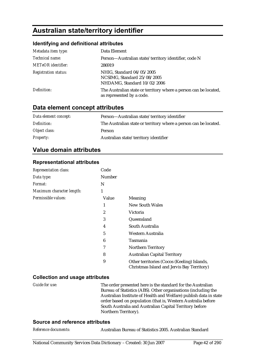# **Australian state/territory identifier**

#### **Identifying and definitional attributes**

| Metadata item type:         | Data Element                                                                                  |
|-----------------------------|-----------------------------------------------------------------------------------------------|
| Technical name:             | Person-Australian state/territory identifier, code N                                          |
| <b>METeOR</b> identifier:   | 286919                                                                                        |
| <b>Registration status:</b> | NHIG, Standard 04/05/2005<br>NCSIMG, Standard 25/08/2005<br>NHDAMG, Standard 10/02/2006       |
| Definition:                 | The Australian state or territory where a person can be located,<br>as represented by a code. |

### **Data element concept attributes**

| Data element concept: | Person-Australian state/territory identifier                     |
|-----------------------|------------------------------------------------------------------|
| Definition:           | The Australian state or territory where a person can be located. |
| Object class:         | Person                                                           |
| <b>Property:</b>      | Australian state/territory identifier                            |

### **Value domain attributes**

#### **Representational attributes**

| <b>Representation class:</b> | Code          |                                                                                           |
|------------------------------|---------------|-------------------------------------------------------------------------------------------|
| Data type:                   | <b>Number</b> |                                                                                           |
| Format:                      | N             |                                                                                           |
| Maximum character length:    | 1             |                                                                                           |
| Permissible values:          | Value         | <b>Meaning</b>                                                                            |
|                              | 1             | <b>New South Wales</b>                                                                    |
|                              | 2             | Victoria                                                                                  |
|                              | 3             | Queensland                                                                                |
|                              | 4             | South Australia                                                                           |
|                              | 5             | Western Australia                                                                         |
|                              | 6             | Tasmania                                                                                  |
|                              | 7             | Northern Territory                                                                        |
|                              | 8             | <b>Australian Capital Territory</b>                                                       |
|                              | 9             | Other territories (Cocos (Keeling) Islands,<br>Christmas Island and Jervis Bay Territory) |

#### **Collection and usage attributes**

*Guide for use:* The order presented here is the standard for the Australian Bureau of Statistics (ABS). Other organisations (including the Australian Institute of Health and Welfare) publish data in state order based on population (that is, Western Australia before South Australia and Australian Capital Territory before Northern Territory).

#### **Source and reference attributes**

| Reference documents: |  |  |  |  |
|----------------------|--|--|--|--|
|----------------------|--|--|--|--|

*Reference documents:* Australian Bureau of Statistics 2005. Australian Standard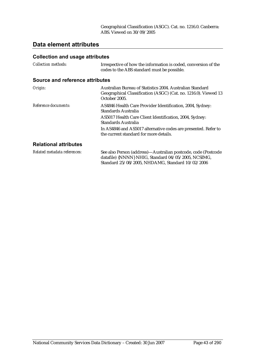### **Data element attributes**

| <b>Collection methods:</b>      | Irrespective of how the information is coded, conversion of the<br>codes to the ABS standard must be possible.                                                                                                                       |
|---------------------------------|--------------------------------------------------------------------------------------------------------------------------------------------------------------------------------------------------------------------------------------|
| Source and reference attributes |                                                                                                                                                                                                                                      |
| Origin:                         | Australian Bureau of Statistics 2004. Australian Standard<br>Geographical Classification (ASGC) (Cat. no. 1216.0). Viewed 13<br>October 2005.                                                                                        |
| Reference documents:            | AS4846 Health Care Provider Identification, 2004, Sydney:<br>Standards Australia<br>AS5017 Health Care Client Identification, 2004, Sydney:<br>Standards Australia<br>In AS4846 and AS5017 alternative codes are presented. Refer to |
|                                 | the current standard for more details.                                                                                                                                                                                               |
| <b>Relational attributes</b>    |                                                                                                                                                                                                                                      |
| Related metadata references:    | See also Person (address)—Australian postcode, code (Postcode<br>datafile) {NNNN} NHIG, Standard 04/05/2005, NCSIMG,<br>Standard 25/08/2005, NHDAMG, Standard 10/02/2006                                                             |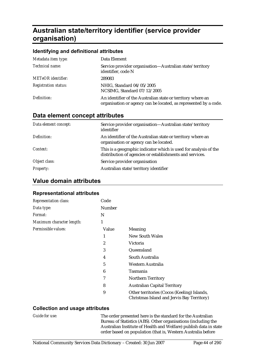# **Australian state/territory identifier (service provider organisation)**

#### **Identifying and definitional attributes**

| Metadata item type:         | Data Element                                                                                                                    |
|-----------------------------|---------------------------------------------------------------------------------------------------------------------------------|
| Technical name:             | Service provider organisation—Australian state/territory<br>identifier, code N                                                  |
| <b>METeOR</b> identifier:   | 289083                                                                                                                          |
| <b>Registration status:</b> | NHIG, Standard 04/05/2005<br>NCSIMG, Standard 07/12/2005                                                                        |
| Definition:                 | An identifier of the Australian state or territory where an<br>organisation or agency can be located, as represented by a code. |

#### **Data element concept attributes**

| Data element concept: | Service provider organisation—Australian state/territory<br>identifier                                                       |
|-----------------------|------------------------------------------------------------------------------------------------------------------------------|
| Definition:           | An identifier of the Australian state or territory where an<br>organisation or agency can be located.                        |
| Context:              | This is a geographic indicator which is used for analysis of the<br>distribution of agencies or establishments and services. |
| Object class:         | Service provider organisation                                                                                                |
| <i>Property:</i>      | Australian state/territory identifier                                                                                        |

#### **Value domain attributes**

#### **Representational attributes**

| <b>Representation class:</b> | Code   |                                                                                           |
|------------------------------|--------|-------------------------------------------------------------------------------------------|
| Data type:                   | Number |                                                                                           |
| <i>Format:</i>               | N      |                                                                                           |
| Maximum character length:    | 1      |                                                                                           |
| Permissible values:          | Value  | Meaning                                                                                   |
|                              | 1      | <b>New South Wales</b>                                                                    |
|                              | 2      | Victoria                                                                                  |
|                              | 3      | Queensland                                                                                |
|                              | 4      | South Australia                                                                           |
|                              | 5      | Western Australia                                                                         |
|                              | 6      | Tasmania                                                                                  |
|                              | 7      | <b>Northern Territory</b>                                                                 |
|                              | 8      | <b>Australian Capital Territory</b>                                                       |
|                              | 9      | Other territories (Cocos (Keeling) Islands,<br>Christmas Island and Jervis Bay Territory) |

#### **Collection and usage attributes**

*Guide for use:* The order presented here is the standard for the Australian Bureau of Statistics (ABS). Other organisations (including the Australian Institute of Health and Welfare) publish data in state order based on population (that is, Western Australia before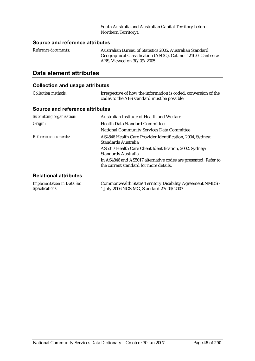South Australia and Australian Capital Territory before Northern Territory).

#### **Source and reference attributes**

| <i>Reference documents:</i> | Australian Bureau of Statistics 2005. Australian Standard      |
|-----------------------------|----------------------------------------------------------------|
|                             | Geographical Classification (ASGC). Cat. no. 1216.0. Canberra: |
|                             | ABS. Viewed on $30/09/2005$                                    |

#### **Data element attributes**

| <b>Collection methods:</b>      | Irrespective of how the information is coded, conversion of the<br>codes to the ABS standard must be possible. |
|---------------------------------|----------------------------------------------------------------------------------------------------------------|
| Source and reference attributes |                                                                                                                |
| Submitting organisation:        | Australian Institute of Health and Welfare                                                                     |
| Origin:                         | <b>Health Data Standard Committee</b>                                                                          |
|                                 | <b>National Community Services Data Committee</b>                                                              |
| Reference documents:            | AS4846 Health Care Provider Identification, 2004, Sydney:<br>Standards Australia                               |
|                                 | AS5017 Health Care Client Identification, 2002, Sydney:<br>Standards Australia                                 |
|                                 | In AS4846 and AS5017 alternative codes are presented. Refer to<br>the current standard for more details.       |
| <b>Relational attributes</b>    |                                                                                                                |

| <b>Implementation in Data Set</b> | Commonwealth State/Territory Disability Agreement NMDS - |
|-----------------------------------|----------------------------------------------------------|
| Specifications:                   | 1 July 2006 NCSIMG, Standard 27/04/2007                  |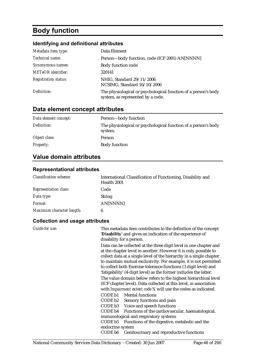# **Body function**

### **Identifying and definitional attributes**

| Metadata item type:         | Data Element                                                                                        |
|-----------------------------|-----------------------------------------------------------------------------------------------------|
| Technical name:             | Person-body function, code (ICF 2001) AN[NNNN]                                                      |
| Synonymous names:           | <b>Body function code</b>                                                                           |
| METeOR identifier:          | 320141                                                                                              |
| <b>Registration status:</b> | NHIG, Standard 29/11/2006<br>NCSIMG, Standard 16/10/2006                                            |
| Definition:                 | The physiological or psychological function of a person's body<br>system, as represented by a code. |

## **Data element concept attributes**

| Data element concept: | Person-body function                                                      |
|-----------------------|---------------------------------------------------------------------------|
| Definition:           | The physiological or psychological function of a person's body<br>system. |
| Object class:         | Person                                                                    |
| <i>Property:</i>      | <b>Body function</b>                                                      |

### **Value domain attributes**

#### **Representational attributes**

| <b>Classification scheme:</b> | International Classification of Functioning, Disability and<br>Health 2001 |
|-------------------------------|----------------------------------------------------------------------------|
| <b>Representation class:</b>  | Code                                                                       |
| Data type:                    | <b>String</b>                                                              |
| Format:                       | AN[NNNN]                                                                   |
| Maximum character length:     | 6                                                                          |

| Guide for use: | This metadata item contributes to the definition of the concept<br>'Disability' and gives an indication of the experience of<br>disability for a person.                                                                                                                                                                                                                                                                 |
|----------------|--------------------------------------------------------------------------------------------------------------------------------------------------------------------------------------------------------------------------------------------------------------------------------------------------------------------------------------------------------------------------------------------------------------------------|
|                | Data can be collected at the three digit level in one chapter and<br>at the chapter level in another. However it is only possible to<br>collect data at a single level of the hierarchy in a single chapter<br>to maintain mutual exclusivity. For example, it is not permitted<br>to collect both Exercise tolerance functions (3 digit level) and<br>'fatigability' (4-digit level) as the former includes the latter. |
|                | The value domain below refers to the highest hierarchical level<br>(ICF chapter level). Data collected at this level, in association<br>with <i>Impairment extent code N</i> will use the codes as indicated.                                                                                                                                                                                                            |
|                | CODE b1 Mental functions<br>CODE b2<br>Sensory functions and pain<br>CODE b3 Voice and speech functions<br>CODE b4 Functions of the cardiovascular, haematological,                                                                                                                                                                                                                                                      |
|                | immunological and respiratory systems<br>Functions of the digestive, metabolic and the<br>CODE b5                                                                                                                                                                                                                                                                                                                        |
|                | endocrine system<br>CODE b6<br>Genitourinary and reproductive functions                                                                                                                                                                                                                                                                                                                                                  |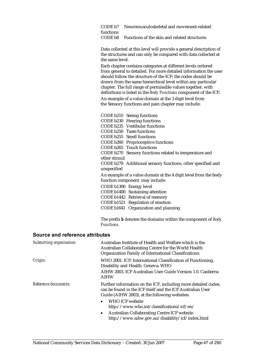CODE b7 Neuromusculoskeletal and movement-related functions CODE b8 Functions of the skin and related structures

Data collected at this level will provide a general description of the structures and can only be compared with data collected at the same level.

Each chapter contains categories at different levels ordered from general to detailed. For more detailed information the user should follow the structure of the ICF; the codes should be drawn from the same hierarchical level within any particular chapter. The full range of permissible values together, with definitions is listed in the *Body Functions* component of the ICF. An example of a value domain at the 3 digit level from the Sensory functions and pain chapter may include:

CODE b210 Seeing functions CODE b230 Hearing functions CODE b235 Vestibular functions CODE b250 Taste functions CODE b255 Smell functions CODE b260 Proprioceptive functions CODE b265 Touch functions CODE b270 Sensory functions related to temperature and other stimuli CODE b279 Additional sensory functions, other specified and unspecified An example of a value domain at the 4 digit level from the body function component may include: CODE b1300 Energy level CODE b1400 Sustaining attention CODE b1442 Retrieval of memory CODE b1521 Regulation of emotion CODE b1641 Organization and planning

The prefix *b* denotes the domains within the component of *Body Functions.* 

| Submitting organisation: | Australian Institute of Health and Welfare which is the<br>Australian Collaborating Centre for the World Health<br>Organization Family of International Classifications.      |
|--------------------------|-------------------------------------------------------------------------------------------------------------------------------------------------------------------------------|
| Origin:                  | WHO 2001. ICF: International Classification of Functioning,<br>Disability and Health. Geneva: WHO                                                                             |
|                          | AIHW 2003. ICF Australian User Guide Version 1.0. Canberra:<br><b>AIHW</b>                                                                                                    |
| Reference documents:     | Further information on the ICF, including more detailed codes,<br>can be found in the ICF itself and the ICF Australian User<br>Guide (AIHW 2003), at the following websites: |
|                          | <b>WHO ICF website</b><br>$\bullet$<br>http://www.who.int/classifications/icf/en/                                                                                             |
|                          | <b>Australian Collaborating Centre ICF website</b><br>$\bullet$<br>http://www.aihw.gov.au/disability/icf/index.html                                                           |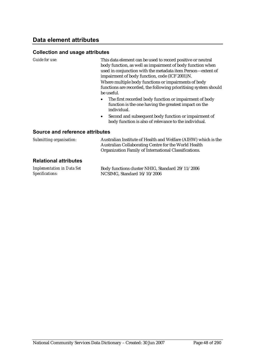#### **Collection and usage attributes**

*Guide for use:* This data element can be used to record positive or neutral body function, as well as impairment of body function when used in conjunction with the metadata item Person—extent of impairment of body function, code (ICF 2001)N.

> Where multiple body functions or impairments of body functions are recorded, the following prioritising system should be useful.

- The first recorded body function or impairment of body function is the one having the greatest impact on the individual.
- Second and subsequent body function or impairment of body function is also of relevance to the individual.

| Submitting organisation:     | Australian Institute of Health and Welfare (AIHW) which is the<br>Australian Collaborating Centre for the World Health<br>Organization Family of International Classifications. |
|------------------------------|---------------------------------------------------------------------------------------------------------------------------------------------------------------------------------|
| <b>Relational attributes</b> |                                                                                                                                                                                 |

| <b>Implementation in Data Set</b> | Body functions cluster NHIG, Standard 29/11/2006 |
|-----------------------------------|--------------------------------------------------|
| Specifications:                   | NCSIMG, Standard $16/10/2006$                    |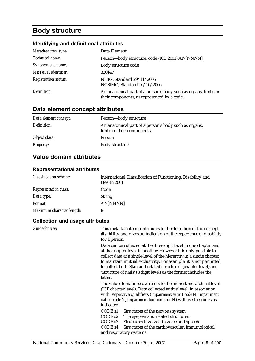# **Body structure**

### **Identifying and definitional attributes**

| Metadata item type:         | Data Element                                                                                                  |
|-----------------------------|---------------------------------------------------------------------------------------------------------------|
| Technical name:             | Person-body structure, code (ICF 2001) AN[NNNN]                                                               |
| Synonymous names:           | Body structure code                                                                                           |
| <b>METeOR</b> identifier:   | 320147                                                                                                        |
| <b>Registration status:</b> | NHIG, Standard 29/11/2006<br>NCSIMG, Standard 16/10/2006                                                      |
| Definition:                 | An anatomical part of a person's body such as organs, limbs or<br>their components, as represented by a code. |

## **Data element concept attributes**

| Data element concept: | Person-body structure                                                               |
|-----------------------|-------------------------------------------------------------------------------------|
| Definition:           | An anatomical part of a person's body such as organs,<br>limbs or their components. |
| Object class:         | Person                                                                              |
| <b>Property:</b>      | Body structure                                                                      |

### **Value domain attributes**

#### **Representational attributes**

| <b>Classification scheme:</b> | International Classification of Functioning, Disability and<br>Health 2001 |
|-------------------------------|----------------------------------------------------------------------------|
| <b>Representation class:</b>  | Code                                                                       |
| Data type:                    | <b>String</b>                                                              |
| Format:                       | AN[NNNN]                                                                   |
| Maximum character length:     |                                                                            |

| Guide for use: | This metadata item contributes to the definition of the concept<br>disability and gives an indication of the experience of disability<br>for a person.                                                                                                                                                                                                                                                                             |
|----------------|------------------------------------------------------------------------------------------------------------------------------------------------------------------------------------------------------------------------------------------------------------------------------------------------------------------------------------------------------------------------------------------------------------------------------------|
|                | Data can be collected at the three digit level in one chapter and<br>at the chapter level in another. However it is only possible to<br>collect data at a single level of the hierarchy in a single chapter<br>to maintain mutual exclusivity. For example, it is not permitted<br>to collect both 'Skin and related structures' (chapter level) and<br>'Structure of nails' (3 digit level) as the former includes the<br>latter. |
|                | The value domain below refers to the highest hierarchical level<br>(ICF chapter level). Data collected at this level, in association<br>with respective qualifiers (Impairment extent code N, Impairment<br>nature code N, Impairment location code N) will use the codes as<br>indicated.                                                                                                                                         |
|                | CODE <sub>s1</sub><br>Structures of the nervous system<br>CODE <sub>s2</sub><br>The eye, ear and related structures<br>CODE <sub>s3</sub><br>Structures involved in voice and speech<br>CODE <sub>s4</sub><br>Structures of the cardiovascular, immunological<br>and respiratory systems                                                                                                                                           |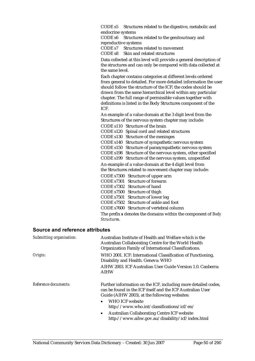CODE s5 Structures related to the digestive, metabolic and endocrine systems

CODE s6 Structures related to the genitourinary and reproductive systems

CODE s7 Structures related to movement

CODE s8 Skin and related structures

Data collected at this level will provide a general description of the structures and can only be compared with data collected at the same level.

Each chapter contains categories at different levels ordered from general to detailed. For more detailed information the user should follow the structure of the ICF; the codes should be drawn from the same hierarchical level within any particular chapter. The full range of permissible values together with definitions is listed in the Body Structures component of the ICF.

An example of a value domain at the 3 digit level from the Structures of the nervous system chapter may include:

CODE s110 Structure of the brain CODE s120 Spinal cord and related structures CODE s130 Structure of the meninges CODE s140 Structure of sympathetic nervous system CODE s150 Structure of parasympathetic nervous system CODE s198 Structure of the nervous system, other specified CODE s199 Structure of the nervous system, unspecified An example of a value domain at the 4 digit level from the Structures related to movement chapter may include: CODE s7300 Structure of upper arm CODE s7301 Structure of forearm CODE s7302 Structure of hand CODE s7500 Structure of thigh CODE s7501 Structure of lower leg CODE s7502 Structure of ankle and foot CODE s7600 Structure of vertebral column

The prefix *s* denotes the domains within the component of *Body Structures*.

| Submitting organisation: | Australian Institute of Health and Welfare which is the<br>Australian Collaborating Centre for the World Health<br>Organization Family of International Classifications.      |
|--------------------------|-------------------------------------------------------------------------------------------------------------------------------------------------------------------------------|
| Origin:                  | WHO 2001. ICF: International Classification of Functioning,<br>Disability and Health. Geneva: WHO                                                                             |
|                          | AIHW 2003. ICF Australian User Guide Version 1.0. Canberra:<br><b>AIHW</b>                                                                                                    |
| Reference documents:     | Further information on the ICF, including more detailed codes,<br>can be found in the ICF itself and the ICF Australian User<br>Guide (AIHW 2003), at the following websites: |
|                          | WHO ICF website<br>$\bullet$<br>http://www.who.int/classifications/icf/en/                                                                                                    |
|                          | <b>Australian Collaborating Centre ICF website</b><br>$\bullet$<br>http://www.aihw.gov.au/disability/icf/index.html                                                           |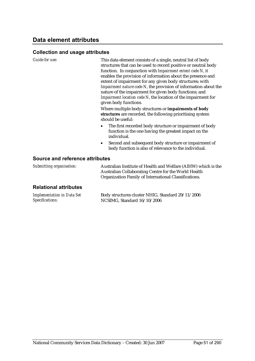#### **Collection and usage attributes**

| Guide for use:                  | This data element consists of a single, neutral list of body<br>structures that can be used to record positive or neutral body<br>function. In conjunction with Impairment extent code N, it<br>enables the provision of information about the presence and<br>extent of impairment for any given body structures; with<br>Impairment nature code N, the provision of information about the<br>nature of the impairment for given body functions; and<br>Impairment location code N, the location of the impairment for<br>given body functions.<br>Where multiple body structures or impairments of body<br>structures are recorded, the following prioritising system<br>should be useful:<br>The first recorded body structure or impairment of body<br>$\bullet$<br>function is the one having the greatest impact on the<br>individual.<br>Second and subsequent body structure or impairment of<br>$\bullet$ |
|---------------------------------|--------------------------------------------------------------------------------------------------------------------------------------------------------------------------------------------------------------------------------------------------------------------------------------------------------------------------------------------------------------------------------------------------------------------------------------------------------------------------------------------------------------------------------------------------------------------------------------------------------------------------------------------------------------------------------------------------------------------------------------------------------------------------------------------------------------------------------------------------------------------------------------------------------------------|
|                                 | body function is also of relevance to the individual.                                                                                                                                                                                                                                                                                                                                                                                                                                                                                                                                                                                                                                                                                                                                                                                                                                                              |
| Source and reference attributes |                                                                                                                                                                                                                                                                                                                                                                                                                                                                                                                                                                                                                                                                                                                                                                                                                                                                                                                    |
| Submitting organisation:        | Australian Institute of Health and Welfare (AIHW) which is the                                                                                                                                                                                                                                                                                                                                                                                                                                                                                                                                                                                                                                                                                                                                                                                                                                                     |

Australian Collaborating Centre for the World Health Organization Family of International Classifications.

| <b>Implementation in Data Set</b> | Body structures cluster NHIG, Standard 29/11/2006 |
|-----------------------------------|---------------------------------------------------|
| Specifications:                   | NCSIMG, Standard $16/10/2006$                     |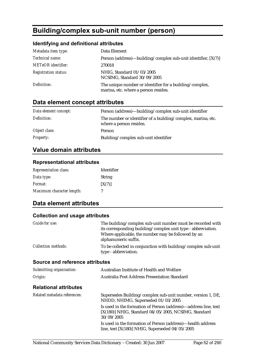# **Building/complex sub-unit number (person)**

### **Identifying and definitional attributes**

| Metadata item type:         | Data Element                                                                                    |
|-----------------------------|-------------------------------------------------------------------------------------------------|
| Technical name:             | Person (address)—building/complex sub-unit identifier, [X(7)]                                   |
| <b>METeOR</b> identifier:   | 270018                                                                                          |
| <b>Registration status:</b> | NHIG, Standard 01/03/2005<br>NCSIMG, Standard 30/09/2005                                        |
| Definition:                 | The unique number or identifier for a building/complex,<br>marina, etc. where a person resides. |

## **Data element concept attributes**

| Data element concept: | Person (address)—building/complex sub-unit identifier                                   |
|-----------------------|-----------------------------------------------------------------------------------------|
| Definition:           | The number or identifier of a building/complex, marina, etc.<br>where a person resides. |
| Object class:         | Person                                                                                  |
| <i>Property:</i>      | Building/complex sub-unit identifier                                                    |

### **Value domain attributes**

#### **Representational attributes**

| <b>Representation class:</b> | <b>Identifier</b> |
|------------------------------|-------------------|
| Data type:                   | <b>String</b>     |
| <i>Format:</i>               | [X(7)]            |
| Maximum character length:    | 7                 |

### **Data element attributes**

| Guide for use:                  | The building/complex sub-unit number must be recorded with<br>its corresponding building/complex unit type - abbreviation.<br>Where applicable, the number may be followed by an<br>alphanumeric suffix. |
|---------------------------------|----------------------------------------------------------------------------------------------------------------------------------------------------------------------------------------------------------|
| <b>Collection methods:</b>      | To be collected in conjunction with building/complex sub-unit<br>type - abbreviation.                                                                                                                    |
| Source and reference attributes |                                                                                                                                                                                                          |
| Submitting organisation:        | Australian Institute of Health and Welfare                                                                                                                                                               |
| Origin:                         | Australia Post Address Presentation Standard                                                                                                                                                             |
| <b>Relational attributes</b>    |                                                                                                                                                                                                          |
| Related metadata references:    | Supersedes Building/complex sub-unit number, version 1, DE,<br>NHDD, NHIMG, Superseded 01/03/2005                                                                                                        |
|                                 | Is used in the formation of Person (address)—address line, text<br>$[X(180)]$ NHIG, Standard 04/05/2005, NCSIMG, Standard<br>30/09/2005                                                                  |
|                                 | Is used in the formation of Person (address)—health address<br>line, text $[X(180)]$ NHIG, Superseded $04/05/2005$                                                                                       |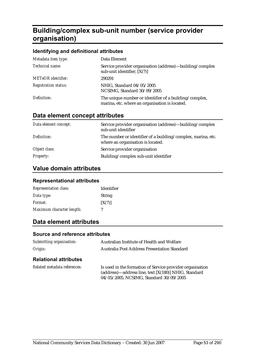# **Building/complex sub-unit number (service provider organisation)**

#### **Identifying and definitional attributes**

| Metadata item type:         | Data Element                                                                                             |
|-----------------------------|----------------------------------------------------------------------------------------------------------|
| Technical name:             | Service provider organisation (address)—building/complex<br>sub-unit identifier, $[X(7)]$                |
| <b>METeOR</b> identifier:   | 290291                                                                                                   |
| <b>Registration status:</b> | NHIG, Standard 04/05/2005<br>NCSIMG, Standard 30/09/2005                                                 |
| Definition:                 | The unique number or identifier of a building/complex,<br>marina, etc. where an organisation is located. |

### **Data element concept attributes**

| Data element concept: | Service provider organisation (address)—building/complex<br>sub-unit identifier                   |
|-----------------------|---------------------------------------------------------------------------------------------------|
| Definition:           | The number or identifier of a building/complex, marina, etc.<br>where an organisation is located. |
| Object class:         | Service provider organisation                                                                     |
| <b>Property:</b>      | Building/complex sub-unit identifier                                                              |

### **Value domain attributes**

#### **Representational attributes**

| <b>Representation class:</b> | <b>Identifier</b> |
|------------------------------|-------------------|
| Data type:                   | <b>String</b>     |
| <i>Format:</i>               | [X(7)]            |
| Maximum character length:    |                   |

### **Data element attributes**

#### **Source and reference attributes**

| Submitting organisation:     | Australian Institute of Health and Welfare                                                                        |
|------------------------------|-------------------------------------------------------------------------------------------------------------------|
| Origin:                      | <b>Australia Post Address Presentation Standard</b>                                                               |
| <b>Relational attributes</b> |                                                                                                                   |
| Related metadata references: | Is used in the formation of Service provider organisation<br>(address)—address line, text [X(180)] NHIG, Standard |

04/05/2005, NCSIMG, Standard 30/09/2005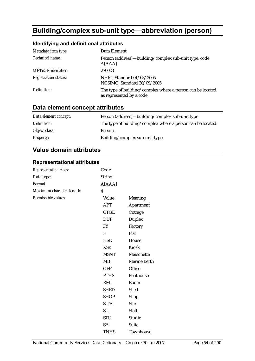# **Building/complex sub-unit type—abbreviation (person)**

### **Identifying and definitional attributes**

| Metadata item type:         | Data Element                                                                             |
|-----------------------------|------------------------------------------------------------------------------------------|
| Technical name:             | Person (address)—building/complex sub-unit type, code<br>A[AAA]                          |
| <b>METeOR</b> identifier:   | 270023                                                                                   |
| <b>Registration status:</b> | NHIG, Standard 01/03/2005<br>NCSIMG, Standard 30/09/2005                                 |
| Definition:                 | The type of building/complex where a person can be located,<br>as represented by a code. |

### **Data element concept attributes**

| Data element concept: | Person (address)—building/complex sub-unit type             |
|-----------------------|-------------------------------------------------------------|
| Definition:           | The type of building/complex where a person can be located. |
| Object class:         | Person                                                      |
| <b>Property:</b>      | Building/complex sub-unit type                              |

### **Value domain attributes**

#### **Representational attributes**

| Representation class:     | Code             |                     |
|---------------------------|------------------|---------------------|
| Data type:                | <b>String</b>    |                     |
| Format:                   | A[AAA]           |                     |
| Maximum character length: | $\boldsymbol{4}$ |                     |
| Permissible values:       | Value            | Meaning             |
|                           | <b>APT</b>       | Apartment           |
|                           | <b>CTGE</b>      | Cottage             |
|                           | <b>DUP</b>       | Duplex              |
|                           | ${\rm FY}$       | Factory             |
|                           | ${\bf F}$        | Flat                |
|                           | <b>HSE</b>       | House               |
|                           | <b>KSK</b>       | Kiosk               |
|                           | <b>MSNT</b>      | Maisonette          |
|                           | MB               | <b>Marine Berth</b> |
|                           | <b>OFF</b>       | Office              |
|                           | <b>PTHS</b>      | Penthouse           |
|                           | RM               | Room                |
|                           | <b>SHED</b>      | Shed                |
|                           | <b>SHOP</b>      | Shop                |
|                           | <b>SITE</b>      | <b>Site</b>         |
|                           | SL               | Stall               |
|                           | <b>STU</b>       | Studio              |
|                           | <b>SE</b>        | Suite               |
|                           | <b>TNHS</b>      | Townhouse           |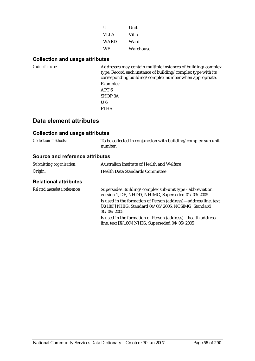| H           | <b>Unit</b> |
|-------------|-------------|
| <b>VLLA</b> | Villa       |
| WARD        | Ward        |
| <b>WE</b>   | Warehouse   |

#### **Collection and usage attributes**

| Guide for use: | Addresses may contain multiple instances of building/complex<br>type. Record each instance of building/complex type with its<br>corresponding building/complex number when appropriate.<br>Examples: |
|----------------|------------------------------------------------------------------------------------------------------------------------------------------------------------------------------------------------------|
|                | APT <sub>6</sub>                                                                                                                                                                                     |
|                | <b>SHOP 3A</b>                                                                                                                                                                                       |
|                | U6                                                                                                                                                                                                   |
|                | <b>PTHS</b>                                                                                                                                                                                          |

### **Data element attributes**

#### **Collection and usage attributes**

| <b>Collection methods:</b> | To be collected in conjunction with building/complex sub unit |
|----------------------------|---------------------------------------------------------------|
|                            | number.                                                       |

#### **Source and reference attributes**

| Submitting organisation: | Australian Institute of Health and Welfare |
|--------------------------|--------------------------------------------|
| Origin:                  | <b>Health Data Standards Committee</b>     |

| Related metadata references: | Supersedes Building/complex sub-unit type - abbreviation,<br>version 1, DE, NHDD, NHIMG, Superseded 01/03/2005                          |
|------------------------------|-----------------------------------------------------------------------------------------------------------------------------------------|
|                              | Is used in the formation of Person (address)—address line, text<br>$[X(180)]$ NHIG, Standard 04/05/2005, NCSIMG, Standard<br>30/09/2005 |
|                              | Is used in the formation of Person (address)—health address<br>line, text $[X(180)]$ NHIG, Superseded $04/05/2005$                      |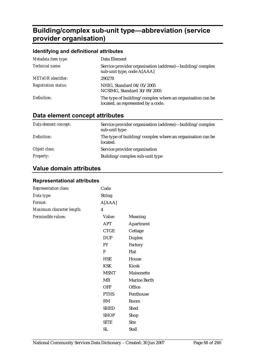# **Building/complex sub-unit type—abbreviation (service provider organisation)**

#### **Identifying and definitional attributes**

| Metadata item type:         | Data Element                                                                                    |
|-----------------------------|-------------------------------------------------------------------------------------------------|
| Technical name:             | Service provider organisation (address)—building/complex<br>sub-unit type, code A[AAA]          |
| <b>METeOR</b> identifier:   | 290278                                                                                          |
| <b>Registration status:</b> | NHIG, Standard 04/05/2005<br>NCSIMG, Standard 30/09/2005                                        |
| Definition:                 | The type of building/complex where an organisation can be<br>located, as represented by a code. |

### **Data element concept attributes**

| Data element concept: | Service provider organisation (address)—building/complex<br>sub-unit type |
|-----------------------|---------------------------------------------------------------------------|
| Definition:           | The type of building/complex where an organisation can be<br>located.     |
| Object class:         | Service provider organisation                                             |
| <b>Property:</b>      | Building/complex sub-unit type                                            |

### **Value domain attributes**

#### **Representational attributes**

| Representation class:     | Code                    |                     |
|---------------------------|-------------------------|---------------------|
| Data type:                | <b>String</b>           |                     |
| Format:                   | A[AAA]                  |                     |
| Maximum character length: | $\overline{\mathbf{4}}$ |                     |
| Permissible values:       | Value                   | Meaning             |
|                           | <b>APT</b>              | Apartment           |
|                           | CTGE                    | Cottage             |
|                           | <b>DUP</b>              | <b>Duplex</b>       |
|                           | <b>FY</b>               | Factory             |
|                           | F                       | Flat                |
|                           | <b>HSE</b>              | House               |
|                           | <b>KSK</b>              | Kiosk               |
|                           | <b>MSNT</b>             | Maisonette          |
|                           | MB                      | <b>Marine Berth</b> |
|                           | <b>OFF</b>              | Office              |
|                           | <b>PTHS</b>             | Penthouse           |
|                           | RM                      | Room                |
|                           | <b>SHED</b>             | Shed                |
|                           | <b>SHOP</b>             | Shop                |
|                           | <b>SITE</b>             | <b>Site</b>         |
|                           | <b>SL</b>               | <b>Stall</b>        |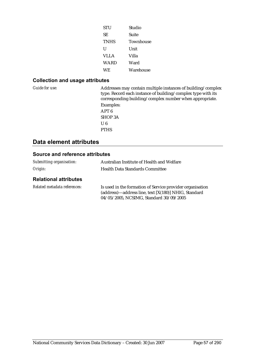| <b>STU</b>  | Studio    |
|-------------|-----------|
| SЕ          | Suite     |
| <b>TNHS</b> | Townhouse |
| U           | Unit      |
| VLLA        | Villa     |
| WARD        | Ward      |
| WE.         | Warehouse |

#### **Collection and usage attributes**

*Guide for use:* Addresses may contain multiple instances of building/complex type. Record each instance of building/complex type with its corresponding building/complex number when appropriate. Examples: APT 6 SHOP 3A U 6 PTHS

### **Data element attributes**

| Submitting organisation:     | Australian Institute of Health and Welfare                                                                                                                   |  |
|------------------------------|--------------------------------------------------------------------------------------------------------------------------------------------------------------|--|
| Origin:                      | <b>Health Data Standards Committee</b>                                                                                                                       |  |
| <b>Relational attributes</b> |                                                                                                                                                              |  |
| Related metadata references: | Is used in the formation of Service provider organisation<br>(address)—address line, text [X(180)] NHIG, Standard<br>04/05/2005, NCSIMG, Standard 30/09/2005 |  |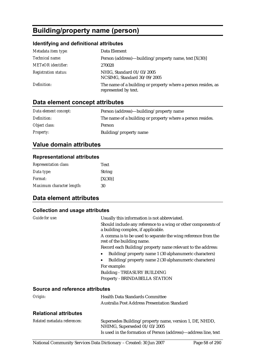# **Building/property name (person)**

### **Identifying and definitional attributes**

| Metadata item type:         | Data Element                                                                          |
|-----------------------------|---------------------------------------------------------------------------------------|
| Technical name:             | Person (address)—building/property name, text $[X(30)]$                               |
| <b>METeOR</b> identifier:   | 270028                                                                                |
| <b>Registration status:</b> | NHIG, Standard 01/03/2005<br>NCSIMG, Standard 30/09/2005                              |
| Definition:                 | The name of a building or property where a person resides, as<br>represented by text. |

## **Data element concept attributes**

| Data element concept: | Person (address)—building/property name                    |
|-----------------------|------------------------------------------------------------|
| Definition:           | The name of a building or property where a person resides. |
| Object class:         | Person                                                     |
| <i>Property:</i>      | Building/property name                                     |

### **Value domain attributes**

#### **Representational attributes**

| <b>Representation class:</b> | <b>Text</b>   |
|------------------------------|---------------|
| Data type:                   | <b>String</b> |
| <i>Format:</i>               | [X(30)]       |
| Maximum character length:    | 30            |

### **Data element attributes**

#### **Collection and usage attributes**

| <i>Guide for use:</i>                  | Usually this information is not abbreviated.                                                        |
|----------------------------------------|-----------------------------------------------------------------------------------------------------|
|                                        | Should include any reference to a wing or other components of<br>a building complex, if applicable. |
|                                        | A comma is to be used to separate the wing reference from the<br>rest of the building name.         |
|                                        | Record each Building/property name relevant to the address:                                         |
|                                        | Building/property name 1 (30 alphanumeric characters)                                               |
|                                        | Building/property name 2 (30 alphanumeric characters)                                               |
|                                        | For example:                                                                                        |
|                                        | <b>Building - TREASURY BUILDING</b>                                                                 |
|                                        | Property - BRINDABELLA STATION                                                                      |
| <b>Source and reference attributes</b> |                                                                                                     |
| Origin:                                | <b>Health Data Standards Committee</b>                                                              |
|                                        | Australia Post Address Presentation Standard                                                        |
|                                        |                                                                                                     |

| Related metadata references: | Supersedes Building/property name, version 1, DE, NHDD,<br>NHIMG, Superseded 01/03/2005 |
|------------------------------|-----------------------------------------------------------------------------------------|
|                              | Is used in the formation of Person (address)—address line, text                         |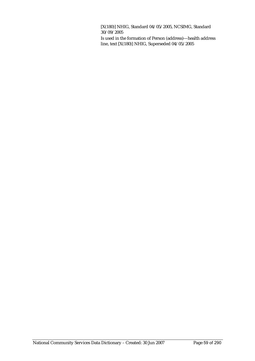[X(180)] NHIG, Standard 04/05/2005, NCSIMG, Standard 30/09/2005

Is used in the formation of Person (address)—health address line, text [X(180)] NHIG, Superseded 04/05/2005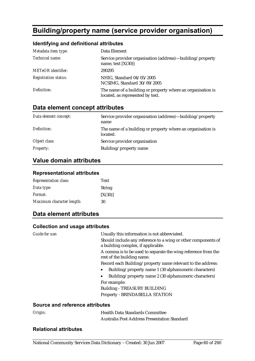# **Building/property name (service provider organisation)**

#### **Identifying and definitional attributes**

| Metadata item type:         | Data Element                                                                                    |
|-----------------------------|-------------------------------------------------------------------------------------------------|
| Technical name:             | Service provider organisation (address)—building/property<br>name, text $[X(30)]$               |
| <b>METeOR</b> identifier:   | 290295                                                                                          |
| <b>Registration status:</b> | NHIG, Standard 04/05/2005<br>NCSIMG, Standard 30/09/2005                                        |
| Definition:                 | The name of a building or property where an organisation is<br>located, as represented by text. |

### **Data element concept attributes**

| Data element concept: | Service provider organisation (address)—building/property<br>name       |
|-----------------------|-------------------------------------------------------------------------|
| Definition:           | The name of a building or property where an organisation is<br>located. |
| Object class:         | Service provider organisation                                           |
| <i>Property:</i>      | Building/property name                                                  |

#### **Value domain attributes**

#### **Representational attributes**

| <b>Representation class:</b> | <b>Text</b>   |
|------------------------------|---------------|
| Data type:                   | <b>String</b> |
| <i>Format:</i>               | [X(30)]       |
| Maximum character length:    | 30            |

### **Data element attributes**

#### **Collection and usage attributes**

| Guide for use:                         | Usually this information is not abbreviated.                                                        |
|----------------------------------------|-----------------------------------------------------------------------------------------------------|
|                                        | Should include any reference to a wing or other components of<br>a building complex, if applicable. |
|                                        | A comma is to be used to separate the wing reference from the<br>rest of the building name.         |
|                                        | Record each Building/property name relevant to the address:                                         |
|                                        | Building/property name 1 (30 alphanumeric characters)                                               |
|                                        | Building/property name 2 (30 alphanumeric characters)                                               |
|                                        | For example:                                                                                        |
|                                        | <b>Building - TREASURY BUILDING</b>                                                                 |
|                                        | Property - BRINDABELLA STATION                                                                      |
| <b>Source and reference attributes</b> |                                                                                                     |

| Origin: | <b>Health Data Standards Committee</b>              |
|---------|-----------------------------------------------------|
|         | <b>Australia Post Address Presentation Standard</b> |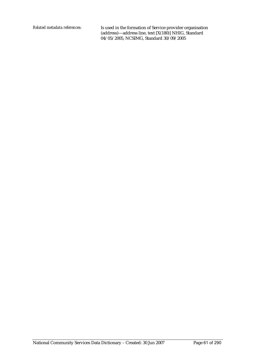*Related metadata references:* Is used in the formation of Service provider organisation (address)—address line, text [X(180)] NHIG, Standard 04/05/2005, NCSIMG, Standard 30/09/2005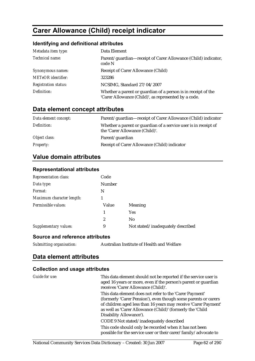# **Carer Allowance (Child) receipt indicator**

#### **Identifying and definitional attributes**

| Metadata item type:         | Data Element                                                                                                          |
|-----------------------------|-----------------------------------------------------------------------------------------------------------------------|
| Technical name:             | Parent/guardian—receipt of Carer Allowance (Child) indicator,<br>code N                                               |
| Synonymous names:           | Receipt of Carer Allowance (Child)                                                                                    |
| METeOR identifier:          | 323286                                                                                                                |
| <b>Registration status:</b> | NCSIMG, Standard 27/04/2007                                                                                           |
| Definition:                 | Whether a parent or guardian of a person is in receipt of the<br>'Carer Allowance (Child)', as represented by a code. |

### **Data element concept attributes**

| Data element concept: | Parent/guardian—receipt of Carer Allowance (Child) indicator                                      |
|-----------------------|---------------------------------------------------------------------------------------------------|
| Definition:           | Whether a parent or guardian of a service user is in receipt of<br>the 'Carer Allowance (Child)'. |
| Object class:         | Parent/guardian                                                                                   |
| <b>Property:</b>      | Receipt of Carer Allowance (Child) indicator                                                      |

### **Value domain attributes**

#### **Representational attributes**

| <b>Representation class:</b> | Code          |                                   |
|------------------------------|---------------|-----------------------------------|
| Data type:                   | <b>Number</b> |                                   |
| Format:                      | N             |                                   |
| Maximum character length:    |               |                                   |
| Permissible values:          | Value         | Meaning                           |
|                              | 1             | <b>Yes</b>                        |
|                              | 2             | No                                |
| Supplementary values:        | 9             | Not stated/inadequately described |

#### **Source and reference attributes**

| Submitting organisation: |  |  |  |
|--------------------------|--|--|--|
|--------------------------|--|--|--|

*Submitting organisation:* Australian Institute of Health and Welfare

### **Data element attributes**

| Guide for use: | This data element should not be reported if the service user is<br>aged 16 years or more, even if the person's parent or guardian<br>receives 'Carer Allowance (Child)'.                                                                                                             |
|----------------|--------------------------------------------------------------------------------------------------------------------------------------------------------------------------------------------------------------------------------------------------------------------------------------|
|                | This data element does not refer to the 'Carer Payment'<br>(formerly 'Carer Pension'), even though some parents or carers<br>of children aged less than 16 years may receive 'Carer Payment'<br>as well as 'Carer Allowance (Child)' (formerly the 'Child<br>Disability Allowance'). |
|                | CODE 9 Not stated/inadequately described                                                                                                                                                                                                                                             |
|                | This code should only be recorded when it has not been<br>possible for the service user or their carer/family/advocate to                                                                                                                                                            |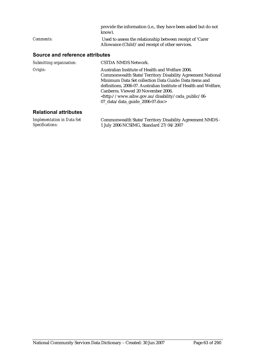|                  | provide the information (i.e., they have been asked but do not<br>know). |
|------------------|--------------------------------------------------------------------------|
| <i>Comments:</i> | Used to assess the relationship between receipt of 'Carer                |
|                  | Allowance (Child)' and receipt of other services.                        |

### **Source and reference attributes**

| Submitting organisation: | <b>CSTDA NMDS Network.</b>                                                                                                                                                                                                                                                                                                                                                                         |
|--------------------------|----------------------------------------------------------------------------------------------------------------------------------------------------------------------------------------------------------------------------------------------------------------------------------------------------------------------------------------------------------------------------------------------------|
| Origin:                  | Australian Institute of Health and Welfare 2006.<br>Commonwealth State/Territory Disability Agreement National<br>Minimum Data Set collection Data Guide: Data items and<br>definitions, 2006-07. Australian Institute of Health and Welfare,<br>Canberra. Viewed 20 November 2006.<br><http: 06-<br="" csda_public="" disability="" www.aihw.gov.au="">07_data/data_guide_2006-07.doc&gt;</http:> |
|                          |                                                                                                                                                                                                                                                                                                                                                                                                    |

| <b>Implementation in Data Set</b> | Commonwealth State/Territory Disability Agreement NMDS - |
|-----------------------------------|----------------------------------------------------------|
| Specifications:                   | 1 July 2006 NCSIMG, Standard 27/04/2007                  |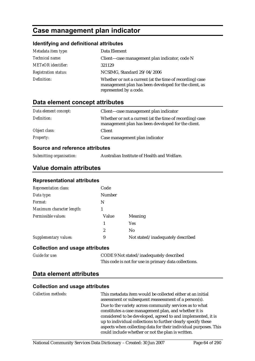# **Case management plan indicator**

#### **Identifying and definitional attributes**

| Metadata item type:         | Data Element                                                                                                                                |
|-----------------------------|---------------------------------------------------------------------------------------------------------------------------------------------|
| Technical name:             | Client—case management plan indicator, code N                                                                                               |
| METeOR identifier:          | 321129                                                                                                                                      |
| <b>Registration status:</b> | NCSIMG, Standard 29/04/2006                                                                                                                 |
| Definition:                 | Whether or not a current (at the time of recording) case<br>management plan has been developed for the client, as<br>represented by a code. |

### **Data element concept attributes**

| Data element concept: | Client—case management plan indicator                                                                          |
|-----------------------|----------------------------------------------------------------------------------------------------------------|
| Definition:           | Whether or not a current (at the time of recording) case<br>management plan has been developed for the client. |
| Object class:         | <b>Client</b>                                                                                                  |
| <i>Property:</i>      | Case management plan indicator                                                                                 |

#### **Source and reference attributes**

*Submitting organisation:* Australian Institute of Health and Welfare.

### **Value domain attributes**

#### **Representational attributes**

| <b>Representation class:</b> | Code   |                                   |
|------------------------------|--------|-----------------------------------|
| Data type:                   | Number |                                   |
| Format:                      | N      |                                   |
| Maximum character length:    |        |                                   |
| Permissible values:          | Value  | Meaning                           |
|                              | 1      | <b>Yes</b>                        |
|                              | 2      | No                                |
| <b>Supplementary values:</b> | 9      | Not stated/inadequately described |

#### **Collection and usage attributes**

| <b>Guide for use:</b> | CODE 9 Not stated/inadequately described              |
|-----------------------|-------------------------------------------------------|
|                       | This code is not for use in primary data collections. |

### **Data element attributes**

| <b>Collection methods:</b> | This metadata item would be collected either at an initial<br>assessment or subsequent reassessment of a person(s). |
|----------------------------|---------------------------------------------------------------------------------------------------------------------|
|                            | Due to the variety across community services as to what                                                             |
|                            | constitutes a case management plan, and whether it is                                                               |
|                            | considered to be developed, agreed to and implemented, it is                                                        |
|                            | up to individual collections to further clearly specify these                                                       |
|                            | aspects when collecting data for their individual purposes. This                                                    |
|                            | could include whether or not the plan is written.                                                                   |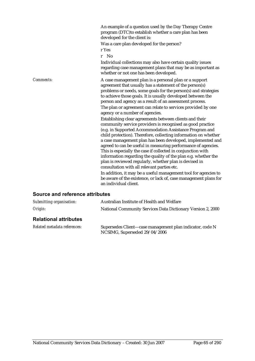An example of a question used by the Day Therapy Centre program (DTC)to establish whether a care plan has been developed for the client is:

Was a care plan developed for the person? r Yes

r No

Individual collections may also have certain quality issues regarding case management plans that may be as important as whether or not one has been developed.

*Comments:* A case management plan is a personal plan or a support agreement that usually has a statement of the person(s) problems or needs, some goals for the person(s) and strategies to achieve those goals. It is usually developed between the person and agency as a result of an assessment process.

The plan or agreement can relate to services provided by one agency or a number of agencies.

Establishing clear agreements between clients and their community service providers is recognised as good practice (e.g. in Supported Accommodation Assistance Program and child protection). Therefore, collecting information on whether a case management plan has been developed, implemented and agreed to can be useful in measuring performance of agencies. This is especially the case if collected in conjunction with information regarding the quality of the plan e.g. whether the plan is reviewed regularly, whether plan is devised in consultation with all relevant parties etc.

In addition, it may be a useful management tool for agencies to be aware of the existence, or lack of, case management plans for an individual client.

| Submitting organisation:     | Australian Institute of Health and Welfare                                                |  |
|------------------------------|-------------------------------------------------------------------------------------------|--|
| Origin:                      | National Community Services Data Dictionary Version 2, 2000                               |  |
| <b>Relational attributes</b> |                                                                                           |  |
| Related metadata references: | Supersedes Client-case management plan indicator, code N<br>NCSIMG, Superseded 29/04/2006 |  |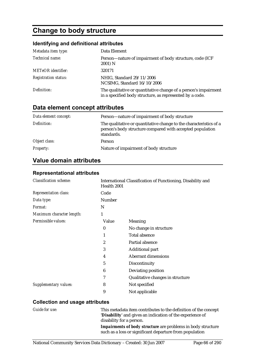# **Change to body structure**

### **Identifying and definitional attributes**

| Metadata item type:         | Data Element                                                                                                                |
|-----------------------------|-----------------------------------------------------------------------------------------------------------------------------|
| Technical name:             | Person-nature of impairment of body structure, code (ICF<br>2001) N                                                         |
| <b>METeOR</b> identifier:   | 320171                                                                                                                      |
| <b>Registration status:</b> | NHIG, Standard 29/11/2006<br>NCSIMG, Standard 16/10/2006                                                                    |
| Definition:                 | The qualitative or quantitative change of a person's impairment<br>in a specified body structure, as represented by a code. |

### **Data element concept attributes**

| Data element concept: | Person-nature of impairment of body structure                                                                                                 |
|-----------------------|-----------------------------------------------------------------------------------------------------------------------------------------------|
| Definition:           | The qualitative or quantitative change to the characteristics of a<br>person's body structure compared with accepted population<br>standards. |
| Object class:         | Person                                                                                                                                        |
| <i>Property:</i>      | Nature of impairment of body structure                                                                                                        |

### **Value domain attributes**

| <b>Classification scheme:</b> | International Classification of Functioning, Disability and<br>Health 2001 |                                  |
|-------------------------------|----------------------------------------------------------------------------|----------------------------------|
| <b>Representation class:</b>  | Code                                                                       |                                  |
| Data type:                    | <b>Number</b>                                                              |                                  |
| <i>Format:</i>                | N                                                                          |                                  |
| Maximum character length:     | 1                                                                          |                                  |
| Permissible values:           | Value                                                                      | Meaning                          |
|                               | $\bf{0}$                                                                   | No change in structure           |
|                               | 1                                                                          | <b>Total absence</b>             |
|                               | 2                                                                          | Partial absence                  |
|                               | 3                                                                          | <b>Additional part</b>           |
|                               | 4                                                                          | <b>Aberrant dimensions</b>       |
|                               | 5                                                                          | Discontinuity                    |
|                               | 6                                                                          | Deviating position               |
|                               | 7                                                                          | Qualitative changes in structure |
| <b>Supplementary values:</b>  | 8                                                                          | Not specified                    |
|                               | 9                                                                          | Not applicable                   |

#### **Representational attributes**

| Guide for use: | This metadata item contributes to the definition of the concept     |
|----------------|---------------------------------------------------------------------|
|                | 'Disability' and gives an indication of the experience of           |
|                | disability for a person.                                            |
|                | <b>Impairments of body structure</b> are problems in body structure |
|                | such as a loss or significant departure from population             |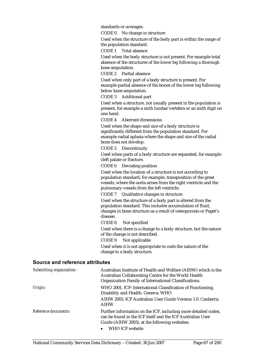standards or averages.

CODE 0 No change in structure

Used when the structure of the body part is within the range of the population standard.

CODE 1 Total absence

Used when the body structure is not present. For example total absence of the structures of the lower leg following a thorough knee amputation.

CODE 2 Partial absence

Used when only part of a body structure is present. For example partial absence of the bones of the lower leg following below knee amputation.

CODE 3 Additional part

Used when a structure, not usually present in the population is present, for example a sixth lumbar vertebra or an sixth digit on one hand.

CODE 4 Aberrant dimensions

Used when the shape and size of a body structure is significantly different from the population standard. For example radial aplasia where the shape and size of the radial bone does not develop.

CODE 5 Discontinuity

Used when parts of a body structure are separated, for example cleft palate or fracture.

CODE 6 Deviating position

Used when the location of a structure is not according to population standard; for example, transposition of the great vessels, where the aorta arises from the right ventricle and the pulmonary vessels from the left ventricle.

CODE 7 Qualitative changes in structure

Used when the structure of a body part is altered from the population standard. This includes accumulation of fluid, changes in bone structure as a result of osteoporosis or Paget's disease.

CODE 8 Not specified

Used when there is a change to a body structure, but the nature of the change is not described.

CODE 9 Not applicable

Used when it is not appropriate to code the nature of the change to a body structure.

| Submitting organisation: | Australian Institute of Health and Welfare (AIHW) which is the<br>Australian Collaborating Centre for the World Health<br>Organization Family of International Classifications.                  |
|--------------------------|--------------------------------------------------------------------------------------------------------------------------------------------------------------------------------------------------|
| Origin:                  | WHO 2001. ICF: International Classification of Functioning,<br>Disability and Health. Geneva: WHO                                                                                                |
|                          | AIHW 2003. ICF Australian User Guide Version 1.0. Canberra:<br><b>AIHW</b>                                                                                                                       |
| Reference documents:     | Further information on the ICF, including more detailed codes,<br>can be found in the ICF itself and the ICF Australian User<br>Guide (AIHW 2003), at the following websites:<br>WHO ICF website |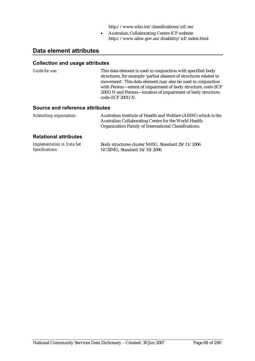http://www.who.int/classifications/icf/en/

• Australian Collaborating Centre ICF website http://www.aihw.gov.au/disability/icf/index.html

### **Data element attributes**

#### **Collection and usage attributes**

| Guide for use:                  | This data element is used in conjunction with specified body<br>structures, for example 'partial absence of structures related to<br>movement'. This data element may also be used in conjunction<br>with Person—extent of impairment of body structure, code (ICF<br>2001) N and Person-location of impairment of body structure,<br>code (ICF 2001) N. |
|---------------------------------|----------------------------------------------------------------------------------------------------------------------------------------------------------------------------------------------------------------------------------------------------------------------------------------------------------------------------------------------------------|
| $\bullet$ if a set of $\bullet$ |                                                                                                                                                                                                                                                                                                                                                          |

#### **Source and reference attributes**

| Submitting organisation: | Australian Institute of Health and Welfare (AIHW) which is the |
|--------------------------|----------------------------------------------------------------|
|                          | Australian Collaborating Centre for the World Health           |
|                          | Organization Family of International Classifications.          |

| <b>Implementation in Data Set</b> | Body structures cluster NHIG, Standard 29/11/2006 |
|-----------------------------------|---------------------------------------------------|
| Specifications:                   | NCSIMG, Standard 16/10/2006                       |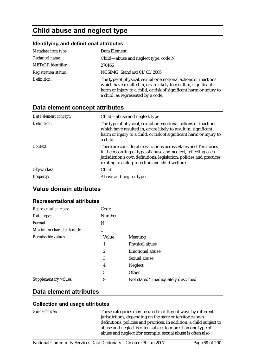# **Child abuse and neglect type**

#### **Identifying and definitional attributes**

| Metadata item type:         | Data Element                                                                                                                                                                                                                                   |
|-----------------------------|------------------------------------------------------------------------------------------------------------------------------------------------------------------------------------------------------------------------------------------------|
| Technical name:             | Child—abuse and neglect type, code N                                                                                                                                                                                                           |
| <b>METeOR</b> identifier:   | 270166                                                                                                                                                                                                                                         |
| <b>Registration status:</b> | NCSIMG, Standard 01/03/2005                                                                                                                                                                                                                    |
| Definition:                 | The type of physical, sexual or emotional actions or inactions<br>which have resulted in, or are likely to result in, significant<br>harm or injury to a child, or risk of significant harm or injury to<br>a child, as represented by a code. |

### **Data element concept attributes**

| Data element concept: | Child—abuse and neglect type                                                                                                                                                                                                                                |
|-----------------------|-------------------------------------------------------------------------------------------------------------------------------------------------------------------------------------------------------------------------------------------------------------|
| Definition:           | The type of physical, sexual or emotional actions or inactions<br>which have resulted in, or are likely to result in, significant<br>harm or injury to a child, or risk of significant harm or injury to<br>a child.                                        |
| Context:              | There are considerable variations across States and Territories<br>in the recording of type of abuse and neglect, reflecting each<br>jurisdiction's own definitions, legislation, policies and practices<br>relating to child protection and child welfare. |
| Object class:         | Child                                                                                                                                                                                                                                                       |
| <b>Property:</b>      | Abuse and neglect type                                                                                                                                                                                                                                      |

### **Value domain attributes**

#### **Representational attributes**

| <b>Representation class:</b> | Code          |                                   |
|------------------------------|---------------|-----------------------------------|
| Data type:                   | <b>Number</b> |                                   |
| Format:                      | N             |                                   |
| Maximum character length:    | 1             |                                   |
| Permissible values:          | Value         | Meaning                           |
|                              | 1             | Physical abuse                    |
|                              | 2             | <b>Emotional abuse</b>            |
|                              | 3             | Sexual abuse                      |
|                              | 4             | Neglect                           |
|                              | $\sqrt{5}$    | Other                             |
| Supplementary values:        | 9             | Not stated/inadequately described |

### **Data element attributes**

#### **Collection and usage attributes**

*Guide for use:* These categories may be used in different ways by different jurisdictions, depending on the state or territories own definitions, policies and practices. In addition, a child subject to abuse and neglect is often subject to more than one type of abuse and neglect (for example, sexual abuse is often also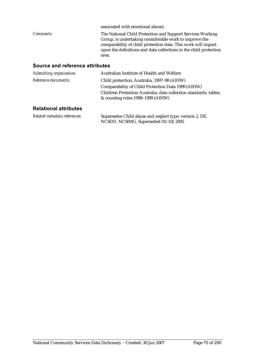|                  | associated with emotional abuse).                                                                                                                                                                                                                                   |
|------------------|---------------------------------------------------------------------------------------------------------------------------------------------------------------------------------------------------------------------------------------------------------------------|
| <i>Comments:</i> | The National Child Protection and Support Services Working<br>Group, is undertaking considerable work to improve the<br>comparability of child protection data. This work will impact<br>upon the definitions and data collections in the child protection<br>area. |

### **Source and reference attributes**

| Submitting organisation: | Australian Institute of Health and Welfare                                                             |
|--------------------------|--------------------------------------------------------------------------------------------------------|
| Reference documents:     | Child protection, Australia, 1997-98 (AIHW)                                                            |
|                          | Comparability of Child Protection Data 1999 (AIHW)                                                     |
|                          | Children Protection Australia: data collection standards, tables,<br>& counting rules 1998–1999 (AIHW) |
|                          |                                                                                                        |

| Related metadata references: | Supersedes Child abuse and neglect type, version 2, DE, |
|------------------------------|---------------------------------------------------------|
|                              | NCSDD, NCSIMG, Superseded 01/03/2005                    |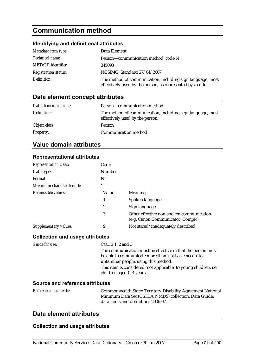# **Communication method**

### **Identifying and definitional attributes**

| Metadata item type:         | Data Element                                                                                                            |
|-----------------------------|-------------------------------------------------------------------------------------------------------------------------|
| <i>Technical name:</i>      | Person—communication method, code N                                                                                     |
| <b>METeOR</b> identifier:   | 345093                                                                                                                  |
| <b>Registration status:</b> | NCSIMG, Standard 27/04/2007                                                                                             |
| Definition:                 | The method of communication, including sign language, most<br>effectively used by the person, as represented by a code. |

### **Data element concept attributes**

| Data element concept: | Person-communication method                                                                   |
|-----------------------|-----------------------------------------------------------------------------------------------|
| Definition:           | The method of communication, including sign language, most<br>effectively used by the person. |
| Object class:         | Person                                                                                        |
| <b>Property:</b>      | Communication method                                                                          |

### **Value domain attributes**

**Representational attributes** 

| <b>Representation class:</b> | Code   |                                                                               |
|------------------------------|--------|-------------------------------------------------------------------------------|
| Data type:                   | Number |                                                                               |
| Format:                      | N      |                                                                               |
| Maximum character length:    |        |                                                                               |
| Permissible values:          | Value  | <b>Meaning</b>                                                                |
|                              |        | Spoken language                                                               |
|                              | 2      | Sign language                                                                 |
|                              | 3      | Other effective non-spoken communication<br>(e.g. Canon Communicator, Compic) |
| Supplementary values:        | 9      | Not stated/inadequately described                                             |

# **Collection and usage attributes**

| Guide for use: | CODE 1, 2 and 3                                                                             |
|----------------|---------------------------------------------------------------------------------------------|
|                | The communication must be effective in that the person must                                 |
|                | be able to communicate more than just basic needs, to                                       |
|                | unfamiliar people, using this method.                                                       |
|                | This item is considered 'not applicable' to young children, i.e.<br>children aged 0-4 years |
|                |                                                                                             |

#### **Source and reference attributes**

| <i>Reference documents:</i> | Commonwealth State/Territory Disability Agreement National |
|-----------------------------|------------------------------------------------------------|
|                             | Minimum Data Set (CSTDA NMDS) collection. Data Guide:      |
|                             | data items and definitions 2006-07.                        |

### **Data element attributes**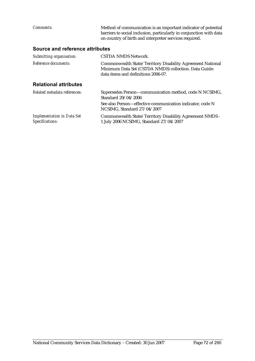| Comments:                                            | Method of communication is an important indicator of potential<br>barriers to social inclusion, particularly in conjunction with data<br>on country of birth and interpreter services required. |  |  |  |
|------------------------------------------------------|-------------------------------------------------------------------------------------------------------------------------------------------------------------------------------------------------|--|--|--|
| <b>Source and reference attributes</b>               |                                                                                                                                                                                                 |  |  |  |
| Submitting organisation:                             | CSTDA NMDS Network.                                                                                                                                                                             |  |  |  |
| Reference documents:                                 | Commonwealth State/Territory Disability Agreement National<br>Minimum Data Set (CSTDA NMDS) collection. Data Guide:<br>data items and definitions 2006-07.                                      |  |  |  |
| <b>Relational attributes</b>                         |                                                                                                                                                                                                 |  |  |  |
| Related metadata references:                         | Supersedes Person-communication method, code N NCSIMG,<br>Standard 29/04/2006<br>See also Person—effective communication indicator, code N<br>NCSIMG, Standard 27/04/2007                       |  |  |  |
| <b>Implementation in Data Set</b><br>Specifications: | Commonwealth State/Territory Disability Agreement NMDS -<br>1 July 2006 NCSIMG, Standard 27/04/2007                                                                                             |  |  |  |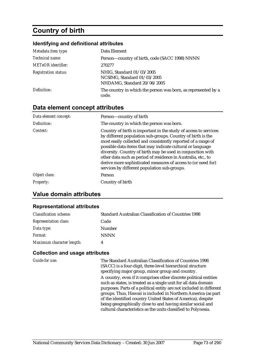# **Country of birth**

#### **Identifying and definitional attributes**

| Metadata item type:         | Data Element                                                                            |
|-----------------------------|-----------------------------------------------------------------------------------------|
| Technical name:             | Person-country of birth, code (SACC 1998) NNNN                                          |
| <b>METeOR</b> identifier:   | 270277                                                                                  |
| <b>Registration status:</b> | NHIG, Standard 01/03/2005<br>NCSIMG, Standard 01/03/2005<br>NHDAMG, Standard 20/06/2005 |
| Definition:                 | The country in which the person was born, as represented by a<br>code.                  |

### **Data element concept attributes**

| Data element concept: | Person-country of birth                                                                                                                                                                                                                                                                                                                                                                                                                                                                                         |
|-----------------------|-----------------------------------------------------------------------------------------------------------------------------------------------------------------------------------------------------------------------------------------------------------------------------------------------------------------------------------------------------------------------------------------------------------------------------------------------------------------------------------------------------------------|
| Definition:           | The country in which the person was born.                                                                                                                                                                                                                                                                                                                                                                                                                                                                       |
| Context:              | Country of birth is important in the study of access to services<br>by different population sub-groups. Country of birth is the<br>most easily collected and consistently reported of a range of<br>possible data items that may indicate cultural or language<br>diversity. Country of birth may be used in conjunction with<br>other data such as period of residence in Australia, etc., to<br>derive more sophisticated measures of access to (or need for)<br>services by different population sub-groups. |
| Object class:         | Person                                                                                                                                                                                                                                                                                                                                                                                                                                                                                                          |
| <i>Property:</i>      | Country of birth                                                                                                                                                                                                                                                                                                                                                                                                                                                                                                |

# **Value domain attributes**

#### **Representational attributes**

| <b>Classification scheme:</b> | <b>Standard Australian Classification of Countries 1998</b> |
|-------------------------------|-------------------------------------------------------------|
| <b>Representation class:</b>  | Code                                                        |
| Data type:                    | Number                                                      |
| <i>Format:</i>                | <b>NNNN</b>                                                 |
| Maximum character length:     |                                                             |

#### **Collection and usage attributes**

*Guide for use:* The Standard Australian Classification of Countries 1998 (SACC) is a four-digit, three-level hierarchical structure specifying major group, minor group and country. A country, even if it comprises other discrete political entities such as states, is treated as a single unit for all data domain purposes. Parts of a political entity are not included in different groups. Thus, Hawaii is included in Northern America (as part of the identified country United States of America), despite being geographically close to and having similar social and cultural characteristics as the units classified to Polynesia.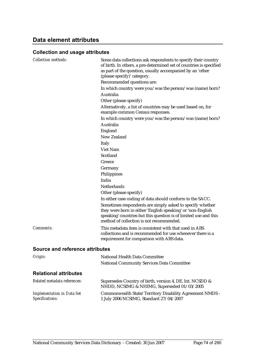# **Data element attributes**

| <b>Collection methods:</b>                           | Some data collections ask respondents to specify their country<br>of birth. In others, a pre-determined set of countries is specified<br>as part of the question, usually accompanied by an 'other<br>(please specify)' category.<br>Recommended questions are:<br>In which country were you/was the person/was (name) born?<br>Australia<br>Other (please specify)<br>Alternatively, a list of countries may be used based on, for<br>example common Census responses.<br>In which country were you/was the person/was (name) born?<br>Australia<br>England<br>New Zealand<br><b>Italy</b> |
|------------------------------------------------------|---------------------------------------------------------------------------------------------------------------------------------------------------------------------------------------------------------------------------------------------------------------------------------------------------------------------------------------------------------------------------------------------------------------------------------------------------------------------------------------------------------------------------------------------------------------------------------------------|
|                                                      | Viet Nam<br>Scotland                                                                                                                                                                                                                                                                                                                                                                                                                                                                                                                                                                        |
|                                                      | Greece                                                                                                                                                                                                                                                                                                                                                                                                                                                                                                                                                                                      |
|                                                      | Germany                                                                                                                                                                                                                                                                                                                                                                                                                                                                                                                                                                                     |
|                                                      | Philippines                                                                                                                                                                                                                                                                                                                                                                                                                                                                                                                                                                                 |
|                                                      | India                                                                                                                                                                                                                                                                                                                                                                                                                                                                                                                                                                                       |
|                                                      | <b>Netherlands</b>                                                                                                                                                                                                                                                                                                                                                                                                                                                                                                                                                                          |
|                                                      | Other (please specify)                                                                                                                                                                                                                                                                                                                                                                                                                                                                                                                                                                      |
|                                                      | In either case coding of data should conform to the SACC.                                                                                                                                                                                                                                                                                                                                                                                                                                                                                                                                   |
|                                                      | Sometimes respondents are simply asked to specify whether<br>they were born in either 'English speaking' or 'non-English<br>speaking' countries but this question is of limited use and this<br>method of collection is not recommended.                                                                                                                                                                                                                                                                                                                                                    |
| Comments:                                            | This metadata item is consistent with that used in ABS<br>collections and is recommended for use whenever there is a<br>requirement for comparison with ABS data.                                                                                                                                                                                                                                                                                                                                                                                                                           |
| <b>Source and reference attributes</b>               |                                                                                                                                                                                                                                                                                                                                                                                                                                                                                                                                                                                             |
| Origin:                                              | National Health Data Committee                                                                                                                                                                                                                                                                                                                                                                                                                                                                                                                                                              |
|                                                      | National Community Services Data Committee                                                                                                                                                                                                                                                                                                                                                                                                                                                                                                                                                  |
| <b>Relational attributes</b>                         |                                                                                                                                                                                                                                                                                                                                                                                                                                                                                                                                                                                             |
| Related metadata references:                         | Supersedes Country of birth, version 4, DE, Int. NCSDD &<br>NHDD, NCSIMG & NHIMG, Superseded 01/03/2005                                                                                                                                                                                                                                                                                                                                                                                                                                                                                     |
| <b>Implementation in Data Set</b><br>Specifications: | Commonwealth State/Territory Disability Agreement NMDS -<br>1 July 2006 NCSIMG, Standard 27/04/2007                                                                                                                                                                                                                                                                                                                                                                                                                                                                                         |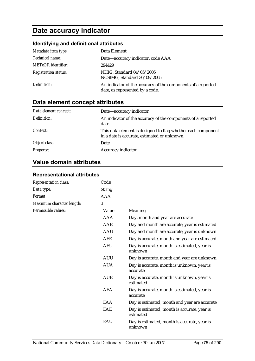# **Date accuracy indicator**

# **Identifying and definitional attributes**

| Metadata item type:         | Data Element                                                                                    |
|-----------------------------|-------------------------------------------------------------------------------------------------|
| <i>Technical name:</i>      | Date—accuracy indicator, code AAA                                                               |
| <b>METeOR</b> identifier:   | 294429                                                                                          |
| <b>Registration status:</b> | NHIG, Standard 04/05/2005<br>NCSIMG, Standard 30/09/2005                                        |
| Definition:                 | An indicator of the accuracy of the components of a reported<br>date, as represented by a code. |

# **Data element concept attributes**

| Data element concept: | Date-accuracy indicator                                                                                      |
|-----------------------|--------------------------------------------------------------------------------------------------------------|
| Definition:           | An indicator of the accuracy of the components of a reported<br>date.                                        |
| Context:              | This data element is designed to flag whether each component<br>in a date is accurate, estimated or unknown. |
| Object class:         | Date                                                                                                         |
| <i>Property:</i>      | Accuracy indicator                                                                                           |

# **Value domain attributes**

#### **Representational attributes**

| Representation class:     | Code          |                                                           |
|---------------------------|---------------|-----------------------------------------------------------|
| Data type:                | <b>String</b> |                                                           |
| Format:                   | <b>AAA</b>    |                                                           |
| Maximum character length: | 3             |                                                           |
| Permissible values:       | Value         | Meaning                                                   |
|                           | AAA           | Day, month and year are accurate                          |
|                           | AAE           | Day and month are accurate, year is estimated             |
|                           | <b>AAU</b>    | Day and month are accurate, year is unknown               |
|                           | <b>AEE</b>    | Day is accurate, month and year are estimated             |
|                           | <b>AEU</b>    | Day is accurate, month is estimated, year is<br>unknown   |
|                           | <b>AUU</b>    | Day is accurate, month and year are unknown               |
|                           | <b>AUA</b>    | Day is accurate, month is unknown, year is<br>accurate    |
|                           | <b>AUE</b>    | Day is accurate, month is unknown, year is<br>estimated   |
|                           | <b>AEA</b>    | Day is accurate, month is estimated, year is<br>accurate  |
|                           | EAA           | Day is estimated, month and year are accurate             |
|                           | EAE           | Day is estimated, month is accurate, year is<br>estimated |
|                           | EAU           | Day is estimated, month is accurate, year is<br>unknown   |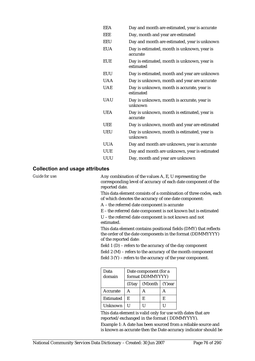| <b>EEA</b> | Day and month are estimated, year is accurate            |
|------------|----------------------------------------------------------|
| EEE        | Day, month and year are estimated                        |
| <b>EEU</b> | Day and month are estimated, year is unknown             |
| <b>EUA</b> | Day is estimated, month is unknown, year is<br>accurate  |
| <b>EUE</b> | Day is estimated, month is unknown, year is<br>estimated |
| <b>EUU</b> | Day is estimated, month and year are unknown             |
| <b>UAA</b> | Day is unknown, month and year are accurate              |
| <b>UAE</b> | Day is unknown, month is accurate, year is<br>estimated  |
| <b>UAU</b> | Day is unknown, month is accurate, year is<br>unknown    |
| <b>UEA</b> | Day is unknown, month is estimated, year is<br>accurate  |
| <b>UEE</b> | Day is unknown, month and year are estimated             |
| <b>UEU</b> | Day is unknown, month is estimated, year is<br>unknown   |
| <b>UUA</b> | Day and month are unknown, year is accurate              |
| <b>UUE</b> | Day and month are unknown, year is estimated             |
| UUU        | Day, month and year are unknown                          |
|            |                                                          |

#### **Collection and usage attributes**

*Guide for use:* Any combination of the values A, E, U representing the corresponding level of accuracy of each date component of the reported date.

> This data element consists of a combination of three codes, each of which denotes the accuracy of one date component:

A – the referred date component is accurate

E – the referred date component is not known but is estimated

U – the referred date component is not known and not estimated.

This data element contains positional fields (DMY) that reflects the order of the date components in the format (DDMMYYYY) of the reported date:

field 1 (D) – refers to the accuracy of the day component

field 2 (M) – refers to the accuracy of the month component

field 3 (Y) – refers to the accuracy of the year component.

| Data<br>domain | Date component (for a<br>format DDMMYYYY) |                        |   |
|----------------|-------------------------------------------|------------------------|---|
|                | (D)ay                                     | $(M)$ onth   $(Y)$ ear |   |
| Accurate       | А                                         | А                      |   |
| Estimated      | F.                                        | E                      | E |
| Unknown        |                                           |                        |   |

This data element is valid only for use with dates that are reported/exchanged in the format ( DDMMYYYY).

Example 1: A date has been sourced from a reliable source and is known as accurate then the Date accuracy indicator should be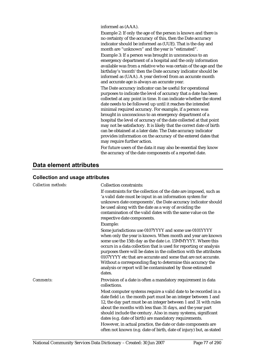informed as (AAA).

Example 2: If only the age of the person is known and there is no certainty of the accuracy of this, then the Date accuracy indicator should be informed as (UUE). That is the day and month are "unknown" and the year is "estimated".

Example 3: If a person was brought in unconscious to an emergency department of a hospital and the only information available was from a relative who was certain of the age and the birthday's 'month' then the Date accuracy indicator should be informed as (UAA). A year derived from an accurate month and accurate age is always an accurate year.

The Date accuracy indicator can be useful for operational purposes to indicate the level of accuracy that a date has been collected at any point in time. It can indicate whether the stored date needs to be followed up until it reaches the intended minimal required accuracy. For example, if a person was brought in unconscious to an emergency department of a hospital the level of accuracy of the date collected at that point may not be satisfactory. It is likely that the correct date of birth can be obtained at a later date. The Date accuracy indicator provides information on the accuracy of the entered dates that may require further action.

For future users of the data it may also be essential they know the accuracy of the date components of a reported date.

# **Data element attributes**

| <b>Collection methods:</b> | <b>Collection constraints:</b><br>If constraints for the collection of the date are imposed, such as<br>'a valid date must be input in an information system for<br>unknown date components', the Date accuracy indicator should<br>be used along with the date as a way of avoiding the<br>contamination of the valid dates with the same value on the<br>respective date components.<br>Example:                                                                                                                                      |
|----------------------------|-----------------------------------------------------------------------------------------------------------------------------------------------------------------------------------------------------------------------------------------------------------------------------------------------------------------------------------------------------------------------------------------------------------------------------------------------------------------------------------------------------------------------------------------|
|                            | Some jurisdictions use 0107YYYY and some use 0101YYYY<br>when only the year is known. When month and year are known<br>some use the 15th day as the date i.e. 15MMYYYY. Where this<br>occurs in a data collection that is used for reporting or analysis<br>purposes there will be dates in the collection with the attributes<br>0107YYYY etc that are accurate and some that are not accurate.<br>Without a corresponding flag to determine this accuracy the<br>analysis or report will be contaminated by those estimated<br>dates. |
| Comments:                  | Provision of a date is often a mandatory requirement in data<br>collections.                                                                                                                                                                                                                                                                                                                                                                                                                                                            |
|                            | Most computer systems require a valid date to be recorded in a<br>date field i.e. the month part must be an integer between 1 and<br>12, the day part must be an integer between 1 and 31 with rules<br>about the months with less than 31 days, and the year part<br>should include the century. Also in many systems, significant<br>dates (e.g. date of birth) are mandatory requirements.<br>However, in actual practice, the date or date components are<br>often not known (e.g. date of birth, date of injury) but, as stated    |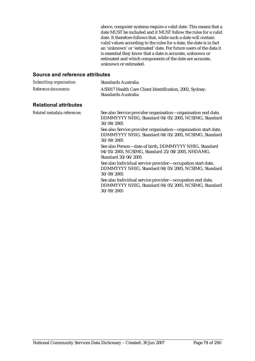above, computer systems require a valid date. This means that a date MUST be included and it MUST follow the rules for a valid date. It therefore follows that, while such a date will contain valid values according to the rules for a date, the date is in fact an 'unknown' or 'estimated' date. For future users of the data it is essential they know that a date is accurate, unknown or estimated and which components of the date are accurate, unknown or estimated.

| Submitting organisation:     | Standards Australia                                                                                                                   |
|------------------------------|---------------------------------------------------------------------------------------------------------------------------------------|
| Reference documents:         | AS5017 Health Care Client Identification, 2002, Sydney:<br>Standards Australia                                                        |
| <b>Relational attributes</b> |                                                                                                                                       |
| Related metadata references: | See also Service provider organisation—organisation end date,<br>DDMMYYYY NHIG, Standard 04/05/2005, NCSIMG, Standard<br>30/09/2005   |
|                              | See also Service provider organisation—organisation start date,<br>DDMMYYYY NHIG, Standard 04/05/2005, NCSIMG, Standard<br>30/09/2005 |
|                              | See also Person-date of birth, DDMMYYYY NHIG, Standard<br>04/05/2005, NCSIMG, Standard 25/08/2005, NHDAMG,<br>Standard 20/06/2005     |
|                              | See also Individual service provider—occupation start date,<br>DDMMYYYY NHIG, Standard 04/05/2005, NCSIMG, Standard<br>30/09/2005     |
|                              | See also Individual service provider-occupation end date,<br>DDMMYYYY NHIG, Standard 04/05/2005, NCSIMG, Standard<br>30/09/2005       |
|                              |                                                                                                                                       |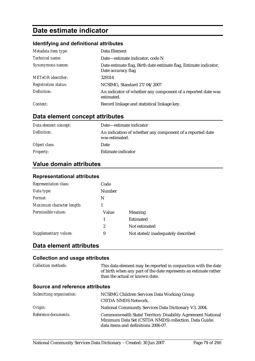# **Date estimate indicator**

#### **Identifying and definitional attributes**

| Metadata item type:         | Data Element                                                                            |
|-----------------------------|-----------------------------------------------------------------------------------------|
| Technical name:             | Date-estimate indicator, code N                                                         |
| Synonymous names:           | Date estimate flag, Birth date estimate flag, Estimate indicator,<br>Date accuracy flag |
| <b>METeOR</b> identifier:   | 329314                                                                                  |
| <b>Registration status:</b> | NCSIMG, Standard 27/04/2007                                                             |
| Definition:                 | An indicator of whether any component of a reported date was<br>estimated.              |
| Context:                    | Record linkage and statistical linkage key.                                             |

# **Data element concept attributes**

| Data element concept: | Date—estimate indicator                                                     |
|-----------------------|-----------------------------------------------------------------------------|
| Definition:           | An indication of whether any component of a reported date<br>was estimated. |
| Object class:         | Date                                                                        |
| <b>Property:</b>      | Estimate indicator                                                          |

### **Value domain attributes**

#### **Representational attributes**

| Representation class:     | Code   |                                   |
|---------------------------|--------|-----------------------------------|
| Data type:                | Number |                                   |
| Format:                   | N      |                                   |
| Maximum character length: |        |                                   |
| Permissible values:       | Value  | Meaning                           |
|                           | 1      | Estimated                         |
|                           | 2      | Not estimated                     |
| Supplementary values:     | 9      | Not stated/inadequately described |

# **Data element attributes**

#### **Collection and usage attributes**

*Collection methods:* This data element may be reported in conjunction with the date of birth when any part of the date represents an estimate rather than the actual or known date.

| Submitting organisation: | NCSIMG Children Services Data Working Group                                                                                                                |
|--------------------------|------------------------------------------------------------------------------------------------------------------------------------------------------------|
|                          | <b>CSTDA NMDS Network.</b>                                                                                                                                 |
| Origin:                  | National Community Services Data Dictionary V3, 2004.                                                                                                      |
| Reference documents:     | Commonwealth State/Territory Disability Agreement National<br>Minimum Data Set (CSTDA NMDS) collection. Data Guide:<br>data items and definitions 2006-07. |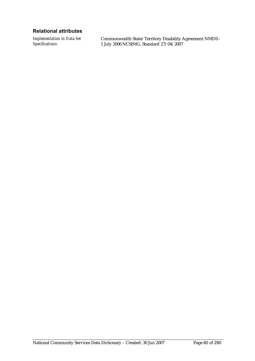#### **Relational attributes**

*Implementation in Data Set Specifications:*

Commonwealth State/Territory Disability Agreement NMDS - 1 July 2006 NCSIMG, Standard 27/04/2007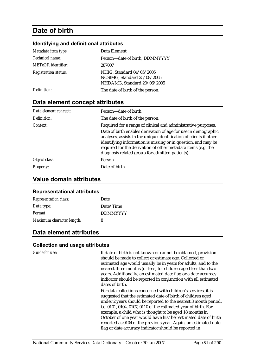# **Date of birth**

#### **Identifying and definitional attributes**

| Metadata item type:         | Data Element                                                                            |
|-----------------------------|-----------------------------------------------------------------------------------------|
| <i>Technical name:</i>      | Person-date of birth, DDMMYYYY                                                          |
| <b>METeOR</b> identifier:   | 287007                                                                                  |
| <b>Registration status:</b> | NHIG, Standard 04/05/2005<br>NCSIMG, Standard 25/08/2005<br>NHDAMG, Standard 20/06/2005 |
| Definition:                 | The date of birth of the person.                                                        |

# **Data element concept attributes**

| Data element concept: | Person-date of birth                                                                                                                                                                                                                                                                                                                                                                       |
|-----------------------|--------------------------------------------------------------------------------------------------------------------------------------------------------------------------------------------------------------------------------------------------------------------------------------------------------------------------------------------------------------------------------------------|
| Definition:           | The date of birth of the person.                                                                                                                                                                                                                                                                                                                                                           |
| Context:              | Required for a range of clinical and administrative purposes.<br>Date of birth enables derivation of age for use in demographic<br>analyses, assists in the unique identification of clients if other<br>identifying information is missing or in question, and may be<br>required for the derivation of other metadata items (e.g. the<br>diagnosis related group for admitted patients). |
| Object class:         | <b>Person</b>                                                                                                                                                                                                                                                                                                                                                                              |
| <b>Property:</b>      | Date of birth                                                                                                                                                                                                                                                                                                                                                                              |

### **Value domain attributes**

#### **Representational attributes**

| <b>Representation class:</b> | Date            |
|------------------------------|-----------------|
| Data type:                   | Date/Time       |
| Format:                      | <b>DDMMYYYY</b> |
| Maximum character length:    | 8               |

# **Data element attributes**

#### **Collection and usage attributes**

*Guide for use:* If date of birth is not known or cannot be obtained, provision should be made to collect or estimate age. Collected or estimated age would usually be in years for adults, and to the nearest three months (or less) for children aged less than two years. Additionally, an estimated date flag or a date accuracy indicator should be reported in conjunction with all estimated dates of birth.

> For data collections concerned with children's services, it is suggested that the estimated date of birth of children aged under 2 years should be reported to the nearest 3 month period, i.e. 0101, 0104, 0107, 0110 of the estimated year of birth. For example, a child who is thought to be aged 18 months in October of one year would have his/her estimated date of birth reported as 0104 of the previous year. Again, an estimated date flag or date accuracy indicator should be reported in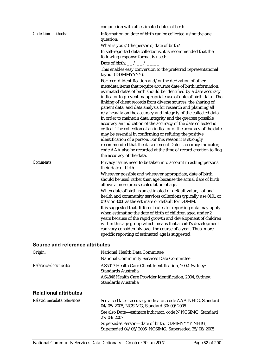|                                        | conjunction with all estimated dates of birth.                                                                                                                                                                                                                                                                                                                                                                                                                                                                                                                                                                                                                                                                                                                                                                                                                                                                        |
|----------------------------------------|-----------------------------------------------------------------------------------------------------------------------------------------------------------------------------------------------------------------------------------------------------------------------------------------------------------------------------------------------------------------------------------------------------------------------------------------------------------------------------------------------------------------------------------------------------------------------------------------------------------------------------------------------------------------------------------------------------------------------------------------------------------------------------------------------------------------------------------------------------------------------------------------------------------------------|
| <b>Collection methods:</b>             | Information on date of birth can be collected using the one<br>question:                                                                                                                                                                                                                                                                                                                                                                                                                                                                                                                                                                                                                                                                                                                                                                                                                                              |
|                                        | What is your/(the person's) date of birth?                                                                                                                                                                                                                                                                                                                                                                                                                                                                                                                                                                                                                                                                                                                                                                                                                                                                            |
|                                        | In self-reported data collections, it is recommended that the<br>following response format is used:                                                                                                                                                                                                                                                                                                                                                                                                                                                                                                                                                                                                                                                                                                                                                                                                                   |
|                                        | Date of birth: _ _ / _ _ / _ _ _ _                                                                                                                                                                                                                                                                                                                                                                                                                                                                                                                                                                                                                                                                                                                                                                                                                                                                                    |
|                                        | This enables easy conversion to the preferred representational<br>layout (DDMMYYYY).                                                                                                                                                                                                                                                                                                                                                                                                                                                                                                                                                                                                                                                                                                                                                                                                                                  |
|                                        | For record identification and/or the derivation of other                                                                                                                                                                                                                                                                                                                                                                                                                                                                                                                                                                                                                                                                                                                                                                                                                                                              |
|                                        | metadata items that require accurate date of birth information,<br>estimated dates of birth should be identified by a date accuracy<br>indicator to prevent inappropriate use of date of birth data . The<br>linking of client records from diverse sources, the sharing of<br>patient data, and data analysis for research and planning all<br>rely heavily on the accuracy and integrity of the collected data.<br>In order to maintain data integrity and the greatest possible<br>accuracy an indication of the accuracy of the date collected is<br>critical. The collection of an indicator of the accuracy of the date<br>may be essential in confirming or refuting the positive<br>identification of a person. For this reason it is strongly<br>recommended that the data element Date-accuracy indicator,<br>code AAA also be recorded at the time of record creation to flag<br>the accuracy of the data. |
| Comments:                              | Privacy issues need to be taken into account in asking persons<br>their date of birth.                                                                                                                                                                                                                                                                                                                                                                                                                                                                                                                                                                                                                                                                                                                                                                                                                                |
|                                        | Wherever possible and wherever appropriate, date of birth<br>should be used rather than age because the actual date of birth<br>allows a more precise calculation of age.                                                                                                                                                                                                                                                                                                                                                                                                                                                                                                                                                                                                                                                                                                                                             |
|                                        | When date of birth is an estimated or default value, national<br>health and community services collections typically use 0101 or<br>0107 or 3006 as the estimate or default for DDMM.                                                                                                                                                                                                                                                                                                                                                                                                                                                                                                                                                                                                                                                                                                                                 |
|                                        | It is suggested that different rules for reporting data may apply<br>when estimating the date of birth of children aged under 2<br>years because of the rapid growth and development of children<br>within this age group which means that a child's development<br>can vary considerably over the course of a year. Thus, more<br>specific reporting of estimated age is suggested.                                                                                                                                                                                                                                                                                                                                                                                                                                                                                                                                  |
| <b>Source and reference attributes</b> |                                                                                                                                                                                                                                                                                                                                                                                                                                                                                                                                                                                                                                                                                                                                                                                                                                                                                                                       |

| Origin:                      | National Health Data Committee<br><b>National Community Services Data Committee</b>                     |
|------------------------------|---------------------------------------------------------------------------------------------------------|
| Reference documents:         | AS5017 Health Care Client Identification, 2002, Sydney:<br>Standards Australia                          |
|                              | AS4846 Health Care Provider Identification, 2004, Sydney:<br>Standards Australia                        |
| <b>Relational attributes</b> |                                                                                                         |
| Related metadata references: | See also Date-accuracy indicator, code AAA NHIG, Standard<br>04/05/2005, NCSIMG, Standard 30/09/2005    |
|                              | See also Date—estimate indicator, code N NCSIMG, Standard<br>27/04/2007                                 |
|                              | Supersedes Person—date of birth, DDMMYYYY NHIG,<br>Superseded 04/05/2005, NCSIMG, Superseded 25/08/2005 |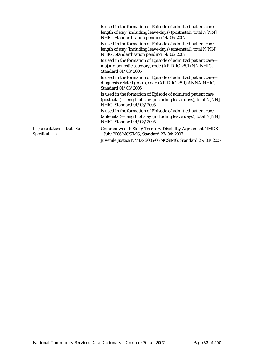|                                                      | Is used in the formation of Episode of admitted patient care-<br>length of stay (including leave days) (postnatal), total N[NN]<br>NHIG, Standardisation pending 14/06/2007 |
|------------------------------------------------------|-----------------------------------------------------------------------------------------------------------------------------------------------------------------------------|
|                                                      | Is used in the formation of Episode of admitted patient care-<br>length of stay (including leave days) (antenatal), total N[NN]<br>NHIG, Standardisation pending 14/06/2007 |
|                                                      | Is used in the formation of Episode of admitted patient care-<br>major diagnostic category, code (AR-DRG v5.1) NN NHIG,<br>Standard 01/03/2005                              |
|                                                      | Is used in the formation of Episode of admitted patient care—<br>diagnosis related group, code (AR-DRG v5.1) ANNA NHIG,<br>Standard 01/03/2005                              |
|                                                      | Is used in the formation of Episode of admitted patient care<br>(postnatal)—length of stay (including leave days), total N[NN]<br>NHIG, Standard 01/03/2005                 |
|                                                      | Is used in the formation of Episode of admitted patient care<br>(antenatal)—length of stay (including leave days), total N[NN]<br>NHIG, Standard 01/03/2005                 |
| <b>Implementation in Data Set</b><br>Specifications: | Commonwealth State/Territory Disability Agreement NMDS -<br>1 July 2006 NCSIMG, Standard 27/04/2007                                                                         |
|                                                      | Juvenile Justice NMDS 2005-06 NCSIMG, Standard 27/03/2007                                                                                                                   |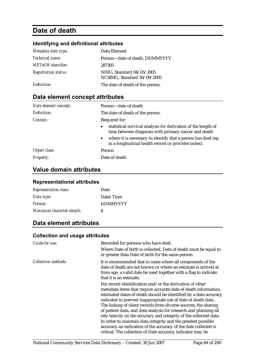# **Date of death**

# **Identifying and definitional attributes**

| Metadata item type:         | Data Element                                             |
|-----------------------------|----------------------------------------------------------|
| <i>Technical name:</i>      | Person-date of death, DDMMYYYY                           |
| <b>METeOR</b> identifier:   | 287305                                                   |
| <b>Registration status:</b> | NHIG, Standard 04/05/2005<br>NCSIMG, Standard 30/09/2005 |
| Definition:                 | The date of death of the person.                         |

# **Data element concept attributes**

| Data element concept: | Person-date of death                                                                                                               |
|-----------------------|------------------------------------------------------------------------------------------------------------------------------------|
| Definition:           | The date of death of the person.                                                                                                   |
| Context:              | Required for:                                                                                                                      |
|                       | statistical survival analysis for derivation of the length of<br>$\bullet$<br>time between diagnosis with primary cancer and death |
|                       | • where it is necessary to identify that a person has died (eg)<br>in a longitudinal health record or provider index).             |
| Object class:         | Person                                                                                                                             |
| <b>Property:</b>      | Date of death                                                                                                                      |

# **Value domain attributes**

#### **Representational attributes**

| <b>Representation class:</b> | Date            |
|------------------------------|-----------------|
| Data type:                   | Date/Time       |
| Format:                      | <b>DDMMYYYY</b> |
| Maximum character length:    | 8               |

# **Data element attributes**

| Guide for use:             | Recorded for persons who have died.<br>Where Date of birth is collected, Date of death must be equal to<br>or greater than Date of birth for the same person.                                                                                                                                                                                                                                                                                                                                                                                                                                                                                                                  |
|----------------------------|--------------------------------------------------------------------------------------------------------------------------------------------------------------------------------------------------------------------------------------------------------------------------------------------------------------------------------------------------------------------------------------------------------------------------------------------------------------------------------------------------------------------------------------------------------------------------------------------------------------------------------------------------------------------------------|
| <b>Collection methods:</b> | It is recommended that in cases where all components of the<br>date of death are not known or where an estimate is arrived at<br>from age, a valid date be used together with a flag to indicate<br>that it is an estimate.                                                                                                                                                                                                                                                                                                                                                                                                                                                    |
|                            | For record identification and/or the derivation of other<br>metadata items that require accurate date of death information,<br>estimated dates of death should be identified by a date accuracy<br>indicator to prevent inappropriate use of date of death data.<br>The linking of client records from diverse sources, the sharing<br>of patient data, and data analysis for research and planning all<br>rely heavily on the accuracy and integrity of the collected data.<br>In order to maintain data integrity and the greatest possible<br>accuracy an indication of the accuracy of the date collected is<br>critical. The collection of Date accuracy indicator may be |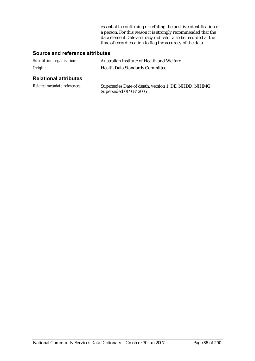essential in confirming or refuting the positive identification of a person. For this reason it is strongly recommended that the data element Date accuracy indicator also be recorded at the time of record creation to flag the accuracy of the data.

#### **Source and reference attributes**

| Submitting organisation: | Australian Institute of Health and Welfare |
|--------------------------|--------------------------------------------|
| Origin:                  | <b>Health Data Standards Committee</b>     |

#### **Relational attributes**

| Related metadata references: | Supersedes Date of death, version 1, DE, NHDD, NHIMG, |
|------------------------------|-------------------------------------------------------|
|                              | Superseded $01/03/2005$                               |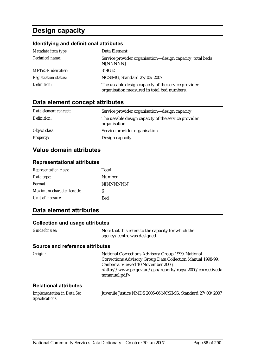# **Design capacity**

# **Identifying and definitional attributes**

| Metadata item type:         | Data Element                                                                                       |
|-----------------------------|----------------------------------------------------------------------------------------------------|
| Technical name:             | Service provider organisation—design capacity, total beds<br>N[NNNNN]                              |
| <b>METeOR</b> identifier:   | 314052                                                                                             |
| <b>Registration status:</b> | NCSIMG, Standard 27/03/2007                                                                        |
| Definition:                 | The useable design capacity of the service provider<br>organisation measured in total bed numbers. |

# **Data element concept attributes**

| Data element concept: | Service provider organisation-design capacity                        |
|-----------------------|----------------------------------------------------------------------|
| Definition:           | The useable design capacity of the service provider<br>organisation. |
| Object class:         | Service provider organisation                                        |
| <b>Property:</b>      | Design capacity                                                      |

# **Value domain attributes**

#### **Representational attributes**

| <b>Representation class:</b> | Total      |
|------------------------------|------------|
| Data type:                   | Number     |
| Format:                      | N[NNNNNN]  |
| Maximum character length:    | 6          |
| Unit of measure:             | <b>Bed</b> |

# **Data element attributes**

#### **Collection and usage attributes**

| <b>Guide for use:</b> | Note that this refers to the capacity for which the |
|-----------------------|-----------------------------------------------------|
|                       | agency/centre was designed.                         |

| Origin:                                              | National Corrections Advisory Group 1999. National<br>Corrections Advisory Group Data Collection Manual 1998-99.<br>Canberra. Viewed 10 November 2006,<br><http: 2000="" correctiveda<br="" gsp="" reports="" rogs="" www.pc.gov.au="">tamanual.pdf&gt;</http:> |
|------------------------------------------------------|-----------------------------------------------------------------------------------------------------------------------------------------------------------------------------------------------------------------------------------------------------------------|
| <b>Relational attributes</b>                         |                                                                                                                                                                                                                                                                 |
| <b>Implementation in Data Set</b><br>Specifications: | Juvenile Justice NMDS 2005-06 NCSIMG, Standard 27/03/2007                                                                                                                                                                                                       |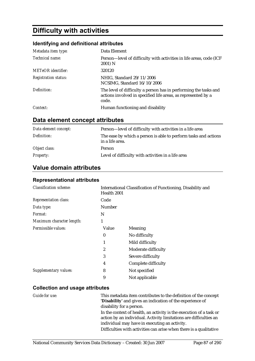# **Difficulty with activities**

### **Identifying and definitional attributes**

| Metadata item type:         | Data Element                                                                                                                               |
|-----------------------------|--------------------------------------------------------------------------------------------------------------------------------------------|
| Technical name:             | Person-level of difficulty with activities in life areas, code (ICF<br>2001) N                                                             |
| <b>METeOR</b> identifier:   | 320120                                                                                                                                     |
| <b>Registration status:</b> | NHIG, Standard 29/11/2006<br>NCSIMG, Standard 16/10/2006                                                                                   |
| Definition:                 | The level of difficulty a person has in performing the tasks and<br>actions involved in specified life areas, as represented by a<br>code. |
| Context:                    | Human functioning and disability                                                                                                           |

# **Data element concept attributes**

| Data element concept: | Person—level of difficulty with activities in a life area                          |
|-----------------------|------------------------------------------------------------------------------------|
| Definition:           | The ease by which a person is able to perform tasks and actions<br>in a life area. |
| Object class:         | Person                                                                             |
| <b>Property:</b>      | Level of difficulty with activities in a life area                                 |

# **Value domain attributes**

#### **Representational attributes**

| <b>Classification scheme:</b> | Health 2001      | International Classification of Functioning, Disability and |
|-------------------------------|------------------|-------------------------------------------------------------|
| <b>Representation class:</b>  | Code             |                                                             |
| Data type:                    | <b>Number</b>    |                                                             |
| <i>Format:</i>                | N                |                                                             |
| Maximum character length:     | 1                |                                                             |
| Permissible values:           | Value            | <b>Meaning</b>                                              |
|                               | $\boldsymbol{0}$ | No difficulty                                               |
|                               | 1                | Mild difficulty                                             |
|                               | 2                | Moderate difficulty                                         |
|                               | 3                | Severe difficulty                                           |
|                               | 4                | Complete difficulty                                         |
| Supplementary values:         | 8                | Not specified                                               |
|                               | 9                | Not applicable                                              |

| Guide for use: | This metadata item contributes to the definition of the concept<br>'Disability' and gives an indication of the experience of                                         |
|----------------|----------------------------------------------------------------------------------------------------------------------------------------------------------------------|
|                | disability for a person.<br>In the context of health, an activity is the execution of a task or<br>action by an individual. Activity limitations are difficulties an |
|                | individual may have in executing an activity.                                                                                                                        |
|                | Difficulties with activities can arise when there is a qualitative                                                                                                   |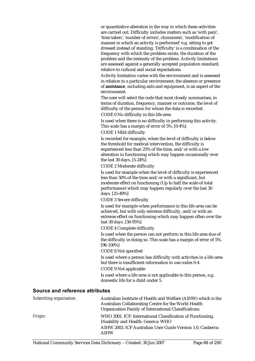or quantitative alteration in the way in which these activities are carried out. Difficulty includes matters such as 'with pain', 'time taken', 'number of errors', clumsiness', 'modification of manner in which an activity is performed' e.g. sitting to get dressed instead of standing. 'Difficulty' is a combination of the frequency with which the problem exists, the duration of the problem and the intensity of the problem. Activity limitations are assessed against a generally accepted population standard, relative to cultural and social expectations.

Activity limitation varies with the environment and is assessed in relation to a particular environment; the absence or presence of **assistance**, including aids and equipment, is an aspect of the environment.

The user will select the code that most closely summarises, in terms of duration, frequency, manner or outcome, the level of difficulty of the person for whom the data is recorded. CODE 0 No difficulty in this life area

Is used when there is no difficulty in performing this activity. This scale has a margin of error of 5%. [0-4%]

CODE 1 Mild difficulty

Is recorded for example, when the level of difficulty is below the threshold for medical intervention, the difficulty is experienced less than 25% of the time, and/or with a low alteration in functioning which may happen occasionally over the last 30 days. [5-24%]

#### CODE 2 Moderate difficulty

Is used for example when the level of difficulty is experienced less than 50% of the time and/or with a significant, but moderate effect on functioning (Up to half the scale of total performance) which may happen regularly over the last 30 days. [25-49%]

CODE 3 Severe difficulty

Is used for example when performance in this life area can be achieved, but with only extreme difficulty, and/or with an extreme effect on functioning which may happen often over the last 30 days. [50-95%]

CODE 4 Complete difficulty

Is used when the person can not perform in this life area due of the difficulty in doing so. This scale has a margin of error of 5%. [96-100%]

CODE 8 Not specified

Is used where a person has difficulty with activities in a life area but there is insufficient information to use codes 0-4.

CODE 9 Not applicable

Is used where a life area is not applicable to this person, e.g. domestic life for a child under 5.

| Submitting organisation: | Australian Institute of Health and Welfare (AIHW) which is the<br>Australian Collaborating Centre for the World Health<br>Organization Family of International Classifications. |
|--------------------------|---------------------------------------------------------------------------------------------------------------------------------------------------------------------------------|
| Origin:                  | WHO 2001. ICF: International Classification of Functioning,<br>Disability and Health. Geneva: WHO<br>AIHW 2003. ICF Australian User Guide Version 1.0. Canberra:<br><b>AIHW</b> |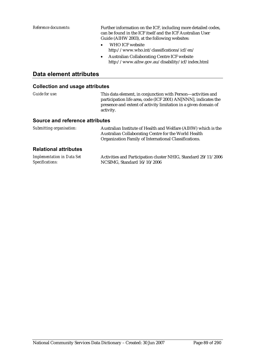*Reference documents:* Further information on the ICF, including more detailed codes, can be found in the ICF itself and the ICF Australian User Guide (AIHW 2003), at the following websites:

- WHO ICF website http://www.who.int/classifications/icf/en/
- Australian Collaborating Centre ICF website http://www.aihw.gov.au/disability/icf/index.html

### **Data element attributes**

| Guide for use:                         | This data element, in conjunction with Person-activities and<br>participation life area, code (ICF 2001) AN[NNN], indicates the<br>presence and extent of activity limitation in a given domain of<br>activity.   |
|----------------------------------------|-------------------------------------------------------------------------------------------------------------------------------------------------------------------------------------------------------------------|
| Source and reference attributes        |                                                                                                                                                                                                                   |
| Submitting organisation:               | Australian Institute of Health and Welfare (AIHW) which is the<br>Australian Collaborating Centre for the World Health<br>Organization Family of International Classifications.                                   |
| <b>Relational attributes</b>           |                                                                                                                                                                                                                   |
| 11. <i>. .</i> . <b>n</b> . <i>n</i> . | $\mathbf{1} \cdot \mathbf{n}$ $\mathbf{1} \cdot \mathbf{n}$ $\mathbf{1} \cdot \mathbf{n}$ $\mathbf{1} \cdot \mathbf{n}$ $\mathbf{1} \cdot \mathbf{n}$ $\mathbf{n} \cdot \mathbf{n}$ $\mathbf{n} \cdot \mathbf{n}$ |

| <b>Implementation in Data Set</b> | Activities and Participation cluster NHIG, Standard 29/11/2006 |
|-----------------------------------|----------------------------------------------------------------|
| Specifications:                   | NCSIMG, Standard 16/10/2006                                    |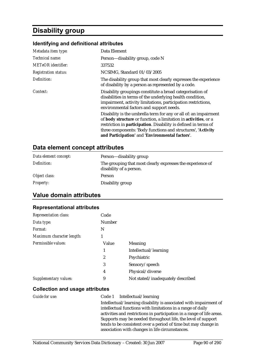# **Disability group**

#### **Identifying and definitional attributes**

| Metadata item type:         | Data Element                                                                                                                                                                                                                                                                                                              |
|-----------------------------|---------------------------------------------------------------------------------------------------------------------------------------------------------------------------------------------------------------------------------------------------------------------------------------------------------------------------|
| Technical name:             | Person—disability group, code N                                                                                                                                                                                                                                                                                           |
| <b>METeOR</b> identifier:   | 337532                                                                                                                                                                                                                                                                                                                    |
| <b>Registration status:</b> | NCSIMG, Standard 01/03/2005                                                                                                                                                                                                                                                                                               |
| Definition:                 | The disability group that most clearly expresses the experience<br>of disability by a person as represented by a code.                                                                                                                                                                                                    |
| Context:                    | Disability groupings constitute a broad categorisation of<br>disabilities in terms of the underlying health condition,<br>impairment, activity limitations, participation restrictions,<br>environmental factors and support needs.                                                                                       |
|                             | Disability is the umbrella term for any or all of: an impairment<br>of body structure or function, a limitation in activities, or a<br>restriction in participation. Disability is defined in terms of<br>three components: 'Body functions and structures', 'Activity<br>and Participation' and 'Environmental factors'. |

### **Data element concept attributes**

| Data element concept: | Person—disability group                                                               |
|-----------------------|---------------------------------------------------------------------------------------|
| Definition:           | The grouping that most clearly expresses the experience of<br>disability of a person. |
| Object class:         | Person                                                                                |
| <b>Property:</b>      | Disability group                                                                      |

# **Value domain attributes**

#### **Representational attributes**

| <b>Representation class:</b> | Code   |                                   |
|------------------------------|--------|-----------------------------------|
| Data type:                   | Number |                                   |
| Format:                      | N      |                                   |
| Maximum character length:    | 1      |                                   |
| Permissible values:          | Value  | Meaning                           |
|                              | 1      | Intellectual/learning             |
|                              | 2      | Psychiatric                       |
|                              | 3      | Sensory/speech                    |
|                              | 4      | Physical/diverse                  |
| Supplementary values:        | 9      | Not stated/inadequately described |

#### **Collection and usage attributes**

#### *Guide for use:* Code 1 Intellectual/learning Intellectual/learning disability is associated with impairment of intellectual functions with limitations in a range of daily activities and restrictions in participation in a range of life areas. Supports may be needed throughout life, the level of support tends to be consistent over a period of time but may change in association with changes in life circumstances.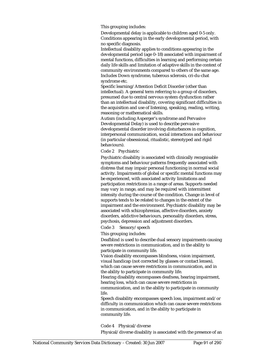This grouping includes:

Developmental delay is applicable to children aged 0-5 only. Conditions appearing in the early developmental period, with no specific diagnosis.

Intellectual disability applies to conditions appearing in the developmental period (age 0–18) associated with impairment of mental functions, difficulties in learning and performing certain daily life skills and limitation of adaptive skills in the context of community environments compared to others of the same age. Includes Down syndrome, tuberous sclerosis, cri-du-chat syndrome etc.

Specific learning/Attention Deficit Disorder (other than intellectual). A general term referring to a group of disorders, presumed due to central nervous system dysfunction rather than an intellectual disability, covering significant difficulties in the acquisition and use of listening, speaking, reading, writing, reasoning or mathematical skills.

Autism (including Asperger's syndrome and Pervasive Developmental Delay) is used to describe pervasive developmental disorder involving disturbances in cognition, interpersonal communication, social interactions and behaviour (in particular obsessional, ritualistic, stereotyped and rigid behaviours).

Code 2 Psychiatric

Psychiatric disability is associated with clinically recognisable symptoms and behaviour patterns frequently associated with distress that may impair personal functioning in normal social activity. Impairments of global or specific mental functions may be experienced, with associated activity limitations and participation restrictions in a range of areas. Supports needed may vary in range, and may be required with intermittent intensity during the course of the condition. Change in level of supports tends to be related to changes in the extent of the impairment and the environment. Psychiatric disability may be associated with schizophrenias, affective disorders, anxiety disorders, addictive behaviours, personality disorders, stress, psychosis, depression and adjustment disorders.

Code 3 Sensory/speech

This grouping includes:

Deafblind is used to describe dual sensory impairments causing severe restrictions in communication, and in the ability to participate in community life.

Vision disability encompasses blindness, vision impairment, visual handicap (not corrected by glasses or contact lenses), which can cause severe restrictions in communication, and in the ability to participate in community life.

Hearing disability encompasses deafness, hearing impairment, hearing loss, which can cause severe restrictions in

communication, and in the ability to participate in community life.

Speech disability encompasses speech loss, impairment and/or difficulty in communication which can cause severe restrictions in communication, and in the ability to participate in community life.

Code 4 Physical/diverse

Physical/diverse disability is associated with the presence of an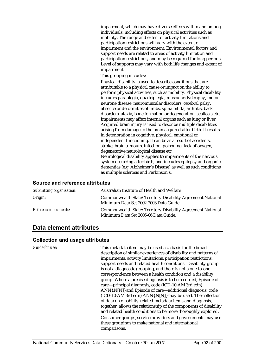impairment, which may have diverse effects within and among individuals, including effects on physical activities such as mobility. The range and extent of activity limitations and participation restrictions will vary with the extent of impairment and the environment. Environmental factors and support needs are related to areas of activity limitation and participation restrictions, and may be required for long periods. Level of supports may vary with both life changes and extent of impairment.

This grouping includes:

Physical disability is used to describe conditions that are attributable to a physical cause or impact on the ability to perform physical activities, such as mobility. Physical disability includes paraplegia, quadriplegia, muscular dystrophy, motor neurone disease, neuromuscular disorders, cerebral palsy, absence or deformities of limbs, spina bifida, arthritis, back disorders, ataxia, bone formation or degeneration, scoliosis etc. Impairments may affect internal organs such as lung or liver. Acquired brain injury is used to describe multiple disabilities arising from damage to the brain acquired after birth. It results in deterioration in cognitive, physical, emotional or independent functioning. It can be as a result of accidents, stroke, brain tumours, infection, poisoning, lack of oxygen, degenerative neurological disease etc.

Neurological disability applies to impairments of the nervous system occurring after birth, and includes epilepsy and organic dementias (e.g. Alzheimer's Disease) as well as such conditions as multiple sclerosis and Parkinson's.

#### **Source and reference attributes**

| Submitting organisation: | Australian Institute of Health and Welfare                                                           |
|--------------------------|------------------------------------------------------------------------------------------------------|
| Origin:                  | Commonwealth State/Territory Disability Agreement National<br>Minimum Data Set 2002-2003 Data Guide. |
| Reference documents:     | Commonwealth State/Territory Disability Agreement National<br>Minimum Data Set 2005-06 Data Guide.   |

# **Data element attributes**

#### **Collection and usage attributes**

*Guide for use:* This metadata item may be used as a basis for the broad description of similar experiences of disability and patterns of impairments, activity limitations, participation restrictions, support needs and related health conditions. 'Disability group' is not a diagnostic grouping, and there is not a one-to-one correspondence between a health condition and a disability group. Where a precise diagnosis is to be recorded, Episode of care—principal diagnosis, code (ICD-10-AM 3rd edn) ANN{.N[N]} and Episode of care—additional diagnosis, code (ICD-10-AM 3rd edn) ANN{.N[N]} may be used. The collection of data on disability-related metadata items and diagnosis, together, allows the relationship of the components of disability and related health conditions to be more thoroughly explored. Consumer groups, service providers and governments may use these groupings to make national and international comparisons.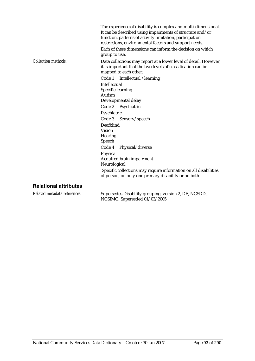|                              | The experience of disability is complex and multi-dimensional.<br>It can be described using impairments of structure and/or<br>function, patterns of activity limitation, participation<br>restrictions, environmental factors and support needs.<br>Each of these dimensions can inform the decision on which<br>group to use. |
|------------------------------|---------------------------------------------------------------------------------------------------------------------------------------------------------------------------------------------------------------------------------------------------------------------------------------------------------------------------------|
| <b>Collection methods:</b>   | Data collections may report at a lower level of detail. However,<br>it is important that the two levels of classification can be<br>mapped to each other.<br>Code 1 Intellectual /learning                                                                                                                                      |
|                              | Intellectual                                                                                                                                                                                                                                                                                                                    |
|                              | Specific learning                                                                                                                                                                                                                                                                                                               |
|                              | Autism                                                                                                                                                                                                                                                                                                                          |
|                              | Developmental delay                                                                                                                                                                                                                                                                                                             |
|                              | Code 2 Psychiatric                                                                                                                                                                                                                                                                                                              |
|                              | Psychiatric                                                                                                                                                                                                                                                                                                                     |
|                              | Code 3 Sensory/speech                                                                                                                                                                                                                                                                                                           |
|                              | Deafblind                                                                                                                                                                                                                                                                                                                       |
|                              | <b>Vision</b>                                                                                                                                                                                                                                                                                                                   |
|                              | <b>Hearing</b>                                                                                                                                                                                                                                                                                                                  |
|                              | Speech                                                                                                                                                                                                                                                                                                                          |
|                              | Code 4<br>Physical/diverse                                                                                                                                                                                                                                                                                                      |
|                              | Physical                                                                                                                                                                                                                                                                                                                        |
|                              | Acquired brain impairment                                                                                                                                                                                                                                                                                                       |
|                              | Neurological                                                                                                                                                                                                                                                                                                                    |
|                              | Specific collections may require information on all disabilities<br>of person, on only one primary disability or on both.                                                                                                                                                                                                       |
| <b>Relational attributes</b> |                                                                                                                                                                                                                                                                                                                                 |

#### **Relational attributes**

*Related metadata references:* Supersedes Disability grouping, version 2, DE, NCSDD, NCSIMG, Superseded 01/03/2005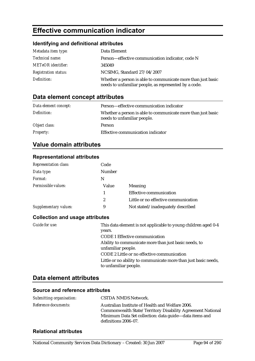# **Effective communication indicator**

### **Identifying and definitional attributes**

| Metadata item type:         | Data Element                                                                                                          |
|-----------------------------|-----------------------------------------------------------------------------------------------------------------------|
| Technical name:             | Person-effective communication indicator, code N                                                                      |
| <b>METeOR</b> identifier:   | 345049                                                                                                                |
| <b>Registration status:</b> | NCSIMG, Standard 27/04/2007                                                                                           |
| Definition:                 | Whether a person is able to communicate more than just basic<br>needs to unfamiliar people, as represented by a code. |

# **Data element concept attributes**

| Data element concept: | Person—effective communication indicator                                                    |
|-----------------------|---------------------------------------------------------------------------------------------|
| Definition:           | Whether a person is able to communicate more than just basic<br>needs to unfamiliar people. |
| Object class:         | <b>Person</b>                                                                               |
| <b>Property:</b>      | Effective communication indicator                                                           |

# **Value domain attributes**

#### **Representational attributes**

| <b>Representation class:</b> | Code             |                                      |
|------------------------------|------------------|--------------------------------------|
| Data type:                   | <b>Number</b>    |                                      |
| Format:                      | N                |                                      |
| Permissible values:          | Value            | <b>Meaning</b>                       |
|                              |                  | <b>Effective communication</b>       |
|                              | $\boldsymbol{2}$ | Little or no effective communication |
| <b>Supplementary values:</b> | 9                | Not stated/inadequately described    |
|                              |                  |                                      |

#### **Collection and usage attributes**

| Guide for use: | This data element is not applicable to young children aged 0-4                           |
|----------------|------------------------------------------------------------------------------------------|
|                | years.                                                                                   |
|                | <b>CODE 1 Effective communication</b>                                                    |
|                | Ability to communicate more than just basic needs, to<br>unfamiliar people.              |
|                | CODE 2 Little or no effective communication                                              |
|                | Little or no ability to communicate more than just basic needs,<br>to unfamiliar people. |

# **Data element attributes**

#### **Source and reference attributes**

| Submitting organisation: | CSTDA NMDS Network.                                                                                                                                                                              |
|--------------------------|--------------------------------------------------------------------------------------------------------------------------------------------------------------------------------------------------|
| Reference documents:     | Australian Institute of Health and Welfare 2006.<br>Commonwealth State/Territory Disability Agreement National<br>Minimum Data Set collection: data guide—data items and<br>definitions 2006–07. |

#### **Relational attributes**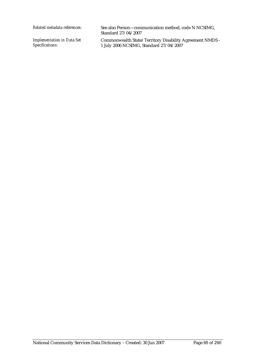*Implementation in Data Set Specifications:*

*Related metadata references:* See also Person—communication method, code N NCSIMG, Standard 27/04/2007

> Commonwealth State/Territory Disability Agreement NMDS - 1 July 2006 NCSIMG, Standard 27/04/2007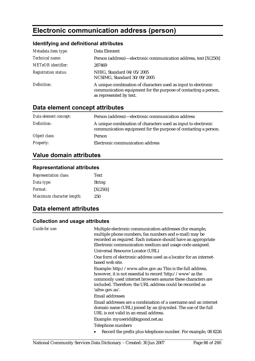# **Electronic communication address (person)**

# **Identifying and definitional attributes**

| Metadata item type:         | Data Element                                                                                                                                                 |
|-----------------------------|--------------------------------------------------------------------------------------------------------------------------------------------------------------|
| Technical name:             | Person (address)—electronic communication address, text [X(250)]                                                                                             |
| <b>METeOR</b> identifier:   | 287469                                                                                                                                                       |
| <b>Registration status:</b> | NHIG, Standard 04/05/2005<br>NCSIMG, Standard 30/09/2005                                                                                                     |
| Definition:                 | A unique combination of characters used as input to electronic<br>communication equipment for the purpose of contacting a person,<br>as represented by text. |

# **Data element concept attributes**

| Data element concept: | Person (address)—electronic communication address                                                                                 |
|-----------------------|-----------------------------------------------------------------------------------------------------------------------------------|
| Definition:           | A unique combination of characters used as input to electronic<br>communication equipment for the purpose of contacting a person. |
| Object class:         | Person                                                                                                                            |
| <b>Property:</b>      | Electronic communication address                                                                                                  |

# **Value domain attributes**

#### **Representational attributes**

| <b>Representation class:</b> | <b>Text</b>   |
|------------------------------|---------------|
| Data type:                   | <b>String</b> |
| <i>Format:</i>               | [X(250)]      |
| Maximum character length:    | 250           |

# **Data element attributes**

| Guide for use: | Multiple electronic communication addresses (for example,<br>multiple phone numbers, fax numbers and e-mail) may be<br>recorded as required. Each instance should have an appropriate<br>Electronic communication medium and usage code assigned.                     |
|----------------|-----------------------------------------------------------------------------------------------------------------------------------------------------------------------------------------------------------------------------------------------------------------------|
|                | Universal Resource Locator (URL)                                                                                                                                                                                                                                      |
|                | One form of electronic address used as a locator for an internet-<br>based web site.                                                                                                                                                                                  |
|                | Example: http://www.aihw.gov.au This is the full address,<br>however, it is not essential to record 'http://www' as the<br>commonly used internet browsers assume these characters are<br>included. Therefore, the URL address could be recorded as<br>'aihw.gov.au'. |
|                | <b>Email addresses</b>                                                                                                                                                                                                                                                |
|                | Email addresses are a combination of a username and an internet<br>domain name (URL) joined by an $\mathcal Q$ symbol. The use of the full<br>URL is not valid in an email address.                                                                                   |
|                | Example: myuserid@bigpond.net.au                                                                                                                                                                                                                                      |
|                | Telephone numbers                                                                                                                                                                                                                                                     |
|                | Record the prefix plus telephone number. For example, 08 8226                                                                                                                                                                                                         |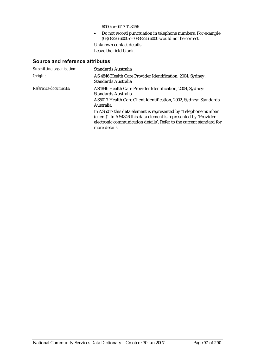6000 or 0417 123456.

• Do not record punctuation in telephone numbers. For example, (08) 8226 6000 or 08-8226 6000 would not be correct.

Unknown contact details Leave the field blank.

| Submitting organisation: | Standards Australia                                                                                                                                                                                                            |
|--------------------------|--------------------------------------------------------------------------------------------------------------------------------------------------------------------------------------------------------------------------------|
| Origin:                  | AS 4846 Health Care Provider Identification, 2004, Sydney:<br>Standards Australia                                                                                                                                              |
| Reference documents:     | AS4846 Health Care Provider Identification, 2004, Sydney:<br>Standards Australia<br>AS5017 Health Care Client Identification, 2002, Sydney: Standards<br>Australia                                                             |
|                          | In AS5017 this data element is represented by 'Telephone number<br>(client)'. In AS4846 this data element is represented by 'Provider<br>electronic communication details'. Refer to the current standard for<br>more details. |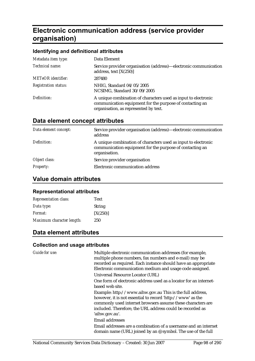# **Electronic communication address (service provider organisation)**

#### **Identifying and definitional attributes**

| Metadata item type:         | Data Element                                                                                                                                                        |
|-----------------------------|---------------------------------------------------------------------------------------------------------------------------------------------------------------------|
| Technical name:             | Service provider organisation (address)—electronic communication<br>address, text $[X(250)]$                                                                        |
| <b>METeOR</b> identifier:   | 287480                                                                                                                                                              |
| <b>Registration status:</b> | NHIG, Standard 04/05/2005<br>NCSIMG, Standard 30/09/2005                                                                                                            |
| Definition:                 | A unique combination of characters used as input to electronic<br>communication equipment for the purpose of contacting an<br>organisation, as represented by text. |

# **Data element concept attributes**

| Data element concept: | Service provider organisation (address)—electronic communication<br>address                                                                 |
|-----------------------|---------------------------------------------------------------------------------------------------------------------------------------------|
| Definition:           | A unique combination of characters used as input to electronic<br>communication equipment for the purpose of contacting an<br>organisation. |
| Object class:         | Service provider organisation                                                                                                               |
| <b>Property:</b>      | Electronic communication address                                                                                                            |

# **Value domain attributes**

#### **Representational attributes**

| <b>Representation class:</b> | <b>Text</b>   |
|------------------------------|---------------|
| Data type:                   | <b>String</b> |
| <i>Format:</i>               | [X(250)]      |
| Maximum character length:    | 250           |

# **Data element attributes**

| <b>Guide for use:</b> | Multiple electronic communication addresses (for example,<br>multiple phone numbers, fax numbers and e-mail) may be<br>recorded as required. Each instance should have an appropriate<br>Electronic communication medium and usage code assigned. |
|-----------------------|---------------------------------------------------------------------------------------------------------------------------------------------------------------------------------------------------------------------------------------------------|
|                       | Universal Resource Locator (URL)                                                                                                                                                                                                                  |
|                       | One form of electronic address used as a locator for an internet-<br>based web site.                                                                                                                                                              |
|                       | Example: http://www.aihw.gov.au This is the full address,                                                                                                                                                                                         |
|                       | however, it is not essential to record 'http://www' as the<br>commonly used internet browsers assume these characters are<br>included. Therefore, the URL address could be recorded as<br>'aihw.gov.au'.                                          |
|                       | <b>Email addresses</b>                                                                                                                                                                                                                            |
|                       | Email addresses are a combination of a username and an internet<br>domain name (URL) joined by an $\mathcal Q$ symbol. The use of the full                                                                                                        |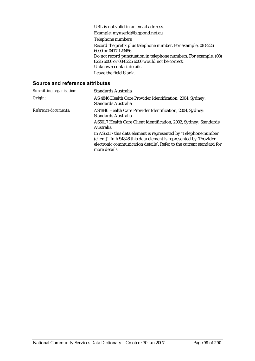URL is not valid in an email address. Example: myuserid@bigpond.net.au Telephone numbers Record the prefix plus telephone number. For example, 08 8226 6000 or 0417 123456. Do not record punctuation in telephone numbers. For example, (08) 8226 6000 or 08-8226 6000 would not be correct. Unknown contact details Leave the field blank.

| Submitting organisation:    | Standards Australia                                                                                                                                                                                                            |
|-----------------------------|--------------------------------------------------------------------------------------------------------------------------------------------------------------------------------------------------------------------------------|
| Origin:                     | AS 4846 Health Care Provider Identification, 2004, Sydney:<br>Standards Australia                                                                                                                                              |
| <i>Reference documents:</i> | AS4846 Health Care Provider Identification, 2004, Sydney:<br><b>Standards Australia</b>                                                                                                                                        |
|                             | AS5017 Health Care Client Identification, 2002, Sydney: Standards<br>Australia                                                                                                                                                 |
|                             | In AS5017 this data element is represented by 'Telephone number<br>(client)'. In AS4846 this data element is represented by 'Provider<br>electronic communication details'. Refer to the current standard for<br>more details. |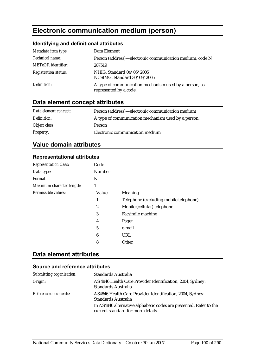# **Electronic communication medium (person)**

# **Identifying and definitional attributes**

| Metadata item type:         | Data Element                                                                     |
|-----------------------------|----------------------------------------------------------------------------------|
| Technical name:             | Person (address)—electronic communication medium, code N                         |
| <b>METeOR</b> identifier:   | 287519                                                                           |
| <b>Registration status:</b> | NHIG, Standard 04/05/2005<br>NCSIMG, Standard 30/09/2005                         |
| Definition:                 | A type of communication mechanism used by a person, as<br>represented by a code. |

# **Data element concept attributes**

| Data element concept: | Person (address)—electronic communication medium    |
|-----------------------|-----------------------------------------------------|
| Definition:           | A type of communication mechanism used by a person. |
| Object class:         | Person                                              |
| <b>Property:</b>      | Electronic communication medium                     |

# **Value domain attributes**

# **Representational attributes**

| <b>Representation class:</b> | Code   |                                        |
|------------------------------|--------|----------------------------------------|
| Data type:                   | Number |                                        |
| Format:                      | N      |                                        |
| Maximum character length:    | 1      |                                        |
| Permissible values:          | Value  | Meaning                                |
|                              | 1      | Telephone (excluding mobile telephone) |
|                              | 2      | Mobile (cellular) telephone            |
|                              | 3      | Facsimile machine                      |
|                              | 4      | Pager                                  |
|                              | 5      | e-mail                                 |
|                              | 6      | URL                                    |
|                              | 8      | Other                                  |

# **Data element attributes**

| Submitting organisation: | <b>Standards Australia</b>                                                                               |
|--------------------------|----------------------------------------------------------------------------------------------------------|
| Origin:                  | AS 4846 Health Care Provider Identification, 2004, Sydney:<br><b>Standards Australia</b>                 |
| Reference documents:     | AS4846 Health Care Provider Identification, 2004, Sydney:<br><b>Standards Australia</b>                  |
|                          | In AS4846 alternative alphabetic codes are presented. Refer to the<br>current standard for more details. |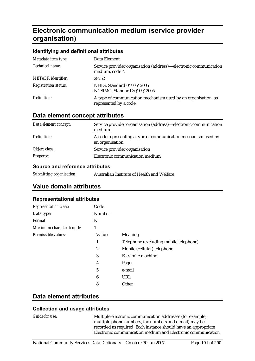# **Electronic communication medium (service provider organisation)**

#### **Identifying and definitional attributes**

| Metadata item type:         | Data Element                                                                            |
|-----------------------------|-----------------------------------------------------------------------------------------|
| Technical name:             | Service provider organisation (address)—electronic communication<br>medium, code N      |
| <b>METeOR</b> identifier:   | 287521                                                                                  |
| <b>Registration status:</b> | NHIG, Standard 04/05/2005<br>NCSIMG, Standard 30/09/2005                                |
| Definition:                 | A type of communication mechanism used by an organisation, as<br>represented by a code. |

### **Data element concept attributes**

| Data element concept: | Service provider organisation (address)—electronic communication<br>medium        |
|-----------------------|-----------------------------------------------------------------------------------|
| Definition:           | A code representing a type of communication mechanism used by<br>an organisation. |
| Object class:         | Service provider organisation                                                     |
| <b>Property:</b>      | Electronic communication medium                                                   |

#### **Source and reference attributes**

| Submitting organisation: | Australian Institute of Health and Welfare |
|--------------------------|--------------------------------------------|
|--------------------------|--------------------------------------------|

# **Value domain attributes**

#### **Representational attributes**

| <b>Representation class:</b> | Code   |                                        |
|------------------------------|--------|----------------------------------------|
| Data type:                   | Number |                                        |
| Format:                      | N      |                                        |
| Maximum character length:    | 1      |                                        |
| Permissible values:          | Value  | <b>Meaning</b>                         |
|                              | 1      | Telephone (excluding mobile telephone) |
|                              | 2      | Mobile (cellular) telephone            |
|                              | 3      | <b>Facsimile machine</b>               |
|                              | 4      | Pager                                  |
|                              | 5      | e-mail                                 |
|                              | 6      | URL                                    |
|                              | 8      | Other                                  |

#### **Data element attributes**

#### **Collection and usage attributes**

*Guide for use:* Multiple electronic communication addresses (for example, multiple phone numbers, fax numbers and e-mail) may be recorded as required. Each instance should have an appropriate Electronic communication medium and Electronic communication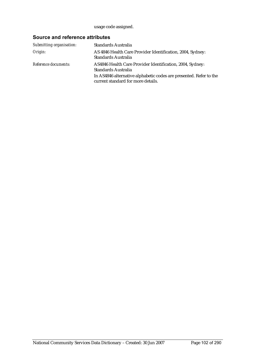usage code assigned.

| Submitting organisation: | Standards Australia                                                                                      |
|--------------------------|----------------------------------------------------------------------------------------------------------|
| Origin:                  | AS 4846 Health Care Provider Identification, 2004, Sydney:<br><b>Standards Australia</b>                 |
| Reference documents:     | AS4846 Health Care Provider Identification, 2004, Sydney:<br>Standards Australia                         |
|                          | In AS4846 alternative alphabetic codes are presented. Refer to the<br>current standard for more details. |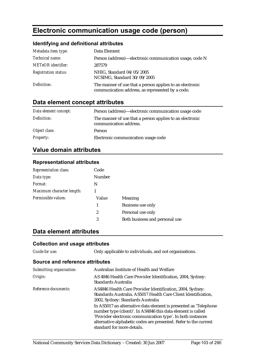# **Electronic communication usage code (person)**

### **Identifying and definitional attributes**

| Metadata item type:         | Data Element                                                                                                 |
|-----------------------------|--------------------------------------------------------------------------------------------------------------|
| <i>Technical name:</i>      | Person (address)—electronic communication usage, code N                                                      |
| <b>METeOR</b> identifier:   | 287579                                                                                                       |
| <b>Registration status:</b> | NHIG, Standard 04/05/2005<br>NCSIMG, Standard 30/09/2005                                                     |
| Definition:                 | The manner of use that a person applies to an electronic<br>communication address, as represented by a code. |

# **Data element concept attributes**

| Data element concept: | Person (address)-electronic communication usage code                               |
|-----------------------|------------------------------------------------------------------------------------|
| Definition:           | The manner of use that a person applies to an electronic<br>communication address. |
| Object class:         | Person                                                                             |
| <b>Property:</b>      | Electronic communication usage code                                                |

# **Value domain attributes**

#### **Representational attributes**

| <b>Representation class:</b> | Code          |                                |
|------------------------------|---------------|--------------------------------|
| Data type:                   | <b>Number</b> |                                |
| Format:                      | N             |                                |
| Maximum character length:    |               |                                |
| Permissible values:          | Value         | Meaning                        |
|                              | 1             | <b>Business use only</b>       |
|                              | 2             | Personal use only              |
|                              | 3             | Both business and personal use |

# **Data element attributes**

### **Collection and usage attributes**

*Guide for use:* Only applicable to individuals, and not organisations.

| Submitting organisation: | Australian Institute of Health and Welfare                                                                                                                                                                                                                                                        |
|--------------------------|---------------------------------------------------------------------------------------------------------------------------------------------------------------------------------------------------------------------------------------------------------------------------------------------------|
| Origin:                  | AS 4846 Health Care Provider Identification, 2004, Sydney:<br><b>Standards Australia</b>                                                                                                                                                                                                          |
| Reference documents:     | AS4846 Health Care Provider Identification, 2004, Sydney:<br>Standards Australia. AS5017 Health Care Client Identification,<br>2002, Sydney: Standards Australia                                                                                                                                  |
|                          | In AS5017 an alternative data element is presented as 'Telephone<br>number type (client)'. In AS4846 this data element is called<br>'Provider electronic communication type'. In both instances<br>alternative alphabetic codes are presented. Refer to the current<br>standard for more details. |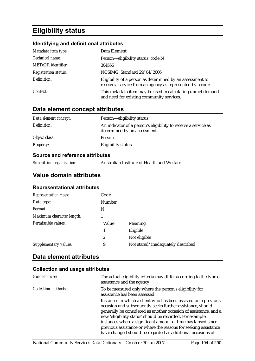# **Eligibility status**

### **Identifying and definitional attributes**

| Metadata item type:         | Data Element                                                                                                            |
|-----------------------------|-------------------------------------------------------------------------------------------------------------------------|
| Technical name:             | Person-eligibility status, code N                                                                                       |
| <b>METeOR</b> identifier:   | 304556                                                                                                                  |
| <b>Registration status:</b> | NCSIMG, Standard 29/04/2006                                                                                             |
| Definition:                 | Eligibility of a person as determined by an assessment to<br>receive a service from an agency as represented by a code. |
| Context:                    | This metadata item may be used in calculating unmet demand<br>and need for existing community services.                 |

# **Data element concept attributes**

| Data element concept: | Person—eligibility status                                                                      |
|-----------------------|------------------------------------------------------------------------------------------------|
| Definition:           | An indicator of a person's eligibility to receive a service as<br>determined by an assessment. |
| Object class:         | Person                                                                                         |
| <i>Property:</i>      | Eligibility status                                                                             |

# **Source and reference attributes**

| Submitting organisation: | Australian Institute of Health and Welfare |
|--------------------------|--------------------------------------------|
|                          |                                            |

# **Value domain attributes**

#### **Representational attributes**

| <b>Representation class:</b> | Code          |                                   |
|------------------------------|---------------|-----------------------------------|
| Data type:                   | <b>Number</b> |                                   |
| Format:                      | N             |                                   |
| Maximum character length:    |               |                                   |
| Permissible values:          | Value         | <b>Meaning</b>                    |
|                              | 1             | Eligible                          |
|                              | 2             | Not eligible                      |
| Supplementary values:        | 9             | Not stated/inadequately described |

# **Data element attributes**

| Guide for use:             | The actual eligibility criteria may differ according to the type of<br>assistance and the agency.                                                                                                                                                                                                                                                                                                                                                                |
|----------------------------|------------------------------------------------------------------------------------------------------------------------------------------------------------------------------------------------------------------------------------------------------------------------------------------------------------------------------------------------------------------------------------------------------------------------------------------------------------------|
| <b>Collection methods:</b> | To be measured only where the person's eligibility for<br>assistance has been assessed.                                                                                                                                                                                                                                                                                                                                                                          |
|                            | Instances in which a client who has been assisted on a previous<br>occasion and subsequently seeks further assistance, should<br>generally be considered as another occasion of assistance, and a<br>new 'eligibility status' should be recorded. For example,<br>instances where a significant amount of time has lapsed since<br>previous assistance or where the reasons for seeking assistance<br>have changed should be regarded as additional occasions of |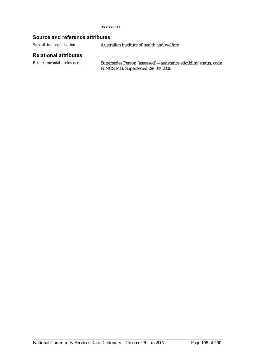assistance.

#### **Source and reference attributes**

*Submitting organisation:* Australian institute of health and welfare

#### **Relational attributes**

*Related metadata references:* Supersedes Person (assessed)—assistance eligibility status, code N NCSIMG, Superseded 29/04/2006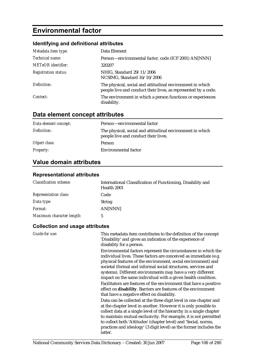# **Environmental factor**

# **Identifying and definitional attributes**

| Metadata item type:         | Data Element                                                                                                                |
|-----------------------------|-----------------------------------------------------------------------------------------------------------------------------|
| Technical name:             | Person-environmental factor, code (ICF 2001) AN[NNN]                                                                        |
| <b>METeOR</b> identifier:   | 320207                                                                                                                      |
| <b>Registration status:</b> | NHIG, Standard 29/11/2006<br>NCSIMG, Standard 16/10/2006                                                                    |
| Definition:                 | The physical, social and attitudinal environment in which<br>people live and conduct their lives, as represented by a code. |
| Context:                    | The environment in which a person functions or experiences<br>disability.                                                   |

# **Data element concept attributes**

| Data element concept: | Person-environmental factor                                                                       |
|-----------------------|---------------------------------------------------------------------------------------------------|
| Definition:           | The physical, social and attitudinal environment in which<br>people live and conduct their lives. |
| Object class:         | <b>Person</b>                                                                                     |
| <b>Property:</b>      | Environmental factor                                                                              |

# **Value domain attributes**

#### **Representational attributes**

| <b>Classification scheme:</b> | International Classification of Functioning, Disability and<br>Health 2001 |
|-------------------------------|----------------------------------------------------------------------------|
| <b>Representation class:</b>  | Code                                                                       |
| Data type:                    | <b>String</b>                                                              |
| <i>Format:</i>                | AN[NNN]                                                                    |
| Maximum character length:     | 5                                                                          |

| <b>Guide for use:</b> | This metadata item contributes to the definition of the concept<br>'Disability' and gives an indication of the experience of<br>disability for a person.                                                                                                                                                                                                                                                                                                                |
|-----------------------|-------------------------------------------------------------------------------------------------------------------------------------------------------------------------------------------------------------------------------------------------------------------------------------------------------------------------------------------------------------------------------------------------------------------------------------------------------------------------|
|                       | Environmental factors represent the circumstances in which the<br>individual lives. These factors are conceived as immediate (e.g.<br>physical features of the environment, social environment) and<br>societal (formal and informal social structures, services and<br>systems). Different environments may have a very different<br>impact on the same individual with a given health condition.<br>Facilitators are features of the environment that have a positive |
|                       | effect on disability. Barriers are features of the environment<br>that have a negative effect on disability.                                                                                                                                                                                                                                                                                                                                                            |
|                       | Data can be collected at the three digit level in one chapter and<br>at the chapter level in another. However it is only possible to<br>collect data at a single level of the hierarchy in a single chapter<br>to maintain mutual exclusivity. For example, it is not permitted<br>to collect both 'Attitudes' (chapter level) and 'Social, norms,<br>practices and ideology' (3 digit level) as the former includes the                                                |
|                       | latter.                                                                                                                                                                                                                                                                                                                                                                                                                                                                 |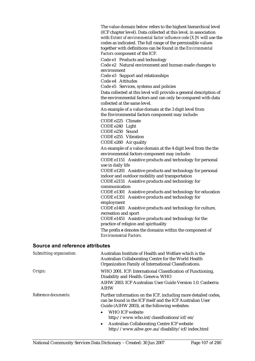The value domain below refers to the highest hierarchical level (ICF chapter level). Data collected at this level, in association with *Extent of environmental factor influence code [X]N* will use the codes as indicated. The full range of the permissible values together with definitions can be found in the *Environmental Factors* component of the ICF.

Code e1 Products and technology

Code e2 Natural environment and human-made changes to environment

Code e3 Support and relationships

Code e4 Attitudes

Code e5 Services, systems and policies

Data collected at this level will provide a general description of the environmental factors and can only be compared with data collected at the same level.

An example of a value domain at the 3 digit level from the Environmental factors component may include:

CODE e225 Climate

CODE e240 Light

CODE e250 Sound

CODE e255 Vibration

CODE e260 Air quality

An example of a value domain at the 4 digit level from the the environmental factors component may include:

CODE e1151 Assistive products and technology for personal use in daily life

CODE e1201 Assistive products and technology for personal indoor and outdoor mobility and transportation

CODE e2151 Assistive products and technology for communication

CODE e1301 Assistive products and technology for education CODE e1351 Assistive products and technology for employment

CODE e1401 Assistive products and technology for culture, recreation and sport

CODE e1451 Assistive products and technology for the practice of religion and spirituality

The prefix *e* denotes the domains within the component of *Environmental Factors*.

| Submitting organisation: | Australian Institute of Health and Welfare which is the<br>Australian Collaborating Centre for the World Health<br>Organization Family of International Classifications.                                                                                    |
|--------------------------|-------------------------------------------------------------------------------------------------------------------------------------------------------------------------------------------------------------------------------------------------------------|
| Origin:                  | WHO 2001. ICF: International Classification of Functioning,<br>Disability and Health. Geneva: WHO                                                                                                                                                           |
|                          | AIHW 2003. ICF Australian User Guide Version 1.0. Canberra:<br><b>AIHW</b>                                                                                                                                                                                  |
| Reference documents:     | Further information on the ICF, including more detailed codes,<br>can be found in the ICF itself and the ICF Australian User<br>Guide (AIHW 2003), at the following websites:<br>WHO ICF website<br>$\bullet$<br>http://www.who.int/classifications/icf/en/ |
|                          | <b>Australian Collaborating Centre ICF website</b><br>$\bullet$                                                                                                                                                                                             |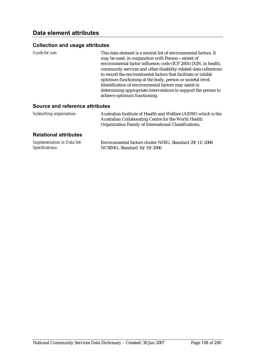#### **Collection and usage attributes**

| Guide for use: | This data element is a neutral list of environmental factors. It |
|----------------|------------------------------------------------------------------|
|                | may be used, in conjunction with Person-extent of                |
|                | environmental factor influence, code (ICF 2001) [X]N, in health, |
|                | community services and other disability-related data collections |
|                | to record the environmental factors that facilitate or inhibit   |
|                | optimum functioning at the body, person or societal level.       |
|                | Identification of environmental factors may assist in            |
|                | determining appropriate interventions to support the person to   |
|                | achieve optimum functioning.                                     |

#### **Source and reference attributes**

| Submitting organisation: | Australian Institute of Health and Welfare (AIHW) which is the |
|--------------------------|----------------------------------------------------------------|
|                          | Australian Collaborating Centre for the World Health           |
|                          | Organization Family of International Classifications.          |

#### **Relational attributes**

| <b>Implementation in Data Set</b> | Environmental factors cluster NHIG, Standard 29/11/2006 |
|-----------------------------------|---------------------------------------------------------|
| Specifications:                   | NCSIMG, Standard 16/10/2006                             |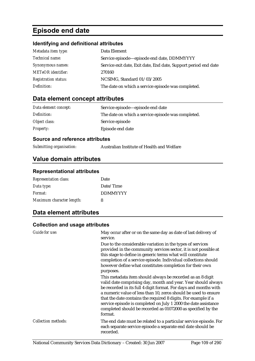# **Episode end date**

### **Identifying and definitional attributes**

| Metadata item type:         | Data Element                                                    |
|-----------------------------|-----------------------------------------------------------------|
| Technical name:             | Service episode—episode end date, DDMMYYYY                      |
| Synonymous names:           | Service exit date, Exit date, End date, Support period end date |
| <b>METeOR</b> identifier:   | 270160                                                          |
| <b>Registration status:</b> | NCSIMG, Standard 01/03/2005                                     |
| Definition:                 | The date on which a service episode was completed.              |

# **Data element concept attributes**

| Data element concept: | Service episode—episode end date                   |  |
|-----------------------|----------------------------------------------------|--|
| Definition:           | The date on which a service episode was completed. |  |
| Object class:         | Service episode                                    |  |
| <b>Property:</b>      | Episode end date                                   |  |

#### **Source and reference attributes**

| Submitting organisation:<br>Australian Institute of Health and Welfare |
|------------------------------------------------------------------------|
|------------------------------------------------------------------------|

# **Value domain attributes**

#### **Representational attributes**

| <b>Representation class:</b> | Date            |
|------------------------------|-----------------|
| Data type:                   | Date/Time       |
| Format:                      | <b>DDMMYYYY</b> |
| Maximum character length:    | 8               |

# **Data element attributes**

| Guide for use:             | May occur after or on the same day as date of last delivery of<br>service.                                                                                                                                                                                                                                                                                                                                                                                                         |
|----------------------------|------------------------------------------------------------------------------------------------------------------------------------------------------------------------------------------------------------------------------------------------------------------------------------------------------------------------------------------------------------------------------------------------------------------------------------------------------------------------------------|
|                            | Due to the considerable variation in the types of services<br>provided in the community services sector, it is not possible at<br>this stage to define in generic terms what will constitute<br>completion of a service episode. Individual collections should<br>however define what constitutes completion for their own<br>purposes.                                                                                                                                            |
|                            | This metadata item should always be recorded as an 8 digit<br>valid date comprising day, month and year. Year should always<br>be recorded in its full 4 digit format. For days and months with<br>a numeric value of less than 10, zeros should be used to ensure<br>that the date contains the required 8 digits. For example if a<br>service episode is completed on July 1 2000 the date assistance<br>completed should be recorded as 01072000 as specified by the<br>format. |
| <b>Collection methods:</b> | The end date must be related to a particular service episode. For<br>each separate service episode a separate end date should be<br>recorded.                                                                                                                                                                                                                                                                                                                                      |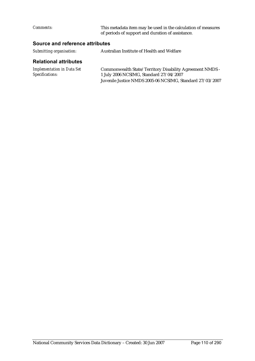| <i>Comments:</i> | This metadata item may be used in the calculation of measures |
|------------------|---------------------------------------------------------------|
|                  | of periods of support and duration of assistance.             |

# **Source and reference attributes**

| Submitting organisation: | Australian Institute of Health and Welfare |
|--------------------------|--------------------------------------------|
|                          |                                            |

### **Relational attributes**

| <b>Implementation in Data Set</b> | Commonwealth State/Territory Disability Agreement NMDS -  |
|-----------------------------------|-----------------------------------------------------------|
| Specifications:                   | 1 July 2006 NCSIMG, Standard 27/04/2007                   |
|                                   | Juvenile Justice NMDS 2005-06 NCSIMG, Standard 27/03/2007 |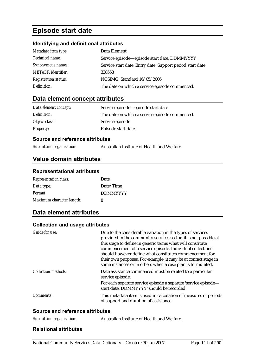# **Episode start date**

### **Identifying and definitional attributes**

| Metadata item type:         | Data Element                                              |
|-----------------------------|-----------------------------------------------------------|
| Technical name:             | Service episode-episode start date, DDMMYYYY              |
| Synonymous names:           | Service start date, Entry date, Support period start date |
| <b>METeOR</b> identifier:   | 338558                                                    |
| <b>Registration status:</b> | NCSIMG, Standard 16/05/2006                               |
| Definition:                 | The date on which a service episode commenced.            |

# **Data element concept attributes**

| Data element concept: | Service episode—episode start date             |  |
|-----------------------|------------------------------------------------|--|
| Definition:           | The date on which a service episode commenced. |  |
| Object class:         | Service episode                                |  |
| <b>Property:</b>      | Episode start date                             |  |

#### **Source and reference attributes**

| Submitting organisation:<br>Australian Institute of Health and Welfare |
|------------------------------------------------------------------------|
|------------------------------------------------------------------------|

# **Value domain attributes**

#### **Representational attributes**

| <b>Representation class:</b> | Date            |
|------------------------------|-----------------|
| Data type:                   | Date/Time       |
| Format:                      | <b>DDMMYYYY</b> |
| Maximum character length:    | 8               |

# **Data element attributes**

### **Collection and usage attributes**

| Guide for use:             | Due to the considerable variation in the types of services<br>provided in the community services sector, it is not possible at<br>this stage to define in generic terms what will constitute<br>commencement of a service episode. Individual collections<br>should however define what constitutes commencement for<br>their own purposes. For example, it may be at contact stage in<br>some instances or in others when a case plan is formulated. |
|----------------------------|-------------------------------------------------------------------------------------------------------------------------------------------------------------------------------------------------------------------------------------------------------------------------------------------------------------------------------------------------------------------------------------------------------------------------------------------------------|
| <b>Collection methods:</b> | Date assistance commenced must be related to a particular<br>service episode.                                                                                                                                                                                                                                                                                                                                                                         |
|                            | For each separate service episode a separate 'service episode—<br>start date, DDMMYYYY' should be recorded.                                                                                                                                                                                                                                                                                                                                           |
| Comments:                  | This metadata item is used in calculation of measures of periods<br>of support and duration of assistance.                                                                                                                                                                                                                                                                                                                                            |

#### **Source and reference attributes**

| Submitting organisation:<br>Australian Institute of Health and Welfare |  |
|------------------------------------------------------------------------|--|
|------------------------------------------------------------------------|--|

#### **Relational attributes**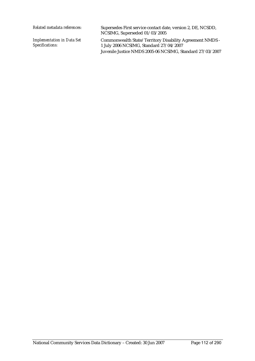*Related metadata references:* Supersedes First service contact date, version 2, DE, NCSDD, NCSIMG, Superseded 01/03/2005 *Implementation in Data Set Specifications:* Commonwealth State/Territory Disability Agreement NMDS - 1 July 2006 NCSIMG, Standard 27/04/2007 Juvenile Justice NMDS 2005-06 NCSIMG, Standard 27/03/2007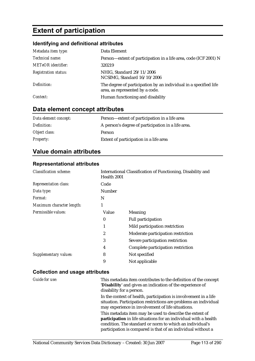# **Extent of participation**

# **Identifying and definitional attributes**

| Metadata item type:         | Data Element                                                                                        |
|-----------------------------|-----------------------------------------------------------------------------------------------------|
| Technical name:             | Person-extent of participation in a life area, code (ICF 2001) N                                    |
| <b>METeOR</b> identifier:   | 320219                                                                                              |
| <b>Registration status:</b> | NHIG, Standard 29/11/2006<br>NCSIMG, Standard 16/10/2006                                            |
| Definition:                 | The degree of participation by an individual in a specified life<br>area, as represented by a code. |
| Context:                    | Human functioning and disability                                                                    |

# **Data element concept attributes**

| Data element concept: | Person-extent of participation in a life area      |
|-----------------------|----------------------------------------------------|
| Definition:           | A person's degree of participation in a life area. |
| Object class:         | Person                                             |
| <i>Property:</i>      | Extent of participation in a life area             |

# **Value domain attributes**

#### **Representational attributes**

| <b>Classification scheme:</b> |                  | International Classification of Functioning, Disability and<br>Health 2001 |  |
|-------------------------------|------------------|----------------------------------------------------------------------------|--|
| <b>Representation class:</b>  | Code             |                                                                            |  |
| Data type:                    | Number           |                                                                            |  |
| <i>Format:</i>                | N                |                                                                            |  |
| Maximum character length:     | 1                |                                                                            |  |
| Permissible values:           | Value            | Meaning                                                                    |  |
|                               | $\boldsymbol{0}$ | <b>Full participation</b>                                                  |  |
|                               |                  | Mild participation restriction                                             |  |
|                               | $\overline{2}$   | Moderate participation restriction                                         |  |
|                               | 3                | Severe participation restriction                                           |  |
|                               | 4                | Complete participation restriction                                         |  |
| <b>Supplementary values:</b>  | 8                | Not specified                                                              |  |
|                               | 9                | Not applicable                                                             |  |

| Guide for use: | This metadata item contributes to the definition of the concept<br>'Disability' and gives an indication of the experience of<br>disability for a person.                                                                                                 |
|----------------|----------------------------------------------------------------------------------------------------------------------------------------------------------------------------------------------------------------------------------------------------------|
|                | In the context of health, participation is involvement in a life<br>situation. Participation restrictions are problems an individual<br>may experience in involvement of life situations.                                                                |
|                | This metadata item may be used to describe the extent of<br>participation in life situations for an individual with a health<br>condition. The standard or norm to which an individual's<br>participation is compared is that of an individual without a |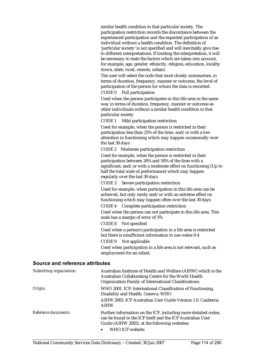similar health condition in that particular society. The participation restriction records the discordance between the experienced participation and the expected participation of an individual without a health condition. The definition of 'particular society' is not specified and will inevitably give rise to different interpretations. If limiting the interpretation, it will be necessary to state the factors which are taken into account, for example, age, gender, ethnicity, religion, education, locality (town, state, rural, remote, urban).

The user will select the code that most closely summarises, in terms of duration, frequency, manner or outcome, the level of participation of the person for whom the data is recorded.

CODE 0 Full participation

Used when the person participates in this life area in the same way in terms of duration, frequency, manner or outcome as other individuals without a similar health condition in that particular society

CODE 1 Mild participation restriction

Used for example, when the person is restricted in their participation less than 25% of the time, and/or with a low alteration in functioning which may happen occasionally over the last 30 days

CODE 2 Moderate participation restriction

Used for example, when the person is restricted in their participation between 26% and 50% of the time with a significant, and/or with a moderate effect on functioning (Up to half the total scale of performance) which may happen regularly over the last 30 days

CODE 3 Severe participation restriction

Used for example, when participation in this life area can be achieved, but only rarely and/or with an extreme effect on functioning which may happen often over the last 30 days

CODE 4 Complete participation restriction

Used when the person can not participate in this life area. This scale has a margin of error of 5%

CODE 8 Not specified

Used when a person's participation in a life area is restricted but there is insufficient information to use codes 0-4

CODE 9 Not applicable

Used when participation in a life area is not relevant, such as employment for an infant.

| Submitting organisation: | Australian Institute of Health and Welfare (AIHW) which is the<br>Australian Collaborating Centre for the World Health<br>Organization Family of International Classifications.                               |
|--------------------------|---------------------------------------------------------------------------------------------------------------------------------------------------------------------------------------------------------------|
| Origin:                  | WHO 2001. ICF: International Classification of Functioning,<br>Disability and Health. Geneva: WHO<br>AIHW 2003. ICF Australian User Guide Version 1.0. Canberra:<br><b>AIHW</b>                               |
| Reference documents:     | Further information on the ICF, including more detailed codes,<br>can be found in the ICF itself and the ICF Australian User<br>Guide (AIHW 2003), at the following websites:<br>WHO ICF website<br>$\bullet$ |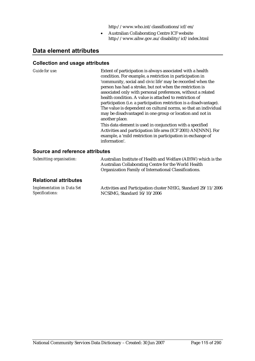http://www.who.int/classifications/icf/en/

• Australian Collaborating Centre ICF website http://www.aihw.gov.au/disability/icf/index.html

# **Data element attributes**

#### **Collection and usage attributes**

*Guide for use:* 

| Extent of participation is always associated with a health<br>condition. For example, a restriction in participation in |
|-------------------------------------------------------------------------------------------------------------------------|
| 'community, social and civic life' may be recorded when the                                                             |
| person has had a stroke, but not when the restriction is                                                                |
| associated only with personal preferences, without a related                                                            |
| health condition. A value is attached to restriction of                                                                 |
| participation (i.e. a participation restriction is a disadvantage).                                                     |
| The value is dependent on cultural norms, so that an individual                                                         |
| may be disadvantaged in one group or location and not in                                                                |
| another place.                                                                                                          |
| This data element is used in conjunction with a specified                                                               |
| Activities and participation life area (ICF 2001) AN[NNN]. For                                                          |
| example, a 'mild restriction in participation in exchange of                                                            |
| information'.                                                                                                           |

| Submitting organisation:                             | Australian Institute of Health and Welfare (AIHW) which is the<br>Australian Collaborating Centre for the World Health<br>Organization Family of International Classifications. |  |
|------------------------------------------------------|---------------------------------------------------------------------------------------------------------------------------------------------------------------------------------|--|
| <b>Relational attributes</b>                         |                                                                                                                                                                                 |  |
| <b>Implementation in Data Set</b><br>Specifications: | Activities and Participation cluster NHIG, Standard 29/11/2006<br>NCSIMG, Standard 16/10/2006                                                                                   |  |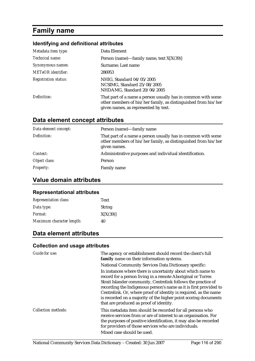# **Family name**

# **Identifying and definitional attributes**

| Metadata item type:         | Data Element                                                                                                                                                           |
|-----------------------------|------------------------------------------------------------------------------------------------------------------------------------------------------------------------|
| Technical name:             | Person (name)—family name, text $X[X(39)]$                                                                                                                             |
| Synonymous names:           | Surname; Last name                                                                                                                                                     |
| <b>METeOR</b> identifier:   | 286953                                                                                                                                                                 |
| <b>Registration status:</b> | NHIG, Standard 04/05/2005<br>NCSIMG, Standard 25/08/2005<br>NHDAMG, Standard 20/06/2005                                                                                |
| Definition:                 | That part of a name a person usually has in common with some<br>other members of his/her family, as distinguished from his/her<br>given names, as represented by text. |

## **Data element concept attributes**

| Data element concept: | Person (name)—family name                                                                                                                      |
|-----------------------|------------------------------------------------------------------------------------------------------------------------------------------------|
| Definition:           | That part of a name a person usually has in common with some<br>other members of his/her family, as distinguished from his/her<br>given names. |
| Context:              | Administrative purposes and individual identification.                                                                                         |
| Object class:         | Person                                                                                                                                         |
| <i>Property:</i>      | Family name                                                                                                                                    |

# **Value domain attributes**

#### **Representational attributes**

| <b>Representation class:</b> | <b>Text</b>   |
|------------------------------|---------------|
| Data type:                   | <b>String</b> |
| <i>Format:</i>               | X[X(39)]      |
| Maximum character length:    | 40            |

# **Data element attributes**

| Guide for use:             | The agency or establishment should record the client's full<br>family name on their information systems.                                                                                                                                                                                                                                                                                                                                           |
|----------------------------|----------------------------------------------------------------------------------------------------------------------------------------------------------------------------------------------------------------------------------------------------------------------------------------------------------------------------------------------------------------------------------------------------------------------------------------------------|
|                            | <b>National Community Services Data Dictionary specific:</b>                                                                                                                                                                                                                                                                                                                                                                                       |
|                            | In instances where there is uncertainty about which name to<br>record for a person living in a remote Aboriginal or Torres<br>Strait Islander community, Centrelink follows the practice of<br>recording the Indigenous person's name as it is first provided to<br>Centrelink. Or, where proof of identity is required, as the name<br>is recorded on a majority of the higher point scoring documents<br>that are produced as proof of identity. |
| <b>Collection methods:</b> | This metadata item should be recorded for all persons who<br>receive services from or are of interest to an organisation. For<br>the purposes of positive identification, it may also be recorded<br>for providers of those services who are individuals.<br>Mixed case should be used.                                                                                                                                                            |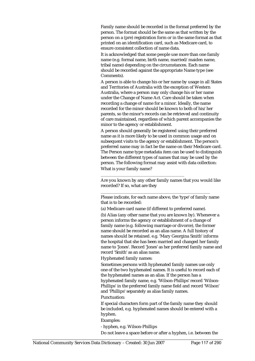Family name should be recorded in the format preferred by the person. The format should be the same as that written by the person on a (pre) registration form or in the same format as that printed on an identification card, such as Medicare card, to ensure consistent collection of name data.

It is acknowledged that some people use more than one family name (e.g. formal name, birth name, married/maiden name, tribal name) depending on the circumstances. Each name should be recorded against the appropriate Name type (see Comments).

A person is able to change his or her name by usage in all States and Territories of Australia with the exception of Western Australia, where a person may only change his or her name under the Change of Name Act. Care should be taken when recording a change of name for a minor. Ideally, the name recorded for the minor should be known to both of his/her parents, so the minor's records can be retrieved and continuity of care maintained, regardless of which parent accompanies the minor to the agency or establishment.

A person should generally be registered using their preferred name as it is more likely to be used in common usage and on subsequent visits to the agency or establishment. The person's preferred name may in fact be the name on their Medicare card. The Person name type metadata item can be used to distinguish between the different types of names that may be used by the person. The following format may assist with data collection: What is your family name?

Are you known by any other family names that you would like recorded? If so, what are they

Please indicate, for each name above, the 'type' of family name that is to be recorded:

\_\_\_\_\_\_\_\_\_\_\_\_\_\_\_\_\_\_\_\_\_\_\_\_\_\_\_\_\_\_\_\_\_\_\_\_\_\_\_\_\_\_\_\_\_\_\_\_\_\_\_

(a) Medicare card name (if different to preferred name).

\_\_\_\_\_\_\_\_\_\_\_\_\_\_\_\_\_\_\_\_\_\_\_\_\_\_\_\_\_\_\_\_\_\_\_\_\_\_\_

(b) Alias (any other name that you are known by). Whenever a person informs the agency or establishment of a change of family name (e.g. following marriage or divorce), the former name should be recorded as an alias name. A full history of names should be retained. e.g. 'Mary Georgina Smith' informs the hospital that she has been married and changed her family name to 'Jones'. Record 'Jones' as her preferred family name and record 'Smith' as an alias name.

Hyphenated family names:

Sometimes persons with hyphenated family names use only one of the two hyphenated names. It is useful to record each of the hyphenated names as an alias. If the person has a hyphenated family name, e.g. 'Wilson-Phillips' record 'Wilson-Phillips' in the preferred family name field and record 'Wilson' and 'Phillips' separately as alias family names.

Punctuation:

If special characters form part of the family name they should be included, e.g. hyphenated names should be entered with a hyphen.

#### Examples:

- hyphen, e.g. Wilson-Phillips

Do not leave a space before or after a hyphen, i.e. between the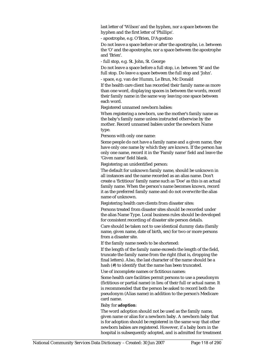last letter of 'Wilson' and the hyphen, nor a space between the hyphen and the first letter of 'Phillips'.

- apostrophe, e.g. O'Brien, D'Agostino

Do not leave a space before or after the apostrophe, i.e. between the 'O' and the apostrophe, nor a space between the apostrophe and 'Brien'.

- full stop, e.g. St. John, St. George

Do not leave a space before a full stop, i.e. between 'St' and the full stop. Do leave a space between the full stop and 'John'.

- space, e.g. van der Humm, Le Brun, Mc Donald

If the health care client has recorded their family name as more than one word, displaying spaces in between the words, record their family name in the same way leaving one space between each word.

Registered unnamed newborn babies:

When registering a newborn, use the mother's family name as the baby's family name unless instructed otherwise by the mother. Record unnamed babies under the newborn Name type.

Persons with only one name:

Some people do not have a family name and a given name, they have only one name by which they are known. If the person has only one name, record it in the 'Family name' field and leave the 'Given name' field blank.

Registering an unidentified person:

The default for unknown family name, should be unknown in all instances and the name recorded as an alias name. Don't create a 'fictitious' family name such as 'Doe' as this is an actual family name. When the person's name becomes known, record it as the preferred family name and do not overwrite the alias name of unknown.

Registering health care clients from disaster sites:

Persons treated from disaster sites should be recorded under the alias Name Type. Local business rules should be developed for consistent recording of disaster site person details.

Care should be taken not to use identical dummy data (family name, given name, date of birth, sex) for two or more persons from a disaster site.

If the family name needs to be shortened:

If the length of the family name exceeds the length of the field, truncate the family name from the right (that is, dropping the final letters). Also, the last character of the name should be a hash (#) to identify that the name has been truncated.

Use of incomplete names or fictitious names:

Some health care facilities permit persons to use a pseudonym (fictitious or partial name) in lieu of their full or actual name. It is recommended that the person be asked to record both the pseudonym (Alias name) in addition to the person's Medicare card name.

#### Baby for **adoption**:

The word adoption should not be used as the family name, given name or alias for a newborn baby. A newborn baby that is for adoption should be registered in the same way that other newborn babies are registered. However, if a baby born in the hospital is subsequently adopted, and is admitted for treatment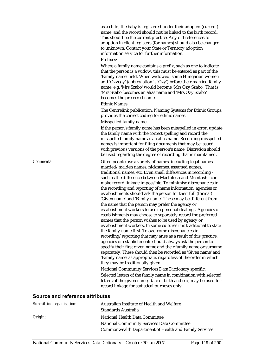as a child, the baby is registered under their adopted (current) name, and the record should not be linked to the birth record. This should be the current practice. Any old references to adoption in client registers (for names) should also be changed to unknown. Contact your State or Territory adoption information service for further information.

#### Prefixes:

Where a family name contains a prefix, such as one to indicate that the person is a widow, this must be entered as part of the 'Family name' field. When widowed, some Hungarian women add 'Ozvegy' (abbreviation is 'Ozy') before their married family name, e.g. 'Mrs Szabo' would become 'Mrs Ozy Szabo'. That is, 'Mrs Szabo' becomes an alias name and 'Mrs Ozy Szabo' becomes the preferred name.

#### Ethnic Names:

The Centrelink publication, Naming Systems for Ethnic Groups, provides the correct coding for ethnic names. Misspelled family name:

If the person's family name has been misspelled in error, update the family name with the correct spelling and record the misspelled family name as an alias name. Recording misspelled names is important for filing documents that may be issued with previous versions of the person's name. Discretion should be used regarding the degree of recording that is maintained.

*Comments:* Often people use a variety of names, including legal names, married/maiden names, nicknames, assumed names, traditional names, etc. Even small differences in recording such as the difference between MacIntosh and McIntosh - can make record linkage impossible. To minimise discrepancies in the recording and reporting of name information, agencies or establishments should ask the person for their full (formal) 'Given name' and 'Family name'. These may be different from the name that the person may prefer the agency or establishment workers to use in personal dealings. Agencies or establishments may choose to separately record the preferred names that the person wishes to be used by agency or establishment workers. In some cultures it is traditional to state the family name first. To overcome discrepancies in recording/reporting that may arise as a result of this practice, agencies or establishments should always ask the person to specify their first given name and their family name or surname separately. These should then be recorded as 'Given name' and 'Family name' as appropriate, regardless of the order in which they may be traditionally given.

> National Community Services Data Dictionary specific: Selected letters of the family name in combination with selected letters of the given name, date of birth and sex, may be used for record linkage for statistical purposes only.

| Submitting organisation: | Australian Institute of Health and Welfare                   |
|--------------------------|--------------------------------------------------------------|
|                          | Standards Australia                                          |
| Origin:                  | National Health Data Committee                               |
|                          | <b>National Community Services Data Committee</b>            |
|                          | <b>Commonwealth Department of Health and Family Services</b> |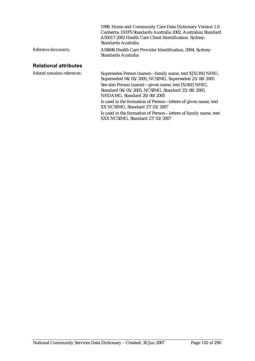|                              | 1998. Home and Community Care Data Dictionary Version 1.0.<br>Canberra: DHFS Standards Australia 2002. Australian Standard<br>AS5017-2002 Health Care Client Identification. Sydney:<br>Standards Australia |
|------------------------------|-------------------------------------------------------------------------------------------------------------------------------------------------------------------------------------------------------------|
| Reference documents:         | AS4846 Health Care Provider Identification, 2004, Sydney:<br>Standards Australia                                                                                                                            |
| <b>Relational attributes</b> |                                                                                                                                                                                                             |
| Related metadata references: | Supersedes Person (name)—family name, text X[X(39)] NHIG,                                                                                                                                                   |

Superseded 04/05/2005, NCSIMG, Superseded 25/08/2005 See also Person (name)—given name, text [X(40)] NHIG, Standard 04/05/2005, NCSIMG, Standard 25/08/2005, NHDAMG, Standard 20/06/2005 Is used in the formation of Person—letters of given name, text XX NCSIMG, Standard 27/03/2007 Is used in the formation of Person—letters of family name, text

XXX NCSIMG, Standard 27/03/2007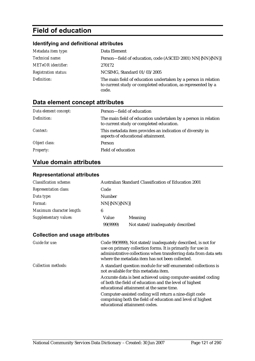# **Field of education**

# **Identifying and definitional attributes**

| Metadata item type:         | Data Element                                                                                                                            |
|-----------------------------|-----------------------------------------------------------------------------------------------------------------------------------------|
| Technical name:             | Person-field of education, code (ASCED 2001) NN[{NN}{NN}]                                                                               |
| <b>METeOR</b> identifier:   | 270172                                                                                                                                  |
| <b>Registration status:</b> | NCSIMG, Standard 01/03/2005                                                                                                             |
| Definition:                 | The main field of education undertaken by a person in relation<br>to current study or completed education, as represented by a<br>code. |

# **Data element concept attributes**

| Data element concept: | Person—field of education                                                                                  |
|-----------------------|------------------------------------------------------------------------------------------------------------|
| Definition:           | The main field of education undertaken by a person in relation<br>to current study or completed education. |
| Context:              | This metadata item provides an indication of diversity in<br>aspects of educational attainment.            |
| Object class:         | Person                                                                                                     |
| <b>Property:</b>      | Field of education                                                                                         |

# **Value domain attributes**

#### **Representational attributes**

| <b>Classification scheme:</b> |              | Australian Standard Classification of Education 2001 |
|-------------------------------|--------------|------------------------------------------------------|
| <b>Representation class:</b>  | Code         |                                                      |
| Data type:                    | Number       |                                                      |
| Format:                       | NN[{NN}{NN}] |                                                      |
| Maximum character length:     | 6            |                                                      |
| Supplementary values:         | Value        | Meaning                                              |
|                               | 99(9999)     | Not stated/inadequately described                    |

| Code 99(9999), Not stated/inadequately described, is not for<br>use on primary collection forms. It is primarily for use in<br>administrative collections when transferring data from data sets<br>where the metadata item has not been collected. |
|----------------------------------------------------------------------------------------------------------------------------------------------------------------------------------------------------------------------------------------------------|
| A standard question module for self-enumerated collections is<br>not available for this metadata item.                                                                                                                                             |
| Accurate data is best achieved using computer-assisted coding<br>of both the field of education and the level of highest<br>educational attainment at the same time.                                                                               |
| Computer-assisted coding will return a nine-digit code<br>comprising both the field of education and level of highest<br>educational attainment codes.                                                                                             |
|                                                                                                                                                                                                                                                    |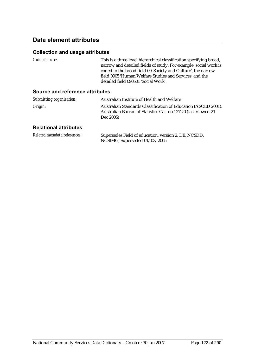# **Data element attributes**

#### **Collection and usage attributes**

| Guide for use:                         | This is a three-level hierarchical classification specifying broad,<br>narrow and detailed fields of study. For example, social work is<br>coded to the broad field 09 'Society and Culture', the narrow<br>field 0905 'Human Welfare Studies and Services' and the<br>detailed field 090501 'Social Work'. |
|----------------------------------------|-------------------------------------------------------------------------------------------------------------------------------------------------------------------------------------------------------------------------------------------------------------------------------------------------------------|
| <b>Source and reference attributes</b> |                                                                                                                                                                                                                                                                                                             |
| Submitting organisation:               | Australian Institute of Health and Welfare                                                                                                                                                                                                                                                                  |
| Origin:                                | Australian Standards Classification of Education (ASCED 2001).<br>Australian Bureau of Statistics Cat. no 1272.0 (last viewed 21                                                                                                                                                                            |

#### **Relational attributes**

| Related metadata references: | Supersedes Field of education, version 2, DE, NCSDD, |
|------------------------------|------------------------------------------------------|
|                              | NCSIMG, Superseded 01/03/2005                        |

Dec 2005)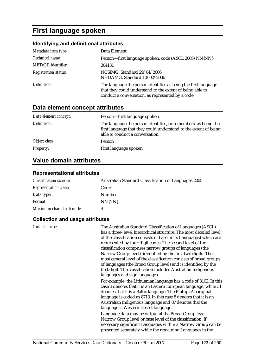# **First language spoken**

# **Identifying and definitional attributes**

| Metadata item type:         | Data Element                                                                                                                                                                     |
|-----------------------------|----------------------------------------------------------------------------------------------------------------------------------------------------------------------------------|
| Technical name:             | Person-first language spoken, code (ASCL 2005) NN{NN}                                                                                                                            |
| <b>METeOR</b> identifier:   | 304131                                                                                                                                                                           |
| <b>Registration status:</b> | NCSIMG, Standard 29/04/2006<br>NHDAMG, Standard 10/02/2006                                                                                                                       |
| Definition:                 | The language the person identifies as being the first language<br>that they could understand to the extent of being able to<br>conduct a conversation, as represented by a code. |

# **Data element concept attributes**

| Data element concept: | Person-first language spoken                                                                                                                                          |
|-----------------------|-----------------------------------------------------------------------------------------------------------------------------------------------------------------------|
| Definition:           | The language the person identifies, or remembers, as being the<br>first language that they could understand to the extent of being<br>able to conduct a conversation. |
| Object class:         | Person                                                                                                                                                                |
| <b>Property:</b>      | First language spoken                                                                                                                                                 |

# **Value domain attributes**

#### **Representational attributes**

| <b>Classification scheme:</b> | <b>Australian Standard Classification of Languages 2005</b> |
|-------------------------------|-------------------------------------------------------------|
| <b>Representation class:</b>  | Code                                                        |
| Data type:                    | <b>Number</b>                                               |
| <i>Format:</i>                | NN{NN}                                                      |
| Maximum character length:     | 4                                                           |

| Guide for use: | The Australian Standard Classification of Languages (ASCL)<br>has a three-level hierarchical structure. The most detailed level<br>of the classification consists of base units (languages) which are<br>represented by four-digit codes. The second level of the<br>classification comprises narrow groups of languages (the<br>Narrow Group level), identified by the first two digits. The<br>most general level of the classification consists of broad groups<br>of languages (the Broad Group level) and is identified by the<br>first digit. The classification includes Australian Indigenous |
|----------------|-------------------------------------------------------------------------------------------------------------------------------------------------------------------------------------------------------------------------------------------------------------------------------------------------------------------------------------------------------------------------------------------------------------------------------------------------------------------------------------------------------------------------------------------------------------------------------------------------------|
|                | languages and sign languages.<br>For example, the Lithuanian language has a code of 3102. In this<br>case 3 denotes that it is an Eastern European language, while 31<br>denotes that it is a Baltic language. The Pintupi Aboriginal<br>language is coded as 8713. In this case 8 denotes that it is an<br>Australian Indigenous language and 87 denotes that the<br>language is Western Desert language.                                                                                                                                                                                            |
|                | Language data may be output at the Broad Group level,<br>Narrow Group level or base level of the classification. If<br>necessary significant Languages within a Narrow Group can be<br>presented separately while the remaining Languages in the                                                                                                                                                                                                                                                                                                                                                      |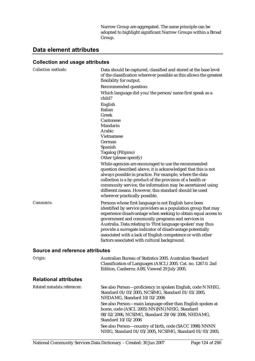Narrow Group are aggregated. The same principle can be adopted to highlight significant Narrow Groups within a Broad Group.

# **Data element attributes**

| <b>Collection methods:</b>      | Data should be captured, classified and stored at the base level<br>of the classification wherever possible as this allows the greatest<br>flexibility for output.                                                                                                                                                                                                                                                               |
|---------------------------------|----------------------------------------------------------------------------------------------------------------------------------------------------------------------------------------------------------------------------------------------------------------------------------------------------------------------------------------------------------------------------------------------------------------------------------|
|                                 | Recommended question:                                                                                                                                                                                                                                                                                                                                                                                                            |
|                                 | Which language did you/the person/name first speak as a<br>child?                                                                                                                                                                                                                                                                                                                                                                |
|                                 | English                                                                                                                                                                                                                                                                                                                                                                                                                          |
|                                 | Italian                                                                                                                                                                                                                                                                                                                                                                                                                          |
|                                 | Greek                                                                                                                                                                                                                                                                                                                                                                                                                            |
|                                 | Cantonese                                                                                                                                                                                                                                                                                                                                                                                                                        |
|                                 | Mandarin<br>Arabic                                                                                                                                                                                                                                                                                                                                                                                                               |
|                                 |                                                                                                                                                                                                                                                                                                                                                                                                                                  |
|                                 | Vietnamese                                                                                                                                                                                                                                                                                                                                                                                                                       |
|                                 | German                                                                                                                                                                                                                                                                                                                                                                                                                           |
|                                 | Spanish                                                                                                                                                                                                                                                                                                                                                                                                                          |
|                                 | Tagalog (Filipino)                                                                                                                                                                                                                                                                                                                                                                                                               |
|                                 | Other (please specify)                                                                                                                                                                                                                                                                                                                                                                                                           |
|                                 | While agencies are encouraged to use the recommended<br>question described above, it is acknowledged that this is not<br>always possible in practice. For example, where the data<br>collection is a by-product of the provision of a health or<br>community service, the information may be ascertained using<br>different means. However, this standard should be used<br>wherever practically possible.                       |
| <b>Comments:</b>                | Persons whose first language is not English have been                                                                                                                                                                                                                                                                                                                                                                            |
|                                 | identified by service providers as a population group that may<br>experience disadvantage when seeking to obtain equal access to<br>government and community programs and services in<br>Australia. Data relating to 'First language spoken' may thus<br>provide a surrogate indicator of disadvantage potentially<br>associated with a lack of English competence or with other<br>factors associated with cultural background. |
| Source and reference attributes |                                                                                                                                                                                                                                                                                                                                                                                                                                  |
|                                 |                                                                                                                                                                                                                                                                                                                                                                                                                                  |
| Origin:                         | Australian Bureau of Statistics 2005. Australian Standard<br>Classification of Languages (ASCL) 2005. Cat. no. 1267.0. 2nd<br>Edition, Canberra: ABS. Viewed 29 July 2005.                                                                                                                                                                                                                                                       |
| <b>Relational attributes</b>    |                                                                                                                                                                                                                                                                                                                                                                                                                                  |
| Related metadata references:    | See also Person-proficiency in spoken English, code N NHIG,<br>Standard 01/03/2005, NCSIMG, Standard 01/03/2005,<br>NHDAMG, Standard 10/02/2006                                                                                                                                                                                                                                                                                  |
|                                 | See also Person-main language other than English spoken at<br>home, code (ASCL 2005) NN{NN} NHIG, Standard<br>08/02/2006, NCSIMG, Standard 29/04/2006, NHDAMG,<br>Standard 10/02/2006                                                                                                                                                                                                                                            |
|                                 | See also Person-country of birth, code (SACC 1998) NNNN<br>NHIG, Standard 01/03/2005, NCSIMG, Standard 01/03/2005,                                                                                                                                                                                                                                                                                                               |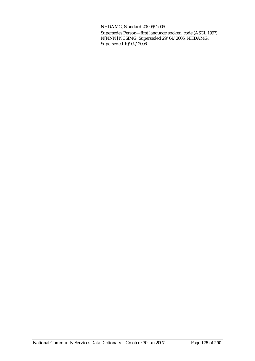NHDAMG, Standard 20/06/2005

Supersedes Person—first language spoken, code (ASCL 1997) N[NNN] NCSIMG, Superseded 29/04/2006, NHDAMG, Superseded 10/02/2006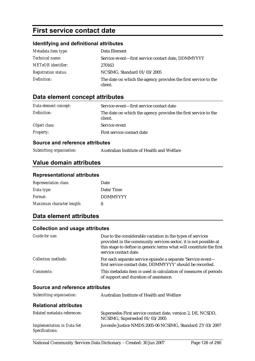# **First service contact date**

# **Identifying and definitional attributes**

| Metadata item type:         | Data Element                                                              |
|-----------------------------|---------------------------------------------------------------------------|
| <i>Technical name:</i>      | Service event—first service contact date, DDMMYYYY                        |
| <b>METeOR</b> identifier:   | 270163                                                                    |
| <b>Registration status:</b> | NCSIMG, Standard 01/03/2005                                               |
| Definition:                 | The date on which the agency provides the first service to the<br>client. |

## **Data element concept attributes**

| Data element concept: | Service event—first service contact date                                  |
|-----------------------|---------------------------------------------------------------------------|
| Definition:           | The date on which the agency provides the first service to the<br>client. |
| Object class:         | Service event                                                             |
| <b>Property:</b>      | First service contact date                                                |

#### **Source and reference attributes**

*Submitting organisation:* Australian Institute of Health and Welfare

# **Value domain attributes**

#### **Representational attributes**

| <b>Representation class:</b> | Date            |
|------------------------------|-----------------|
| Data type:                   | Date/Time       |
| Format:                      | <b>DDMMYYYY</b> |
| Maximum character length:    | 8               |

# **Data element attributes**

| Guide for use:                  | Due to the considerable variation in the types of services<br>provided in the community services sector, it is not possible at<br>this stage to define in generic terms what will constitute the first<br>service contact date. |
|---------------------------------|---------------------------------------------------------------------------------------------------------------------------------------------------------------------------------------------------------------------------------|
| <b>Collection methods:</b>      | For each separate service episode a separate 'Service event-<br>first service contact date, DDMMYYYY' should be recorded.                                                                                                       |
| Comments:                       | This metadata item is used in calculation of measures of periods<br>of support and duration of assistance.                                                                                                                      |
| Source and reference attributes |                                                                                                                                                                                                                                 |
| Submitting organisation:        | Australian Institute of Health and Welfare                                                                                                                                                                                      |

| <b>Relational attributes</b>                                |                                                                                               |
|-------------------------------------------------------------|-----------------------------------------------------------------------------------------------|
| Related metadata references:                                | Supersedes First service contact date, version 2, DE, NCSDD,<br>NCSIMG, Superseded 01/03/2005 |
| <b>Implementation in Data Set</b><br><b>Specifications:</b> | Juvenile Justice NMDS 2005-06 NCSIMG, Standard 27/03/2007                                     |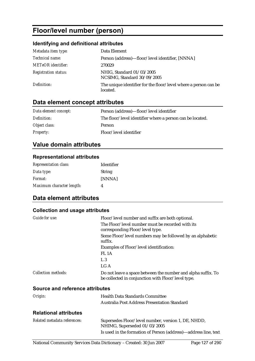# **Floor/level number (person)**

### **Identifying and definitional attributes**

| Metadata item type:         | Data Element                                                                |
|-----------------------------|-----------------------------------------------------------------------------|
| Technical name:             | Person (address)—floor/level identifier, [NNNA]                             |
| <b>METeOR</b> identifier:   | 270029                                                                      |
| <b>Registration status:</b> | NHIG, Standard 01/03/2005<br>NCSIMG, Standard 30/09/2005                    |
| Definition:                 | The unique identifier for the floor/level where a person can be<br>located. |

# **Data element concept attributes**

| Data element concept: | Person (address)—floor/level identifier                   |
|-----------------------|-----------------------------------------------------------|
| Definition:           | The floor/level identifier where a person can be located. |
| Object class:         | Person                                                    |
| <i>Property:</i>      | Floor/level identifier                                    |

# **Value domain attributes**

#### **Representational attributes**

| <b>Representation class:</b> | <b>Identifier</b> |
|------------------------------|-------------------|
| Data type:                   | String            |
| <i>Format:</i>               | [NNNA]            |
| Maximum character length:    | Λ                 |

## **Data element attributes**

| Guide for use:                  | Floor/level number and suffix are both optional.                                                                   |
|---------------------------------|--------------------------------------------------------------------------------------------------------------------|
|                                 | The Floor/level number must be recorded with its<br>corresponding Floor/level type.                                |
|                                 | Some Floor/level numbers may be followed by an alphabetic<br>suffix.                                               |
|                                 | Examples of Floor/level identification:                                                                            |
|                                 | FL <sub>1</sub> A                                                                                                  |
|                                 | L <sub>3</sub>                                                                                                     |
|                                 | LG A                                                                                                               |
| <b>Collection methods:</b>      | Do not leave a space between the number and alpha suffix. To<br>be collected in conjunction with Floor/level type. |
| Source and reference attributes |                                                                                                                    |
| Origin:                         | <b>Health Data Standards Committee</b>                                                                             |
|                                 | <b>Australia Post Address Presentation Standard</b>                                                                |
| <b>Relational attributes</b>    |                                                                                                                    |
| Related metadata references:    | Supersedes Floor/level number, version 1, DE, NHDD,<br>NHIMG, Superseded 01/03/2005                                |
|                                 | Is used in the formation of Person (address)—address line, text                                                    |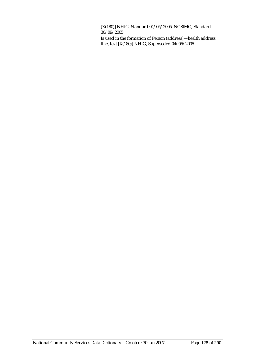[X(180)] NHIG, Standard 04/05/2005, NCSIMG, Standard 30/09/2005

Is used in the formation of Person (address)—health address line, text [X(180)] NHIG, Superseded 04/05/2005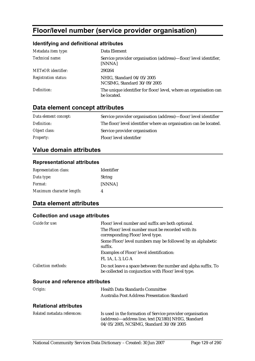# **Floor/level number (service provider organisation)**

### **Identifying and definitional attributes**

| Metadata item type:         | Data Element                                                                    |
|-----------------------------|---------------------------------------------------------------------------------|
| Technical name:             | Service provider organisation (address)—floor/level identifier,<br>[NNNA]       |
| <b>METeOR</b> identifier:   | 290264                                                                          |
| <b>Registration status:</b> | NHIG, Standard 04/05/2005<br>NCSIMG, Standard 30/09/2005                        |
| Definition:                 | The unique identifier for floor/level, where an organisation can<br>be located. |

# **Data element concept attributes**

| Data element concept: | Service provider organisation (address)—floor/level identifier   |
|-----------------------|------------------------------------------------------------------|
| Definition:           | The floor/level identifier where an organisation can be located. |
| Object class:         | Service provider organisation                                    |
| <i>Property:</i>      | Floor/level identifier                                           |

# **Value domain attributes**

#### **Representational attributes**

| <b>Representation class:</b> | Identifier    |
|------------------------------|---------------|
| Data type:                   | <b>String</b> |
| <i>Format:</i>               | [NNNA]        |
| Maximum character length:    | Λ             |

# **Data element attributes**

#### **Collection and usage attributes**

| Guide for use:                  | Floor/level number and suffix are both optional.                                                                   |
|---------------------------------|--------------------------------------------------------------------------------------------------------------------|
|                                 | The Floor/level number must be recorded with its<br>corresponding Floor/level type.                                |
|                                 | Some Floor/level numbers may be followed by an alphabetic<br>suffix.                                               |
|                                 | Examples of Floor/level identification:                                                                            |
|                                 | FL 1A, L 3, LG A                                                                                                   |
| <i>Collection methods:</i>      | Do not leave a space between the number and alpha suffix. To<br>be collected in conjunction with Floor/level type. |
| Source and reference attributes |                                                                                                                    |

| Origin:                      | <b>Health Data Standards Committee</b>       |
|------------------------------|----------------------------------------------|
|                              | Australia Post Address Presentation Standard |
| <b>Relational attributes</b> |                                              |

| Related metadata references: | Is used in the formation of Service provider organisation |
|------------------------------|-----------------------------------------------------------|
|                              | $(address)$ —address line, text $[X(180)]$ NHIG, Standard |
|                              | 04/05/2005, NCSIMG, Standard 30/09/2005                   |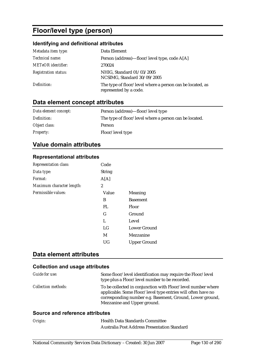# **Floor/level type (person)**

### **Identifying and definitional attributes**

| Metadata item type:         | Data Element                                                                        |
|-----------------------------|-------------------------------------------------------------------------------------|
| Technical name:             | Person (address)—floor/level type, code A[A]                                        |
| <b>METeOR</b> identifier:   | 270024                                                                              |
| <b>Registration status:</b> | NHIG, Standard 01/03/2005<br>NCSIMG, Standard 30/09/2005                            |
| Definition:                 | The type of floor/level where a person can be located, as<br>represented by a code. |

# **Data element concept attributes**

| Data element concept: | Person (address)—floor/level type                      |
|-----------------------|--------------------------------------------------------|
| Definition:           | The type of floor/level where a person can be located. |
| Object class:         | Person                                                 |
| <i>Property:</i>      | Floor/level type                                       |

# **Value domain attributes**

#### **Representational attributes**

| Code          |                     |
|---------------|---------------------|
| <b>String</b> |                     |
| A[A]          |                     |
| 2             |                     |
| Value         | Meaning             |
| B             | <b>Basement</b>     |
| FL            | <b>Floor</b>        |
| G             | Ground              |
| L             | Level               |
| LG            | Lower Ground        |
| M             | Mezzanine           |
| UG            | <b>Upper Ground</b> |
|               |                     |

#### **Data element attributes**

#### **Collection and usage attributes**

| Guide for use:             | Some floor/level identification may require the Floor/level<br>type plus a Floor/level number to be recorded.                                                                                                            |
|----------------------------|--------------------------------------------------------------------------------------------------------------------------------------------------------------------------------------------------------------------------|
| <b>Collection methods:</b> | To be collected in conjunction with Floor/level number where<br>applicable. Some Floor/level type entries will often have no<br>corresponding number e.g. Basement, Ground, Lower ground,<br>Mezzanine and Upper ground. |
|                            |                                                                                                                                                                                                                          |

| Origin: | <b>Health Data Standards Committee</b>              |
|---------|-----------------------------------------------------|
|         | <b>Australia Post Address Presentation Standard</b> |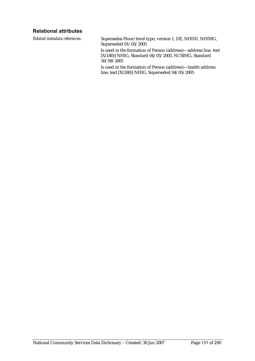### **Relational attributes**

*Related metadata references:* Supersedes Floor/level type, version 1, DE, NHDD, NHIMG, Superseded 01/03/2005 Is used in the formation of Person (address)—address line, text [X(180)] NHIG, Standard 04/05/2005, NCSIMG, Standard 30/09/2005 Is used in the formation of Person (address)—health address line, text [X(180)] NHIG, Superseded 04/05/2005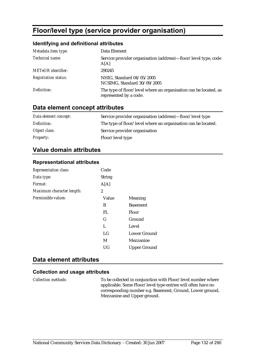# **Floor/level type (service provider organisation)**

### **Identifying and definitional attributes**

| Metadata item type:         | Data Element                                                                               |
|-----------------------------|--------------------------------------------------------------------------------------------|
| Technical name:             | Service provider organisation (address)—floor/level type, code<br>A[A]                     |
| <b>METeOR</b> identifier:   | 290245                                                                                     |
| <b>Registration status:</b> | NHIG, Standard 04/05/2005<br>NCSIMG, Standard 30/09/2005                                   |
| Definition:                 | The type of floor/level where an organisation can be located, as<br>represented by a code. |

### **Data element concept attributes**

| Data element concept: | Service provider organisation (address)—floor/level type      |
|-----------------------|---------------------------------------------------------------|
| Definition:           | The type of floor/level where an organisation can be located. |
| Object class:         | Service provider organisation                                 |
| <b>Property:</b>      | Floor/level type                                              |

## **Value domain attributes**

#### **Representational attributes**

| <b>Representation class:</b> | Code          |                     |
|------------------------------|---------------|---------------------|
| Data type:                   | <b>String</b> |                     |
| Format:                      | A[A]          |                     |
| Maximum character length:    | 2             |                     |
| Permissible values:          | Value         | Meaning             |
|                              | B             | <b>Basement</b>     |
|                              | FL            | Floor               |
|                              | G             | Ground              |
|                              | L             | Level               |
|                              | LG            | Lower Ground        |
|                              | M             | Mezzanine           |
|                              | UG            | <b>Upper Ground</b> |

## **Data element attributes**

#### **Collection and usage attributes**

*Collection methods:* To be collected in conjunction with Floor/level number where applicable. Some Floor/level type entries will often have no corresponding number e.g. Basement, Ground, Lower ground, Mezzanine and Upper ground.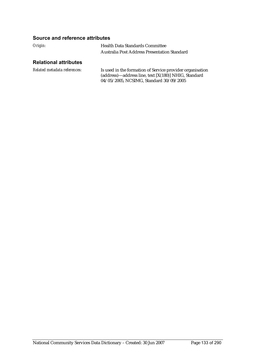### **Source and reference attributes**

| Origin: | Health Data Standards Committee                     |
|---------|-----------------------------------------------------|
|         | <b>Australia Post Address Presentation Standard</b> |
|         |                                                     |

### **Relational attributes**

| Related metadata references: | Is used in the formation of Service provider organisation |
|------------------------------|-----------------------------------------------------------|
|                              | (address)—address line, text [X(180)] NHIG, Standard      |
|                              | 04/05/2005, NCSIMG, Standard 30/09/2005                   |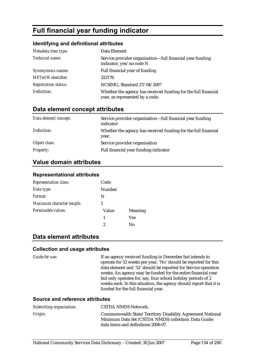# **Full financial year funding indicator**

#### **Identifying and definitional attributes**

| Metadata item type:         | Data Element                                                                                      |
|-----------------------------|---------------------------------------------------------------------------------------------------|
| Technical name:             | Service provider organisation-full financial year funding<br>indicator, yes/no code N             |
| Synonymous names:           | Full financial year of funding                                                                    |
| <b>METeOR</b> identifier:   | 322176                                                                                            |
| <b>Registration status:</b> | NCSIMG, Standard 27/04/2007                                                                       |
| Definition:                 | Whether the agency has received funding for the full financial<br>year, as represented by a code. |

# **Data element concept attributes**

| Data element concept: | Service provider organisation—full financial year funding<br>indicator  |
|-----------------------|-------------------------------------------------------------------------|
| Definition:           | Whether the agency has received funding for the full financial<br>year. |
| Object class:         | Service provider organisation                                           |
| <b>Property:</b>      | Full financial year funding indicator                                   |

# **Value domain attributes**

#### **Representational attributes**

| <b>Representation class:</b> | Code   |                |
|------------------------------|--------|----------------|
| Data type:                   | Number |                |
| Format:                      | N      |                |
| Maximum character length:    |        |                |
| Permissible values:          | Value  | <b>Meaning</b> |
|                              | 1      | Yes            |
|                              | 2      | No             |

#### **Data element attributes**

#### **Collection and usage attributes**

*Guide for use:* If an agency received funding in December but intends to operate for 52 weeks per year, 'No' should be reported for this data element and '52' should be reported for Service operation weeks. An agency may be funded for the entire financial year but only operates for, say, four school holiday periods of 2 weeks each. In this situation, the agency should report that it is funded for the full financial year.

| Submitting organisation: | CSTDA NMDS Network.                                                                                                                                        |
|--------------------------|------------------------------------------------------------------------------------------------------------------------------------------------------------|
| Origin:                  | Commonwealth State/Territory Disability Agreement National<br>Minimum Data Set (CSTDA NMDS) collection. Data Guide:<br>data items and definitions 2006-07. |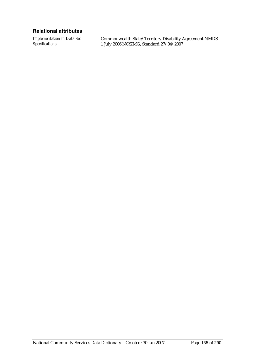#### **Relational attributes**

*Implementation in Data Set Specifications:*

Commonwealth State/Territory Disability Agreement NMDS - 1 July 2006 NCSIMG, Standard 27/04/2007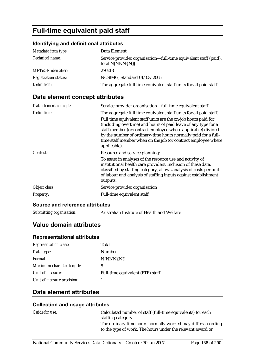# **Full-time equivalent paid staff**

#### **Identifying and definitional attributes**

| Metadata item type:         | Data Element                                                                         |
|-----------------------------|--------------------------------------------------------------------------------------|
| <i>Technical name:</i>      | Service provider organisation—full-time equivalent staff (paid),<br>total N[NNN{.N}] |
| <b>METeOR</b> identifier:   | 270213                                                                               |
| <b>Registration status:</b> | NCSIMG, Standard 01/03/2005                                                          |
| Definition:                 | The aggregate full time equivalent staff units for all paid staff.                   |

### **Data element concept attributes**

| Data element concept: | Service provider organisation-full-time equivalent staff                                                                                                                                                                                                                                                                                                                                                                  |
|-----------------------|---------------------------------------------------------------------------------------------------------------------------------------------------------------------------------------------------------------------------------------------------------------------------------------------------------------------------------------------------------------------------------------------------------------------------|
| Definition:           | The aggregate full time equivalent staff units for all paid staff.<br>Full time equivalent staff units are the on-job hours paid for<br>(including overtime) and hours of paid leave of any type for a<br>staff member (or contract employee where applicable) divided<br>by the number of ordinary-time hours normally paid for a full-<br>time staff member when on the job (or contract employee where<br>applicable). |
| Context:              | Resource and service planning:<br>To assist in analyses of the resource use and activity of<br>institutional health care providers. Inclusion of these data,<br>classified by staffing category, allows analysis of costs per unit<br>of labour and analysis of staffing inputs against establishment<br>outputs.                                                                                                         |
| Object class:         | Service provider organisation                                                                                                                                                                                                                                                                                                                                                                                             |
| <b>Property:</b>      | Full-time equivalent staff                                                                                                                                                                                                                                                                                                                                                                                                |

#### **Source and reference attributes**

*Submitting organisation:* Australian Institute of Health and Welfare

# **Value domain attributes**

#### **Representational attributes**

| <b>Representation class:</b> | Total                            |
|------------------------------|----------------------------------|
| Data type:                   | Number                           |
| Format:                      | $N[NNN\{N\}]$                    |
| Maximum character length:    | 5                                |
| Unit of measure:             | Full-time equivalent (FTE) staff |
| Unit of measure precision:   |                                  |

# **Data element attributes**

| Guide for use: | Calculated number of staff (full-time equivalents) for each                                                                |
|----------------|----------------------------------------------------------------------------------------------------------------------------|
|                | staffing category.                                                                                                         |
|                | The ordinary time hours normally worked may differ according<br>to the type of work. The hours under the relevant award or |
|                |                                                                                                                            |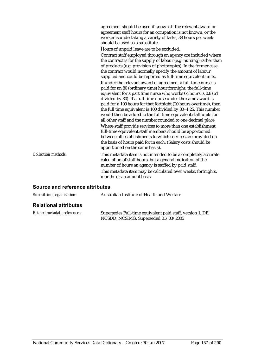agreement should be used if known. If the relevant award or agreement staff hours for an occupation is not known, or the worker is undertaking a variety of tasks, 38 hours per week should be used as a substitute.

Hours of unpaid leave are to be excluded.

Contract staff employed through an agency are included where the contract is for the supply of labour (e.g. nursing) rather than of products (e.g. provision of photocopies). In the former case, the contract would normally specify the amount of labour supplied and could be reported as full-time equivalent units. If under the relevant award of agreement a full-time nurse is paid for an 80 (ordinary time) hour fortnight, the full-time equivalent for a part time nurse who works 64 hours is 0.8 (64 divided by 80). If a full-time nurse under the same award is paid for a 100 hours for that fortnight (20 hours overtime), then the full time equivalent is 100 divided by 80=1.25. This number would then be added to the full time equivalent staff units for all other staff and the number rounded to one decimal place. Where staff provide services to more than one establishment, full-time equivalent staff members should be apportioned between all establishments to which services are provided on the basis of hours paid for in each. (Salary costs should be apportioned on the same basis).

*Collection methods:* This metadata item is not intended to be a completely accurate calculation of staff hours, but a general indication of the number of hours an agency is staffed by paid staff. This metadata item may be calculated over weeks, fortnights, months or an annual basis.

| Submitting organisation:     | Australian Institute of Health and Welfare                                                         |
|------------------------------|----------------------------------------------------------------------------------------------------|
| <b>Relational attributes</b> |                                                                                                    |
| Related metadata references: | Supersedes Full-time equivalent paid staff, version 1, DE,<br>NCSDD, NCSIMG, Superseded 01/03/2005 |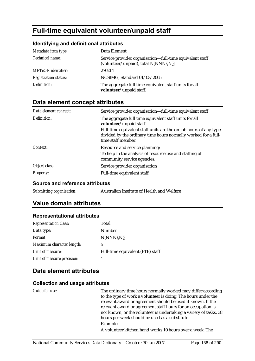# **Full-time equivalent volunteer/unpaid staff**

#### **Identifying and definitional attributes**

| Metadata item type:         | Data Element                                                                                     |
|-----------------------------|--------------------------------------------------------------------------------------------------|
| Technical name:             | Service provider organisation-full-time equivalent staff<br>(volunteer/unpaid), total N[NNN{.N}] |
| <b>METeOR</b> identifier:   | 270214                                                                                           |
| <b>Registration status:</b> | NCSIMG, Standard 01/03/2005                                                                      |
| Definition:                 | The aggregate full time equivalent staff units for all<br>volunteer/unpaid staff.                |

# **Data element concept attributes**

| Service provider organisation-full-time equivalent staff                                                                                                   |
|------------------------------------------------------------------------------------------------------------------------------------------------------------|
| The aggregate full time equivalent staff units for all<br>volunteer/unpaid staff.                                                                          |
| Full-time equivalent staff units are the on-job hours of any type,<br>divided by the ordinary time hours normally worked for a full-<br>time staff member. |
| Resource and service planning:                                                                                                                             |
| To help in the analysis of resource use and staffing of<br>community service agencies.                                                                     |
| Service provider organisation                                                                                                                              |
| Full-time equivalent staff                                                                                                                                 |
|                                                                                                                                                            |

#### **Source and reference attributes**

| Submitting organisation: | Australian Institute of Health and Welfare |
|--------------------------|--------------------------------------------|
|                          |                                            |

## **Value domain attributes**

#### **Representational attributes**

| Total                            |
|----------------------------------|
| Number                           |
| $N[NNN\{N\}]$                    |
| 5                                |
| Full-time equivalent (FTE) staff |
|                                  |
|                                  |

## **Data element attributes**

#### **Collection and usage attributes**

*Guide for use:* The ordinary time hours normally worked may differ according to the type of work a **volunteer** is doing. The hours under the relevant award or agreement should be used if known. If the relevant award or agreement staff hours for an occupation is not known, or the volunteer is undertaking a variety of tasks, 38 hours per week should be used as a substitute. Example: A volunteer kitchen hand works 10 hours over a week. The

National Community Services Data Dictionary - Created: 30 Jun 2007 Page 138 of 290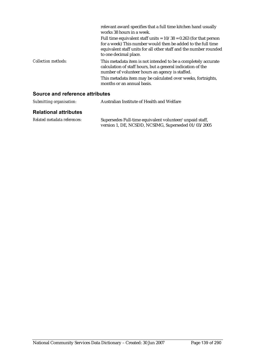|                            | relevant award specifies that a full time kitchen hand usually<br>works 38 hours in a week.<br>Full time equivalent staff units = $10/38 = 0.263$ (for that person<br>for a week) This number would then be added to the full time<br>equivalent staff units for all other staff and the number rounded<br>to one decimal place. |
|----------------------------|----------------------------------------------------------------------------------------------------------------------------------------------------------------------------------------------------------------------------------------------------------------------------------------------------------------------------------|
| <i>Collection methods:</i> | This metadata item is not intended to be a completely accurate<br>calculation of staff hours, but a general indication of the<br>number of volunteer hours an agency is staffed.<br>This metadata item may be calculated over weeks, fortnights,<br>months or an annual basis.                                                   |

| Submitting organisation:     | Australian Institute of Health and Welfare                                                                     |
|------------------------------|----------------------------------------------------------------------------------------------------------------|
| <b>Relational attributes</b> |                                                                                                                |
| Related metadata references: | Supersedes Full-time equivalent volunteer/unpaid staff,<br>version 1, DE, NCSDD, NCSIMG, Superseded 01/03/2005 |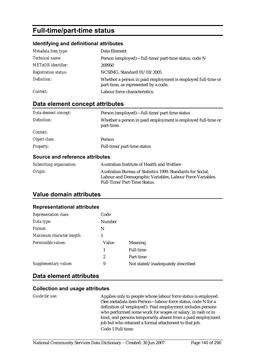# **Full-time/part-time status**

#### **Identifying and definitional attributes**

| Metadata item type:         | Data Element                                                                                         |
|-----------------------------|------------------------------------------------------------------------------------------------------|
| Technical name:             | Person (employed)—full-time/part-time status, code N                                                 |
| <b>METeOR</b> identifier:   | 269950                                                                                               |
| <b>Registration status:</b> | NCSIMG, Standard 01/03/2005                                                                          |
| Definition:                 | Whether a person in paid employment is employed full-time or<br>part-time, as represented by a code. |
| Context:                    | Labour force characteristics.                                                                        |

# **Data element concept attributes**

| Data element concept: | Person (employed)—full-time/part-time status                               |
|-----------------------|----------------------------------------------------------------------------|
| Definition:           | Whether a person in paid employment is employed full-time or<br>part-time. |
| Context:              |                                                                            |
| Object class:         | Person                                                                     |
| <b>Property:</b>      | Full-time/part-time status                                                 |
|                       |                                                                            |

#### **Source and reference attributes**

| Submitting organisation: | Australian Institute of Health and Welfare                                                                                                              |
|--------------------------|---------------------------------------------------------------------------------------------------------------------------------------------------------|
| Origin:                  | Australian Bureau of Statistics 1999. Standards for Social.<br>Labour and Demographic Variables, Labour Force Variables.<br>Full-Time/Part-Time Status. |

## **Value domain attributes**

#### **Representational attributes**

| <b>Representation class:</b> | Code           |                                   |
|------------------------------|----------------|-----------------------------------|
| Data type:                   | <b>Number</b>  |                                   |
| Format:                      | N              |                                   |
| Maximum character length:    |                |                                   |
| Permissible values:          | Value          | <b>Meaning</b>                    |
|                              | 1              | <b>Full-time</b>                  |
|                              | $\overline{2}$ | Part-time                         |
| Supplementary values:        | 9              | Not stated/inadequately described |

# **Data element attributes**

#### **Collection and usage attributes**

Applies only to people whose labour force status is employed. (See metadata item Person—labour force status, code N for a definition of 'employed'). Paid employment includes persons who performed some work for wages or salary, in cash or in kind, and persons temporarily absent from a paid employment job but who retained a formal attachment to that job. Code 1 Full-time: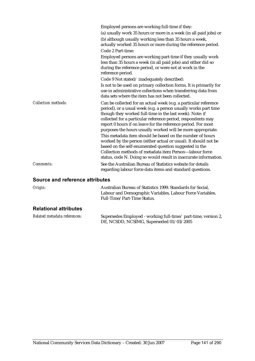|                            | Employed persons are working full-time if they:<br>(a) usually work 35 hours or more in a week (in all paid jobs) or<br>(b) although usually working less than 35 hours a week,<br>actually worked 35 hours or more during the reference period.<br>Code 2 Part-time:                                                                                                                           |
|----------------------------|-------------------------------------------------------------------------------------------------------------------------------------------------------------------------------------------------------------------------------------------------------------------------------------------------------------------------------------------------------------------------------------------------|
|                            | Employed persons are working part-time if they usually work<br>less than 35 hours a week (in all paid jobs) and either did so<br>during the reference period, or were not at work in the<br>reference period.                                                                                                                                                                                   |
|                            | Code 9 Not stated/inadequately described:                                                                                                                                                                                                                                                                                                                                                       |
|                            | Is not to be used on primary collection forms. It is primarily for                                                                                                                                                                                                                                                                                                                              |
|                            | use in administrative collections when transferring data from<br>data sets where the item has not been collected.                                                                                                                                                                                                                                                                               |
| <b>Collection methods:</b> | Can be collected for an actual week (e.g. a particular reference<br>period), or a usual week (e.g. a person usually works part time<br>though they worked full-time in the last week). Note: if<br>collected for a particular reference period, respondents may<br>report 0 hours if on leave for the reference period. For most<br>purposes the hours usually worked will be more appropriate. |
|                            | This metadata item should be based on the number of hours<br>worked by the person (either actual or usual). It should not be<br>based on the self-enumerated question suggested in the<br>Collection methods of metadata item Person-labour force<br>status, code N. Doing so would result in inaccurate information.                                                                           |
| Comments:                  | See the Australian Bureau of Statistics website for details<br>regarding labour force data items and standard questions.                                                                                                                                                                                                                                                                        |

| Origin:                      | Australian Bureau of Statistics 1999. Standards for Social.<br>Labour and Demographic Variables, Labour Force Variables.<br>Full-Time/Part-Time Status. |
|------------------------------|---------------------------------------------------------------------------------------------------------------------------------------------------------|
| <b>Relational attributes</b> |                                                                                                                                                         |

| Related metadata references: | Supersedes Employed - working full-time/ part-time, version 2, |
|------------------------------|----------------------------------------------------------------|
|                              | DE, NCSDD, NCSIMG, Superseded 01/03/2005                       |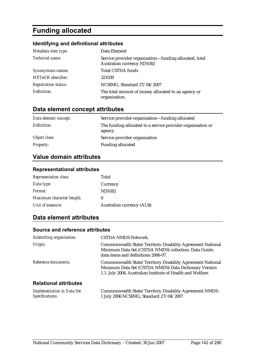# **Funding allocated**

# **Identifying and definitional attributes**

| Metadata item type:         | Data Element                                                                          |
|-----------------------------|---------------------------------------------------------------------------------------|
| Technical name:             | Service provider organisation-funding allocated, total<br>Australian currency N[N(8)] |
| Synonymous names:           | <b>Total CSTDA funds</b>                                                              |
| <b>METeOR</b> identifier:   | 321039                                                                                |
| <b>Registration status:</b> | NCSIMG, Standard 27/04/2007                                                           |
| Definition:                 | The total amount of money allocated to an agency or<br>organisation.                  |

# **Data element concept attributes**

| Data element concept: | Service provider organisation—funding allocated                        |
|-----------------------|------------------------------------------------------------------------|
| Definition:           | The funding allocated to a service provider organisation or<br>agency. |
| Object class:         | Service provider organisation                                          |
| <b>Property:</b>      | <b>Funding allocated</b>                                               |

# **Value domain attributes**

#### **Representational attributes**

| <b>Representation class:</b> | Total                            |
|------------------------------|----------------------------------|
| Data type:                   | Currency                         |
| <i>Format:</i>               | N[N(8)]                          |
| Maximum character length:    | 9                                |
| Unit of measure:             | <b>Australian currency (AUS)</b> |

#### **Data element attributes**

| Submitting organisation:                             | <b>CSTDA NMDS Network.</b>                                                                                                                                                         |
|------------------------------------------------------|------------------------------------------------------------------------------------------------------------------------------------------------------------------------------------|
| Origin:                                              | Commonwealth State/Territory Disability Agreement National<br>Minimum Data Set (CSTDA NMDS) collection. Data Guide:<br>data items and definitions 2006-07.                         |
| Reference documents:                                 | Commonwealth State/Territory Disability Agreement National<br>Minimum Data Set (CSTDA NMDS) Data Dictionary Version<br>1.1. July 2004. Australian Institute of Health and Welfare. |
| <b>Relational attributes</b>                         |                                                                                                                                                                                    |
| <b>Implementation in Data Set</b><br>Specifications: | Commonwealth State/Territory Disability Agreement NMDS -<br>1 July 2006 NCSIMG, Standard 27/04/2007                                                                                |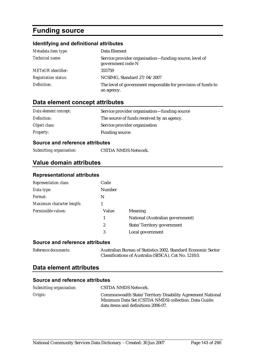# **Funding source**

#### **Identifying and definitional attributes**

| Metadata item type:         | Data Element                                                                |
|-----------------------------|-----------------------------------------------------------------------------|
| Technical name:             | Service provider organisation—funding source, level of<br>government code N |
| <b>METeOR</b> identifier:   | 355759                                                                      |
| <b>Registration status:</b> | NCSIMG, Standard 27/04/2007                                                 |
| Definition:                 | The level of government responsible for provision of funds to<br>an agency. |

## **Data element concept attributes**

| Data element concept: | Service provider organisation—funding source |
|-----------------------|----------------------------------------------|
| Definition:           | The source of funds received by an agency.   |
| Object class:         | Service provider organisation                |
| <b>Property:</b>      | <b>Funding source</b>                        |

#### **Source and reference attributes**

*Submitting organisation:* CSTDA NMDS Network.

### **Value domain attributes**

#### **Representational attributes**

| <b>Representation class:</b> | Code   |                                  |
|------------------------------|--------|----------------------------------|
| Data type:                   | Number |                                  |
| Format:                      | N      |                                  |
| Maximum character length:    |        |                                  |
| Permissible values:          | Value  | Meaning                          |
|                              | 1      | National (Australian government) |
|                              | 2      | State/Territory government       |
|                              | 3      | Local government                 |

#### **Source and reference attributes**

*Reference documents:* Australian Bureau of Statistics 2002. Standard Economic Sector Classifications of Australia (SESCA), Cat No. 1218.0.

#### **Data element attributes**

| Submitting organisation: | CSTDA NMDS Network.                                                                                                                                        |
|--------------------------|------------------------------------------------------------------------------------------------------------------------------------------------------------|
| Origin:                  | Commonwealth State/Territory Disability Agreement National<br>Minimum Data Set (CSTDA NMDS) collection. Data Guide:<br>data items and definitions 2006-07. |
|                          |                                                                                                                                                            |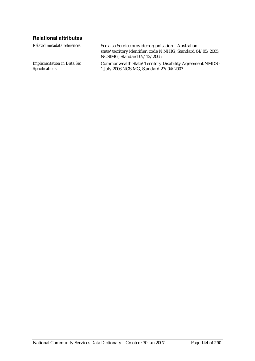# **Relational attributes**

| Related metadata references:      | See also Service provider organisation—Australian<br>state/territory identifier, code N NHIG, Standard 04/05/2005,<br>NCSIMG, Standard 07/12/2005 |
|-----------------------------------|---------------------------------------------------------------------------------------------------------------------------------------------------|
| <b>Implementation in Data Set</b> | Commonwealth State/Territory Disability Agreement NMDS -                                                                                          |
| Specifications:                   | 1 July 2006 NCSIMG, Standard 27/04/2007                                                                                                           |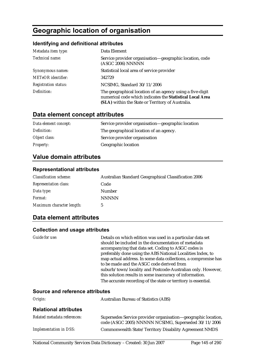# **Geographic location of organisation**

# **Identifying and definitional attributes**

| Metadata item type:         | Data Element                                                                                                                                                                |
|-----------------------------|-----------------------------------------------------------------------------------------------------------------------------------------------------------------------------|
| Technical name:             | Service provider organisation-geographic location, code<br>(ASGC 2006) NNNNN                                                                                                |
| Synonymous names:           | Statistical local area of service provider                                                                                                                                  |
| <b>METeOR</b> identifier:   | 342729                                                                                                                                                                      |
| <b>Registration status:</b> | NCSIMG, Standard 30/11/2006                                                                                                                                                 |
| Definition:                 | The geographical location of an agency using a five-digit<br>numerical code which indicates the Statistical Local Area<br>(SLA) within the State or Territory of Australia. |

# **Data element concept attributes**

| Data element concept: | Service provider organisation—geographic location |
|-----------------------|---------------------------------------------------|
| Definition:           | The geographical location of an agency.           |
| Object class:         | Service provider organisation                     |
| <i>Property:</i>      | Geographic location                               |

# **Value domain attributes**

### **Representational attributes**

| <b>Classification scheme:</b> | Australian Standard Geographical Classification 2006 |
|-------------------------------|------------------------------------------------------|
| <b>Representation class:</b>  | Code                                                 |
| Data type:                    | <b>Number</b>                                        |
| <i>Format:</i>                | <b>NNNNN</b>                                         |
| Maximum character length:     | 5                                                    |

# **Data element attributes**

| Details on which edition was used in a particular data set<br>should be included in the documentation of metadata<br>accompanying that data set. Coding to ASGC codes is<br>preferably done using the ABS National Localities Index, to<br>map actual address. In some data collections, a compromise has<br>to be made and the ASGC code derived from<br>suburb/town/locality and Postcode-Australian only. However,<br>this solution results in some inaccuracy of information.<br>The accurate recording of the state or territory is essential.<br>Source and reference attributes |
|----------------------------------------------------------------------------------------------------------------------------------------------------------------------------------------------------------------------------------------------------------------------------------------------------------------------------------------------------------------------------------------------------------------------------------------------------------------------------------------------------------------------------------------------------------------------------------------|
| Augustian Dimeau of Chatiatics (ADC)                                                                                                                                                                                                                                                                                                                                                                                                                                                                                                                                                   |
|                                                                                                                                                                                                                                                                                                                                                                                                                                                                                                                                                                                        |

| Origin:                      | Australian Bureau of Statistics (ABS)                                                                                 |
|------------------------------|-----------------------------------------------------------------------------------------------------------------------|
| <b>Relational attributes</b> |                                                                                                                       |
| Related metadata references: | Supersedes Service provider organisation—geographic location,<br>code (ASGC 2005) NNNNN NCSIMG, Superseded 30/11/2006 |
| Implementation in DSS:       | Commonwealth State/Territory Disability Agreement NMDS                                                                |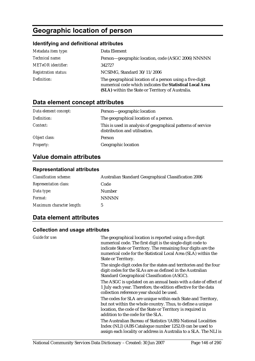# **Geographic location of person**

## **Identifying and definitional attributes**

| Metadata item type:         | Data Element                                                                                                                                                               |
|-----------------------------|----------------------------------------------------------------------------------------------------------------------------------------------------------------------------|
| Technical name:             | Person-geographic location, code (ASGC 2006) NNNNN                                                                                                                         |
| <b>METeOR</b> identifier:   | 342727                                                                                                                                                                     |
| <b>Registration status:</b> | NCSIMG, Standard 30/11/2006                                                                                                                                                |
| Definition:                 | The geographical location of a person using a five-digit<br>numerical code which indicates the Statistical Local Area<br>(SLA) within the State or Territory of Australia. |

# **Data element concept attributes**

| Data element concept: | Person-geographic location                                                                    |
|-----------------------|-----------------------------------------------------------------------------------------------|
| Definition:           | The geographical location of a person.                                                        |
| Context:              | This is used in analysis of geographical patterns of service<br>distribution and utilisation. |
| Object class:         | <b>Person</b>                                                                                 |
| <b>Property:</b>      | Geographic location                                                                           |

# **Value domain attributes**

## **Representational attributes**

| <b>Classification scheme:</b> | Australian Standard Geographical Classification 2006 |
|-------------------------------|------------------------------------------------------|
| <b>Representation class:</b>  | Code                                                 |
| Data type:                    | Number                                               |
| <i>Format:</i>                | <b>NNNNN</b>                                         |
| Maximum character length:     | 5                                                    |

# **Data element attributes**

| Guide for use: | The geographical location is reported using a five digit<br>numerical code. The first digit is the single-digit code to<br>indicate State or Territory. The remaining four digits are the<br>numerical code for the Statistical Local Area (SLA) within the<br><b>State or Territory.</b> |
|----------------|-------------------------------------------------------------------------------------------------------------------------------------------------------------------------------------------------------------------------------------------------------------------------------------------|
|                | The single digit codes for the states and territories and the four<br>digit codes for the SLAs are as defined in the Australian<br>Standard Geographical Classification (ASGC).                                                                                                           |
|                | The ASGC is updated on an annual basis with a date of effect of<br>1 July each year. Therefore, the edition effective for the data<br>collection reference year should be used.                                                                                                           |
|                | The codes for SLA are unique within each State and Territory,<br>but not within the whole country. Thus, to define a unique<br>location, the code of the State or Territory is required in<br>addition to the code for the SLA.                                                           |
|                | The Australian Bureau of Statistics '(ABS) National Localities<br>Index (NLI) (ABS Catalogue number 1252.0) can be used to<br>assign each locality or address in Australia to a SLA. The NLI is                                                                                           |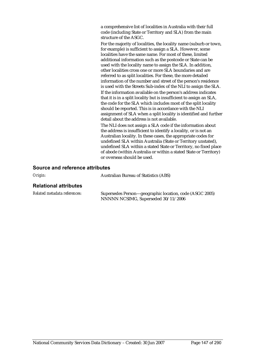a comprehensive list of localities in Australia with their full code (including State or Territory and SLA) from the main structure of the ASGC.

For the majority of localities, the locality name (suburb or town, for example) is sufficient to assign a SLA. However, some localities have the same name. For most of these, limited additional information such as the postcode or State can be used with the locality name to assign the SLA. In addition, other localities cross one or more SLA boundaries and are referred to as split localities. For these, the more detailed information of the number and street of the person's residence is used with the Streets Sub-index of the NLI to assign the SLA.

If the information available on the person's address indicates that it is in a split locality but is insufficient to assign an SLA, the code for the SLA which includes most of the split locality should be reported. This is in accordance with the NLI assignment of SLA when a split locality is identified and further detail about the address is not available.

The NLI does not assign a SLA code if the information about the address is insufficient to identify a locality, or is not an Australian locality. In these cases, the appropriate codes for undefined SLA within Australia (State or Territory unstated), undefined SLA within a stated State or Territory, no fixed place of abode (within Australia or within a stated State or Territory) or overseas should be used.

#### **Source and reference attributes**

| Origin: | <b>Australian Bureau of Statistics (ABS)</b> |
|---------|----------------------------------------------|
|         |                                              |

#### **Relational attributes**

| Related metadata references: | Supersedes Person—geographic location, code (ASGC 2005) |
|------------------------------|---------------------------------------------------------|
|                              | NNNNN NCSIMG, Superseded 30/11/2006                     |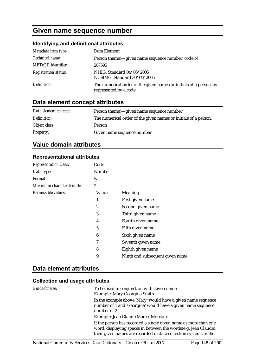# **Given name sequence number**

# **Identifying and definitional attributes**

| Metadata item type:         | Data Element                                                                                 |
|-----------------------------|----------------------------------------------------------------------------------------------|
| Technical name:             | Person (name)—given name sequence number, code N                                             |
| <b>METeOR</b> identifier:   | 287595                                                                                       |
| <b>Registration status:</b> | NHIG, Standard 04/05/2005<br>NCSIMG, Standard 30/09/2005                                     |
| Definition:                 | The numerical order of the given names or initials of a person, as<br>represented by a code. |

# **Data element concept attributes**

| Data element concept: | Person (name)—given name sequence number                        |
|-----------------------|-----------------------------------------------------------------|
| Definition:           | The numerical order of the given names or initials of a person. |
| Object class:         | Person                                                          |
| <b>Property:</b>      | Given name sequence number                                      |

# **Value domain attributes**

## **Representational attributes**

| Representation class:     | Code           |                                 |
|---------------------------|----------------|---------------------------------|
| Data type:                | Number         |                                 |
| Format:                   | N              |                                 |
| Maximum character length: | $\overline{2}$ |                                 |
| Permissible values:       | Value          | Meaning                         |
|                           | 1              | First given name                |
|                           | $\overline{2}$ | Second given name               |
|                           | 3              | Third given name                |
|                           | 4              | Fourth given name               |
|                           | 5              | Fifth given name                |
|                           | 6              | Sixth given name                |
|                           | 7              | Seventh given name              |
|                           | 8              | Eighth given name               |
|                           | 9              | Ninth and subsequent given name |

# **Data element attributes**

| Guide for use: | To be used in conjunction with Given name.<br>Example: Mary Georgina Smith                                                                                                                             |
|----------------|--------------------------------------------------------------------------------------------------------------------------------------------------------------------------------------------------------|
|                | In the example above 'Mary' would have a given name sequence<br>number of 1 and 'Georgina' would have a given name sequence<br>number of 2.                                                            |
|                | Example: Jean Claude Marcel Moreaux                                                                                                                                                                    |
|                | If the person has recorded a single given name as more than one<br>word, displaying spaces in between the words(e.g. Jean Claude),<br>their given names are recorded in data collection systems in the |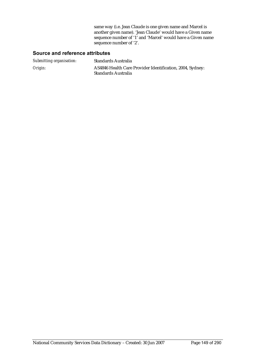same way (i.e. Jean Claude is one given name and Marcel is another given name). 'Jean Claude' would have a Given name sequence number of '1' and 'Marcel' would have a Given name sequence number of '2'.

### **Source and reference attributes**

| Submitting organisation: | Standards Australia                                                              |
|--------------------------|----------------------------------------------------------------------------------|
| Origin:                  | AS4846 Health Care Provider Identification, 2004, Sydney:<br>Standards Australia |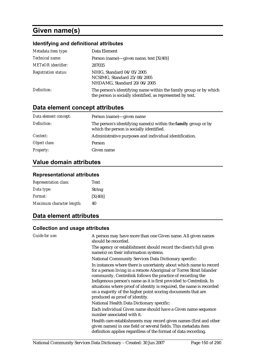# **Given name(s)**

# **Identifying and definitional attributes**

| Metadata item type:         | Data Element                                                                                                                    |
|-----------------------------|---------------------------------------------------------------------------------------------------------------------------------|
| Technical name:             | Person (name)—given name, text $[X(40)]$                                                                                        |
| <b>METeOR</b> identifier:   | 287035                                                                                                                          |
| <b>Registration status:</b> | NHIG, Standard 04/05/2005<br>NCSIMG, Standard 25/08/2005<br>NHDAMG, Standard 20/06/2005                                         |
| Definition:                 | The person's identifying name within the family group or by which<br>the person is socially identified, as represented by text. |

# **Data element concept attributes**

| Data element concept: | Person (name)—given name                                                                                          |
|-----------------------|-------------------------------------------------------------------------------------------------------------------|
| Definition:           | The person's identifying name(s) within the <b>family</b> group or by<br>which the person is socially identified. |
| <i>Context:</i>       | Administrative purposes and individual identification.                                                            |
| Object class:         | Person                                                                                                            |
| <b>Property:</b>      | Given name                                                                                                        |

# **Value domain attributes**

## **Representational attributes**

| <b>Representation class:</b> | Text          |
|------------------------------|---------------|
| Data type:                   | <b>String</b> |
| <i>Format:</i>               | [X(40)]       |
| Maximum character length:    | 40            |

# **Data element attributes**

| Guide for use: | A person may have more than one Given name. All given names<br>should be recorded.                                                                                                                                                                                                                                                                                                                                                                        |
|----------------|-----------------------------------------------------------------------------------------------------------------------------------------------------------------------------------------------------------------------------------------------------------------------------------------------------------------------------------------------------------------------------------------------------------------------------------------------------------|
|                | The agency or establishment should record the client's full given<br>name(s) on their information systems.                                                                                                                                                                                                                                                                                                                                                |
|                | National Community Services Data Dictionary specific:                                                                                                                                                                                                                                                                                                                                                                                                     |
|                | In instances where there is uncertainty about which name to record<br>for a person living in a remote Aboriginal or Torres Strait Islander<br>community, Centrelink follows the practice of recording the<br>Indigenous person's name as it is first provided to Centrelink. In<br>situations where proof of identity is required, the name is recorded<br>on a majority of the higher point scoring documents that are<br>produced as proof of identity. |
|                | National Health Data Dictionary specific:                                                                                                                                                                                                                                                                                                                                                                                                                 |
|                | Each individual Given name should have a Given name sequence<br>number associated with it.                                                                                                                                                                                                                                                                                                                                                                |
|                | Health care establishments may record given names (first and other<br>given names) in one field or several fields. This metadata item<br>definition applies regardless of the format of data recording.                                                                                                                                                                                                                                                   |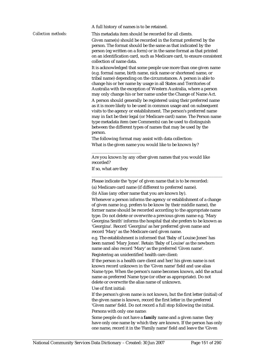A full history of names is to be retained.

*Collection methods:* This metadata item should be recorded for all clients.

Given name(s) should be recorded in the format preferred by the person. The format should be the same as that indicated by the person (eg written on a form) or in the same format as that printed on an identification card, such as Medicare card, to ensure consistent collection of name data.

It is acknowledged that some people use more than one given name (e.g. formal name, birth name, nick name or shortened name, or tribal name) depending on the circumstances. A person is able to change his or her name by usage in all States and Territories of Australia with the exception of Western Australia, where a person may only change his or her name under the Change of Name Act. A person should generally be registered using their preferred name as it is more likely to be used in common usage and on subsequent visits to the agency or establishment. The person's preferred name may in fact be their legal (or Medicare card) name. The Person name type metadata item (see Comments) can be used to distinguish between the different types of names that may be used by the person.

The following format may assist with data collection: What is the given name you would like to be known by?

Are you known by any other given names that you would like recorded?

If so, what are they

\_\_\_\_\_\_\_\_\_\_\_\_\_\_\_\_\_\_\_\_\_\_\_

Please indicate the 'type' of given name that is to be recorded:

\_\_\_\_\_\_\_\_\_\_\_\_\_\_\_\_\_\_\_\_\_\_\_\_\_\_\_\_\_\_\_\_\_\_\_\_\_\_\_\_\_\_\_\_\_\_\_\_\_\_\_\_\_\_\_\_\_\_\_\_\_

(a) Medicare card name (if different to preferred name).

(b) Alias (any other name that you are known by).

Whenever a person informs the agency or establishment of a change of given name (e.g. prefers to be know by their middle name), the former name should be recorded according to the appropriate name type. Do not delete or overwrite a previous given name e.g. 'Mary Georgina Smith' informs the hospital that she prefers to be known as 'Georgina'. Record 'Georgina' as her preferred given name and record 'Mary' as the Medicare card given name.

e.g. The establishment is informed that 'Baby of Louise Jones' has been named 'Mary Jones'. Retain 'Baby of Louise' as the newborn name and also record 'Mary' as the preferred 'Given name'.

Registering an unidentified health care client:

If the person is a health care client and her/his given name is not known record unknown in the 'Given name' field and use alias Name type. When the person's name becomes known, add the actual name as preferred Name type (or other as appropriate). Do not delete or overwrite the alias name of unknown.

Use of first initial:

If the person's given name is not known, but the first letter (initial) of the given name is known, record the first letter in the preferred 'Given name' field. Do not record a full stop following the initial. Persons with only one name:

Some people do not have a **family** name and a given name: they have only one name by which they are known. If the person has only one name, record it in the 'Family name' field and leave the 'Given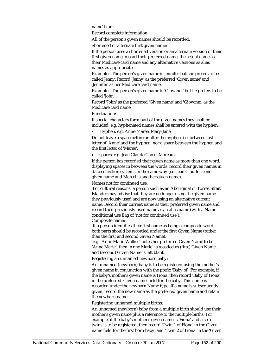name' blank.

Record complete information:

All of the person's given names should be recorded.

Shortened or alternate first given name:

If the person uses a shortened version or an alternate version of their first given name, record their preferred name, the actual name as their Medicare card name and any alternative versions as alias names as appropriate.

Example - The person's given name is Jennifer but she prefers to be called Jenny. Record 'Jenny' as the preferred 'Given name' and 'Jennifer' as her Medicare card name.

Example - The person's given name is 'Giovanni' but he prefers to be called 'John'.

Record 'John' as the preferred 'Given name' and 'Giovanni' as the Medicare card name.

Punctuation:

If special characters form part of the given names they shall be included, e.g. hyphenated names shall be entered with the hyphen.

• Hyphen, e.g. Anne-Maree, Mary-Jane

Do not leave a space before or after the hyphen, i.e. between last letter of 'Anne' and the hyphen, nor a space between the hyphen and the first letter of 'Maree'.

• spaces, e.g. Jean Claude Carcel Moreaux

If the person has recorded their given name as more than one word, displaying spaces in between the words, record their given names in data collection systems in the same way (i.e. Jean Claude is one given name and Marcel is another given name).

Names not for continued use:

 For cultural reasons, a person such as an Aboriginal or Torres Strait Islander may advise that they are no longer using the given name they previously used and are now using an alternative current name. Record their current name as their preferred given name and record their previously used name as an alias name (with a Name conditional use flag of 'not for continued use').

Composite name:

 If a person identifies their first name as being a composite word, both parts should be recorded under the first Given Name (rather than the first and second Given Name).

 e.g. 'Anne Marie Walker' notes her preferred Given Name to be 'Anne Marie', then 'Anne Marie' is recoded as (first) Given Name , and (second) Given Name is left blank.

Registering an unnamed newborn baby:

An unnamed (newborn) baby is to be registered using the mother's given name in conjunction with the prefix 'Baby of'. For example, if the baby's mother's given name is Fiona, then record 'Baby of Fiona' in the preferred 'Given name' field for the baby. This name is recorded under the newborn Name type. If a name is subsequently given, record the new name as the preferred given name and retain the newborn name.

Registering unnamed multiple births:

An unnamed (newborn) baby from a multiple birth should use their mother's given name plus a reference to the multiple births. For example, if the baby's mother's given name is 'Fiona' and a set of twins is to be registered, then record 'Twin 1 of Fiona' in the Given name field for the first born baby, and 'Twin 2 of Fiona' in the 'Given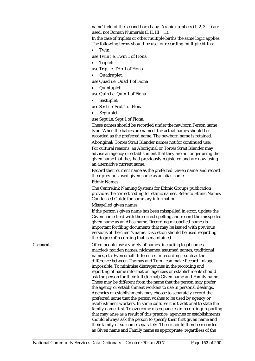name' field of the second born baby. Arabic numbers (1, 2, 3 ... ) are used, not Roman Numerals (I, II, III ......).

In the case of triplets or other multiple births the same logic applies. The following terms should be use for recording multiple births:

• Twin:

use Twin i.e. Twin 1 of Fiona

• Triplet:

use Trip i.e. Trip 1 of Fiona

- Quadruplet:
- use Quad i.e. Quad 1 of Fiona
- Quintuplet:

use Quin i.e. Quin 1 of Fiona

• Sextuplet:

use Sext i.e. Sext 1 of Fiona

• Septuplet:

use Sept i.e. Sept 1 of Fiona.

These names should be recorded under the newborn Person name type. When the babies are named, the actual names should be recorded as the preferred name. The newborn name is retained. Aboriginal/Torres Strait Islander names not for continued use:

For cultural reasons, an Aboriginal or Torres Strait Islander may advise an agency or establishment that they are no longer using the given name that they had previously registered and are now using an alternative current name.

Record their current name as the preferred 'Given name' and record their previous used given name as an alias name.

Ethnic Names:

The Centrelink Naming Systems for Ethnic Groups publication provides the correct coding for ethnic names. Refer to Ethnic Names Condensed Guide for summary information.

Misspelled given names:

If the person's given name has been misspelled in error, update the Given name field with the correct spelling and record the misspelled given name as an Alias name. Recording misspelled names is important for filing documents that may be issued with previous versions of the client's name. Discretion should be used regarding the degree of recording that is maintained.

*Comments:* Often people use a variety of names, including legal names, married/maiden names, nicknames, assumed names, traditional names, etc. Even small differences in recording - such as the difference between Thomas and Tom - can make Record linkage impossible. To minimise discrepancies in the recording and reporting of name information, agencies or establishments should ask the person for their full (formal) Given name and Family name. These may be different from the name that the person may prefer the agency or establishment workers to use in personal dealings. Agencies or establishments may choose to separately record the preferred name that the person wishes to be used by agency or establishment workers. In some cultures it is traditional to state the family name first. To overcome discrepancies in recording/reporting that may arise as a result of this practice, agencies or establishments should always ask the person to specify their first given name and their family or surname separately. These should then be recorded as Given name and Family name as appropriate, regardless of the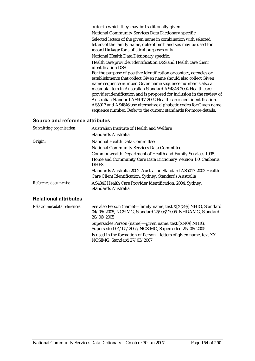| order in which they may be traditionally given.                                                                                                                                                                                                                                                                                                                                                                                                                                                                                                                |
|----------------------------------------------------------------------------------------------------------------------------------------------------------------------------------------------------------------------------------------------------------------------------------------------------------------------------------------------------------------------------------------------------------------------------------------------------------------------------------------------------------------------------------------------------------------|
| National Community Services Data Dictionary specific:                                                                                                                                                                                                                                                                                                                                                                                                                                                                                                          |
| Selected letters of the given name in combination with selected<br>letters of the family name, date of birth and sex may be used for<br>record linkage for statistical purposes only.                                                                                                                                                                                                                                                                                                                                                                          |
| National Health Data Dictionary specific:                                                                                                                                                                                                                                                                                                                                                                                                                                                                                                                      |
| Health care provider identification DSS and Health care client<br>identification DSS                                                                                                                                                                                                                                                                                                                                                                                                                                                                           |
| For the purpose of positive identification or contact, agencies or<br>establishments that collect Given name should also collect Given<br>name sequence number. Given name sequence number is also a<br>metadata item in Australian Standard AS4846-2004 Health care<br>provider identification and is proposed for inclusion in the review of<br>Australian Standard AS5017-2002 Health care client identification.<br>AS5017 and AS4846 use alternative alphabetic codes for Given name<br>sequence number. Refer to the current standards for more details. |

# **Source and reference attributes**

| Submitting organisation:     | Australian Institute of Health and Welfare                                                                                                  |
|------------------------------|---------------------------------------------------------------------------------------------------------------------------------------------|
|                              | Standards Australia                                                                                                                         |
| Origin:                      | National Health Data Committee                                                                                                              |
|                              | <b>National Community Services Data Committee</b>                                                                                           |
|                              | Commonwealth Department of Health and Family Services 1998.                                                                                 |
|                              | Home and Community Care Data Dictionary Version 1.0. Canberra:<br><b>DHFS</b>                                                               |
|                              | Standards Australia 2002. Australian Standard AS5017-2002 Health<br>Care Client Identification. Sydney: Standards Australia                 |
| Reference documents:         | AS4846 Health Care Provider Identification, 2004, Sydney:<br>Standards Australia                                                            |
| <b>Relational attributes</b> |                                                                                                                                             |
| Related metadata references: | See also Person (name)—family name, text X[X(39)] NHIG, Standard<br>04/05/2005, NCSIMG, Standard 25/08/2005, NHDAMG, Standard<br>20/06/2005 |
|                              | Supersedes Person (name)—given name, text [X(40)] NHIG,<br>Superseded 04/05/2005, NCSIMG, Superseded 25/08/2005                             |
|                              | Is used in the formation of Person—letters of given name, text XX                                                                           |

NCSIMG, Standard 27/03/2007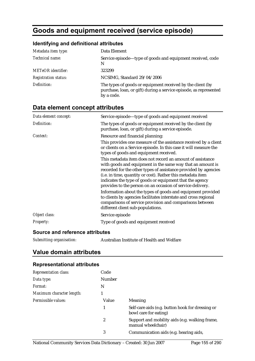# **Goods and equipment received (service episode)**

# **Identifying and definitional attributes**

| Metadata item type:         | Data Element                                                                                                                                  |
|-----------------------------|-----------------------------------------------------------------------------------------------------------------------------------------------|
| Technical name:             | Service episode—type of goods and equipment received, code<br>N                                                                               |
| <b>METeOR</b> identifier:   | 323299                                                                                                                                        |
| <b>Registration status:</b> | NCSIMG, Standard 29/04/2006                                                                                                                   |
| Definition:                 | The types of goods or equipment received by the client (by<br>purchase, loan, or gift) during a service episode, as represented<br>by a code. |

# **Data element concept attributes**

| Data element concept: | Service episode—type of goods and equipment received                                                                                                                                                                                                                                                                                                                                                                                                                                                                                                                                                                                                                                                                                                                                                                                            |
|-----------------------|-------------------------------------------------------------------------------------------------------------------------------------------------------------------------------------------------------------------------------------------------------------------------------------------------------------------------------------------------------------------------------------------------------------------------------------------------------------------------------------------------------------------------------------------------------------------------------------------------------------------------------------------------------------------------------------------------------------------------------------------------------------------------------------------------------------------------------------------------|
| Definition:           | The types of goods or equipment received by the client (by<br>purchase, loan, or gift) during a service episode.                                                                                                                                                                                                                                                                                                                                                                                                                                                                                                                                                                                                                                                                                                                                |
| Context:              | Resource and financial planning:<br>This provides one measure of the assistance received by a client<br>or clients on a Service episode. In this case it will measure the<br>types of goods and equipment received.<br>This metadata item does not record an amount of assistance<br>with goods and equipment in the same way that an amount is<br>recorded for the other types of assistance provided by agencies<br>(i.e. in time, quantity or cost). Rather this metadata item<br>indicates the type of goods or equipment that the agency<br>provides to the person on an occasion of service delivery.<br>Information about the types of goods and equipment provided<br>to clients by agencies facilitates interstate and cross regional<br>comparisons of service provision and comparisons between<br>different client sub-populations. |
| Object class:         | Service episode                                                                                                                                                                                                                                                                                                                                                                                                                                                                                                                                                                                                                                                                                                                                                                                                                                 |
| <b>Property:</b>      | Type of goods and equipment received                                                                                                                                                                                                                                                                                                                                                                                                                                                                                                                                                                                                                                                                                                                                                                                                            |

#### **Source and reference attributes**

| Submitting organisation: | Australian Institute of Health and Welfare |
|--------------------------|--------------------------------------------|
|                          |                                            |

# **Value domain attributes**

#### **Representational attributes**

| <b>Representation class:</b> | Code   |                                                                           |
|------------------------------|--------|---------------------------------------------------------------------------|
| Data type:                   | Number |                                                                           |
| Format:                      | N      |                                                                           |
| Maximum character length:    |        |                                                                           |
| Permissible values:          | Value  | <b>Meaning</b>                                                            |
|                              | 1      | Self-care aids (e.g. button hook for dressing or<br>bowl care for eating) |
|                              | 2      | Support and mobility aids (e.g. walking frame,<br>manual wheelchair)      |
|                              | 3      | Communication aids (e.g. hearing aids,                                    |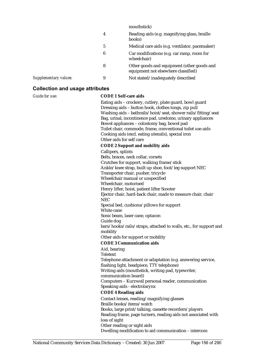| mouthstick)                                                                       |
|-----------------------------------------------------------------------------------|
| Reading aids (e.g. magnifying glass, braille<br>books)                            |
| Medical care aids (e.g. ventilator, pacemaker)                                    |
| Car modifications (e.g. car ramp, room for<br>wheelchair)                         |
| Other goods and equipment (other goods and<br>equipment not elsewhere classified) |
| Not stated/inadequately described                                                 |
|                                                                                   |

#### **Collection and usage attributes**

#### *Guide for use:* **CODE 1 Self-care aids**

Eating aids – crockery, cutlery, plate guard, bowl guard Dressing aids – button hook, clothes tongs, zip pull Washing aids – bathrails/hoist/seat, shower rails/fitting/seat Bag, urinal, incontinence pad, uredome, urinary appliances Bowel appliances – colostomy bag, bowel pad Toilet chair, commode, frame, conventional toilet use aids Cooking aids (excl. eating utensils), special iron Other aids for self care **CODE 2 Support and mobility aids** Callipers, splints Belts, braces, neck collar, corsets Crutches for support, walking frame/stick Ankle/knee strap, built up shoe, foot/leg support NEC Transporter chair, pusher, tricycle Wheelchair manual or unspecified Wheelchair, motorised Henry lifter, hoist, patient lifter Scooter Ejector chair, hard-back chair, made to measure chair, chair NEC Special bed, cushions/pillows for support White cane Sonic beam, laser cane, optacon Guide dog bars/hooks/rails/straps, attached to walls, etc., for support and mobility Other aids for support or mobility **CODE 3 Communication aids** Aid, hearing Teletext Telephone attachment or adaptation (e.g. answering service, flashing light, headpiece, TTY telephone) Writing aids (mouthstick, writing pad, typewriter, communication board) Computers – Kurzweil personal reader, communication Speaking aids - electrolarynx **CODE 4 Reading aids** Contact lenses, reading/magnifying glasses Braille books/items/watch Books, large print/talking, cassette recorders/players Reading frame, page turners, reading aids not associated with loss of sight Other reading or sight aids Dwelling modification to aid communication – intercom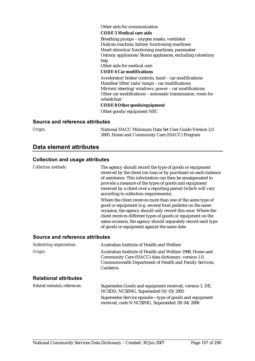#### Other aids for communication

#### **CODE 5 Medical care aids**

Breathing pumps – oxygen masks, ventilator Dialysis machine, kidney functioning machines Heart stimulus/functioning machines, pacemaker Ostomy appliances/Stoma appliances, excluding colostomy bag

Other aids for medical care

#### **CODE 6 Car modifications**

Accelerator/brake/controls, hand – car modifications Handles/lifter/rails/ramps – car modifications Mirrors/steering/windows, power – car modifications Other car modifications – automatic transmission, room for wheelchair

#### **CODE 8 Other goods/equipment**

Other goods/equipment NEC

#### **Source and reference attributes**

*Origin:* National HACC Minimum Data Set User Guide Version 2.0 2005. Home and Community Care (HACC) Program

### **Data element attributes**

#### **Collection and usage attributes**

*Collection methods:* The agency should record the type of goods or equipment received by the client (on loan or by purchase) on each instance of assistance. This information can then be amalgamated to provide a measure of the types of goods and equipment received by a client over a reporting period (which will vary according to collection requirements). Where the client receives more than one of the same type of good or equipment (e.g. several food packets) on the same occasion, the agency should only record this once. Where the client receives different types of goods or equipment on the same occasion, the agency should separately record each type of goods or equipment against the same date. **Source and reference attributes** 

| Submitting organisation:     | Australian Institute of Health and Welfare                                                                                                                                                                                                                                                                               |
|------------------------------|--------------------------------------------------------------------------------------------------------------------------------------------------------------------------------------------------------------------------------------------------------------------------------------------------------------------------|
| Origin:                      | Australian Institute of Health and Welfare 1998. Home and<br>Community Care (HACC) data dictionary, version 1.0.<br>Commonwealth Department of Health and Family Services,<br><b>Canberra</b>                                                                                                                            |
| <b>Relational attributes</b> |                                                                                                                                                                                                                                                                                                                          |
| Related metadata references: | Supersedes Goods and equipment received, version 1, DE,<br>$N$ $CCDD$ $N$ $CCDM$ $C$ $C_{2}$ $C_{2}$ $C_{2}$ $C_{2}$ $C_{2}$ $A$ $C_{2}$ $A$ $C_{2}$ $A$ $C_{2}$ $A$ $C_{2}$ $A$ $C_{2}$ $C_{2}$ $C_{2}$ $C_{2}$ $C_{2}$ $C_{2}$ $C_{2}$ $C_{2}$ $C_{2}$ $C_{2}$ $C_{2}$ $C_{2}$ $C_{2}$ $C_{2}$ $C_{2}$ $C_{2}$ $C_{2}$ |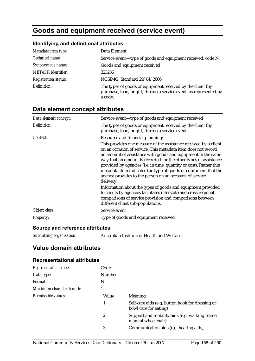# **Goods and equipment received (service event)**

# **Identifying and definitional attributes**

| Metadata item type:         | Data Element                                                                                                                                |
|-----------------------------|---------------------------------------------------------------------------------------------------------------------------------------------|
| <i>Technical name:</i>      | Service event-type of goods and equipment received, code N                                                                                  |
| Synonymous names:           | Goods and equipment received                                                                                                                |
| <b>METeOR</b> identifier:   | 323236                                                                                                                                      |
| <b>Registration status:</b> | NCSIMG, Standard 29/04/2006                                                                                                                 |
| Definition:                 | The types of goods or equipment received by the client (by<br>purchase, loan, or gift) during a service event, as represented by<br>a code. |

# **Data element concept attributes**

| Data element concept: | Service event-type of goods and equipment received                                                                                                                                                                                                                                                                                                                                                                                                                                     |
|-----------------------|----------------------------------------------------------------------------------------------------------------------------------------------------------------------------------------------------------------------------------------------------------------------------------------------------------------------------------------------------------------------------------------------------------------------------------------------------------------------------------------|
| Definition:           | The types of goods or equipment received by the client (by<br>purchase, loan, or gift) during a service event.                                                                                                                                                                                                                                                                                                                                                                         |
| Context:              | Resource and financial planning:                                                                                                                                                                                                                                                                                                                                                                                                                                                       |
|                       | This provides one measure of the assistance received by a client<br>on an occasion of service. This metadata item does not record<br>an amount of assistance with goods and equipment in the same<br>way that an amount is recorded for the other types of assistance<br>provided by agencies (i.e. in time, quantity or cost). Rather this<br>metadata item indicates the type of goods or equipment that the<br>agency provides to the person on an occasion of service<br>delivery. |
|                       | Information about the types of goods and equipment provided<br>to clients by agencies facilitates interstate and cross regional<br>comparisons of service provision and comparisons between<br>different client sub-populations.                                                                                                                                                                                                                                                       |
| Object class:         | Service event                                                                                                                                                                                                                                                                                                                                                                                                                                                                          |
| <b>Property:</b>      | Type of goods and equipment received                                                                                                                                                                                                                                                                                                                                                                                                                                                   |

#### **Source and reference attributes**

| Submitting organisation: |  | Australian Institute of Health and Welfare |
|--------------------------|--|--------------------------------------------|
|--------------------------|--|--------------------------------------------|

# **Value domain attributes**

### **Representational attributes**

| <b>Representation class:</b> | Code   |                                                                           |
|------------------------------|--------|---------------------------------------------------------------------------|
| Data type:                   | Number |                                                                           |
| Format:                      | N      |                                                                           |
| Maximum character length:    |        |                                                                           |
| Permissible values:          | Value  | <b>Meaning</b>                                                            |
|                              | 1      | Self-care aids (e.g. button hook for dressing or<br>bowl care for eating) |
|                              | 2      | Support and mobility aids (e.g. walking frame,<br>manual wheelchair)      |
|                              | 3      | Communication aids (e.g. hearing aids,                                    |
|                              |        |                                                                           |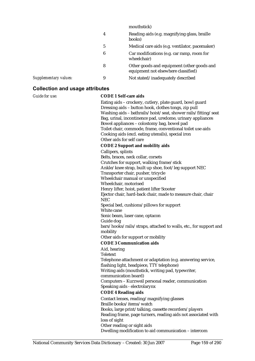| mouthstick)                                                                       |
|-----------------------------------------------------------------------------------|
| Reading aids (e.g. magnifying glass, braille<br>books)                            |
| Medical care aids (e.g. ventilator, pacemaker)                                    |
| Car modifications (e.g. car ramp, room for<br>wheelchair)                         |
| Other goods and equipment (other goods and<br>equipment not elsewhere classified) |
| Not stated/inadequately described                                                 |
|                                                                                   |

#### **Collection and usage attributes**

#### *Guide for use:* **CODE 1 Self-care aids**

Eating aids – crockery, cutlery, plate guard, bowl guard Dressing aids – button hook, clothes tongs, zip pull Washing aids – bathrails/hoist/seat, shower rails/fitting/seat Bag, urinal, incontinence pad, uredome, urinary appliances Bowel appliances – colostomy bag, bowel pad Toilet chair, commode, frame, conventional toilet use aids Cooking aids (excl. eating utensils), special iron Other aids for self care **CODE 2 Support and mobility aids** Callipers, splints Belts, braces, neck collar, corsets Crutches for support, walking frame/stick Ankle/knee strap, built up shoe, foot/leg support NEC Transporter chair, pusher, tricycle Wheelchair manual or unspecified Wheelchair, motorised Henry lifter, hoist, patient lifter Scooter Ejector chair, hard-back chair, made to measure chair, chair NEC Special bed, cushions/pillows for support White cane Sonic beam, laser cane, optacon Guide dog bars/hooks/rails/straps, attached to walls, etc., for support and mobility Other aids for support or mobility **CODE 3 Communication aids** Aid, hearing Teletext Telephone attachment or adaptation (e.g. answering service, flashing light, headpiece, TTY telephone) Writing aids (mouthstick, writing pad, typewriter, communication board) Computers – Kurzweil personal reader, communication Speaking aids - electrolarynx **CODE 4 Reading aids** Contact lenses, reading/magnifying glasses Braille books/items/watch Books, large print/talking, cassette recorders/players Reading frame, page turners, reading aids not associated with loss of sight Other reading or sight aids Dwelling modification to aid communication – intercom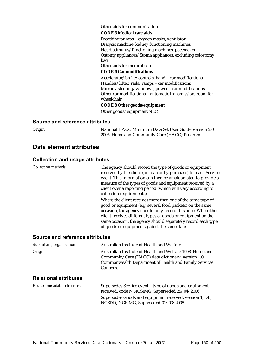#### Other aids for communication

#### **CODE 5 Medical care aids**

Breathing pumps – oxygen masks, ventilator Dialysis machine, kidney functioning machines Heart stimulus/functioning machines, pacemaker Ostomy appliances/Stoma appliances, excluding colostomy bag

Other aids for medical care

#### **CODE 6 Car modifications**

Accelerator/brake/controls, hand – car modifications Handles/lifter/rails/ramps – car modifications Mirrors/steering/windows, power – car modifications Other car modifications – automatic transmission, room for wheelchair

#### **CODE 8 Other goods/equipment**

Other goods/equipment NEC

#### **Source and reference attributes**

*Origin:* National HACC Minimum Data Set User Guide Version 2.0 2005. Home and Community Care (HACC) Program

## **Data element attributes**

#### **Collection and usage attributes**

*Collection methods:* The agency should record the type of goods or equipment received by the client (on loan or by purchase) for each Service event. This information can then be amalgamated to provide a measure of the types of goods and equipment received by a client over a reporting period (which will vary according to collection requirements). Where the client receives more than one of the same type of good or equipment (e.g. several food packets) on the same occasion, the agency should only record this once. Where the client receives different types of goods or equipment on the same occasion, the agency should separately record each type of goods or equipment against the same date. **Source and reference attributes**  *Submitting organisation:* Australian Institute of Health and Welfare

*Origin:* Australian Institute of Health and Welfare 1998. Home and Community Care (HACC) data dictionary, version 1.0. Commonwealth Department of Health and Family Services, Canberra

#### **Relational attributes**

*Related metadata references:* Supersedes Service event—type of goods and equipment received, code N NCSIMG, Superseded 29/04/2006 Supersedes Goods and equipment received, version 1, DE, NCSDD, NCSIMG, Superseded 01/03/2005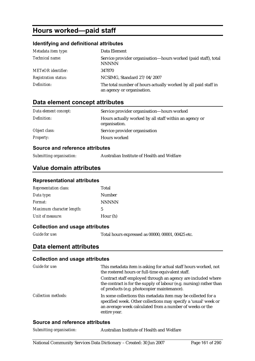# **Hours worked—paid staff**

### **Identifying and definitional attributes**

| Metadata item type:         | Data Element                                                                                 |
|-----------------------------|----------------------------------------------------------------------------------------------|
| Technical name:             | Service provider organisation—hours worked (paid staff), total<br><b>NNNNN</b>               |
| <b>METeOR</b> identifier:   | 347870                                                                                       |
| <b>Registration status:</b> | NCSIMG, Standard 27/04/2007                                                                  |
| Definition:                 | The total number of hours actually worked by all paid staff in<br>an agency or organisation. |

# **Data element concept attributes**

| Data element concept: | Service provider organisation—hours worked                              |
|-----------------------|-------------------------------------------------------------------------|
| Definition:           | Hours actually worked by all staff within an agency or<br>organisation. |
| Object class:         | Service provider organisation                                           |
| <i>Property:</i>      | Hours worked                                                            |

#### **Source and reference attributes**

*Submitting organisation:* Australian Institute of Health and Welfare

## **Value domain attributes**

#### **Representational attributes**

| <b>Representation class:</b> | Total        |
|------------------------------|--------------|
| Data type:                   | Number       |
| Format:                      | <b>NNNNN</b> |
| Maximum character length:    | 5            |
| Unit of measure:             | Hour (h)     |

#### **Collection and usage attributes**

*Guide for use:* Total hours expressed as 00000, 00001, 00425 etc.

### **Data element attributes**

#### **Collection and usage attributes**

| Guide for use:             | This metadata item is asking for actual staff hours worked, not<br>the rostered hours or full-time equivalent staff.                                                                                         |
|----------------------------|--------------------------------------------------------------------------------------------------------------------------------------------------------------------------------------------------------------|
|                            | Contract staff employed through an agency are included where<br>the contract is for the supply of labour (e.g. nursing) rather than<br>of products (e.g. photocopier maintenance).                           |
| <b>Collection methods:</b> | In some collections this metadata item may be collected for a<br>specified week. Other collections may specify a 'usual' week or<br>an average week calculated from a number of weeks or the<br>entire year. |

#### **Source and reference attributes**

| Australian Institute of Health and Welfare |
|--------------------------------------------|
|                                            |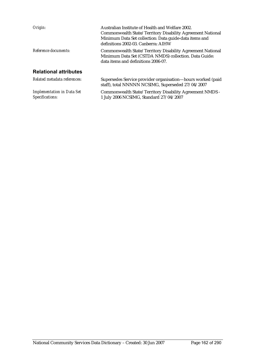| Origin:                      | Australian Institute of Health and Welfare 2002.<br>Commonwealth State/Territory Disability Agreement National<br>Minimum Data Set collection: Data guide-data items and<br>definitions 2002-03. Canberra: AIHW |
|------------------------------|-----------------------------------------------------------------------------------------------------------------------------------------------------------------------------------------------------------------|
| Reference documents:         | Commonwealth State/Territory Disability Agreement National<br>Minimum Data Set (CSTDA NMDS) collection. Data Guide:<br>data items and definitions 2006-07.                                                      |
| <b>Relational attributes</b> |                                                                                                                                                                                                                 |
| Related metadata references: | Supersedes Service provider organisation—hours worked (paid<br>staff), total NNNNN NCSIMG, Superseded 27/04/2007                                                                                                |

Commonwealth State/Territory Disability Agreement NMDS -

1 July 2006 NCSIMG, Standard 27/04/2007

*Implementation in Data Set* 

*Specifications:*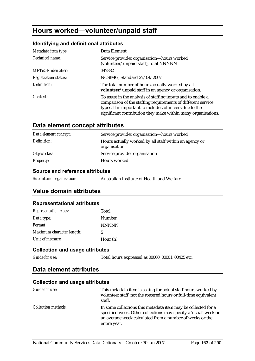# **Hours worked—volunteer/unpaid staff**

### **Identifying and definitional attributes**

| Metadata item type:         | Data Element                                                                                                                                                                            |
|-----------------------------|-----------------------------------------------------------------------------------------------------------------------------------------------------------------------------------------|
| Technical name:             | Service provider organisation—hours worked<br>(volunteer/unpaid staff), total NNNNN                                                                                                     |
| <b>METeOR</b> identifier:   | 347882                                                                                                                                                                                  |
| <b>Registration status:</b> | NCSIMG, Standard 27/04/2007                                                                                                                                                             |
| Definition:                 | The total number of hours actually worked by all<br>volunteer/unpaid staff in an agency or organisation.                                                                                |
| Context:                    | To assist in the analysis of staffing inputs and to enable a<br>comparison of the staffing requirements of different service<br>types. It is important to include volunteers due to the |
|                             | significant contribution they make within many organisations.                                                                                                                           |

# **Data element concept attributes**

| Data element concept: | Service provider organisation-hours worked                              |
|-----------------------|-------------------------------------------------------------------------|
| Definition:           | Hours actually worked by all staff within an agency or<br>organisation. |
| Object class:         | Service provider organisation                                           |
| <b>Property:</b>      | Hours worked                                                            |

#### **Source and reference attributes**

| Submitting organisation: | Australian Institute of Health and Welfare |
|--------------------------|--------------------------------------------|
|                          |                                            |

# **Value domain attributes**

#### **Representational attributes**

| <b>Representation class:</b> | Total        |
|------------------------------|--------------|
| Data type:                   | Number       |
| Format:                      | <b>NNNNN</b> |
| Maximum character length:    | 5            |
| Unit of measure:             | Hour (h)     |

#### **Collection and usage attributes**

*Guide for use:* Total hours expressed as 00000, 00001, 00425 etc.

### **Data element attributes**

| Guide for use:             | This metadata item is asking for actual staff hours worked by<br>volunteer staff, not the rostered hours or full-time equivalent<br>staff.                                                                   |
|----------------------------|--------------------------------------------------------------------------------------------------------------------------------------------------------------------------------------------------------------|
| <i>Collection methods:</i> | In some collections this metadata item may be collected for a<br>specified week. Other collections may specify a 'usual' week or<br>an average week calculated from a number of weeks or the<br>entire year. |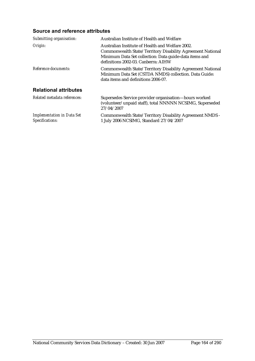## **Source and reference attributes**

| Submitting organisation:                             | Australian Institute of Health and Welfare                                                                                                                                                                      |
|------------------------------------------------------|-----------------------------------------------------------------------------------------------------------------------------------------------------------------------------------------------------------------|
| Origin:                                              | Australian Institute of Health and Welfare 2002.<br>Commonwealth State/Territory Disability Agreement National<br>Minimum Data Set collection: Data guide-data items and<br>definitions 2002-03. Canberra: AIHW |
| Reference documents:                                 | Commonwealth State/Territory Disability Agreement National<br>Minimum Data Set (CSTDA NMDS) collection. Data Guide:<br>data items and definitions 2006-07.                                                      |
| <b>Relational attributes</b>                         |                                                                                                                                                                                                                 |
| Related metadata references:                         | Supersedes Service provider organisation—hours worked<br>(volunteer/unpaid staff), total NNNNN NCSIMG, Superseded<br>27/04/2007                                                                                 |
| <b>Implementation in Data Set</b><br>Specifications: | Commonwealth State/Territory Disability Agreement NMDS -<br>1 July 2006 NCSIMG, Standard 27/04/2007                                                                                                             |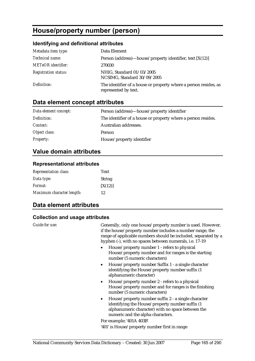# **House/property number (person)**

# **Identifying and definitional attributes**

| Metadata item type:         | Data Element                                                                             |
|-----------------------------|------------------------------------------------------------------------------------------|
| Technical name:             | Person (address)—house/property identifier, text $[X(12)]$                               |
| <b>METeOR</b> identifier:   | 270030                                                                                   |
| <b>Registration status:</b> | NHIG, Standard 01/03/2005<br>NCSIMG, Standard 30/09/2005                                 |
| Definition:                 | The identifier of a house or property where a person resides, as<br>represented by text. |

# **Data element concept attributes**

| Data element concept: | Person (address)—house/property identifier                    |
|-----------------------|---------------------------------------------------------------|
| Definition:           | The identifier of a house or property where a person resides. |
| <i>Context:</i>       | Australian addresses.                                         |
| Object class:         | Person                                                        |
| <b>Property:</b>      | House/property identifier                                     |

# **Value domain attributes**

### **Representational attributes**

| <b>Representation class:</b> | <b>Text</b>   |
|------------------------------|---------------|
| Data type:                   | <b>String</b> |
| <i>Format:</i>               | [X(12)]       |
| Maximum character length:    | 12            |

# **Data element attributes**

| Guide for use: | Generally, only one house/property number is used. However,<br>if the house/property number includes a number range, the<br>range of applicable numbers should be included, separated by a<br>hyphen (-), with no spaces between numerals, i.e. 17-19 |
|----------------|-------------------------------------------------------------------------------------------------------------------------------------------------------------------------------------------------------------------------------------------------------|
|                | House/property number 1 - refers to physical<br>House/property number and for ranges is the starting<br>number (5 numeric characters)                                                                                                                 |
|                | House/property number Suffix 1 - a single character<br>$\bullet$<br>identifying the House/property number suffix (1<br>alphanumeric character)                                                                                                        |
|                | House/property number 2 - refers to a physical<br>$\bullet$<br>House/property number and for ranges is the finishing<br>number (5 numeric characters)                                                                                                 |
|                | House/property number suffix 2 - a single character<br>$\bullet$<br>identifying the House/property number suffix (1<br>alphanumeric character) with no space between the<br>numeric and the alpha characters.                                         |
|                | For example; '401A 403B'                                                                                                                                                                                                                              |
|                | '401' is House/property number first in range                                                                                                                                                                                                         |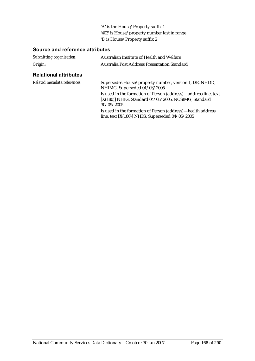'A' is the House/Property suffix 1 '403' is House/property number last in range 'B' is House/Property suffix 2

## **Source and reference attributes**

| Submitting organisation:     | Australian Institute of Health and Welfare                                                                                              |
|------------------------------|-----------------------------------------------------------------------------------------------------------------------------------------|
| Origin:                      | <b>Australia Post Address Presentation Standard</b>                                                                                     |
| <b>Relational attributes</b> |                                                                                                                                         |
| Related metadata references: | Supersedes House/property number, version 1, DE, NHDD,<br>NHIMG, Superseded 01/03/2005                                                  |
|                              | Is used in the formation of Person (address)—address line, text<br>$[X(180)]$ NHIG, Standard 04/05/2005, NCSIMG, Standard<br>30/09/2005 |
|                              | Is used in the formation of Person (address)—health address<br>line, text [X(180)] NHIG, Superseded $04/05/2005$                        |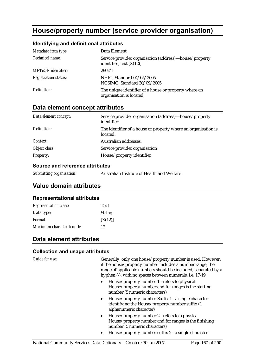# **House/property number (service provider organisation)**

#### **Identifying and definitional attributes**

| Metadata item type:         | Data Element                                                                         |
|-----------------------------|--------------------------------------------------------------------------------------|
| Technical name:             | Service provider organisation (address)—house/property<br>identifier, text $[X(12)]$ |
| <b>METeOR</b> identifier:   | 290241                                                                               |
| <b>Registration status:</b> | NHIG, Standard 04/05/2005<br>NCSIMG, Standard 30/09/2005                             |
| Definition:                 | The unique identifier of a house or property where an<br>organisation is located.    |

# **Data element concept attributes**

| Data element concept: | Service provider organisation (address)—house/property<br>identifier       |
|-----------------------|----------------------------------------------------------------------------|
| Definition:           | The identifier of a house or property where an organisation is<br>located. |
| Context:              | Australian addresses.                                                      |
| Object class:         | Service provider organisation                                              |
| <b>Property:</b>      | House/property identifier                                                  |

#### **Source and reference attributes**

| Submitting organisation: | Australian Institute of Health and Welfare |
|--------------------------|--------------------------------------------|
|                          |                                            |

### **Value domain attributes**

#### **Representational attributes**

| <b>Representation class:</b> | <b>Text</b>   |
|------------------------------|---------------|
| Data type:                   | <b>String</b> |
| Format:                      | [X(12)]       |
| Maximum character length:    | 12            |

# **Data element attributes**

#### **Collection and usage attributes**

*Guide for use:* Generally, only one house/property number is used. However, if the house/property number includes a number range, the range of applicable numbers should be included, separated by a hyphen (-), with no spaces between numerals, i.e. 17-19

- House/property number 1 refers to physical House/property number and for ranges is the starting number (5 numeric characters)
- House/property number Suffix 1 a single character identifying the House/property number suffix (1 alphanumeric character)
- House/property number 2 refers to a physical House/property number and for ranges is the finishing number (5 numeric characters)
- House/property number suffix 2 a single character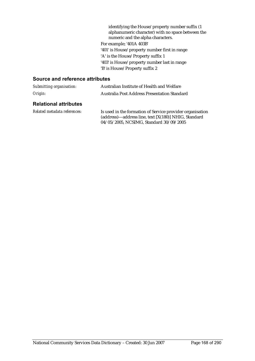identifying the House/property number suffix (1 alphanumeric character) with no space between the numeric and the alpha characters. For example; '401A 403B' '401' is House/property number first in range 'A' is the House/Property suffix 1 '403' is House/property number last in range 'B' is House/Property suffix 2

#### **Source and reference attributes**

| Submitting organisation:     | Australian Institute of Health and Welfare                                                                                                                   |
|------------------------------|--------------------------------------------------------------------------------------------------------------------------------------------------------------|
| Origin:                      | Australia Post Address Presentation Standard                                                                                                                 |
| <b>Relational attributes</b> |                                                                                                                                                              |
| Related metadata references: | Is used in the formation of Service provider organisation<br>(address)-address line, text [X(180)] NHIG, Standard<br>04/05/2005, NCSIMG, Standard 30/09/2005 |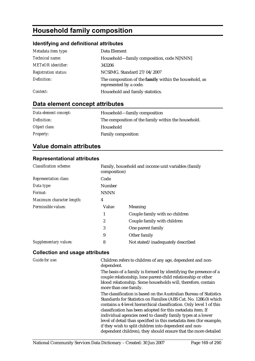# **Household family composition**

### **Identifying and definitional attributes**

| Metadata item type:         | Data Element                                                                     |
|-----------------------------|----------------------------------------------------------------------------------|
| Technical name:             | Household-family composition, code N[NNN]                                        |
| <b>METeOR</b> identifier:   | 343206                                                                           |
| <b>Registration status:</b> | NCSIMG, Standard 27/04/2007                                                      |
| Definition:                 | The composition of the family within the household, as<br>represented by a code. |
| Context:                    | Household and family statistics.                                                 |

# **Data element concept attributes**

| Data element concept: | Household—family composition                        |
|-----------------------|-----------------------------------------------------|
| Definition:           | The composition of the family within the household. |
| Object class:         | Household                                           |
| <b>Property:</b>      | <b>Family composition</b>                           |

# **Value domain attributes**

#### **Representational attributes**

| <b>Classification scheme:</b> | composition) | Family, household and income unit variables (family |
|-------------------------------|--------------|-----------------------------------------------------|
| <b>Representation class:</b>  | Code         |                                                     |
| Data type:                    | Number       |                                                     |
| Format:                       | <b>NNNN</b>  |                                                     |
| Maximum character length:     | 4            |                                                     |
| Permissible values:           | Value        | Meaning                                             |
|                               | 1            | Couple family with no children                      |
|                               | 2            | Couple family with children                         |
|                               | 3            | One parent family                                   |
|                               | 9            | Other family                                        |
| Supplementary values:         | 8            | Not stated/inadequately described                   |

#### **Collection and usage attributes**

*Guide for use:* Children refers to children of any age, dependent and nondependent.

> The basis of a family is formed by identifying the presence of a couple relationship, lone parent-child relationship or other blood relationship. Some households will, therefore, contain more than one family.

The classification is based on the Australian Bureau of Statistics Standards for Statistics on Families (ABS Cat. No. 1286.0) which contains a 4-level hierarchical classification. Only level 1 of this classification has been adopted for this metadata item. If individual agencies need to classify family types at a lower level of detail than specified in this metadata item (for example, if they wish to split children into dependent and nondependent children), they should ensure that the more detailed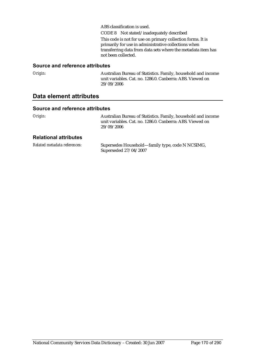ABS classification is used. CODE 8 Not stated/inadequately described This code is not for use on primary collection forms. It is primarily for use in administrative collections when transferring data from data sets where the metadata item has not been collected.

#### **Source and reference attributes**

*Origin:* Australian Bureau of Statistics. Family, household and income unit variables. Cat. no. 1286.0. Canberra: ABS. Viewed on 29/09/2006

## **Data element attributes**

#### **Source and reference attributes**

*Origin:* Australian Bureau of Statistics. Family, household and income unit variables. Cat. no. 1286.0. Canberra: ABS. Viewed on 29/09/2006

#### **Relational attributes**

| Related metadata references: | Supersedes Household—family type, code N NCSIMG, |
|------------------------------|--------------------------------------------------|
|                              | Superseded 27/04/2007                            |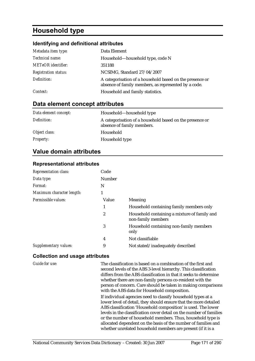# **Household type**

#### **Identifying and definitional attributes**

| Metadata item type:         | Data Element                                                                                                     |
|-----------------------------|------------------------------------------------------------------------------------------------------------------|
| Technical name:             | Household—household type, code N                                                                                 |
| <b>METeOR</b> identifier:   | 351188                                                                                                           |
| <b>Registration status:</b> | NCSIMG, Standard 27/04/2007                                                                                      |
| Definition:                 | A categorisation of a household based on the presence or<br>absence of family members, as represented by a code. |
| Context:                    | Household and family statistics.                                                                                 |

## **Data element concept attributes**

| Data element concept: | Household—household type                                                               |
|-----------------------|----------------------------------------------------------------------------------------|
| Definition:           | A categorisation of a household based on the presence or<br>absence of family members. |
| Object class:         | Household                                                                              |
| <b>Property:</b>      | Household type                                                                         |

# **Value domain attributes**

#### **Representational attributes**

| <b>Representation class:</b> | Code   |                                                                    |
|------------------------------|--------|--------------------------------------------------------------------|
| Data type:                   | Number |                                                                    |
| Format:                      | N      |                                                                    |
| Maximum character length:    |        |                                                                    |
| Permissible values:          | Value  | Meaning                                                            |
|                              |        | Household containing family members only                           |
|                              | 2      | Household containing a mixture of family and<br>non-family members |
|                              | 3      | Household containing non-family members<br>only                    |
|                              | 4      | Not classifiable                                                   |
| Supplementary values:        | 9      | Not stated/inadequately described                                  |

#### **Collection and usage attributes**

*Guide for use:* The classification is based on a combination of the first and second levels of the ABS 3-level hierarchy. This classification differs from the ABS classification in that it seeks to determine whether there are non-family persons co-resident with the person of concern. Care should be taken in making comparisons with the ABS data for Household composition.

> If individual agencies need to classify household types at a lower level of detail, they should ensure that the more detailed ABS classification 'Household composition' is used. The lower levels in the classification cover detail on the number of families or the number of household members. Thus, household type is allocated dependent on the basis of the number of families and whether unrelated household members are present (if it is a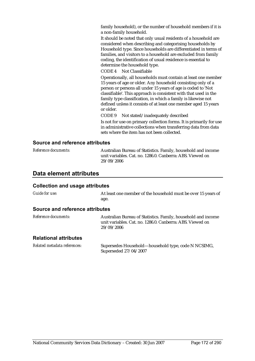family household), or the number of household members if it is a non-family household.

It should be noted that only usual residents of a household are considered when describing and categorising households by Household type. Since households are differentiated in terms of families, and visitors to a household are excluded from family coding, the identification of usual residence is essential to determine the household type.

CODE 4 Not Classifiable

Operationally, all households must contain at least one member 15 years of age or older. Any household consisting only of a person or persons all under 15 years of age is coded to 'Not classifiable'. This approach is consistent with that used in the family type classification, in which a family is likewise not defined unless it consists of at least one member aged 15 years or older.

CODE 9 Not stated/inadequately described

Is not for use on primary collection forms. It is primarily for use in administrative collections when transferring data from data sets where the item has not been collected.

#### **Source and reference attributes**

| <i>Reference documents:</i> | Australian Bureau of Statistics. Family, household and income |
|-----------------------------|---------------------------------------------------------------|
|                             | unit variables. Cat. no. 1286.0. Canberra: ABS. Viewed on     |
|                             | 29/09/2006                                                    |

### **Data element attributes**

#### **Collection and usage attributes**

*Guide for use:* At least one member of the household must be over 15 years of age.

#### **Source and reference attributes**

| <i>Reference documents:</i>  | Australian Bureau of Statistics. Family, household and income<br>unit variables. Cat. no. 1286.0. Canberra: ABS. Viewed on<br>29/09/2006 |
|------------------------------|------------------------------------------------------------------------------------------------------------------------------------------|
| <b>Relational attributes</b> |                                                                                                                                          |

*Related metadata references:* Supersedes Household—household type, code N NCSIMG, Superseded 27/04/2007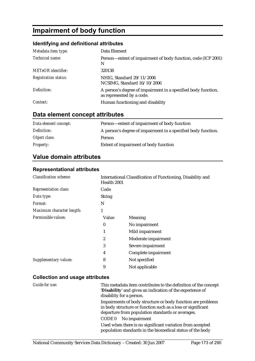# **Impairment of body function**

## **Identifying and definitional attributes**

| Metadata item type:         | Data Element                                                                               |
|-----------------------------|--------------------------------------------------------------------------------------------|
| Technical name:             | Person—extent of impairment of body function, code (ICF 2001)<br>N                         |
| <b>METeOR</b> identifier:   | 320138                                                                                     |
| <b>Registration status:</b> | NHIG, Standard 29/11/2006<br>NCSIMG, Standard 16/10/2006                                   |
| Definition:                 | A person's degree of impairment in a specified body function,<br>as represented by a code. |
| Context:                    | Human functioning and disability                                                           |

# **Data element concept attributes**

| Data element concept: | Person—extent of impairment of body function                  |
|-----------------------|---------------------------------------------------------------|
| Definition:           | A person's degree of impairment in a specified body function. |
| Object class:         | Person                                                        |
| <b>Property:</b>      | Extent of impairment of body function                         |

# **Value domain attributes**

#### **Representational attributes**

| <b>Classification scheme:</b> | Health 2001   | International Classification of Functioning, Disability and |  |
|-------------------------------|---------------|-------------------------------------------------------------|--|
| <b>Representation class:</b>  | Code          |                                                             |  |
| Data type:                    | <b>String</b> |                                                             |  |
| Format:                       | N             |                                                             |  |
| Maximum character length:     | 1             |                                                             |  |
| Permissible values:           | Value         | Meaning                                                     |  |
|                               | $\bf{0}$      | No impairment                                               |  |
|                               | 1             | Mild impairment                                             |  |
|                               | 2             | Moderate impairment                                         |  |
|                               | 3             | Severe impairment                                           |  |
|                               | 4             | Complete impairment                                         |  |
| Supplementary values:         | 8             | Not specified                                               |  |
|                               | 9             | Not applicable                                              |  |

| Guide for use: | This metadata item contributes to the definition of the concept<br>'Disability' and gives an indication of the experience of<br>disability for a person.                       |
|----------------|--------------------------------------------------------------------------------------------------------------------------------------------------------------------------------|
|                | Impairments of body structure or body function are problems<br>in body structure or function such as a loss or significant<br>departure from population standards or averages. |
|                | No impairment<br>CODE 0                                                                                                                                                        |
|                | Used when there is no significant variation from accepted<br>population standards in the biomedical status of the body                                                         |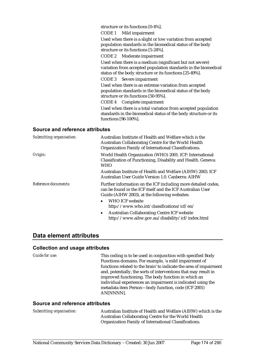structure or its functions [0-4%].

CODE 1 Mild impairment

Used when there is a slight or low variation from accepted population standards in the biomedical status of the body structure or its functions [5-24%].

CODE 2 Moderate impairment

Used when there is a medium (significant but not severe) variation from accepted population standards in the biomedical status of the body structure or its functions [25-49%].

CODE 3 Severe impairment

Used when there is an extreme variation from accepted population standards in the biomedical status of the body structure or its functions [50-95%].

CODE 4 Complete impairment

Used when there is a total variation from accepted population standards in the biomedical status of the body structure or its functions [96-100%].

#### **Source and reference attributes**

| Submitting organisation: | Australian Institute of Health and Welfare which is the<br>Australian Collaborating Centre for the World Health<br>Organization Family of International Classifications.     |
|--------------------------|------------------------------------------------------------------------------------------------------------------------------------------------------------------------------|
| Origin:                  | World Health Organization (WHO) 2001. ICF: International<br>Classification of Functioning, Disability and Health. Geneva:<br>WHO                                             |
|                          | Australian Institute of Health and Welfare (AIHW) 2003. ICF<br>Australian User Guide Version 1.0. Canberra: AIHW                                                             |
| Reference documents:     | Further information on the ICF including more detailed codes,<br>can be found in the ICF itself and the ICF Australian User<br>Guide (AIHW 2003), at the following websites: |
|                          | WHO ICF website<br>$\bullet$<br>http://www.who.int/classifications/icf/en/                                                                                                   |
|                          | <b>Australian Collaborating Centre ICF website</b><br>$\bullet$<br>http://www.aihw.gov.au/disability/icf/index.html                                                          |

### **Data element attributes**

#### **Collection and usage attributes**

*Guide for use:* This coding is to be used in conjunction with specified Body Functions domains. For example, 'a mild impairment of functions related to the brain' to indicate the area of impairment and, potentially, the sorts of interventions that may result in improved functioning. The body function in which an individual experiences an impairment is indicated using the metadata item Person—body function, code (ICF 2001) AN[NNNN].

#### **Source and reference attributes**

*Submitting organisation:* Australian Institute of Health and Welfare (AIHW) which is the Australian Collaborating Centre for the World Health Organization Family of International Classifications.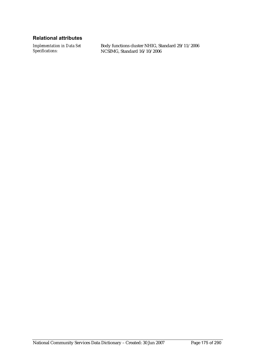### **Relational attributes**

*Implementation in Data Set Specifications:*

Body functions cluster NHIG, Standard 29/11/2006 NCSIMG, Standard 16/10/2006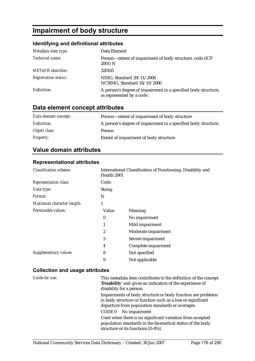# **Impairment of body structure**

## **Identifying and definitional attributes**

| Metadata item type:         | Data Element                                                                                |
|-----------------------------|---------------------------------------------------------------------------------------------|
| Technical name:             | Person—extent of impairment of body structure, code (ICF)<br>2001) N                        |
| <b>METeOR</b> identifier:   | 320165                                                                                      |
| <b>Registration status:</b> | NHIG, Standard 29/11/2006<br>NCSIMG, Standard 16/10/2006                                    |
| Definition:                 | A person's degree of impairment in a specified body structure,<br>as represented by a code. |

# **Data element concept attributes**

| Data element concept: | Person—extent of impairment of body structure                  |
|-----------------------|----------------------------------------------------------------|
| Definition:           | A person's degree of impairment in a specified body structure. |
| Object class:         | <b>Person</b>                                                  |
| <b>Property:</b>      | Extent of impairment of body structure                         |

# **Value domain attributes**

### **Representational attributes**

| <b>Classification scheme:</b> | International Classification of Functioning, Disability and<br>Health 2001 |                     |
|-------------------------------|----------------------------------------------------------------------------|---------------------|
| <b>Representation class:</b>  | Code                                                                       |                     |
| Data type:                    | <b>String</b>                                                              |                     |
| <i>Format:</i>                | N                                                                          |                     |
| Maximum character length:     | 1                                                                          |                     |
| Permissible values:           | Value                                                                      | Meaning             |
|                               | 0                                                                          | No impairment       |
|                               |                                                                            | Mild impairment     |
|                               | 2                                                                          | Moderate impairment |
|                               | 3                                                                          | Severe impairment   |
|                               | 4                                                                          | Complete impairment |
| Supplementary values:         | 8                                                                          | Not specified       |
|                               | 9                                                                          | Not applicable      |

| Guide for use: | This metadata item contributes to the definition of the concept<br>'Disability' and gives an indication of the experience of<br>disability for a person.                                                 |
|----------------|----------------------------------------------------------------------------------------------------------------------------------------------------------------------------------------------------------|
|                | Impairments of body structure or body function are problems<br>in body structure or function such as a loss or significant<br>departure from population standards or averages.<br>$CODE 0$ No impairment |
|                | Used when there is no significant variation from accepted<br>population standards in the biomedical status of the body<br>structure or its functions [0-4%].                                             |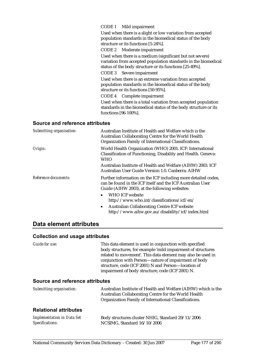CODE 1 Mild impairment

Used when there is a slight or low variation from accepted population standards in the biomedical status of the body structure or its functions [5-24%].

CODE 2 Moderate impairment

Used when there is a medium (significant but not severe) variation from accepted population standards in the biomedical status of the body structure or its functions [25-49%].

CODE 3 Severe impairment

Used when there is an extreme variation from accepted population standards in the biomedical status of the body structure or its functions [50-95%].

CODE 4 Complete impairment

Used when there is a total variation from accepted population standards in the biomedical status of the body structure or its functions [96-100%].

#### **Source and reference attributes**

| Submitting organisation: | Australian Institute of Health and Welfare which is the<br>Australian Collaborating Centre for the World Health<br>Organization Family of International Classifications.     |
|--------------------------|------------------------------------------------------------------------------------------------------------------------------------------------------------------------------|
| Origin:                  | World Health Organization (WHO) 2001. ICF: International<br>Classification of Functioning, Disability and Health. Geneva:<br>WHO                                             |
|                          | Australian Institute of Health and Welfare (AIHW) 2003. ICF<br>Australian User Guide Version 1.0. Canberra: AIHW                                                             |
| Reference documents:     | Further information on the ICF including more detailed codes,<br>can be found in the ICF itself and the ICF Australian User<br>Guide (AIHW 2003), at the following websites: |
|                          | <b>WHO ICF website</b><br>$\bullet$<br>http://www.who.int/classifications/icf/en/                                                                                            |
|                          | <b>Australian Collaborating Centre ICF website</b><br>$\bullet$<br>http://www.aihw.gov.au/disability/icf/index.html                                                          |

### **Data element attributes**

#### **Collection and usage attributes**

*Guide for use:* This data element is used in conjunction with specified body structures, for example 'mild impairment of structures related to movement'. This data element may also be used in conjunction with Person—nature of impairment of body structure, code (ICF 2001) N and Person—location of impairment of body structure, code (ICF 2001) N.

### **Source and reference attributes**

| Submitting organisation: | Australian Institute of Health and Welfare (AIHW) which is the |
|--------------------------|----------------------------------------------------------------|
|                          | Australian Collaborating Centre for the World Health           |
|                          | Organization Family of International Classifications.          |
|                          |                                                                |

#### **Relational attributes**

| <b>Implementation in Data Set</b> | Body structures cluster NHIG, Standard 29/11/2006 |
|-----------------------------------|---------------------------------------------------|
| Specifications:                   | NCSIMG, Standard 16/10/2006                       |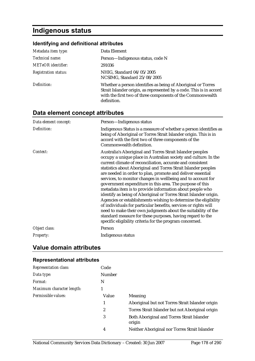# **Indigenous status**

# **Identifying and definitional attributes**

| Metadata item type:         | Data Element                                                                                                                                                                                                     |
|-----------------------------|------------------------------------------------------------------------------------------------------------------------------------------------------------------------------------------------------------------|
| Technical name:             | Person-Indigenous status, code N                                                                                                                                                                                 |
| <b>METeOR</b> identifier:   | 291036                                                                                                                                                                                                           |
| <b>Registration status:</b> | NHIG, Standard 04/05/2005<br>NCSIMG, Standard 25/08/2005                                                                                                                                                         |
| Definition:                 | Whether a person identifies as being of Aboriginal or Torres<br>Strait Islander origin, as represented by a code. This is in accord<br>with the first two of three components of the Commonwealth<br>definition. |

# **Data element concept attributes**

| Data element concept: | Person-Indigenous status                                                                                                                                                                                                                                                                                                                                                                                                                                                                                                                                                                                                                                                                                                                                                                                                                                                                                                |
|-----------------------|-------------------------------------------------------------------------------------------------------------------------------------------------------------------------------------------------------------------------------------------------------------------------------------------------------------------------------------------------------------------------------------------------------------------------------------------------------------------------------------------------------------------------------------------------------------------------------------------------------------------------------------------------------------------------------------------------------------------------------------------------------------------------------------------------------------------------------------------------------------------------------------------------------------------------|
| Definition:           | Indigenous Status is a measure of whether a person identifies as<br>being of Aboriginal or Torres Strait Islander origin. This is in<br>accord with the first two of three components of the<br>Commonwealth definition.                                                                                                                                                                                                                                                                                                                                                                                                                                                                                                                                                                                                                                                                                                |
| Context:              | Australia's Aboriginal and Torres Strait Islander peoples<br>occupy a unique place in Australian society and culture. In the<br>current climate of reconciliation, accurate and consistent<br>statistics about Aboriginal and Torres Strait Islander peoples<br>are needed in order to plan, promote and deliver essential<br>services, to monitor changes in wellbeing and to account for<br>government expenditure in this area. The purpose of this<br>metadata item is to provide information about people who<br>identify as being of Aboriginal or Torres Strait Islander origin.<br>Agencies or establishments wishing to determine the eligibility<br>of individuals for particular benefits, services or rights will<br>need to make their own judgments about the suitability of the<br>standard measure for these purposes, having regard to the<br>specific eligibility criteria for the program concerned. |
| Object class:         | Person                                                                                                                                                                                                                                                                                                                                                                                                                                                                                                                                                                                                                                                                                                                                                                                                                                                                                                                  |
| Property:             | Indigenous status                                                                                                                                                                                                                                                                                                                                                                                                                                                                                                                                                                                                                                                                                                                                                                                                                                                                                                       |

# **Value domain attributes**

## **Representational attributes**

| <b>Representation class:</b> | Code   |                                                      |
|------------------------------|--------|------------------------------------------------------|
| Data type:                   | Number |                                                      |
| Format:                      | N      |                                                      |
| Maximum character length:    |        |                                                      |
| Permissible values:          | Value  | <b>Meaning</b>                                       |
|                              |        | Aboriginal but not Torres Strait Islander origin     |
|                              | 2      | Torres Strait Islander but not Aboriginal origin     |
|                              | 3      | Both Aboriginal and Torres Strait Islander<br>origin |
|                              | 4      | Neither Aboriginal nor Torres Strait Islander        |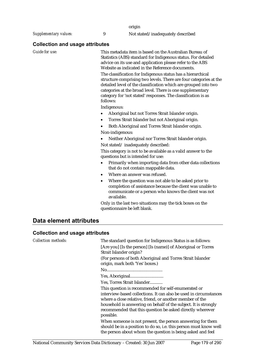origin

*Supplementary values:* 9 Not stated/inadequately described

#### **Collection and usage attributes**

*Guide for use:* This metadata item is based on the Australian Bureau of Statistics (ABS) standard for Indigenous status. For detailed advice on its use and application please refer to the ABS Website as indicated in the Reference documents.

> The classification for Indigenous status has a hierarchical structure comprising two levels. There are four categories at the detailed level of the classification which are grouped into two categories at the broad level. There is one supplementary category for 'not stated' responses. The classification is as follows:

Indigenous:

- Aboriginal but not Torres Strait Islander origin.
- Torres Strait Islander but not Aboriginal origin.
- Both Aboriginal and Torres Strait Islander origin. Non-indigenous:
- Neither Aboriginal nor Torres Strait Islander origin. Not stated/ inadequately described:

This category is not to be available as a valid answer to the questions but is intended for use:

- Primarily when importing data from other data collections that do not contain mappable data.
- Where an answer was refused.
- Where the question was not able to be asked prior to completion of assistance because the client was unable to communicate or a person who knows the client was not available.

Only in the last two situations may the tick boxes on the questionnaire be left blank.

# **Data element attributes**

| <b>Collection methods:</b> | The standard question for Indigenous Status is as follows:<br>[Are you] [Is the person] [Is (name)] of Aboriginal or Torres<br>Strait Islander origin?                                                                                                                                                                            |
|----------------------------|-----------------------------------------------------------------------------------------------------------------------------------------------------------------------------------------------------------------------------------------------------------------------------------------------------------------------------------|
|                            | (For persons of both Aboriginal and Torres Strait Islander<br>origin, mark both 'Yes' boxes.)                                                                                                                                                                                                                                     |
|                            |                                                                                                                                                                                                                                                                                                                                   |
|                            |                                                                                                                                                                                                                                                                                                                                   |
|                            | Yes, Torres Strait Islander                                                                                                                                                                                                                                                                                                       |
|                            | This question is recommended for self-enumerated or<br>interview-based collections. It can also be used in circumstances<br>where a close relative, friend, or another member of the<br>household is answering on behalf of the subject. It is strongly<br>recommended that this question be asked directly wherever<br>possible. |
|                            | When someone is not present, the person answering for them<br>should be in a position to do so, i.e. this person must know well<br>the person about whom the question is being asked and feel                                                                                                                                     |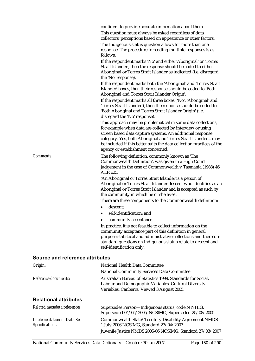confident to provide accurate information about them.

This question must always be asked regardless of data collectors' perceptions based on appearance or other factors.

The Indigenous status question allows for more than one response. The procedure for coding multiple responses is as follows:

If the respondent marks 'No' and either 'Aboriginal' or 'Torres Strait Islander', then the response should be coded to either Aboriginal or Torres Strait Islander as indicated (i.e. disregard the 'No' response).

If the respondent marks both the 'Aboriginal' and 'Torres Strait Islander' boxes, then their response should be coded to 'Both Aboriginal and Torres Strait Islander Origin'.

If the respondent marks all three boxes ('No', 'Aboriginal' and 'Torres Strait Islander'), then the response should be coded to 'Both Aboriginal and Torres Strait Islander Origin' (i.e. disregard the 'No' response).

This approach may be problematical in some data collections, for example when data are collected by interview or using screen based data capture systems. An additional response category. Yes, both Aboriginal and Torres Strait Islander... may be included if this better suits the data collection practices of the agency or establishment concerned.

*Comments:* The following definition, commonly known as 'The Commonwealth Definition', was given in a High Court judgement in the case of Commonwealth v Tasmania (1983) 46 ALR 625.

> 'An Aboriginal or Torres Strait Islander is a person of Aboriginal or Torres Strait Islander descent who identifies as an Aboriginal or Torres Strait Islander and is accepted as such by the community in which he or she lives'.

There are three components to the Commonwealth definition:

- descent:
- self-identification: and
- community acceptance.

In practice, it is not feasible to collect information on the community acceptance part of this definition in general purpose statistical and administrative collections and therefore standard questions on Indigenous status relate to descent and self-identification only.

#### **Source and reference attributes**

| Origin:                                              | National Health Data Committee<br><b>National Community Services Data Committee</b>                                                                               |
|------------------------------------------------------|-------------------------------------------------------------------------------------------------------------------------------------------------------------------|
| Reference documents:                                 | Australian Bureau of Statistics 1999. Standards for Social.<br>Labour and Demographic Variables. Cultural Diversity<br>Variables, Canberra. Viewed 3 August 2005. |
| <b>Relational attributes</b>                         |                                                                                                                                                                   |
| Related metadata references:                         | Supersedes Person-Indigenous status, code N NHIG,<br>Superseded 04/05/2005, NCSIMG, Superseded 25/08/2005                                                         |
| <b>Implementation in Data Set</b><br>Specifications: | Commonwealth State/Territory Disability Agreement NMDS -<br>1 July 2006 NCSIMG, Standard 27/04/2007                                                               |
|                                                      | Juvenile Justice NMDS 2005-06 NCSIMG, Standard 27/03/2007                                                                                                         |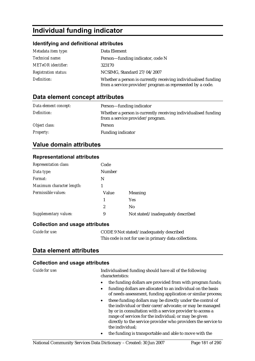## **Individual funding indicator**

#### **Identifying and definitional attributes**

| Metadata item type:         | Data Element                                                                                                                |
|-----------------------------|-----------------------------------------------------------------------------------------------------------------------------|
| Technical name:             | Person—funding indicator, code N                                                                                            |
| <b>METeOR</b> identifier:   | 323170                                                                                                                      |
| <b>Registration status:</b> | NCSIMG, Standard 27/04/2007                                                                                                 |
| Definition:                 | Whether a person is currently receiving individualised funding<br>from a service provider/program as represented by a code. |

## **Data element concept attributes**

| Data element concept: | Person—funding indicator                                                                           |
|-----------------------|----------------------------------------------------------------------------------------------------|
| Definition:           | Whether a person is currently receiving individualised funding<br>from a service provider/program. |
| Object class:         | <b>Person</b>                                                                                      |
| <b>Property:</b>      | <b>Funding indicator</b>                                                                           |

## **Value domain attributes**

#### **Representational attributes**

| <b>Representation class:</b> | Code          |                                   |
|------------------------------|---------------|-----------------------------------|
| Data type:                   | <b>Number</b> |                                   |
| Format:                      | N             |                                   |
| Maximum character length:    |               |                                   |
| Permissible values:          | Value         | Meaning                           |
|                              | 1             | <b>Yes</b>                        |
|                              | 2             | N <sub>0</sub>                    |
| Supplementary values:        | 9             | Not stated/inadequately described |

#### **Collection and usage attributes**

| <b>Guide for use:</b> | CODE 9 Not stated/inadequately described              |
|-----------------------|-------------------------------------------------------|
|                       | This code is not for use in primary data collections. |

### **Data element attributes**

#### **Collection and usage attributes**

| Guide for use. |
|----------------|
|                |

*Guide for use:* Individualised funding should have all of the following characteristics:

- the funding dollars are provided from with program funds;
- funding dollars are allocated to an individual on the basis of needs assessment, funding application or similar process;
- these funding dollars may be directly under the control of the individual or their carer/advocate; or may be managed by or in consultation with a service provider to access a range of services for the individual; or may be given directly to the service provider who providers the service to the individual;
- the funding is transportable and able to move with the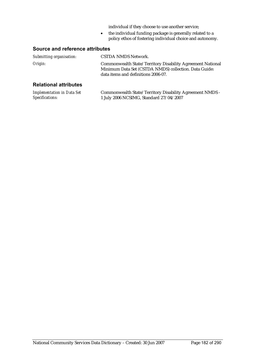individual if they choose to use another service;

• the individual funding package is generally related to a policy ethos of fostering individual choice and autonomy.

#### **Source and reference attributes**

| Submitting organisation:                                                                                                                                                                                                                                                                         | <b>CSTDA NMDS Network.</b>                                                                                                                                 |
|--------------------------------------------------------------------------------------------------------------------------------------------------------------------------------------------------------------------------------------------------------------------------------------------------|------------------------------------------------------------------------------------------------------------------------------------------------------------|
| Origin:                                                                                                                                                                                                                                                                                          | Commonwealth State/Territory Disability Agreement National<br>Minimum Data Set (CSTDA NMDS) collection. Data Guide:<br>data items and definitions 2006-07. |
| <b>Relational attributes</b>                                                                                                                                                                                                                                                                     |                                                                                                                                                            |
| $\mathbf{r}$ and $\mathbf{r}$ and $\mathbf{r}$ and $\mathbf{r}$ and $\mathbf{r}$ and $\mathbf{r}$ and $\mathbf{r}$ and $\mathbf{r}$ and $\mathbf{r}$ and $\mathbf{r}$ and $\mathbf{r}$ and $\mathbf{r}$ and $\mathbf{r}$ and $\mathbf{r}$ and $\mathbf{r}$ and $\mathbf{r}$ and $\mathbf{r}$ and | 1.1 $\alpha$ , $\alpha$ $\alpha$ $\alpha$<br>. 31350                                                                                                       |

| <b>Implementation in Data Set</b> | Commonwealth State/Territory Disability Agreement NMDS - |
|-----------------------------------|----------------------------------------------------------|
| Specifications:                   | 1 July 2006 NCSIMG, Standard 27/04/2007                  |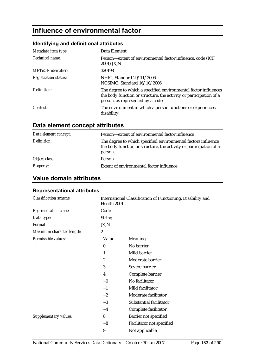## **Influence of environmental factor**

### **Identifying and definitional attributes**

| Metadata item type:         | Data Element                                                                                                                                                               |
|-----------------------------|----------------------------------------------------------------------------------------------------------------------------------------------------------------------------|
| Technical name:             | Person-extent of environmental factor influence, code (ICF<br>2001) [X]N                                                                                                   |
| <b>METeOR</b> identifier:   | 320198                                                                                                                                                                     |
| <b>Registration status:</b> | NHIG, Standard 29/11/2006<br>NCSIMG, Standard 16/10/2006                                                                                                                   |
| Definition:                 | The degree to which a specified environmental factor influences<br>the body function or structure, the activity or participation of a<br>person, as represented by a code. |
| Context:                    | The environment in which a person functions or experiences<br>disability.                                                                                                  |

## **Data element concept attributes**

| Data element concept: | Person—extent of environmental factor influence                                                                                                |
|-----------------------|------------------------------------------------------------------------------------------------------------------------------------------------|
| Definition:           | The degree to which specified environmental factors influence<br>the body function or structure, the activity or participation of a<br>person. |
| Object class:         | <b>Person</b>                                                                                                                                  |
| <b>Property:</b>      | Extent of environmental factor influence                                                                                                       |

## **Value domain attributes**

## **Representational attributes**

| <b>Classification scheme:</b> | Health 2001      | International Classification of Functioning, Disability and |
|-------------------------------|------------------|-------------------------------------------------------------|
| Representation class:         | Code             |                                                             |
| Data type:                    | <b>String</b>    |                                                             |
| Format:                       | [X]N             |                                                             |
| Maximum character length:     | $\boldsymbol{2}$ |                                                             |
| Permissible values:           | Value            | Meaning                                                     |
|                               | $\bf{0}$         | No barrier                                                  |
|                               | 1                | Mild barrier                                                |
|                               | $\overline{2}$   | Moderate barrier                                            |
|                               | 3                | Severe barrier                                              |
|                               | 4                | Complete barrier                                            |
|                               | $+0$             | No facilitator                                              |
|                               | $+1$             | Mild facilitator                                            |
|                               | $+2$             | Moderate facilitator                                        |
|                               | $+3$             | Substantial facilitator                                     |
|                               | $+4$             | Complete facilitator                                        |
| <b>Supplementary values:</b>  | 8                | Barrier not specified                                       |
|                               | $+8$             | Facilitator not specified                                   |
|                               | 9                | Not applicable                                              |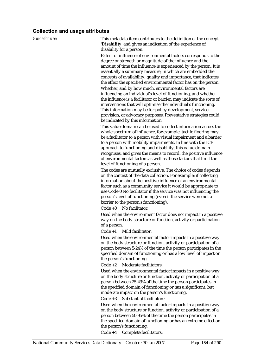#### **Collection and usage attributes**

*Guide for use:* This metadata item contributes to the definition of the concept '**Disability**' and gives an indication of the experience of disability for a person.

> Extent of influence of environmental factors corresponds to the degree or strength or magnitude of the influence and the amount of time the influence is experienced by the person. It is essentially a summary measure, in which are embedded the concepts of availability, quality and importance, that indicates the effect the specified environmental factor has on the person. Whether, and by how much, environmental factors are influencing an individual's level of functioning, and whether the influence is a facilitator or barrier, may indicate the sorts of interventions that will optimise the individual's functioning. This information may be for policy development, service provision, or advocacy purposes. Preventative strategies could be indicated by this information.

This value domain can be used to collect information across the whole spectrum of influence, for example, tactile flooring may be a facilitator to a person with visual impairment and a barrier to a person with mobility impairments. In line with the ICF approach to functioning and disability, this value domain recognises, and gives the means to record, the positive influence of environmental factors as well as those factors that limit the level of functioning of a person.

The codes are mutually exclusive. The choice of codes depends on the context of the data collection. For example; if collecting information about the positive influence of an environmental factor such as a community service it would be appropriate to use Code 0 No facilitator if the service was not influencing the person's level of functioning (even if the service were not a barrier to the person's functioning).

Code +0 No facilitator:

Used when the environment factor does not impact in a positive way on the body structure or function, activity or participation of a person.

Code +1 Mild facilitator:

Used when the environmental factor impacts in a positive way on the body structure or function, activity or participation of a person between 5-24% of the time the person participates in the specified domain of functioning or has a low level of impact on the person's functioning.

Code +2 Moderate facilitators:

Used when the environmental factor impacts in a positive way on the body structure or function, activity or participation of a person between 25-49% of the time the person participates in the specified domain of functioning or has a significant, but moderate impact on the person's functioning.

Code +3 Substantial facilitators:

Used when the environmental factor impacts in a positive way on the body structure or function, activity or participation of a person between 50-95% of the time the person participates in the specified domain of functioning or has an extreme effect on the person's functioning.

Code +4 Complete facilitators: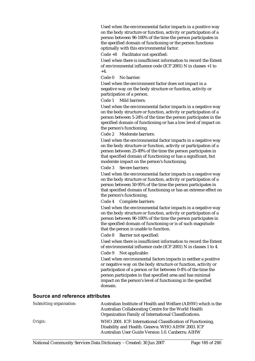Used when the environmental factor impacts in a positive way on the body structure or function, activity or participation of a person between 96-100% of the time the person participates in the specified domain of functioning or the person functions optimally with this environmental factor.

Code +8 Facilitator not specified:

Used when there is insufficient information to record the Extent of environmental influence code (ICF 2001) N in classes +1 to  $+4.$ 

Code 0 No barrier:

Used when the environment factor does not impact in a negative way on the body structure or function, activity or participation of a person.

Code 1 Mild barriers:

Used when the environmental factor impacts in a negative way on the body structure or function, activity or participation of a person between 5-24% of the time the person participates in the specified domain of functioning or has a low level of impact on the person's functioning.

Code 2 Moderate barriers:

Used when the environmental factor impacts in a negative way on the body structure or function, activity or participation of a person between 25-49% of the time the person participates in that specified domain of functioning or has a significant, but moderate impact on the person's functioning.

Code 3 Severe barriers:

Used when the environmental factor impacts in a negative way on the body structure or function, activity or participation of a person between 50-95% of the time the person participates in that specified domain of functioning or has an extreme effect on the person's functioning.

Code 4 Complete barriers:

Used when the environmental factor impacts in a negative way on the body structure or function, activity or participation of a person between 96-100% of the time the person participates in the specified domain of functioning or is of such magnitude that the person is unable to function.

Code 8 Barrier not specified:

Used when there is insufficient information to record the Extent of environmental influence code (ICF 2001) N in classes 1 to 4.

Code 9 Not applicable:

Used when environmental factors impacts in neither a positive or negative way on the body structure or function, activity or participation of a person or for between 0-4% of the time the person participates in that specified area and has minimal impact on the person's level of functioning in the specified domain.

#### **Source and reference attributes**

| Submitting organisation: | Australian Institute of Health and Welfare (AIHW) which is the<br>Australian Collaborating Centre for the World Health<br>Organization Family of International Classifications. |
|--------------------------|---------------------------------------------------------------------------------------------------------------------------------------------------------------------------------|
| Origin:                  | WHO 2001. ICF: International Classification of Functioning,<br>Disability and Health. Geneva: WHO AIHW 2003. ICF<br>Australian User Guide Version 1.0. Canberra: AIHW           |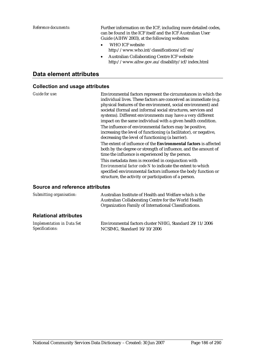*Reference documents:* Further information on the ICF, including more detailed codes, can be found in the ICF itself and the ICF Australian User Guide (AIHW 2003), at the following websites:

- WHO ICF website http://www.who.int/classifications/icf/en/
- Australian Collaborating Centre ICF website http://www.aihw.gov.au/disability/icf/index.html

### **Data element attributes**

#### **Collection and usage attributes**

*Guide for use:* Environmental factors represent the circumstances in which the individual lives. These factors are conceived as immediate (e.g. physical features of the environment, social environment) and societal (formal and informal social structures, services and systems). Different environments may have a very different impact on the same individual with a given health condition. The influence of environmental factors may be positive,

increasing the level of functioning (a facilitator), or negative, decreasing the level of functioning (a barrier).

The extent of influence of the **Environmental factors** is affected both by the degree or strength of influence, and the amount of time the influence is experienced by the person.

This metadata item is recorded in conjunction with *Environmental factor code N* to indicate the extent to which specified environmental factors influence the body function or structure, the activity or participation of a person.

#### **Source and reference attributes**

| Submitting organisation:     | Australian Institute of Health and Welfare which is the<br>Australian Collaborating Centre for the World Health<br>Organization Family of International Classifications. |  |  |
|------------------------------|--------------------------------------------------------------------------------------------------------------------------------------------------------------------------|--|--|
| <b>Relational attributes</b> |                                                                                                                                                                          |  |  |
|                              |                                                                                                                                                                          |  |  |

| Implementation in Data Set | Environmental factors cluster NHIG, Standard 29/11/2006 |
|----------------------------|---------------------------------------------------------|
| Specifications:            | NCSIMG, Standard 16/10/2006                             |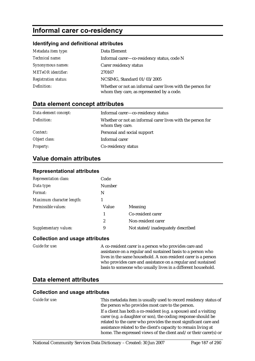## **Informal carer co-residency**

#### **Identifying and definitional attributes**

| Metadata item type:         | Data Element                                                                                            |
|-----------------------------|---------------------------------------------------------------------------------------------------------|
| Technical name:             | Informal carer—co-residency status, code N                                                              |
| Synonymous names:           | Carer residency status                                                                                  |
| <b>METeOR</b> identifier:   | 270167                                                                                                  |
| <b>Registration status:</b> | NCSIMG, Standard 01/03/2005                                                                             |
| Definition:                 | Whether or not an informal carer lives with the person for<br>whom they care, as represented by a code. |

### **Data element concept attributes**

| Data element concept: | Informal carer-co-residency status                                            |
|-----------------------|-------------------------------------------------------------------------------|
| Definition:           | Whether or not an informal carer lives with the person for<br>whom they care. |
| Context:              | Personal and social support                                                   |
| Object class:         | Informal carer                                                                |
| <b>Property:</b>      | Co-residency status                                                           |

## **Value domain attributes**

#### **Representational attributes**

| <b>Representation class:</b> | Code   |                                   |
|------------------------------|--------|-----------------------------------|
| Data type:                   | Number |                                   |
| Format:                      | N      |                                   |
| Maximum character length:    |        |                                   |
| Permissible values:          | Value  | Meaning                           |
|                              | 1      | Co-resident carer                 |
|                              | 2      | Non-resident carer                |
| <b>Supplementary values:</b> | 9      | Not stated/inadequately described |

#### **Collection and usage attributes**

*Guide for use:* A co-resident carer is a person who provides care and assistance on a regular and sustained basis to a person who lives in the same household. A non-resident carer is a person who provides care and assistance on a regular and sustained basis to someone who usually lives in a different household.

## **Data element attributes**

#### **Collection and usage attributes**

*Guide for use:* This metadata item is usually used to record residency status of the person who provides most care to the person. If a client has both a co-resident (e.g. a spouse) and a visiting carer (e.g. a daughter or son), the coding response should be related to the carer who provides the most significant care and assistance related to the client's capacity to remain living at home. The expressed views of the client and/or their carer(s) or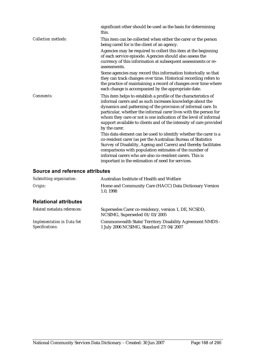|                            | significant other should be used as the basis for determining<br>this.                                                                                                                                                                                                                                                                                                                                                        |
|----------------------------|-------------------------------------------------------------------------------------------------------------------------------------------------------------------------------------------------------------------------------------------------------------------------------------------------------------------------------------------------------------------------------------------------------------------------------|
| <b>Collection methods:</b> | This item can be collected when either the carer or the person<br>being cared for is the client of an agency.                                                                                                                                                                                                                                                                                                                 |
|                            | Agencies may be required to collect this item at the beginning<br>of each service episode. Agencies should also assess the<br>currency of this information at subsequent assessments or re-<br>assessments.                                                                                                                                                                                                                   |
|                            | Some agencies may record this information historically so that<br>they can track changes over time. Historical recording refers to<br>the practice of maintaining a record of changes over time where<br>each change is accompanied by the appropriate date.                                                                                                                                                                  |
| Comments:                  | This item helps to establish a profile of the characteristics of<br>informal carers and as such increases knowledge about the<br>dynamics and patterning of the provision of informal care. In<br>particular, whether the informal carer lives with the person for<br>whom they care or not is one indication of the level of informal<br>support available to clients and of the intensity of care provided<br>by the carer. |
|                            | This data element can be used to identify whether the carer is a<br>co-resident carer (as per the Australian Bureau of Statistics<br>Survey of Disability, Ageing and Carers) and thereby facilitates<br>comparisons with population estimates of the number of<br>informal carers who are also co-resident carers. This is<br>important in the estimation of need for services.                                              |

### **Source and reference attributes**

| Submitting organisation:                             | Australian Institute of Health and Welfare                                                          |
|------------------------------------------------------|-----------------------------------------------------------------------------------------------------|
| Origin:                                              | Home and Community Care (HACC) Data Dictionary Version<br>1.0, 1998                                 |
| <b>Relational attributes</b>                         |                                                                                                     |
| Related metadata references:                         | Supersedes Carer co-residency, version 1, DE, NCSDD,<br>NCSIMG, Superseded 01/03/2005               |
| <b>Implementation in Data Set</b><br>Specifications: | Commonwealth State/Territory Disability Agreement NMDS -<br>1 July 2006 NCSIMG, Standard 27/04/2007 |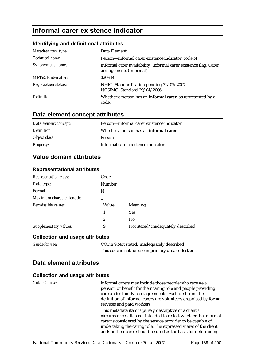## **Informal carer existence indicator**

#### **Identifying and definitional attributes**

| Metadata item type:         | Data Element                                                                                 |
|-----------------------------|----------------------------------------------------------------------------------------------|
| Technical name:             | Person-informal carer existence indicator, code N                                            |
| Synonymous names:           | Informal carer availability, Informal carer existence flag, Carer<br>arrangements (informal) |
| <b>METeOR</b> identifier:   | 320939                                                                                       |
| <b>Registration status:</b> | NHIG, Standardisation pending 31/05/2007<br>NCSIMG, Standard 29/04/2006                      |
| Definition:                 | Whether a person has an informal carer, as represented by a<br>code.                         |

## **Data element concept attributes**

| Data element concept: | Person-informal carer existence indicator       |
|-----------------------|-------------------------------------------------|
| Definition:           | Whether a person has an <b>informal carer</b> . |
| Object class:         | <b>Person</b>                                   |
| <i>Property:</i>      | Informal carer existence indicator              |

## **Value domain attributes**

| <b>Representation class:</b> | Code          |                                   |
|------------------------------|---------------|-----------------------------------|
| Data type:                   | <b>Number</b> |                                   |
| Format:                      | N             |                                   |
| Maximum character length:    |               |                                   |
| Permissible values:          | Value         | Meaning                           |
|                              | 1             | <b>Yes</b>                        |
|                              | 2             | N <sub>0</sub>                    |
| <b>Supplementary values:</b> | 9             | Not stated/inadequately described |

### **Representational attributes**

### **Collection and usage attributes**

| <b>Guide for use:</b> | CODE 9 Not stated/inadequately described              |
|-----------------------|-------------------------------------------------------|
|                       | This code is not for use in primary data collections. |

## **Data element attributes**

### **Collection and usage attributes**

| Guide for use: | Informal carers may include those people who receive a<br>pension or benefit for their caring role and people providing<br>care under family care agreements. Excluded from the<br>definition of informal carers are volunteers organised by formal<br>services and paid workers.                                               |
|----------------|---------------------------------------------------------------------------------------------------------------------------------------------------------------------------------------------------------------------------------------------------------------------------------------------------------------------------------|
|                | This metadata item is purely descriptive of a client's<br>circumstances. It is not intended to reflect whether the informal<br>carer is considered by the service provider to be capable of<br>undertaking the caring role. The expressed views of the client<br>and/or their carer should be used as the basis for determining |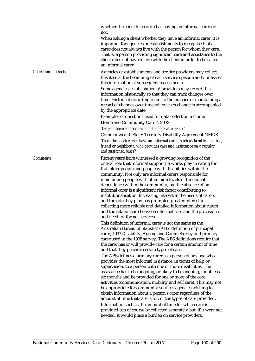whether the client is recorded as having an informal carer or not.

When asking a client whether they have an informal carer, it is important for agencies or establishments to recognise that a carer does not always live with the person for whom they care. That is, a person providing significant care and assistance to the client does not have to live with the client in order to be called an informal carer.

*Collection methods:* Agencies or establishments and service providers may collect this item at the beginning of each service episode and /or assess this information at subsequent assessments.

> Some agencies, establishments/providers may record this information historically so that they can track changes over time. Historical recording refers to the practice of maintaining a record of changes over time where each change is accompanied by the appropriate date.

Examples of questions used for data collection include: Home and Community Care NMDS

*'Do you have someone who helps look after you?'* 

Commonwealth State/Territory Disability Agreement NMDS *'Does the service user have an informal carer, such as family member, friend or neighbour, who provides care and assistance on a regular and sustained basis?* 

*Comments:* Recent years have witnessed a growing recognition of the critical role that informal support networks play in caring for frail older people and people with disabilities within the community. Not only are informal carers responsible for maintaining people with often high levels of functional dependence within the community, but the absence of an informal carer is a significant risk factor contributing to institutionalisation. Increasing interest in the needs of carers and the role they play has prompted greater interest in collecting more reliable and detailed information about carers and the relationship between informal care and the provision of and need for formal services.

> This definition of informal carer is not the same as the Australian Bureau of Statistics (ABS) definition of principal carer, 1993 Disability, Ageing and Carers Survey and primary carer used in the 1998 survey. The ABS definitions require that the carer has or will provide care for a certain amount of time and that they provide certain types of care.

The ABS defines a primary carer as a person of any age who provides the most informal assistance, in terms of help or supervision, to a person with one or more disabilities. The assistance has to be ongoing, or likely to be ongoing, for at least six months and be provided for one or more of the core activities (communication, mobility and self care). This may not be appropriate for community services agencies wishing to obtain information about a person's carer regardless of the amount of time that care is for, or the types of care provided. Information such as the amount of time for which care is provided can of course be collected separately but, if it were not needed, it would place a burden on service providers.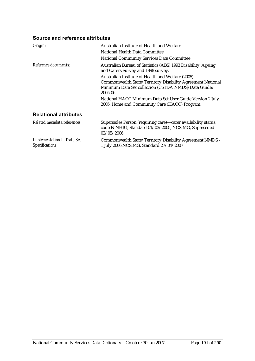### **Source and reference attributes**

| Origin:                                              | Australian Institute of Health and Welfare                                                                                          |
|------------------------------------------------------|-------------------------------------------------------------------------------------------------------------------------------------|
|                                                      | National Health Data Committee                                                                                                      |
|                                                      | <b>National Community Services Data Committee</b>                                                                                   |
| Reference documents:                                 | Australian Bureau of Statistics (ABS) 1993 Disability, Ageing<br>and Carers Survey and 1998 survey.                                 |
|                                                      | Australian Institute of Health and Welfare (2005)                                                                                   |
|                                                      | Commonwealth State/Territory Disability Agreement National<br>Minimum Data Set collection (CSTDA NMDS) Data Guide:<br>2005-06.      |
|                                                      | National HACC Minimum Data Set User Guide Version 2 July<br>2005. Home and Community Care (HACC) Program.                           |
| <b>Relational attributes</b>                         |                                                                                                                                     |
| Related metadata references:                         | Supersedes Person (requiring care)—carer availability status,<br>code N NHIG, Standard 01/03/2005, NCSIMG, Superseded<br>02/05/2006 |
| <b>Implementation in Data Set</b><br>Specifications: | Commonwealth State/Territory Disability Agreement NMDS -<br>1 July 2006 NCSIMG, Standard 27/04/2007                                 |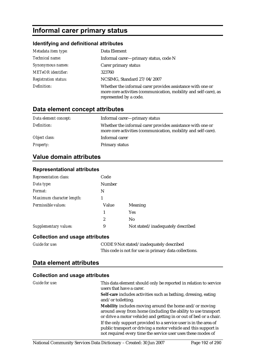# **Informal carer primary status**

### **Identifying and definitional attributes**

| Metadata item type:         | Data Element                                                                                                                                             |
|-----------------------------|----------------------------------------------------------------------------------------------------------------------------------------------------------|
| Technical name:             | Informal carer—primary status, code N                                                                                                                    |
| Synonymous names:           | Carer primary status                                                                                                                                     |
| <b>METeOR</b> identifier:   | 323760                                                                                                                                                   |
| <b>Registration status:</b> | NCSIMG, Standard 27/04/2007                                                                                                                              |
| Definition:                 | Whether the informal carer provides assistance with one or<br>more core activities (communication, mobility and self-care), as<br>represented by a code. |

## **Data element concept attributes**

| Data element concept: | Informal carer-primary status                                                                                               |
|-----------------------|-----------------------------------------------------------------------------------------------------------------------------|
| Definition:           | Whether the informal carer provides assistance with one or<br>more core activities (communication, mobility and self-care). |
| Object class:         | Informal carer                                                                                                              |
| <b>Property:</b>      | Primary status                                                                                                              |

## **Value domain attributes**

**Representational attributes** 

| <b>Representation class:</b> | Code   |                                   |
|------------------------------|--------|-----------------------------------|
| Data type:                   | Number |                                   |
| Format:                      | N      |                                   |
| Maximum character length:    |        |                                   |
| Permissible values:          | Value  | Meaning                           |
|                              | 1      | <b>Yes</b>                        |
|                              | 2      | N <sub>0</sub>                    |
| Supplementary values:        | 9      | Not stated/inadequately described |

#### **Collection and usage attributes**

| <b>Guide for use:</b> | CODE 9 Not stated/inadequately described              |
|-----------------------|-------------------------------------------------------|
|                       | This code is not for use in primary data collections. |

### **Data element attributes**

### **Collection and usage attributes**

| <b>Guide for use:</b> | This data element should only be reported in relation to service<br>users that have a carer.                                                                                                        |
|-----------------------|-----------------------------------------------------------------------------------------------------------------------------------------------------------------------------------------------------|
|                       | Self-care includes activities such as bathing, dressing, eating<br>and/or toiletting.                                                                                                               |
|                       | Mobility includes moving around the home and/or moving<br>around away from home (including the ability to use transport<br>or drive a motor vehicle) and getting in or out of bed or a chair.       |
|                       | If the only support provided to a service user is in the area of<br>public transport or driving a motor vehicle and this support is<br>not required every time the service user uses these modes of |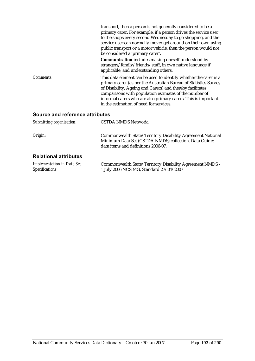|                                 | transport, then a person is not generally considered to be a<br>primary carer. For example, if a person drives the service user<br>to the shops every second Wednesday to go shopping, and the<br>service user can normally move/get around on their own using<br>public transport or a motor vehicle, then the person would not<br>be considered a 'primary carer'.     |
|---------------------------------|--------------------------------------------------------------------------------------------------------------------------------------------------------------------------------------------------------------------------------------------------------------------------------------------------------------------------------------------------------------------------|
|                                 | <b>Communication</b> includes making oneself understood by<br>strangers/family/friends/staff, in own native language if<br>applicable, and understanding others.                                                                                                                                                                                                         |
| Comments:                       | This data element can be used to identify whether the carer is a<br>primary carer (as per the Australian Bureau of Statistics Survey<br>of Disability, Ageing and Carers) and thereby facilitates<br>comparisons with population estimates of the number of<br>informal carers who are also primary carers. This is important<br>in the estimation of need for services. |
| Source and reference attributes |                                                                                                                                                                                                                                                                                                                                                                          |
| Submitting organisation:        | CSTDA NMDS Network.                                                                                                                                                                                                                                                                                                                                                      |

*Origin:* Commonwealth State/Territory Disability Agreement National Minimum Data Set (CSTDA NMDS) collection. Data Guide: data items and definitions 2006-07.

### **Relational attributes**

*Implementation in Data Set Specifications:* Commonwealth State/Territory Disability Agreement NMDS - 1 July 2006 NCSIMG, Standard 27/04/2007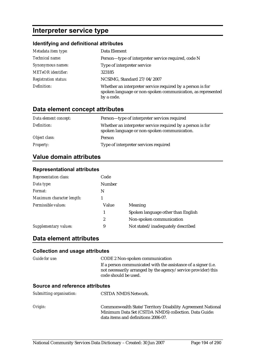## **Interpreter service type**

### **Identifying and definitional attributes**

| Metadata item type:         | Data Element                                                                                                                            |
|-----------------------------|-----------------------------------------------------------------------------------------------------------------------------------------|
| Technical name:             | Person-type of interpreter service required, code N                                                                                     |
| Synonymous names:           | Type of interpreter service                                                                                                             |
| <b>METeOR</b> identifier:   | 323185                                                                                                                                  |
| <b>Registration status:</b> | NCSIMG, Standard 27/04/2007                                                                                                             |
| Definition:                 | Whether an interpreter service required by a person is for<br>spoken language or non-spoken communication, as represented<br>by a code. |

## **Data element concept attributes**

| Data element concept: | Person—type of interpreter services required                                                               |
|-----------------------|------------------------------------------------------------------------------------------------------------|
| Definition:           | Whether an interpreter service required by a person is for<br>spoken language or non-spoken communication. |
| Object class:         | Person                                                                                                     |
| <b>Property:</b>      | Type of interpreter services required                                                                      |

### **Value domain attributes**

| <b>Representational attributes</b> |                 |
|------------------------------------|-----------------|
| Depresentation class:              | $C_{\alpha}$ da |

| <b>Representation class:</b> | Code   |                                    |
|------------------------------|--------|------------------------------------|
| Data type:                   | Number |                                    |
| Format:                      | N      |                                    |
| Maximum character length:    |        |                                    |
| Permissible values:          | Value  | Meaning                            |
|                              |        | Spoken language other than English |
|                              | 2      | Non-spoken communication           |
| Supplementary values:        | 9      | Not stated/inadequately described  |
|                              |        |                                    |

### **Data element attributes**

#### **Collection and usage attributes**

| Guide for use:                         | <b>CODE 2 Non-spoken communication</b>                                                                                                                  |
|----------------------------------------|---------------------------------------------------------------------------------------------------------------------------------------------------------|
|                                        | If a person communicated with the assistance of a signer (i.e.<br>not necessarily arranged by the agency/service provider) this<br>code should be used. |
| <b>Source and reference attributes</b> |                                                                                                                                                         |
| Submitting organisation:               | <b>CSTDA NMDS Network.</b>                                                                                                                              |
| Origin:                                | Commonwealth State/Territory Disability Agreement National<br>Minimum Data Set (CSTDA NMDS) collection. Data Guide:                                     |

data items and definitions 2006-07.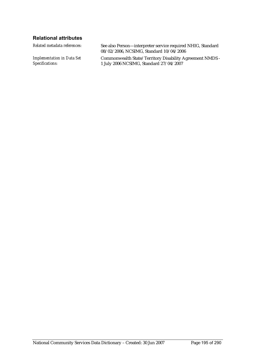### **Relational attributes**

*Implementation in Data Set Specifications:*

*Related metadata references:* See also Person—interpreter service required NHIG, Standard 08/02/2006, NCSIMG, Standard 10/04/2006

> Commonwealth State/Territory Disability Agreement NMDS - 1 July 2006 NCSIMG, Standard 27/04/2007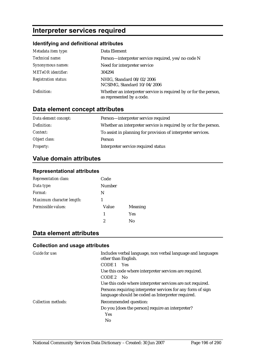## **Interpreter services required**

#### **Identifying and definitional attributes**

| Metadata item type:         | Data Element                                                                                  |
|-----------------------------|-----------------------------------------------------------------------------------------------|
| Technical name:             | Person—interpreter service required, yes/no code N                                            |
| Synonymous names:           | Need for interpreter service                                                                  |
| <b>METeOR</b> identifier:   | 304294                                                                                        |
| <b>Registration status:</b> | NHIG, Standard 08/02/2006<br>NCSIMG, Standard 10/04/2006                                      |
| Definition:                 | Whether an interpreter service is required by or for the person,<br>as represented by a code. |

## **Data element concept attributes**

| Data element concept: | Person-interpreter service required                              |
|-----------------------|------------------------------------------------------------------|
| Definition:           | Whether an interpreter service is required by or for the person. |
| Context:              | To assist in planning for provision of interpreter services.     |
| Object class:         | Person                                                           |
| <b>Property:</b>      | Interpreter service required status                              |

## **Value domain attributes**

#### **Representational attributes**

| <b>Representation class:</b> | Code   |                |
|------------------------------|--------|----------------|
| Data type:                   | Number |                |
| Format:                      | N      |                |
| Maximum character length:    |        |                |
| Permissible values:          | Value  | <b>Meaning</b> |
|                              | 1      | <b>Yes</b>     |
|                              | 2      | No             |

## **Data element attributes**

#### **Collection and usage attributes**

| <b>Guide for use:</b> | Includes verbal language, non verbal language and languages<br>other than English.                               |  |
|-----------------------|------------------------------------------------------------------------------------------------------------------|--|
|                       | CODE 1<br><b>Yes</b>                                                                                             |  |
|                       | Use this code where interpreter services are required.                                                           |  |
|                       | CODE 2<br>- No                                                                                                   |  |
|                       | Use this code where interpreter services are not required.                                                       |  |
|                       | Persons requiring interpreter services for any form of sign<br>language should be coded as Interpreter required. |  |
| Collection methods:   | Recommended question:                                                                                            |  |
|                       | Do you [does the person] require an interpreter?                                                                 |  |
|                       | <b>Yes</b>                                                                                                       |  |
|                       | N <sub>0</sub>                                                                                                   |  |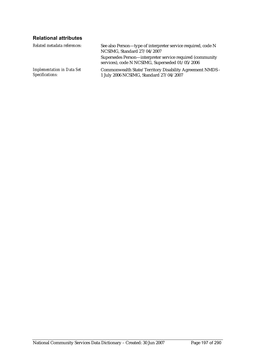## **Relational attributes**

| Related metadata references:                         | See also Person—type of interpreter service required, code N<br>NCSIMG, Standard 27/04/2007                  |
|------------------------------------------------------|--------------------------------------------------------------------------------------------------------------|
|                                                      | Supersedes Person—interpreter service required (community<br>services), code N NCSIMG, Superseded 01/05/2006 |
| <b>Implementation in Data Set</b><br>Specifications: | Commonwealth State/Territory Disability Agreement NMDS -<br>1 July 2006 NCSIMG, Standard 27/04/2007          |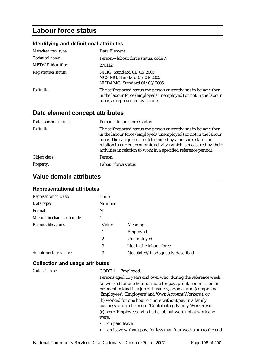## **Labour force status**

## **Identifying and definitional attributes**

| Metadata item type:         | Data Element                                                                                                                                                            |
|-----------------------------|-------------------------------------------------------------------------------------------------------------------------------------------------------------------------|
| Technical name:             | Person-labour force status, code N                                                                                                                                      |
| <b>METeOR</b> identifier:   | 270112                                                                                                                                                                  |
| <b>Registration status:</b> | NHIG, Standard 01/03/2005<br>NCSIMG, Standard 01/03/2005<br>NHDAMG, Standard 01/03/2005                                                                                 |
| Definition:                 | The self reported status the person currently has in being either<br>in the labour force (employed/unemployed) or not in the labour<br>force, as represented by a code. |

## **Data element concept attributes**

| Data element concept: | Person-labour force status                                                                                                                                                                                                                                                                                                                   |
|-----------------------|----------------------------------------------------------------------------------------------------------------------------------------------------------------------------------------------------------------------------------------------------------------------------------------------------------------------------------------------|
| Definition:           | The self reported status the person currently has in being either<br>in the labour force (employed/unemployed) or not in the labour<br>force. The categories are determined by a person's status in<br>relation to current economic activity (which is measured by their<br>activities in relation to work in a specified reference period). |
| Object class:         | Person                                                                                                                                                                                                                                                                                                                                       |
| <b>Property:</b>      | Labour force status                                                                                                                                                                                                                                                                                                                          |

## **Value domain attributes**

### **Representational attributes**

| <b>Representation class:</b> | Code   |                                   |
|------------------------------|--------|-----------------------------------|
| Data type:                   | Number |                                   |
| Format:                      | N      |                                   |
| Maximum character length:    |        |                                   |
| Permissible values:          | Value  | <b>Meaning</b>                    |
|                              | 1      | Employed                          |
|                              | 2      | Unemployed                        |
|                              | 3      | Not in the labour force           |
| Supplementary values:        | 9      | Not stated/inadequately described |

### **Collection and usage attributes**

| Guide for use: | Employed:<br>CODE 1                                                                                                                                                                         |
|----------------|---------------------------------------------------------------------------------------------------------------------------------------------------------------------------------------------|
|                | Persons aged 15 years and over who, during the reference week:                                                                                                                              |
|                | (a) worked for one hour or more for pay, profit, commission or<br>payment in kind in a job or business, or on a farm (comprising<br>'Employees', 'Employers' and 'Own Account Workers'); or |
|                | (b) worked for one hour or more without pay in a family<br>business or on a farm (i.e. 'Contributing Family Worker'); or                                                                    |
|                | (c) were 'Employees' who had a job but were not at work and                                                                                                                                 |
|                | were:                                                                                                                                                                                       |
|                | on paid leave<br>$\bullet$                                                                                                                                                                  |
|                | on leave without pay, for less than four weeks, up to the end<br>$\bullet$                                                                                                                  |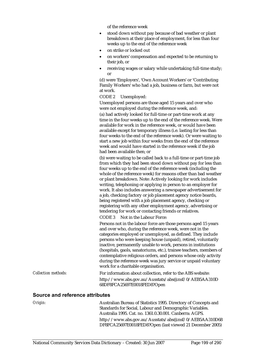of the reference week

- stood down without pay because of bad weather or plant breakdown at their place of employment, for less than four weeks up to the end of the reference week
- on strike or locked out
- on workers' compensation and expected to be returning to their job, or
- receiving wages or salary while undertaking full-time study; or

(d) were 'Employers', 'Own Account Workers' or 'Contributing Family Workers' who had a job, business or farm, but were not at work.

CODE 2 Unemployed:

Unemployed persons are those aged 15 years and over who were not employed during the reference week, and:

(a) had actively looked for full-time or part-time work at any time in the four weeks up to the end of the reference week. Were available for work in the reference week, or would have been available except for temporary illness (i.e. lasting for less than four weeks to the end of the reference week). Or were waiting to start a new job within four weeks from the end of the reference week and would have started in the reference week if the job had been available then; or

(b) were waiting to be called back to a full-time or part-time job from which they had been stood down without pay for less than four weeks up to the end of the reference week (including the whole of the reference week) for reasons other than bad weather or plant breakdown. Note: Actively looking for work includes writing, telephoning or applying in person to an employer for work. It also includes answering a newspaper advertisement for a job, checking factory or job placement agency notice boards, being registered with a job placement agency, checking or registering with any other employment agency, advertising or tendering for work or contacting friends or relatives.

CODE 3 Not in the Labour Force:

Persons not in the labour force are those persons aged 15 years and over who, during the reference week, were not in the categories employed or unemployed, as defined. They include persons who were keeping house (unpaid), retired, voluntarily inactive, permanently unable to work, persons in institutions (hospitals, gaols, sanatoriums, etc.), trainee teachers, members of contemplative religious orders, and persons whose only activity during the reference week was jury service or unpaid voluntary work for a charitable organisation.

*Collection methods:* For information about collection, refer to the ABS website: http://www.abs.gov.au/Ausstats/abs@.nsf/0/AEB5AA310D 68DF8FCA25697E0018FED8?Open

#### **Source and reference attributes**

*Origin:* Australian Bureau of Statistics 1995. Directory of Concepts and Standards for Social, Labour and Demographic Variables. Australia 1995. Cat. no. 1361.0.30.001. Canberra: AGPS. http://www.abs.gov.au/Ausstats/abs@.nsf/0/AEB5AA310D68 DF8FCA25697E0018FED8?Open (last viewed 21 December 2005)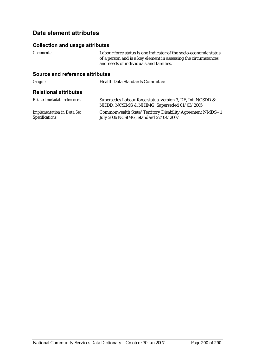## **Data element attributes**

#### **Collection and usage attributes**

*Comments:* Labour force status is one indicator of the socio-economic status of a person and is a key element in assessing the circumstances and needs of individuals and families.

#### **Source and reference attributes**

**Origin:** Health Data Standards Committee

#### **Relational attributes**

| Related metadata references:      | Supersedes Labour force status, version 3, DE, Int. NCSDD &<br>NHDD, NCSIMG & NHIMG, Superseded 01/03/2005 |
|-----------------------------------|------------------------------------------------------------------------------------------------------------|
| <b>Implementation in Data Set</b> | Commonwealth State/Territory Disability Agreement NMDS - 1                                                 |
| Specifications:                   | July 2006 NCSIMG, Standard 27/04/2007                                                                      |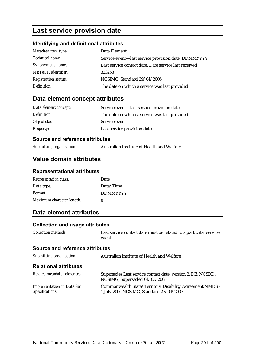## **Last service provision date**

### **Identifying and definitional attributes**

| Metadata item type:         | Data Element                                          |
|-----------------------------|-------------------------------------------------------|
| Technical name:             | Service event-last service provision date, DDMMYYYY   |
| Synonymous names:           | Last service contact date, Date service last received |
| <b>METeOR</b> identifier:   | 323253                                                |
| <b>Registration status:</b> | NCSIMG, Standard 29/04/2006                           |
| Definition:                 | The date on which a service was last provided.        |

## **Data element concept attributes**

| Data element concept: | Service event—last service provision date      |
|-----------------------|------------------------------------------------|
| Definition:           | The date on which a service was last provided. |
| Object class:         | Service event                                  |
| <b>Property:</b>      | Last service provision date                    |

#### **Source and reference attributes**

| Australian Institute of Health and Welfare |
|--------------------------------------------|
|                                            |

## **Value domain attributes**

#### **Representational attributes**

| <b>Representation class:</b> | Date            |
|------------------------------|-----------------|
| Data type:                   | Date/Time       |
| Format:                      | <b>DDMMYYYY</b> |
| Maximum character length:    | 8               |

## **Data element attributes**

#### **Collection and usage attributes**

*Collection methods:* Last service contact date must be related to a particular service event.

#### **Source and reference attributes**

| Submitting organisation:                             | Australian Institute of Health and Welfare                                                          |
|------------------------------------------------------|-----------------------------------------------------------------------------------------------------|
| <b>Relational attributes</b>                         |                                                                                                     |
| Related metadata references:                         | Supersedes Last service contact date, version 2, DE, NCSDD,<br>NCSIMG, Superseded 01/03/2005        |
| <b>Implementation in Data Set</b><br>Specifications: | Commonwealth State/Territory Disability Agreement NMDS -<br>1 July 2006 NCSIMG, Standard 27/04/2007 |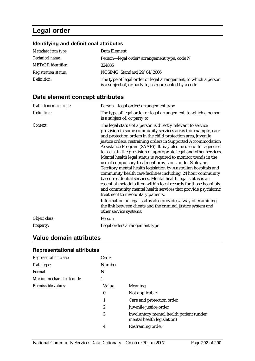## **Legal order**

## **Identifying and definitional attributes**

| Metadata item type:         | Data Element                                                                                                               |
|-----------------------------|----------------------------------------------------------------------------------------------------------------------------|
| Technical name:             | Person—legal order/arrangement type, code N                                                                                |
| <b>METeOR</b> identifier:   | 324835                                                                                                                     |
| <b>Registration status:</b> | NCSIMG, Standard 29/04/2006                                                                                                |
| Definition:                 | The type of legal order or legal arrangement, to which a person<br>is a subject of, or party to, as represented by a code. |

## **Data element concept attributes**

| Data element concept: | Person-legal order/arrangement type                                                                                                                                                                                                                                                                                                                                                                                                                                                                                                                                                                                                                                                                                                                                                                                                                                                                                                                                                                                                                                           |
|-----------------------|-------------------------------------------------------------------------------------------------------------------------------------------------------------------------------------------------------------------------------------------------------------------------------------------------------------------------------------------------------------------------------------------------------------------------------------------------------------------------------------------------------------------------------------------------------------------------------------------------------------------------------------------------------------------------------------------------------------------------------------------------------------------------------------------------------------------------------------------------------------------------------------------------------------------------------------------------------------------------------------------------------------------------------------------------------------------------------|
| Definition:           | The type of legal order or legal arrangement, to which a person<br>is a subject of, or party to.                                                                                                                                                                                                                                                                                                                                                                                                                                                                                                                                                                                                                                                                                                                                                                                                                                                                                                                                                                              |
| Context:              | The legal status of a person is directly relevant to service<br>provision in some community services areas (for example, care<br>and protection orders in the child protection area, juvenile<br>justice orders, restraining orders in Supported Accommodation<br>Assistance Program (SAAP)). It may also be useful for agencies<br>to assist in the provision of appropriate legal and other services.<br>Mental health legal status is required to monitor trends in the<br>use of compulsory treatment provisions under State and<br>Territory mental health legislation by Australian hospitals and<br>community health care facilities including, 24 hour community<br>based residential services. Mental health legal status is an<br>essential metadata item within local records for those hospitals<br>and community mental health services that provide psychiatric<br>treatment to involuntary patients.<br>Information on legal status also provides a way of examining<br>the link between clients and the criminal justice system and<br>other service systems. |
| Object class:         | Person                                                                                                                                                                                                                                                                                                                                                                                                                                                                                                                                                                                                                                                                                                                                                                                                                                                                                                                                                                                                                                                                        |
| Property:             | Legal order/arrangement type                                                                                                                                                                                                                                                                                                                                                                                                                                                                                                                                                                                                                                                                                                                                                                                                                                                                                                                                                                                                                                                  |

## **Value domain attributes**

### **Representational attributes**

| <b>Representation class:</b> | Code             |                                                                        |
|------------------------------|------------------|------------------------------------------------------------------------|
| Data type:                   | <b>Number</b>    |                                                                        |
| Format:                      | N                |                                                                        |
| Maximum character length:    | 1                |                                                                        |
| Permissible values:          | Value            | Meaning                                                                |
|                              | $\bf{0}$         | Not applicable                                                         |
|                              |                  | Care and protection order                                              |
|                              | $\boldsymbol{2}$ | Juvenile justice order                                                 |
|                              | 3                | Involuntary mental health patient (under<br>mental health legislation) |
|                              | 4                | Restraining order                                                      |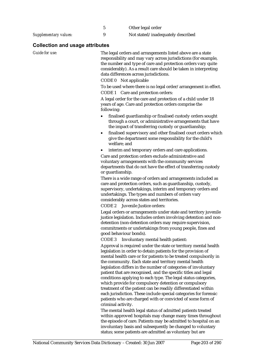|                              | Other legal order                 |
|------------------------------|-----------------------------------|
| <b>Supplementary values:</b> | Not stated/inadequately described |

## **Collection and usage attributes**

| Guide for use: | The legal orders and arrangements listed above are a state<br>responsibility and may vary across jurisdictions (for example,<br>the number and type of care and protection orders vary quite<br>considerably). As a result care should be taken in interpreting<br>data differences across jurisdictions.<br>CODE 0 Not applicable                                                                                                                                                                                         |
|----------------|----------------------------------------------------------------------------------------------------------------------------------------------------------------------------------------------------------------------------------------------------------------------------------------------------------------------------------------------------------------------------------------------------------------------------------------------------------------------------------------------------------------------------|
|                | To be used where there is no legal order/arrangement in effect.                                                                                                                                                                                                                                                                                                                                                                                                                                                            |
|                | CODE 1 Care and protection orders:                                                                                                                                                                                                                                                                                                                                                                                                                                                                                         |
|                | A legal order for the care and protection of a child under 18<br>years of age. Care and protection orders comprise the<br>following:                                                                                                                                                                                                                                                                                                                                                                                       |
|                | finalised guardianship or finalised custody orders sought<br>through a court, or administrative arrangements that have<br>the impact of transferring custody or guardianship;                                                                                                                                                                                                                                                                                                                                              |
|                | finalised supervisory and other finalised court orders which<br>$\bullet$<br>give the department some responsibility for the child's<br>welfare; and                                                                                                                                                                                                                                                                                                                                                                       |
|                | interim and temporary orders and care applications.                                                                                                                                                                                                                                                                                                                                                                                                                                                                        |
|                | Care and protection orders exclude administrative and<br>voluntary arrangements with the community services<br>departments that do not have the effect of transferring custody<br>or guardianship.                                                                                                                                                                                                                                                                                                                         |
|                | There is a wide range of orders and arrangements included as<br>care and protection orders, such as guardianship, custody,<br>supervisory, undertakings, interim and temporary orders and<br>undertakings. The types and numbers of orders vary<br>considerably across states and territories.                                                                                                                                                                                                                             |
|                | CODE 2 Juvenile Justice orders:                                                                                                                                                                                                                                                                                                                                                                                                                                                                                            |
|                | Legal orders or arrangements under state and territory juvenile<br>justice legislation. Includes orders involving detention and non-<br>detention (non-detention orders may require supervision,<br>commitments or undertakings from young people, fines and<br>good behaviour bonds).                                                                                                                                                                                                                                     |
|                | CODE <sub>3</sub><br>Involuntary mental health patient:                                                                                                                                                                                                                                                                                                                                                                                                                                                                    |
|                | Approval is required under the state or territory mental health<br>legislation in order to detain patients for the provision of<br>mental health care or for patients to be treated compulsorily in<br>the community. Each state and territory mental health<br>legislation differs in the number of categories of involuntary<br>patient that are recognised, and the specific titles and legal<br>conditions applying to each type. The legal status categories,<br>which provide for compulsory detention or compulsory |
|                | treatment of the patient can be readily differentiated within<br>each jurisdiction. These include special categories for forensic<br>patients who are charged with or convicted of some form of                                                                                                                                                                                                                                                                                                                            |
|                | criminal activity.                                                                                                                                                                                                                                                                                                                                                                                                                                                                                                         |
|                | The mental health legal status of admitted patients treated<br>within approved hospitals may change many times throughout<br>the episode of care. Patients may be admitted to hospital on an<br>involuntary basis and subsequently be changed to voluntary                                                                                                                                                                                                                                                                 |

status; some patients are admitted as voluntary but are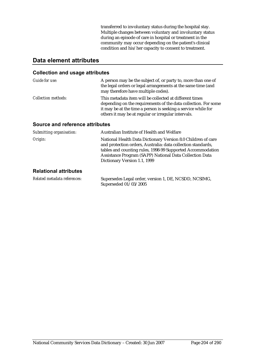transferred to involuntary status during the hospital stay. Multiple changes between voluntary and involuntary status during an episode of care in hospital or treatment in the community may occur depending on the patient's clinical condition and his/her capacity to consent to treatment.

## **Data element attributes**

#### **Collection and usage attributes**

| Guide for use:             | A person may be the subject of, or party to, more than one of<br>the legal orders or legal arrangements at the same time (and<br>may therefore have multiple codes).                                                                              |
|----------------------------|---------------------------------------------------------------------------------------------------------------------------------------------------------------------------------------------------------------------------------------------------|
| <b>Collection methods:</b> | This metadata item will be collected at different times<br>depending on the requirements of the data collection. For some<br>it may be at the time a person is seeking a service while for<br>others it may be at regular or irregular intervals. |

#### **Source and reference attributes**

| Submitting organisation:     | Australian Institute of Health and Welfare                                                                                                                                                                                                                                            |
|------------------------------|---------------------------------------------------------------------------------------------------------------------------------------------------------------------------------------------------------------------------------------------------------------------------------------|
| Origin:                      | National Health Data Dictionary Version 8.0 Children of care<br>and protection orders, Australia: data collection standards,<br>tables and counting rules, 1998-99 Supported Accommodation<br>Assistance Program (SAPP) National Data Collection Data<br>Dictionary Version 1.1, 1999 |
| <b>Relational attributes</b> |                                                                                                                                                                                                                                                                                       |

#### **Relational attributes**

| Related metadata references: | Supersedes Legal order, version 1, DE, NCSDD, NCSIMG, |
|------------------------------|-------------------------------------------------------|
|                              | Superseded $01/03/2005$                               |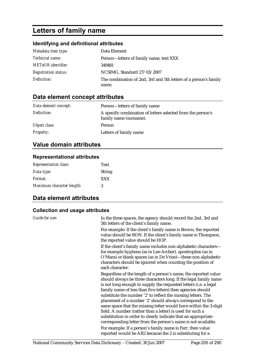## **Letters of family name**

## **Identifying and definitional attributes**

| Metadata item type:         | Data Element                                                     |
|-----------------------------|------------------------------------------------------------------|
| <i>Technical name:</i>      | Person—letters of family name, text XXX                          |
| <b>METeOR</b> identifier:   | 349481                                                           |
| <b>Registration status:</b> | NCSIMG, Standard 27/03/2007                                      |
| Definition:                 | The combination of 2nd, 3rd and 5th letters of a person's family |
|                             | name.                                                            |

## **Data element concept attributes**

| Data element concept: | Person—letters of family name                                                          |
|-----------------------|----------------------------------------------------------------------------------------|
| Definition:           | A specific combination of letters selected from the person's<br>family name (surname). |
| Object class:         | Person                                                                                 |
| <b>Property:</b>      | Letters of family name                                                                 |

## **Value domain attributes**

#### **Representational attributes**

| <b>Representation class:</b> | <b>Text</b>   |
|------------------------------|---------------|
| Data type:                   | <b>String</b> |
| Format:                      | <b>XXX</b>    |
| Maximum character length:    | 3             |

## **Data element attributes**

### **Collection and usage attributes**

| Guide for use: | In the three spaces, the agency should record the 2nd, 3rd and<br>5th letters of the client's family name.                                                                                                                                                                                                                                                                                                                                                                                                                                                                                                                                                              |
|----------------|-------------------------------------------------------------------------------------------------------------------------------------------------------------------------------------------------------------------------------------------------------------------------------------------------------------------------------------------------------------------------------------------------------------------------------------------------------------------------------------------------------------------------------------------------------------------------------------------------------------------------------------------------------------------------|
|                | For example: If the client's family name is Brown, the reported<br>value should be RON. If the client's family name is Thompson,<br>the reported value should be HOP.                                                                                                                                                                                                                                                                                                                                                                                                                                                                                                   |
|                | If the client's family name includes non-alphabetic characters—<br>for example hyphens (as in Lee-Archer), apostrophes (as in<br>O'Mara) or blank spaces (as in De Vries)—these non-alphabetic<br>characters should be ignored when counting the position of<br>each character.                                                                                                                                                                                                                                                                                                                                                                                         |
|                | Regardless of the length of a person's name, the reported value<br>should always be three characters long. If the legal family name<br>is not long enough to supply the requested letters (i.e. a legal<br>family name of less than five letters) then agencies should<br>substitute the number '2' to reflect the missing letters. The<br>placement of a number '2' should always correspond to the<br>same space that the missing letter would have within the 3-digit<br>field. A number (rather than a letter) is used for such a<br>substitution in order to clearly indicate that an appropriate<br>corresponding letter from the person's name is not available. |
|                | For example: If a person's family name is Farr, then value<br>reported would be AR2 because the 2 is substituting for a                                                                                                                                                                                                                                                                                                                                                                                                                                                                                                                                                 |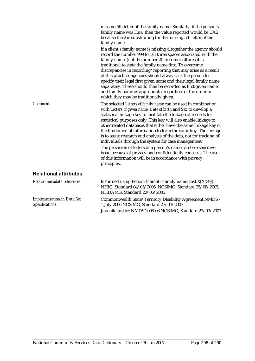|                                                      | family name was Hua, then the value reported would be UA2<br>because the 2 is substituting for the missing 5th letter of the<br>family name.                                                                                                                                                                                                                                                                                                                                                                                                                                                                                                                                                                                                            |
|------------------------------------------------------|---------------------------------------------------------------------------------------------------------------------------------------------------------------------------------------------------------------------------------------------------------------------------------------------------------------------------------------------------------------------------------------------------------------------------------------------------------------------------------------------------------------------------------------------------------------------------------------------------------------------------------------------------------------------------------------------------------------------------------------------------------|
|                                                      | If a client's family name is missing altogether the agency should<br>record the number 999 for all three spaces associated with the<br>family name, (not the number 2). In some cultures it is<br>traditional to state the family name first. To overcome<br>discrepancies in recording/reporting that may arise as a result<br>of this practice, agencies should always ask the person to<br>specify their legal first given name and their legal family name<br>separately. These should then be recorded as first given name<br>and family name as appropriate, regardless of the order in<br>which they may be traditionally given.                                                                                                                 |
| <b>Comments:</b>                                     | The selected Letters of family name can be used in combination<br>with Letters of given name, Date of birth and Sex to develop a<br>statistical linkage key to facilitate the linkage of records for<br>statistical purposes only. This key will also enable linkage to<br>other related databases that either have the same linkage key or<br>the fundamental information to form the same key. The linkage<br>is to assist research and analysis of the data, not for tracking of<br>individuals through the system for case management.<br>The provision of letters of a person's name can be a sensitive<br>issue because of privacy and confidentiality concerns. The use<br>of this information will be in accordance with privacy<br>principles. |
| <b>Relational attributes</b>                         |                                                                                                                                                                                                                                                                                                                                                                                                                                                                                                                                                                                                                                                                                                                                                         |
| Related metadata references:                         | Is formed using Person (name)—family name, text X[X(39)]<br>NHIG, Standard 04/05/2005, NCSIMG, Standard 25/08/2005,<br>NHDAMG, Standard 20/06/2005                                                                                                                                                                                                                                                                                                                                                                                                                                                                                                                                                                                                      |
| <b>Implementation in Data Set</b><br>Specifications: | Commonwealth State/Territory Disability Agreement NMDS -<br>1 July 2006 NCSIMG, Standard 27/04/2007                                                                                                                                                                                                                                                                                                                                                                                                                                                                                                                                                                                                                                                     |

Juvenile Justice NMDS 2005-06 NCSIMG, Standard 27/03/2007

missing 5th letter of the family name. Similarly, if the person's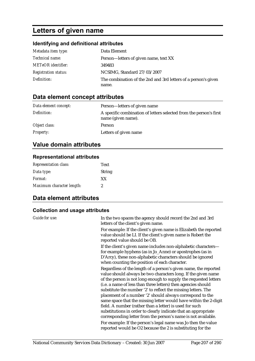## **Letters of given name**

### **Identifying and definitional attributes**

| Metadata item type:         | Data Element                                                   |
|-----------------------------|----------------------------------------------------------------|
| <i>Technical name:</i>      | Person—letters of given name, text XX                          |
| METeOR identifier:          | 349483                                                         |
| <b>Registration status:</b> | NCSIMG, Standard 27/03/2007                                    |
| Definition:                 | The combination of the 2nd and 3rd letters of a person's given |
|                             | name.                                                          |

## **Data element concept attributes**

| Data element concept: | Person—letters of given name                                                             |
|-----------------------|------------------------------------------------------------------------------------------|
| Definition:           | A specific combination of letters selected from the person's first<br>name (given name). |
| Object class:         | Person                                                                                   |
| <b>Property:</b>      | Letters of given name                                                                    |

## **Value domain attributes**

#### **Representational attributes**

| <b>Representation class:</b> | Text          |
|------------------------------|---------------|
| Data type:                   | <b>String</b> |
| <i>Format:</i>               | XX            |
| Maximum character length:    | 2             |

## **Data element attributes**

### **Collection and usage attributes**

| Guide for use: | In the two spaces the agency should record the 2nd and 3rd<br>letters of the client's given name.                                                                                                                                                                                                                                                                                                                                                                                                                                                                                                                                                                                                                                      |
|----------------|----------------------------------------------------------------------------------------------------------------------------------------------------------------------------------------------------------------------------------------------------------------------------------------------------------------------------------------------------------------------------------------------------------------------------------------------------------------------------------------------------------------------------------------------------------------------------------------------------------------------------------------------------------------------------------------------------------------------------------------|
|                | For example: If the client's given name is Elizabeth the reported<br>value should be LI. If the client's given name is Robert the<br>reported value should be OB.                                                                                                                                                                                                                                                                                                                                                                                                                                                                                                                                                                      |
|                | If the client's given name includes non-alphabetic characters—<br>for example hyphens (as in Jo_Anne) or apostrophes (as in<br>D'Arcy), these non-alphabetic characters should be ignored<br>when counting the position of each character.                                                                                                                                                                                                                                                                                                                                                                                                                                                                                             |
|                | Regardless of the length of a person's given name, the reported<br>value should always be two characters long. If the given name<br>of the person is not long enough to supply the requested letters<br>(i.e. a name of less than three letters) then agencies should<br>substitute the number '2' to reflect the missing letters. The<br>placement of a number '2' should always correspond to the<br>same space that the missing letter would have within the 2-digit<br>field. A number (rather than a letter) is used for such<br>substitutions in order to clearly indicate that an appropriate<br>corresponding letter from the person's name is not available.<br>For example: If the person's legal name was Jo then the value |
|                | reported would be O2 because the 2 is substituting for the                                                                                                                                                                                                                                                                                                                                                                                                                                                                                                                                                                                                                                                                             |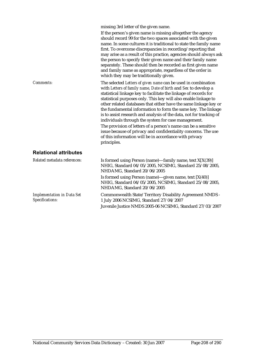|                                                      | missing 3rd letter of the given name.<br>If the person's given name is missing altogether the agency<br>should record 99 for the two spaces associated with the given<br>name. In some cultures it is traditional to state the family name<br>first. To overcome discrepancies in recording/reporting that<br>may arise as a result of this practice, agencies should always ask<br>the person to specify their given name and their family name<br>separately. These should then be recorded as first given name<br>and family name as appropriate, regardless of the order in<br>which they may be traditionally given.                                                                                                                               |
|------------------------------------------------------|---------------------------------------------------------------------------------------------------------------------------------------------------------------------------------------------------------------------------------------------------------------------------------------------------------------------------------------------------------------------------------------------------------------------------------------------------------------------------------------------------------------------------------------------------------------------------------------------------------------------------------------------------------------------------------------------------------------------------------------------------------|
| <b>Comments:</b>                                     | The selected Letters of given name can be used in combination<br>with Letters of family name, Date of birth and Sex to develop a<br>statistical linkage key to facilitate the linkage of records for<br>statistical purposes only. This key will also enable linkage to<br>other related databases that either have the same linkage key or<br>the fundamental information to form the same key. The linkage<br>is to assist research and analysis of the data, not for tracking of<br>individuals through the system for case management.<br>The provision of letters of a person's name can be a sensitive<br>issue because of privacy and confidentiality concerns. The use<br>of this information will be in accordance with privacy<br>principles. |
| <b>Relational attributes</b>                         |                                                                                                                                                                                                                                                                                                                                                                                                                                                                                                                                                                                                                                                                                                                                                         |
| Related metadata references:                         | Is formed using Person (name)—family name, text $X[X(39)]$<br>NHIG, Standard 04/05/2005, NCSIMG, Standard 25/08/2005,<br>NHDAMG, Standard 20/06/2005                                                                                                                                                                                                                                                                                                                                                                                                                                                                                                                                                                                                    |
|                                                      | Is formed using Person (name)—given name, text $[X(40)]$<br>NHIG, Standard 04/05/2005, NCSIMG, Standard 25/08/2005,<br>NHDAMG, Standard 20/06/2005                                                                                                                                                                                                                                                                                                                                                                                                                                                                                                                                                                                                      |
| <b>Implementation in Data Set</b><br>Specifications: | Commonwealth State/Territory Disability Agreement NMDS -<br>1 July 2006 NCSIMG, Standard 27/04/2007                                                                                                                                                                                                                                                                                                                                                                                                                                                                                                                                                                                                                                                     |

Juvenile Justice NMDS 2005-06 NCSIMG, Standard 27/03/2007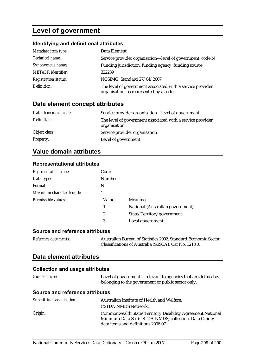## **Level of government**

## **Identifying and definitional attributes**

| Metadata item type:         | Data Element                                                                                          |
|-----------------------------|-------------------------------------------------------------------------------------------------------|
| Technical name:             | Service provider organisation-level of government, code N                                             |
| Synonymous names:           | Funding jurisdiction, funding agency, funding source                                                  |
| <b>METeOR</b> identifier:   | 322239                                                                                                |
| <b>Registration status:</b> | NCSIMG, Standard 27/04/2007                                                                           |
| Definition:                 | The level of government associated with a service provider<br>organisation, as represented by a code. |

## **Data element concept attributes**

| Data element concept: | Service provider organisation—level of government                           |
|-----------------------|-----------------------------------------------------------------------------|
| Definition:           | The level of government associated with a service provider<br>organisation. |
| Object class:         | Service provider organisation                                               |
| <i>Property:</i>      | Level of government                                                         |

## **Value domain attributes**

#### **Representational attributes**

| <b>Representation class:</b> | Code          |                                  |
|------------------------------|---------------|----------------------------------|
| Data type:                   | <b>Number</b> |                                  |
| Format:                      | N             |                                  |
| Maximum character length:    |               |                                  |
| Permissible values:          | Value         | Meaning                          |
|                              | 1             | National (Australian government) |
|                              | 2             | State/Territory government       |
|                              | 3             | Local government                 |
|                              |               |                                  |

#### **Source and reference attributes**

| Reference documents: | Australian Bureau of Statistics 2002. Standard Economic Sector |
|----------------------|----------------------------------------------------------------|
|                      | Classifications of Australia (SESCA), Cat No. 1218.0.          |

#### **Data element attributes**

#### **Collection and usage attributes**

| Guide for use:                  | Level of government is relevant to agencies that are defined as<br>belonging to the government or public sector only.                                      |
|---------------------------------|------------------------------------------------------------------------------------------------------------------------------------------------------------|
| Source and reference attributes |                                                                                                                                                            |
| Submitting organisation:        | Australian Institute of Health and Welfare.<br>CSTDA NMDS Network.                                                                                         |
| Origin:                         | Commonwealth State/Territory Disability Agreement National<br>Minimum Data Set (CSTDA NMDS) collection. Data Guide:<br>data items and definitions 2006-07. |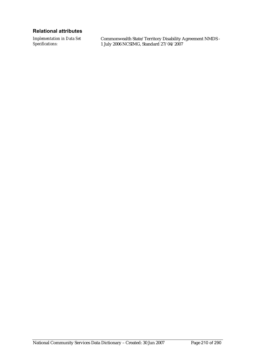#### **Relational attributes**

*Implementation in Data Set Specifications:*

Commonwealth State/Territory Disability Agreement NMDS - 1 July 2006 NCSIMG, Standard 27/04/2007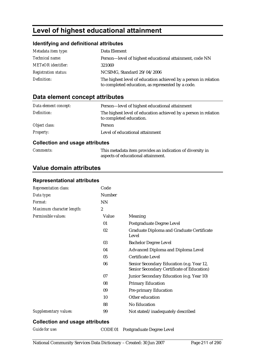## **Level of highest educational attainment**

### **Identifying and definitional attributes**

| Metadata item type:         | Data Element                                                                                                         |
|-----------------------------|----------------------------------------------------------------------------------------------------------------------|
| Technical name:             | Person—level of highest educational attainment, code NN                                                              |
| <b>METeOR</b> identifier:   | 321069                                                                                                               |
| <b>Registration status:</b> | NCSIMG, Standard 29/04/2006                                                                                          |
| Definition:                 | The highest level of education achieved by a person in relation<br>to completed education, as represented by a code. |

### **Data element concept attributes**

| Data element concept: | Person-level of highest educational attainment                                             |
|-----------------------|--------------------------------------------------------------------------------------------|
| Definition:           | The highest level of education achieved by a person in relation<br>to completed education. |
| Object class:         | <b>Person</b>                                                                              |
| <b>Property:</b>      | Level of educational attainment                                                            |

#### **Collection and usage attributes**

| <i>Comments:</i> | This metadata item provides an indication of diversity in |
|------------------|-----------------------------------------------------------|
|                  | aspects of educational attainment.                        |

## **Value domain attributes**

### **Representational attributes**

| Representation class:        | Code             |                                                                                         |
|------------------------------|------------------|-----------------------------------------------------------------------------------------|
| Data type:                   | Number           |                                                                                         |
| Format:                      | <b>NN</b>        |                                                                                         |
| Maximum character length:    | $\boldsymbol{2}$ |                                                                                         |
| Permissible values:          | Value            | Meaning                                                                                 |
|                              | 01               | Postgraduate Degree Level                                                               |
|                              | 02               | Graduate Diploma and Graduate Certificate<br>Level                                      |
|                              | 03               | <b>Bachelor Degree Level</b>                                                            |
|                              | 04               | <b>Advanced Diploma and Diploma Level</b>                                               |
|                              | 05               | <b>Certificate Level</b>                                                                |
|                              | 06               | Senior Secondary Education (e.g. Year 12,<br>Senior Secondary Certificate of Education) |
|                              | 07               | Junior Secondary Education (e.g. Year 10)                                               |
|                              | 08               | <b>Primary Education</b>                                                                |
|                              | 09               | <b>Pre-primary Education</b>                                                            |
|                              | 10               | Other education                                                                         |
|                              | 88               | <b>No Education</b>                                                                     |
| <b>Supplementary values:</b> | 99               | Not stated/inadequately described                                                       |

#### **Collection and usage attributes**

*Guide for use:* CODE 01 Postgraduate Degree Level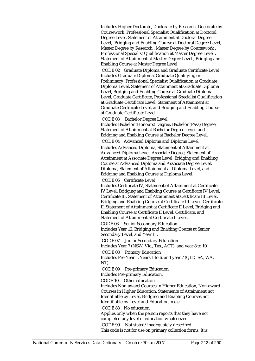Includes Higher Doctorate, Doctorate by Research, Doctorate by Coursework, Professional Specialist Qualification at Doctoral Degree Level, Statement of Attainment at Doctoral Degree Level, Bridging and Enabling Course at Doctoral Degree Level, Master Degree by Research , Master Degree by Coursework , Professional Specialist Qualification at Master Degree Level , Statement of Attainment at Master Degree Level , Bridging and Enabling Course at Master Degree Level.

 CODE 02 Graduate Diploma and Graduate Certificate Level Includes Graduate Diploma, Graduate Qualifying or Preliminary, Professional Specialist Qualification at Graduate Diploma Level, Statement of Attainment at Graduate Diploma Level, Bridging and Enabling Course at Graduate Diploma Level, Graduate Certificate, Professional Specialist Qualification at Graduate Certificate Level, Statement of Attainment at Graduate Certificate Level, and Bridging and Enabling Course at Graduate Certificate Level.

CODE 03 Bachelor Degree Level

Includes Bachelor (Honours) Degree, Bachelor (Pass) Degree, Statement of Attainment at Bachelor Degree Level, and Bridging and Enabling Course at Bachelor Degree Level. CODE 04 Advanced Diploma and Diploma Level

Includes Advanced Diploma, Statement of Attainment at Advanced Diploma Level, Associate Degree, Statement of Attainment at Associate Degree Level, Bridging and Enabling Course at Advanced Diploma and Associate Degree Level, Diploma, Statement of Attainment at Diploma Level, and Bridging and Enabling Course at Diploma Level.

CODE 05 Certificate Level

Includes Certificate IV, Statement of Attainment at Certificate IV Level, Bridging and Enabling Course at Certificate IV Level, Certificate III, Statement of Attainment at Certificate III Level, Bridging and Enabling Course at Certificate III Level, Certificate II, Statement of Attainment at Certificate II Level, Bridging and Enabling Course at Certificate II Level, Certificate, and Statement of Attainment at Certificate I Level.

CODE 06 Senior Secondary Education Includes Year 12, Bridging and Enabling Course at Senior Secondary Level, and Year 11.

CODE 07 Junior Secondary Education

Includes Year 7 (NSW, Vic., Tas., ACT), and year 8 to 10. CODE 08 Primary Education

Includes Pre-Year 1, Years 1 to 6, and year 7 (QLD, SA, WA, NT).

CODE 09 Pre-primary Education

Includes Pre-primary Education.

CODE 10 Other education

Includes Non-award Courses in Higher Education, Non-award Courses in Higher Education, Statements of Attainment not Identifiable by Level, Bridging and Enabling Courses not Identifiable by Level and Education, n.e.c.

CODE 88 No education

Applies only when the person reports that they have not completed any level of education whatsoever.

 CODE 99 Not stated/inadequately described This code is not for use on primary collection forms. It is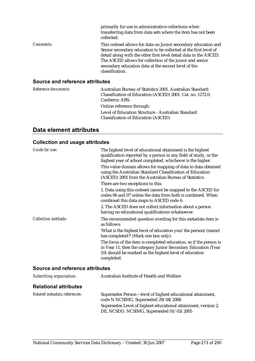|                                        | primarily for use in administrative collections when<br>transferring data from data sets where the item has not been<br>collected.                                                                                                                                                                                                            |
|----------------------------------------|-----------------------------------------------------------------------------------------------------------------------------------------------------------------------------------------------------------------------------------------------------------------------------------------------------------------------------------------------|
| <i>Comments:</i>                       | This codeset allows for data on Junior secondary education and<br>Senior secondary education to be collected at the first level of<br>detail along with the other first level detail data in the ASCED.<br>The ASCED allows for collection of the junior and senior<br>secondary education data at the second level of the<br>classification. |
| <b>Source and reference attributes</b> |                                                                                                                                                                                                                                                                                                                                               |

#### *Reference documents:* Australian Bureau of Statistics 2001. Australian Standard Classification of Education (ASCED) 2001. Cat. no. 1272.0. Canberra: ABS. Online reference through: Level of Education Structure - Australian Standard Classification of Education (ASCED)

### **Data element attributes**

#### **Collection and usage attributes**

| <b>Guide for use:</b>      | The highest level of educational attainment is the highest<br>qualification reported by a person in any field of study, or the<br>highest year of school completed, whichever is the higher.<br>This value domain allows for mapping of data to data obtained<br>using the Australian Standard Classification of Education<br>(ASCED) 2001 from the Australian Bureau of Statistics. |
|----------------------------|--------------------------------------------------------------------------------------------------------------------------------------------------------------------------------------------------------------------------------------------------------------------------------------------------------------------------------------------------------------------------------------|
|                            | There are two exceptions to this:                                                                                                                                                                                                                                                                                                                                                    |
|                            | 1. Data using this codeset cannot be mapped to the ASCED for<br>codes 06 and 07 unless the data from both is combined. When<br>combined this data maps to ASCED code 6.                                                                                                                                                                                                              |
|                            | 2. The ASCED does not collect information about a person<br>having no educational qualifications whatsoever.                                                                                                                                                                                                                                                                         |
| <b>Collection methods:</b> | The recommended question wording for this metadata item is<br>as follows:                                                                                                                                                                                                                                                                                                            |
|                            | 'What is the highest level of education you/the person/(name)<br>has completed?' (Mark one box only).                                                                                                                                                                                                                                                                                |
|                            | The focus of the item is completed education, so if the person is<br>in Year 11, then the category Junior Secondary Education (Year<br>10) should be marked as the highest level of education<br>completed.                                                                                                                                                                          |

#### **Source and reference attributes**

| Submitting organisation:     | Australian Institute of Health and Welfare                                                                 |
|------------------------------|------------------------------------------------------------------------------------------------------------|
| <b>Relational attributes</b> |                                                                                                            |
| Related metadata references: | Supersedes Person-level of highest educational attainment,<br>code N NCSIMG, Superseded 29/04/2006         |
|                              | Supersedes Level of highest educational attainment, version 2,<br>DE, NCSDD, NCSIMG, Superseded 01/03/2005 |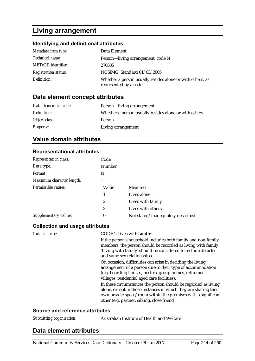## **Living arrangement**

## **Identifying and definitional attributes**

| Metadata item type:         | Data Element                                                                        |
|-----------------------------|-------------------------------------------------------------------------------------|
| <i>Technical name:</i>      | Person-living arrangement, code N                                                   |
| <b>METeOR</b> identifier:   | 270385                                                                              |
| <b>Registration status:</b> | NCSIMG, Standard 01/03/2005                                                         |
| Definition:                 | Whether a person usually resides alone or with others, as<br>represented by a code. |

## **Data element concept attributes**

| Data element concept: | Person—living arrangement                              |
|-----------------------|--------------------------------------------------------|
| Definition:           | Whether a person usually resides alone or with others. |
| Object class:         | Person                                                 |
| <i>Property:</i>      | Living arrangement                                     |

## **Value domain attributes**

### **Representational attributes**

| <b>Representation class:</b> | Code          |                                   |
|------------------------------|---------------|-----------------------------------|
| Data type:                   | <b>Number</b> |                                   |
| Format:                      | N             |                                   |
| Maximum character length:    |               |                                   |
| Permissible values:          | Value         | <b>Meaning</b>                    |
|                              | 1             | Lives alone                       |
|                              | 2             | Lives with family                 |
|                              | 3             | Lives with others                 |
| Supplementary values:        | 9             | Not stated/inadequately described |

### **Collection and usage attributes**

| Guide for use: | CODE 2 Lives with family:                                                                                                                                                                                                                           |
|----------------|-----------------------------------------------------------------------------------------------------------------------------------------------------------------------------------------------------------------------------------------------------|
|                | If the person's household includes both family and non-family<br>members, the person should be recorded as living with family.<br>'Living with family' should be considered to include defacto<br>and same sex relationships.                       |
|                | On occasion, difficulties can arise in deciding the living<br>arrangement of a person due to their type of accommodation<br>(e.g. boarding houses, hostels, group homes, retirement<br>villages, residential aged care facilities).                 |
|                | In these circumstances the person should be regarded as living<br>alone, except in those instances in which they are sharing their<br>own private space/room within the premises with a significant<br>other (e.g. partner, sibling, close friend). |
|                |                                                                                                                                                                                                                                                     |

#### **Source and reference attributes**

## **Data element attributes**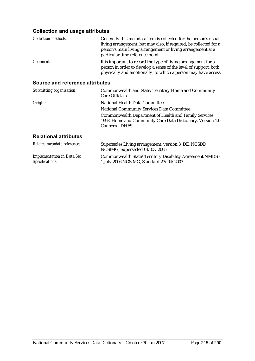### **Collection and usage attributes**

| <b>Collection methods:</b>      | Generally this metadata item is collected for the person's usual<br>living arrangement, but may also, if required, be collected for a<br>person's main living arrangement or living arrangement at a<br>particular time reference point. |  |  |  |
|---------------------------------|------------------------------------------------------------------------------------------------------------------------------------------------------------------------------------------------------------------------------------------|--|--|--|
| Comments:                       | It is important to record the type of living arrangement for a<br>person in order to develop a sense of the level of support, both<br>physically and emotionally, to which a person may have access.                                     |  |  |  |
| Source and reference attributes |                                                                                                                                                                                                                                          |  |  |  |
| Submitting organisation:        | Commonwealth and State/Territory Home and Community<br>Care Officials                                                                                                                                                                    |  |  |  |

| Origin: | National Health Data Committee                                                                                              |
|---------|-----------------------------------------------------------------------------------------------------------------------------|
|         | <b>National Community Services Data Committee</b>                                                                           |
|         | <b>Commonwealth Department of Health and Family Services</b><br>1998. Home and Community Care Data Dictionary. Version 1.0. |
|         | Canberra: DHFS.                                                                                                             |
|         |                                                                                                                             |

#### **Relational attributes**

| Related metadata references:      | Supersedes Living arrangement, version 3, DE, NCSDD,<br>NCSIMG, Superseded 01/03/2005 |
|-----------------------------------|---------------------------------------------------------------------------------------|
| <b>Implementation in Data Set</b> | Commonwealth State/Territory Disability Agreement NMDS -                              |
| Specifications:                   | 1 July 2006 NCSIMG, Standard 27/04/2007                                               |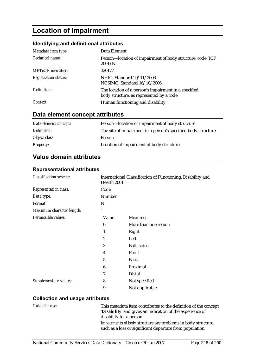## **Location of impairment**

#### **Identifying and definitional attributes**

| Metadata item type:         | Data Element                                                                                      |  |
|-----------------------------|---------------------------------------------------------------------------------------------------|--|
| Technical name:             | Person-location of impairment of body structure, code (ICF)<br>2001) N                            |  |
| <b>METeOR</b> identifier:   | 320177                                                                                            |  |
| <b>Registration status:</b> | NHIG, Standard 29/11/2006<br>NCSIMG, Standard 16/10/2006                                          |  |
| Definition:                 | The location of a person's impairment in a specified<br>body structure, as represented by a code. |  |
| Context:                    | Human functioning and disability                                                                  |  |

## **Data element concept attributes**

| Data element concept: | Person-location of impairment of body structure                |  |
|-----------------------|----------------------------------------------------------------|--|
| Definition:           | The site of impairment in a person's specified body structure. |  |
| Object class:         | Person                                                         |  |
| <i>Property:</i>      | Location of impairment of body structure                       |  |

### **Value domain attributes**

#### **Representational attributes**

| <b>Classification scheme:</b> | International Classification of Functioning, Disability and<br>Health 2001 |                      |  |
|-------------------------------|----------------------------------------------------------------------------|----------------------|--|
| Representation class:         | Code                                                                       |                      |  |
| Data type:                    | Number                                                                     |                      |  |
| Format:                       | N                                                                          |                      |  |
| Maximum character length:     | 1                                                                          |                      |  |
| Permissible values:           | Value                                                                      | Meaning              |  |
|                               | $\boldsymbol{0}$                                                           | More than one region |  |
|                               |                                                                            | Right                |  |
|                               | $\overline{2}$                                                             | Left                 |  |
|                               | 3                                                                          | <b>Both sides</b>    |  |
|                               | 4                                                                          | Front                |  |
|                               | 5                                                                          | <b>Back</b>          |  |
|                               | 6                                                                          | Proximal             |  |
|                               | 7                                                                          | Distal               |  |
| <b>Supplementary values:</b>  | 8                                                                          | Not specified        |  |
|                               | 9                                                                          | Not applicable       |  |

#### **Collection and usage attributes**

*Guide for use:* This metadata item contributes to the definition of the concept '**Disability**' and gives an indication of the experience of disability for a person.

*Impairments of body structure* are problems in body structure such as a loss or significant departure from population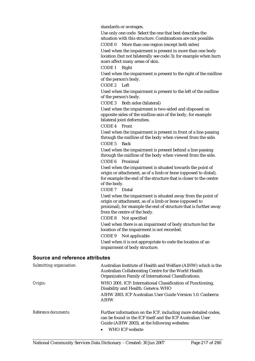standards or averages.

Use only one code. Select the one that best describes the situation with this structure. Combinations are not possible.

CODE 0 More than one region (except both sides) Used when the impairment is present in more than one body location (but not bilaterally see code 3); for example when burn scars affect many areas of skin.

CODE 1 Right

Used when the impairment is present to the right of the midline of the person's body.

CODE 2 Left

Used when the impairment is present to the left of the midline of the person's body.

CODE 3 Both sides (bilateral)

Used when the impairment is two-sided and disposed on opposite sides of the midline axis of the body, for example bilateral joint deformities.

CODE 4 Front

Used when the impairment is present in front of a line passing through the midline of the body when viewed from the side. CODE 5 Back

Used when the impairment is present behind a line passing through the midline of the body when viewed from the side. CODE 6 Proximal

Used when the impairment is situated towards the point of origin or attachment, as of a limb or bone (opposed to distal), for example the end of the structure that is closer to the centre of the body.

CODE 7 Distal

Used when the impairment is situated away from the point of origin or attachment, as of a limb or bone (opposed to proximal), for example the end of structure that is further away from the centre of the body.

CODE 8 Not specified

Used when there is an impairment of body structure but the location of the impairment is not recorded.

CODE 9 Not applicable

Used when it is not appropriate to code the location of an impairment of body structure.

| Submitting organisation: | Australian Institute of Health and Welfare (AIHW) which is the<br>Australian Collaborating Centre for the World Health<br>Organization Family of International Classifications. |
|--------------------------|---------------------------------------------------------------------------------------------------------------------------------------------------------------------------------|
| Origin:                  | WHO 2001. ICF: International Classification of Functioning,<br>Disability and Health. Geneva: WHO                                                                               |
|                          | AIHW 2003. ICF Australian User Guide Version 1.0. Canberra:<br><b>AIHW</b>                                                                                                      |
| Reference documents:     | Further information on the ICF, including more detailed codes,<br>can be found in the ICF itself and the ICF Australian User<br>Guide (AIHW 2003), at the following websites:   |
|                          | WHO ICF website                                                                                                                                                                 |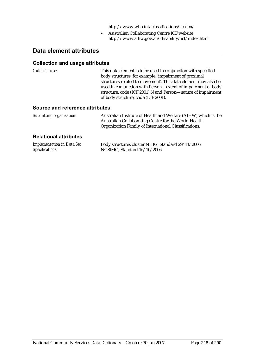http://www.who.int/classifications/icf/en/

• Australian Collaborating Centre ICF website http://www.aihw.gov.au/disability/icf/index.html

## **Data element attributes**

#### **Collection and usage attributes**

*Guide for use:* This data element is to be used in conjunction with specified body structures, for example, 'impairment of proximal structures related to movement'. This data element may also be used in conjunction with Person—extent of impairment of body structure, code (ICF 2001) N and Person—nature of impairment of body structure, code (ICF 2001).

#### **Source and reference attributes**

| Submitting organisation: | Australian Institute of Health and Welfare (AIHW) which is the |
|--------------------------|----------------------------------------------------------------|
|                          | Australian Collaborating Centre for the World Health           |
|                          | Organization Family of International Classifications.          |

#### **Relational attributes**

| <b>Implementation in Data Set</b> | Body structures cluster NHIG, Standard 29/11/2006 |
|-----------------------------------|---------------------------------------------------|
| Specifications:                   | NCSIMG, Standard 16/10/2006                       |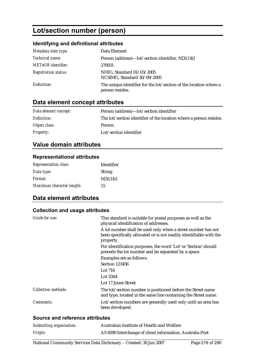# **Lot/section number (person)**

### **Identifying and definitional attributes**

| Metadata item type:         | Data Element                                                                         |
|-----------------------------|--------------------------------------------------------------------------------------|
| Technical name:             | Person (address)— $\left  \text{ot}/\text{section} \right $ identifier, N[X(14)]     |
| <b>METeOR</b> identifier:   | 270031                                                                               |
| <b>Registration status:</b> | NHIG, Standard 01/03/2005<br>NCSIMG, Standard 30/09/2005                             |
| Definition:                 | The unique identifier for the lot/section of the location where a<br>person resides. |

# **Data element concept attributes**

| Data element concept: | Person (address)—lot/section identifier                            |
|-----------------------|--------------------------------------------------------------------|
| Definition:           | The lot/section identifier of the location where a person resides. |
| Object class:         | <b>Person</b>                                                      |
| <i>Property:</i>      | Lot/section identifier                                             |

# **Value domain attributes**

#### **Representational attributes**

| <b>Representation class:</b> | Identifier    |
|------------------------------|---------------|
| Data type:                   | <b>String</b> |
| <i>Format:</i>               | N[X(14)]      |
| Maximum character length:    | 15            |

# **Data element attributes**

## **Collection and usage attributes**

| Guide for use:             | This standard is suitable for postal purposes as well as the<br>physical identification of addresses.                                            |
|----------------------------|--------------------------------------------------------------------------------------------------------------------------------------------------|
|                            | A lot number shall be used only when a street number has not<br>been specifically allocated or is not readily identifiable with the<br>property. |
|                            | For identification purposes, the word 'Lot' or 'Section' should<br>precede the lot number and be separated by a space.                           |
|                            | Examples are as follows:                                                                                                                         |
|                            | Section 123456                                                                                                                                   |
|                            | Lot 716                                                                                                                                          |
|                            | Lot $534A$                                                                                                                                       |
|                            | Lot 17 Jones Street                                                                                                                              |
| <b>Collection methods:</b> | The lot/section number is positioned before the Street name<br>and type, located in the same line containing the Street name.                    |
| Comments:                  | Lot/section numbers are generally used only until an area has<br>been developed.                                                                 |
|                            |                                                                                                                                                  |

| Submitting organisation: | Australian Institute of Health and Welfare                |
|--------------------------|-----------------------------------------------------------|
| Origin:                  | AS 4590 Interchange of client information, Australia Post |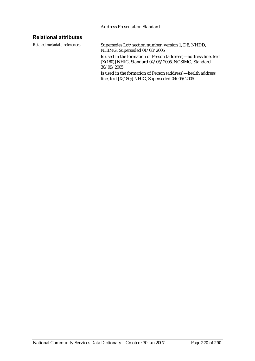### **Relational attributes**

*Related metadata references:* Supersedes Lot/section number, version 1, DE, NHDD, NHIMG, Superseded 01/03/2005 Is used in the formation of Person (address)—address line, text [X(180)] NHIG, Standard 04/05/2005, NCSIMG, Standard 30/09/2005 Is used in the formation of Person (address)—health address line, text [X(180)] NHIG, Superseded 04/05/2005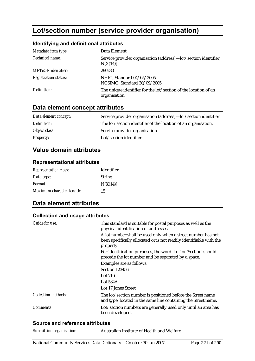# **Lot/section number (service provider organisation)**

### **Identifying and definitional attributes**

| Metadata item type:         | Data Element                                                                     |
|-----------------------------|----------------------------------------------------------------------------------|
| Technical name:             | Service provider organisation (address)—lot/section identifier,<br>N[X(14)]      |
| <b>METeOR</b> identifier:   | 290230                                                                           |
| <b>Registration status:</b> | NHIG, Standard 04/05/2005<br>NCSIMG, Standard 30/09/2005                         |
| Definition:                 | The unique identifier for the lot/section of the location of an<br>organisation. |

# **Data element concept attributes**

| Data element concept: | Service provider organisation (address)—lot/section identifier |
|-----------------------|----------------------------------------------------------------|
| Definition:           | The lot/section identifier of the location of an organisation. |
| Object class:         | Service provider organisation                                  |
| <b>Property:</b>      | Lot/section identifier                                         |

## **Value domain attributes**

#### **Representational attributes**

| <b>Representation class:</b> | Identifier    |
|------------------------------|---------------|
| Data type:                   | <b>String</b> |
| <i>Format:</i>               | N[X(14)]      |
| Maximum character length:    | 15            |

# **Data element attributes**

#### **Collection and usage attributes**

| <b>Guide for use:</b>      | This standard is suitable for postal purposes as well as the<br>physical identification of addresses.                                            |
|----------------------------|--------------------------------------------------------------------------------------------------------------------------------------------------|
|                            | A lot number shall be used only when a street number has not<br>been specifically allocated or is not readily identifiable with the<br>property. |
|                            | For identification purposes, the word 'Lot' or 'Section' should<br>precede the lot number and be separated by a space.                           |
|                            | Examples are as follows:                                                                                                                         |
|                            | Section 123456                                                                                                                                   |
|                            | Lot $716$                                                                                                                                        |
|                            | Lot 534A                                                                                                                                         |
|                            | Lot 17 Jones Street                                                                                                                              |
| <b>Collection methods:</b> | The lot/section number is positioned before the Street name<br>and type, located in the same line containing the Street name.                    |
| <i>Comments:</i>           | Lot/section numbers are generally used only until an area has<br>been developed.                                                                 |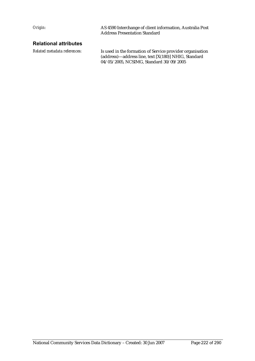*Origin:* AS 4590 Interchange of client information, Australia Post Address Presentation Standard

### **Relational attributes**

*Related metadata references:* Is used in the formation of Service provider organisation (address)—address line, text [X(180)] NHIG, Standard 04/05/2005, NCSIMG, Standard 30/09/2005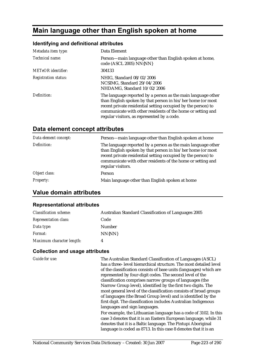# **Main language other than English spoken at home**

## **Identifying and definitional attributes**

| Metadata item type:         | Data Element                                                                                                                                                                                                                                                                                               |
|-----------------------------|------------------------------------------------------------------------------------------------------------------------------------------------------------------------------------------------------------------------------------------------------------------------------------------------------------|
| Technical name:             | Person—main language other than English spoken at home,<br>code (ASCL 2005) NN{NN}                                                                                                                                                                                                                         |
| <b>METeOR</b> identifier:   | 304133                                                                                                                                                                                                                                                                                                     |
| <b>Registration status:</b> | NHIG, Standard 08/02/2006<br>NCSIMG, Standard 29/04/2006<br>NHDAMG, Standard 10/02/2006                                                                                                                                                                                                                    |
| Definition:                 | The language reported by a person as the main language other<br>than English spoken by that person in his/her home (or most<br>recent private residential setting occupied by the person) to<br>communicate with other residents of the home or setting and<br>regular visitors, as represented by a code. |

# **Data element concept attributes**

| Data element concept: | Person-main language other than English spoken at home                                                                                                                                                                                                                           |
|-----------------------|----------------------------------------------------------------------------------------------------------------------------------------------------------------------------------------------------------------------------------------------------------------------------------|
| Definition:           | The language reported by a person as the main language other<br>than English spoken by that person in his/her home (or most<br>recent private residential setting occupied by the person) to<br>communicate with other residents of the home or setting and<br>regular visitors. |
| Object class:         | Person                                                                                                                                                                                                                                                                           |
| <b>Property:</b>      | Main language other than English spoken at home                                                                                                                                                                                                                                  |

# **Value domain attributes**

### **Representational attributes**

| <b>Classification scheme:</b> | <b>Australian Standard Classification of Languages 2005</b> |
|-------------------------------|-------------------------------------------------------------|
| <b>Representation class:</b>  | Code                                                        |
| Data type:                    | Number                                                      |
| <i>Format:</i>                | NN{NN}                                                      |
| Maximum character length:     | 4                                                           |

| <b>Guide for use:</b> | The Australian Standard Classification of Languages (ASCL)<br>has a three-level hierarchical structure. The most detailed level<br>of the classification consists of base units (languages) which are<br>represented by four-digit codes. The second level of the<br>classification comprises narrow groups of languages (the<br>Narrow Group level), identified by the first two digits. The<br>most general level of the classification consists of broad groups<br>of languages (the Broad Group level) and is identified by the<br>first digit. The classification includes Australian Indigenous<br>languages and sign languages. |
|-----------------------|----------------------------------------------------------------------------------------------------------------------------------------------------------------------------------------------------------------------------------------------------------------------------------------------------------------------------------------------------------------------------------------------------------------------------------------------------------------------------------------------------------------------------------------------------------------------------------------------------------------------------------------|
|                       | For example, the Lithuanian language has a code of 3102. In this<br>case 3 denotes that it is an Eastern European language, while 31<br>denotes that it is a Baltic language. The Pintupi Aboriginal<br>language is coded as 8713. In this case 8 denotes that it is an                                                                                                                                                                                                                                                                                                                                                                |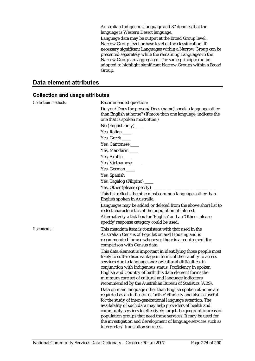Australian Indigenous language and 87 denotes that the language is Western Desert language.

Language data may be output at the Broad Group level, Narrow Group level or base level of the classification. If necessary significant Languages within a Narrow Group can be presented separately while the remaining Languages in the Narrow Group are aggregated. The same principle can be adopted to highlight significant Narrow Groups within a Broad Group.

# **Data element attributes**

| <b>Collection methods:</b> | Recommended question:                                                                                                                                                                                                                                                                                                                                                                                                                                                                                      |
|----------------------------|------------------------------------------------------------------------------------------------------------------------------------------------------------------------------------------------------------------------------------------------------------------------------------------------------------------------------------------------------------------------------------------------------------------------------------------------------------------------------------------------------------|
|                            | Do you/Does the person/Does (name) speak a language other<br>than English at home? (If more than one language, indicate the<br>one that is spoken most often.)                                                                                                                                                                                                                                                                                                                                             |
|                            | No (English only) _____                                                                                                                                                                                                                                                                                                                                                                                                                                                                                    |
|                            | Yes, Italian                                                                                                                                                                                                                                                                                                                                                                                                                                                                                               |
|                            | Yes, Greek                                                                                                                                                                                                                                                                                                                                                                                                                                                                                                 |
|                            | Yes, Cantonese                                                                                                                                                                                                                                                                                                                                                                                                                                                                                             |
|                            | Yes, Mandarin                                                                                                                                                                                                                                                                                                                                                                                                                                                                                              |
|                            | Yes, Arabic _____                                                                                                                                                                                                                                                                                                                                                                                                                                                                                          |
|                            | Yes, Vietnamese                                                                                                                                                                                                                                                                                                                                                                                                                                                                                            |
|                            | Yes, German                                                                                                                                                                                                                                                                                                                                                                                                                                                                                                |
|                            | Yes, Spanish                                                                                                                                                                                                                                                                                                                                                                                                                                                                                               |
|                            | Yes, Tagalog (Filipino) ____                                                                                                                                                                                                                                                                                                                                                                                                                                                                               |
|                            | Yes, Other (please specify)                                                                                                                                                                                                                                                                                                                                                                                                                                                                                |
|                            | This list reflects the nine most common languages other than<br>English spoken in Australia.                                                                                                                                                                                                                                                                                                                                                                                                               |
|                            | Languages may be added or deleted from the above short list to<br>reflect characteristics of the population of interest.                                                                                                                                                                                                                                                                                                                                                                                   |
|                            | Alternatively a tick box for 'English' and an 'Other - please<br>specify' response category could be used.                                                                                                                                                                                                                                                                                                                                                                                                 |
| Comments:                  | This metadata item is consistent with that used in the<br>Australian Census of Population and Housing and is<br>recommended for use whenever there is a requirement for<br>comparison with Census data.                                                                                                                                                                                                                                                                                                    |
|                            | This data element is important in identifying those people most<br>likely to suffer disadvantage in terms of their ability to access<br>services due to language and/or cultural difficulties. In<br>conjunction with Indigenous status, Proficiency in spoken<br>English and Country of birth this data element forms the<br>minimum core set of cultural and language indicators<br>recommended by the Australian Bureau of Statistics (ABS).                                                            |
|                            | Data on main language other than English spoken at home are<br>regarded as an indicator of 'active' ethnicity and also as useful<br>for the study of inter-generational language retention. The<br>availability of such data may help providers of health and<br>community services to effectively target the geographic areas or<br>population groups that need those services. It may be used for<br>the investigation and development of language services such as<br>interpreter/translation services. |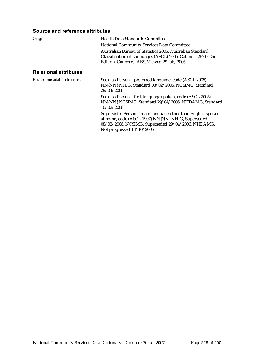#### **Source and reference attributes**

| Origin:                      | <b>Health Data Standards Committee</b>                                                                                                                                     |
|------------------------------|----------------------------------------------------------------------------------------------------------------------------------------------------------------------------|
|                              | <b>National Community Services Data Committee</b>                                                                                                                          |
|                              | Australian Bureau of Statistics 2005. Australian Standard<br>Classification of Languages (ASCL) 2005. Cat. no. 1267.0. 2nd<br>Edition, Canberra: ABS. Viewed 29 July 2005. |
| <b>Relational attributes</b> |                                                                                                                                                                            |
| Related metadata references: | See also Person—preferred language, code (ASCL 2005)<br>NN{NN} NHIG, Standard 08/02/2006, NCSIMG, Standard<br>29/04/2006                                                   |
|                              |                                                                                                                                                                            |

See also Person—first language spoken, code (ASCL 2005) NN{NN} NCSIMG, Standard 29/04/2006, NHDAMG, Standard 10/02/2006

Supersedes Person—main language other than English spoken at home, code (ASCL 1997) NN{NN} NHIG, Superseded 08/02/2006, NCSIMG, Superseded 29/04/2006, NHDAMG, Not progressed 13/10/2005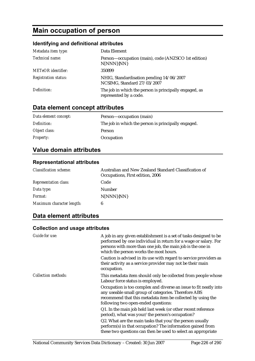# **Main occupation of person**

# **Identifying and definitional attributes**

| Metadata item type:         | Data Element                                                                     |
|-----------------------------|----------------------------------------------------------------------------------|
| Technical name:             | Person-occupation (main), code (ANZSCO 1st edition)<br>N[NNN]{NN}                |
| <b>METeOR</b> identifier:   | 350899                                                                           |
| <b>Registration status:</b> | NHIG, Standardisation pending 14/06/2007<br>NCSIMG, Standard 27/03/2007          |
| Definition:                 | The job in which the person is principally engaged, as<br>represented by a code. |

# **Data element concept attributes**

| Data element concept: | Person-occupation (main)                            |
|-----------------------|-----------------------------------------------------|
| Definition:           | The job in which the person is principally engaged. |
| Object class:         | <b>Person</b>                                       |
| <b>Property:</b>      | Occupation                                          |

# **Value domain attributes**

### **Representational attributes**

| <b>Classification scheme:</b> | Australian and New Zealand Standard Classification of<br>Occupations, First edition, 2006 |
|-------------------------------|-------------------------------------------------------------------------------------------|
| <b>Representation class:</b>  | Code                                                                                      |
| Data type:                    | Number                                                                                    |
| <i>Format:</i>                | N[NNN]{NN}                                                                                |
| Maximum character length:     | 6                                                                                         |

# **Data element attributes**

| Guide for use:             | A job in any given establishment is a set of tasks designed to be<br>performed by one individual in return for a wage or salary. For<br>persons with more than one job, the main job is the one in<br>which the person works the most hours.<br>Caution is advised in its use with regard to service providers as<br>their activity as a service provider may not be their main<br>occupation. |
|----------------------------|------------------------------------------------------------------------------------------------------------------------------------------------------------------------------------------------------------------------------------------------------------------------------------------------------------------------------------------------------------------------------------------------|
| <b>Collection methods:</b> | This metadata item should only be collected from people whose<br>Labour force status is employed.                                                                                                                                                                                                                                                                                              |
|                            | Occupation is too complex and diverse an issue to fit neatly into<br>any useable small group of categories. Therefore ABS<br>recommend that this metadata item be collected by using the<br>following two open-ended questions:                                                                                                                                                                |
|                            | Q1. In the main job held last week (or other recent reference<br>period), what was your/the person's occupation?                                                                                                                                                                                                                                                                               |
|                            | Q2. What are the main tasks that you/the person usually<br>perform(s) in that occupation? The information gained from<br>these two questions can then be used to select an appropriate                                                                                                                                                                                                         |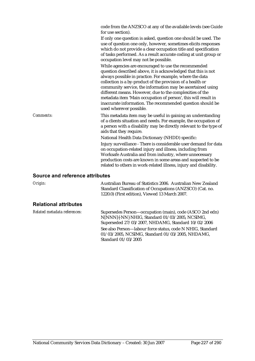|                                 | code from the ANZSCO at any of the available levels (see Guide<br>for use section).<br>If only one question is asked, question one should be used. The<br>use of question one only, however, sometimes elicits responses<br>which do not provide a clear occupation title and specification<br>of tasks performed. As a result accurate coding at unit group or<br>occupation level may not be possible.<br>While agencies are encouraged to use the recommended<br>question described above, it is acknowledged that this is not<br>always possible in practice. For example, where the data<br>collection is a by-product of the provision of a health or<br>community service, the information may be ascertained using<br>different means. However, due to the complexities of the<br>metadata item 'Main occupation of person', this will result in<br>inaccurate information. The recommended question should be<br>used wherever possible. |  |
|---------------------------------|---------------------------------------------------------------------------------------------------------------------------------------------------------------------------------------------------------------------------------------------------------------------------------------------------------------------------------------------------------------------------------------------------------------------------------------------------------------------------------------------------------------------------------------------------------------------------------------------------------------------------------------------------------------------------------------------------------------------------------------------------------------------------------------------------------------------------------------------------------------------------------------------------------------------------------------------------|--|
| Comments:                       | This metadata item may be useful in gaining an understanding<br>of a clients situation and needs. For example, the occupation of<br>a person with a disability may be directly relevant to the type of<br>aids that they require.                                                                                                                                                                                                                                                                                                                                                                                                                                                                                                                                                                                                                                                                                                                 |  |
|                                 | National Health Data Dictionary (NHDD) specific:                                                                                                                                                                                                                                                                                                                                                                                                                                                                                                                                                                                                                                                                                                                                                                                                                                                                                                  |  |
|                                 | Injury surveillance - There is considerable user demand for data<br>on occupation-related injury and illness, including from<br>Worksafe Australia and from industry, where unnecessary<br>production costs are known in some areas and suspected to be<br>related to others in work-related illness, injury and disability.                                                                                                                                                                                                                                                                                                                                                                                                                                                                                                                                                                                                                      |  |
| Source and reference attributes |                                                                                                                                                                                                                                                                                                                                                                                                                                                                                                                                                                                                                                                                                                                                                                                                                                                                                                                                                   |  |
| Origin:                         | Australian Bureau of Statistics 2006. Australian New Zealand<br>Standard Classification of Occupations (ANZSCO) (Cat. no.<br>1220.0) (First edition), Viewed 13 March 2007.                                                                                                                                                                                                                                                                                                                                                                                                                                                                                                                                                                                                                                                                                                                                                                       |  |

## **Relational attributes**

| Related metadata references: | Supersedes Person—occupation (main), code (ASCO 2nd edn)   |
|------------------------------|------------------------------------------------------------|
|                              | N[NNN]{-NN} NHIG, Standard 01/03/2005, NCSIMG,             |
|                              | Superseded 27/03/2007, NHDAMG, Standard 10/02/2006         |
|                              | See also Person—labour force status, code N NHIG, Standard |
|                              | $01/03/2005$ , NCSIMG, Standard $01/03/2005$ , NHDAMG,     |
|                              | Standard 01/03/2005                                        |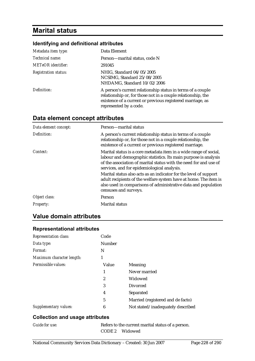# **Marital status**

## **Identifying and definitional attributes**

| Metadata item type:                | Data Element                                                                                                                                                                                                        |
|------------------------------------|---------------------------------------------------------------------------------------------------------------------------------------------------------------------------------------------------------------------|
| Technical name:                    | Person—marital status, code N                                                                                                                                                                                       |
| METeOR identifier:                 | 291045                                                                                                                                                                                                              |
| <i><b>Registration status:</b></i> | NHIG, Standard 04/05/2005<br>NCSIMG, Standard 25/08/2005<br>NHDAMG, Standard 10/02/2006                                                                                                                             |
| Definition:                        | A person's current relationship status in terms of a couple<br>relationship or, for those not in a couple relationship, the<br>existence of a current or previous registered marriage, as<br>represented by a code. |

# **Data element concept attributes**

| Data element concept: | Person-marital status                                                                                                                                                                                                                                    |
|-----------------------|----------------------------------------------------------------------------------------------------------------------------------------------------------------------------------------------------------------------------------------------------------|
| Definition:           | A person's current relationship status in terms of a couple<br>relationship or, for those not in a couple relationship, the<br>existence of a current or previous registered marriage.                                                                   |
| Context:              | Marital status is a core metadata item in a wide range of social,<br>labour and demographic statistics. Its main purpose is analysis<br>of the association of marital status with the need for and use of<br>services, and for epidemiological analysis. |
|                       | Marital status also acts as an indicator for the level of support<br>adult recipients of the welfare system have at home. The item is<br>also used in comparisons of administrative data and population<br>censuses and surveys.                         |
| Object class:         | Person                                                                                                                                                                                                                                                   |
| <b>Property:</b>      | <b>Marital status</b>                                                                                                                                                                                                                                    |

# **Value domain attributes**

### **Representational attributes**

| <b>Representation class:</b> | Code          |                                   |
|------------------------------|---------------|-----------------------------------|
| Data type:                   | <b>Number</b> |                                   |
| Format:                      | N             |                                   |
| Maximum character length:    | 1             |                                   |
| Permissible values:          | Value         | Meaning                           |
|                              | 1             | Never married                     |
|                              | 2             | Widowed                           |
|                              | 3             | Divorced                          |
|                              | 4             | Separated                         |
|                              | 5             | Married (registered and de facto) |
| Supplementary values:        | 6             | Not stated/inadequately described |

## **Collection and usage attributes**

| <b>Guide for use:</b> |  |
|-----------------------|--|
|                       |  |

Refers to the current marital status of a person. CODE 2 Widowed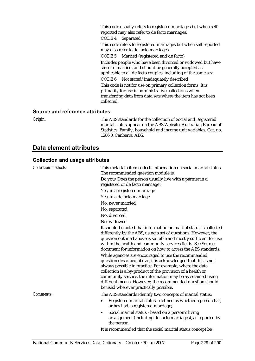This code usually refers to registered marriages but when self reported may also refer to de facto marriages.

CODE 4 Separated

This code refers to registered marriages but when self reported may also refer to de facto marriages.

CODE 5 Married (registered and de facto) Includes people who have been divorced or widowed but have since re-married, and should be generally accepted as applicable to all de facto couples, including of the same sex. CODE 6 Not stated/inadequately described This code is not for use on primary collection forms. It is primarily for use in administrative collections when transferring data from data sets where the item has not been collected.

#### **Source and reference attributes**

*Origin:* The ABS standards for the collection of Social and Registered marital status appear on the ABS Website. Australian Bureau of Statistics. Family, household and income unit variables. Cat. no. 1286.0. Canberra: ABS.

## **Data element attributes**

| <b>Collection methods:</b> | This metadata item collects information on social marital status.<br>The recommended question module is:                                                                                                                                                                                                                                                                                                              |
|----------------------------|-----------------------------------------------------------------------------------------------------------------------------------------------------------------------------------------------------------------------------------------------------------------------------------------------------------------------------------------------------------------------------------------------------------------------|
|                            | Do you/Does the person usually live with a partner in a<br>registered or de facto marriage?                                                                                                                                                                                                                                                                                                                           |
|                            | Yes, in a registered marriage                                                                                                                                                                                                                                                                                                                                                                                         |
|                            | Yes, in a defacto marriage                                                                                                                                                                                                                                                                                                                                                                                            |
|                            | No, never married                                                                                                                                                                                                                                                                                                                                                                                                     |
|                            | No, separated                                                                                                                                                                                                                                                                                                                                                                                                         |
|                            | No, divorced                                                                                                                                                                                                                                                                                                                                                                                                          |
|                            | No, widowed                                                                                                                                                                                                                                                                                                                                                                                                           |
|                            | It should be noted that information on marital status is collected<br>differently by the ABS, using a set of questions. However, the<br>question outlined above is suitable and mostly sufficient for use<br>within the health and community services fields. See Source<br>document for information on how to access the ABS standards.                                                                              |
|                            | While agencies are encouraged to use the recommended<br>question described above, it is acknowledged that this is not<br>always possible in practice. For example, where the data<br>collection is a by-product of the provision of a health or<br>community service, the information may be ascertained using<br>different means. However, the recommended question should<br>be used wherever practically possible. |
| <b>Comments:</b>           | The ABS standards identify two concepts of marital status:                                                                                                                                                                                                                                                                                                                                                            |
|                            | Registered marital status - defined as whether a person has,<br>or has had, a registered marriage;                                                                                                                                                                                                                                                                                                                    |
|                            | Social marital status - based on a person's living<br>٠<br>arrangement (including de facto marriages), as reported by<br>the person.                                                                                                                                                                                                                                                                                  |
|                            | It is recommended that the social marital status concept be                                                                                                                                                                                                                                                                                                                                                           |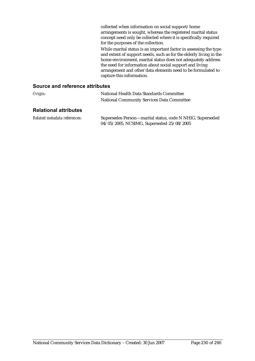collected when information on social support/home arrangements is sought, whereas the registered marital status concept need only be collected where it is specifically required for the purposes of the collection.

While marital status is an important factor in assessing the type and extent of support needs, such as for the elderly living in the home environment, marital status does not adequately address the need for information about social support and living arrangement and other data elements need to be formulated to capture this information.

| Origin:                      | National Health Data Standards Committee<br><b>National Community Services Data Committee</b>          |
|------------------------------|--------------------------------------------------------------------------------------------------------|
| <b>Relational attributes</b> |                                                                                                        |
| Related metadata references: | Supersedes Person-marital status, code N NHIG, Superseded<br>04/05/2005, NCSIMG, Superseded 25/08/2005 |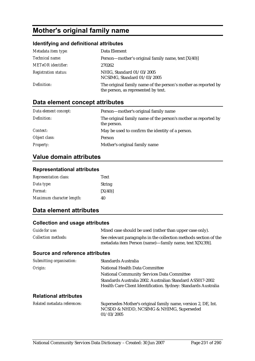# **Mother's original family name**

### **Identifying and definitional attributes**

| Metadata item type:         | Data Element                                                                                          |
|-----------------------------|-------------------------------------------------------------------------------------------------------|
| Technical name:             | Person—mother's original family name, text $[X(40)]$                                                  |
| <b>METeOR</b> identifier:   | 270262                                                                                                |
| <b>Registration status:</b> | NHIG, Standard 01/03/2005<br>NCSIMG, Standard 01/03/2005                                              |
| Definition:                 | The original family name of the person's mother as reported by<br>the person, as represented by text. |

# **Data element concept attributes**

| Data element concept: | Person—mother's original family name                                          |
|-----------------------|-------------------------------------------------------------------------------|
| Definition:           | The original family name of the person's mother as reported by<br>the person. |
| Context:              | May be used to confirm the identity of a person.                              |
| Object class:         | Person                                                                        |
| <b>Property:</b>      | Mother's original family name                                                 |

# **Value domain attributes**

### **Representational attributes**

| <b>Representation class:</b> | Text          |
|------------------------------|---------------|
| Data type:                   | <b>String</b> |
| <i>Format:</i>               | [X(40)]       |
| Maximum character length:    | 40            |

# **Data element attributes**

#### **Collection and usage attributes**

| Guide for use:             | Mixed case should be used (rather than upper case only).                                                                       |
|----------------------------|--------------------------------------------------------------------------------------------------------------------------------|
| <i>Collection methods:</i> | See relevant paragraphs in the collection methods section of the<br>metadata item Person (name)—family name, text $X[X(39)]$ . |

| Submitting organisation:     | Standards Australia                                                                                                         |
|------------------------------|-----------------------------------------------------------------------------------------------------------------------------|
| Origin:                      | National Health Data Committee                                                                                              |
|                              | <b>National Community Services Data Committee</b>                                                                           |
|                              | Standards Australia 2002. Australian Standard AS5017-2002<br>Health Care Client Identification. Sydney: Standards Australia |
| <b>Relational attributes</b> |                                                                                                                             |
| Related metadata references: | Supersedes Mother's original family name, version 2, DE, Int.<br>NCSDD & NHDD, NCSIMG & NHIMG, Superseded<br>01/03/2005     |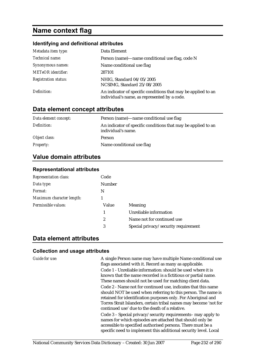# **Name context flag**

#### **Identifying and definitional attributes**

| Metadata item type:         | Data Element                                                                                                  |
|-----------------------------|---------------------------------------------------------------------------------------------------------------|
| Technical name:             | Person (name)—name conditional use flag, code N                                                               |
| Synonymous names:           | Name conditional use flag                                                                                     |
| <b>METeOR</b> identifier:   | 287101                                                                                                        |
| <b>Registration status:</b> | NHIG, Standard 04/05/2005<br>NCSIMG, Standard 25/08/2005                                                      |
| Definition:                 | An indicator of specific conditions that may be applied to an<br>individual's name, as represented by a code. |

# **Data element concept attributes**

| Data element concept: | Person (name)—name conditional use flag                                             |
|-----------------------|-------------------------------------------------------------------------------------|
| Definition:           | An indicator of specific conditions that may be applied to an<br>individual's name. |
| Object class:         | Person                                                                              |
| <b>Property:</b>      | Name conditional use flag                                                           |

## **Value domain attributes**

#### **Representational attributes**

| <b>Representation class:</b> | Code             |                                      |
|------------------------------|------------------|--------------------------------------|
| Data type:                   | <b>Number</b>    |                                      |
| Format:                      | N                |                                      |
| Maximum character length:    |                  |                                      |
| Permissible values:          | Value            | Meaning                              |
|                              | 1                | Unreliable information               |
|                              | $\boldsymbol{2}$ | Name not for continued use           |
|                              | 3                | Special privacy/security requirement |

## **Data element attributes**

#### **Collection and usage attributes**

*Guide for use:* A single Person name may have multiple Name conditional use flags associated with it. Record as many as applicable. Code 1 - Unreliable information: should be used where it is known that the name recorded is a fictitious or partial name. These names should not be used for matching client data. Code 2 - Name not for continued use, indicates that this name should NOT be used when referring to this person. The name is retained for identification purposes only. For Aboriginal and Torres Strait Islanders, certain tribal names may become 'not for continued use' due to the death of a relative.

Code 3 – Special privacy/security requirements– may apply to names for which episodes are attached that should only be accessible to specified authorised persons. There must be a specific need to implement this additional security level. Local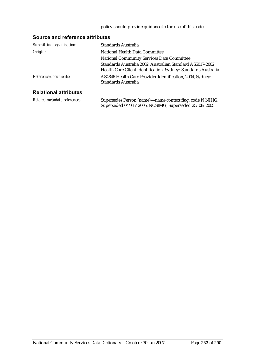#### policy should provide guidance to the use of this code.

| Submitting organisation:     | Standards Australia                                                                                                         |
|------------------------------|-----------------------------------------------------------------------------------------------------------------------------|
| Origin:                      | National Health Data Committee                                                                                              |
|                              | <b>National Community Services Data Committee</b>                                                                           |
|                              | Standards Australia 2002. Australian Standard AS5017-2002<br>Health Care Client Identification. Sydney: Standards Australia |
| Reference documents:         | AS4846 Health Care Provider Identification, 2004, Sydney:<br>Standards Australia                                            |
| <b>Relational attributes</b> |                                                                                                                             |
| Related metadata references: | Supersedes Person (name)—name context flag, code N NHIG,<br>Superseded 04/05/2005, NCSIMG, Superseded 25/08/2005            |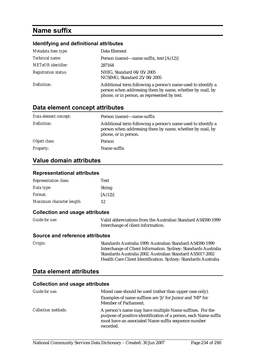# **Name suffix**

#### **Identifying and definitional attributes**

| Metadata item type:         | Data Element                                                                                                                                                             |
|-----------------------------|--------------------------------------------------------------------------------------------------------------------------------------------------------------------------|
| Technical name:             | Person (name)—name suffix, text $[A(12)]$                                                                                                                                |
| <b>METeOR</b> identifier:   | 287164                                                                                                                                                                   |
| <b>Registration status:</b> | NHIG, Standard 04/05/2005<br>NCSIMG, Standard 25/08/2005                                                                                                                 |
| Definition:                 | Additional term following a person's name used to identify a<br>person when addressing them by name, whether by mail, by<br>phone, or in person, as represented by text. |

## **Data element concept attributes**

| Data element concept: | Person (name)—name suffix                                                                                                                        |
|-----------------------|--------------------------------------------------------------------------------------------------------------------------------------------------|
| Definition:           | Additional term following a person's name used to identify a<br>person when addressing them by name, whether by mail, by<br>phone, or in person. |
| Object class:         | Person                                                                                                                                           |
| <b>Property:</b>      | Name suffix                                                                                                                                      |

## **Value domain attributes**

#### **Representational attributes**

| <b>Representation class:</b> | Text          |
|------------------------------|---------------|
| Data type:                   | <b>String</b> |
| <i>Format:</i>               | [A(12)]       |
| Maximum character length:    | 12            |

#### **Collection and usage attributes**

| <b>Guide for use:</b> | Valid abbreviations from the Australian Standard AS4590-1999 |
|-----------------------|--------------------------------------------------------------|
|                       | Interchange of client information.                           |

#### **Source and reference attributes**

*Origin:* Standards Australia 1999. Australian Standard AS4590-1999 Interchange of Client Information. Sydney: Standards Australia Standards Australia 2002. Australian Standard AS5017-2002 Health Care Client Identification. Sydney: Standards Australia

## **Data element attributes**

| Guide for use:             | Mixed case should be used (rather than upper case only).                                                                                                                                         |
|----------------------------|--------------------------------------------------------------------------------------------------------------------------------------------------------------------------------------------------|
|                            | Examples of name suffixes are 'Jr' for Junior and 'MP' for<br>Member of Parliament.                                                                                                              |
| <i>Collection methods:</i> | A person's name may have multiple Name suffixes. For the<br>purpose of positive identification of a person, each Name suffix<br>must have an associated Name suffix sequence number<br>recorded. |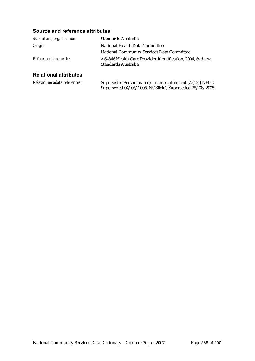### **Source and reference attributes**

| Submitting organisation:     | Standards Australia                                                              |
|------------------------------|----------------------------------------------------------------------------------|
| Origin:                      | National Health Data Committee                                                   |
|                              | <b>National Community Services Data Committee</b>                                |
| Reference documents:         | AS4846 Health Care Provider Identification, 2004, Sydney:<br>Standards Australia |
| <b>Relational attributes</b> |                                                                                  |
| Related metadata references: | Supersedes Person (name)—name suffix, text [A(12)] NHIG,                         |

Superseded 04/05/2005, NCSIMG, Superseded 25/08/2005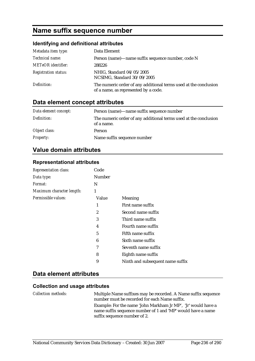# **Name suffix sequence number**

# **Identifying and definitional attributes**

| Metadata item type:         | Data Element                                                                                             |
|-----------------------------|----------------------------------------------------------------------------------------------------------|
| Technical name:             | Person (name)—name suffix sequence number, code N                                                        |
| <b>METeOR</b> identifier:   | 288226                                                                                                   |
| <b>Registration status:</b> | NHIG, Standard 04/05/2005<br>NCSIMG, Standard 30/09/2005                                                 |
| Definition:                 | The numeric order of any additional terms used at the conclusion<br>of a name, as represented by a code. |

# **Data element concept attributes**

| Data element concept: | Person (name)—name suffix sequence number                                      |
|-----------------------|--------------------------------------------------------------------------------|
| Definition:           | The numeric order of any additional terms used at the conclusion<br>of a name. |
| Object class:         | Person                                                                         |
| <b>Property:</b>      | Name suffix sequence number                                                    |

# **Value domain attributes**

#### **Representational attributes**

| <b>Representation class:</b> | Code   |                                  |
|------------------------------|--------|----------------------------------|
| Data type:                   | Number |                                  |
| <i>Format:</i>               | N      |                                  |
| Maximum character length:    | 1      |                                  |
| Permissible values:          | Value  | Meaning                          |
|                              | 1      | First name suffix                |
|                              | 2      | Second name suffix               |
|                              | 3      | Third name suffix                |
|                              | 4      | Fourth name suffix               |
|                              | 5      | Fifth name suffix                |
|                              | 6      | Sixth name suffix                |
|                              | 7      | Seventh name suffix              |
|                              | 8      | Eighth name suffix               |
|                              | 9      | Ninth and subsequent name suffix |

## **Data element attributes**

| <i>Collection methods:</i> | Multiple Name suffixes may be recorded. A Name suffix sequence<br>number must be recorded for each Name suffix. |
|----------------------------|-----------------------------------------------------------------------------------------------------------------|
|                            | Example: For the name 'John Markham Jr MP', 'Jr' would have a                                                   |
|                            | name suffix sequence number of 1 and 'MP' would have a name                                                     |
|                            | suffix sequence number of 2.                                                                                    |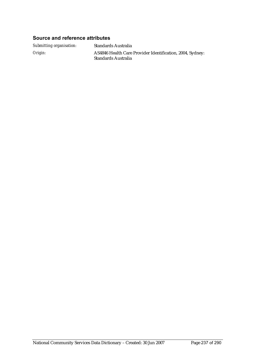#### **Source and reference attributes**

*Submitting organisation:* Standards Australia

*Origin:* AS4846 Health Care Provider Identification, 2004, Sydney: Standards Australia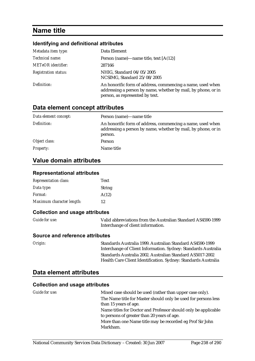# **Name title**

#### **Identifying and definitional attributes**

| Metadata item type:         | Data Element                                                                                                                                                   |
|-----------------------------|----------------------------------------------------------------------------------------------------------------------------------------------------------------|
| Technical name:             | Person (name)—name title, text $[A(12)]$                                                                                                                       |
| <b>METeOR</b> identifier:   | 287166                                                                                                                                                         |
| <b>Registration status:</b> | NHIG, Standard 04/05/2005<br>NCSIMG, Standard 25/08/2005                                                                                                       |
| Definition:                 | An honorific form of address, commencing a name, used when<br>addressing a person by name, whether by mail, by phone, or in<br>person, as represented by text. |

### **Data element concept attributes**

| Data element concept: | Person (name)—name title                                                                                                               |
|-----------------------|----------------------------------------------------------------------------------------------------------------------------------------|
| Definition:           | An honorific form of address, commencing a name, used when<br>addressing a person by name, whether by mail, by phone, or in<br>person. |
| Object class:         | Person                                                                                                                                 |
| <b>Property:</b>      | Name title                                                                                                                             |

### **Value domain attributes**

#### **Representational attributes**

| <b>Representation class:</b> | <b>Text</b>   |
|------------------------------|---------------|
| Data type:                   | <b>String</b> |
| <i>Format:</i>               | A(12)         |
| Maximum character length:    | 12            |

#### **Collection and usage attributes**

| <b>Guide for use:</b> | Valid abbreviations from the Australian Standard AS4590-1999 |
|-----------------------|--------------------------------------------------------------|
|                       | Interchange of client information.                           |

#### **Source and reference attributes**

| Origin: |
|---------|
|---------|

*Origin:* Standards Australia 1999. Australian Standard AS4590-1999 Interchange of Client Information. Sydney: Standards Australia Standards Australia 2002. Australian Standard AS5017-2002 Health Care Client Identification. Sydney: Standards Australia

## **Data element attributes**

| Guide for use: | Mixed case should be used (rather than upper case only).                                                      |
|----------------|---------------------------------------------------------------------------------------------------------------|
|                | The Name title for Master should only be used for persons less                                                |
|                | than 15 years of age.                                                                                         |
|                | Name titles for Doctor and Professor should only be applicable<br>to persons of greater than 20 years of age. |
|                | More than one Name title may be recorded eg Prof Sir John                                                     |
|                | Markham.                                                                                                      |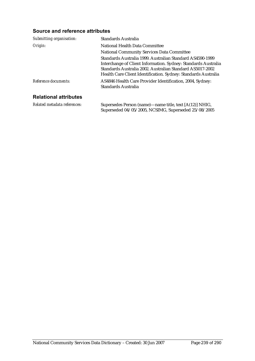| Submitting organisation:     | <b>Standards Australia</b>                                                                                                                                                                                                                                 |
|------------------------------|------------------------------------------------------------------------------------------------------------------------------------------------------------------------------------------------------------------------------------------------------------|
| Origin:                      | National Health Data Committee                                                                                                                                                                                                                             |
|                              | <b>National Community Services Data Committee</b>                                                                                                                                                                                                          |
|                              | Standards Australia 1999. Australian Standard AS4590-1999<br>Interchange of Client Information. Sydney: Standards Australia<br>Standards Australia 2002. Australian Standard AS5017-2002<br>Health Care Client Identification. Sydney: Standards Australia |
| Reference documents:         | AS4846 Health Care Provider Identification, 2004, Sydney:<br>Standards Australia                                                                                                                                                                           |
| <b>Relational attributes</b> |                                                                                                                                                                                                                                                            |
| Related metadata references: | Supersedes Person (name)—name title, text [A(12)] NHIG,<br>Superseded 04/05/2005, NCSIMG, Superseded 25/08/2005                                                                                                                                            |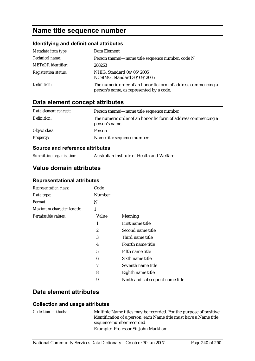# **Name title sequence number**

## **Identifying and definitional attributes**

| Metadata item type:         | Data Element                                                                                               |
|-----------------------------|------------------------------------------------------------------------------------------------------------|
| Technical name:             | Person (name)—name title sequence number, code N                                                           |
| <b>METeOR</b> identifier:   | 288263                                                                                                     |
| <b>Registration status:</b> | NHIG, Standard 04/05/2005<br>NCSIMG, Standard 30/09/2005                                                   |
| Definition:                 | The numeric order of an honorific form of address commencing a<br>person's name, as represented by a code. |

# **Data element concept attributes**

| Data element concept: | Person (name)—name title sequence number                                         |
|-----------------------|----------------------------------------------------------------------------------|
| Definition:           | The numeric order of an honorific form of address commencing a<br>person's name. |
| Object class:         | Person                                                                           |
| <b>Property:</b>      | Name title sequence number                                                       |

#### **Source and reference attributes**

| Submitting organisation: |  |  |
|--------------------------|--|--|
|--------------------------|--|--|

*Submitting organisation:* Australian Institute of Health and Welfare

## **Value domain attributes**

#### **Representational attributes**

| <b>Representation class:</b> | Code   |                                 |
|------------------------------|--------|---------------------------------|
| Data type:                   | Number |                                 |
| <i>Format:</i>               | N      |                                 |
| Maximum character length:    | 1      |                                 |
| Permissible values:          | Value  | <b>Meaning</b>                  |
|                              | 1      | First name title                |
|                              | 2      | Second name title               |
|                              | 3      | Third name title                |
|                              | 4      | Fourth name title               |
|                              | 5      | Fifth name title                |
|                              | 6      | Sixth name title                |
|                              | 7      | Seventh name title              |
|                              | 8      | Eighth name title               |
|                              | 9      | Ninth and subsequent name title |

## **Data element attributes**

#### **Collection and usage attributes**

*Collection methods:* Multiple Name titles may be recorded. For the purpose of positive identification of a person, each Name title must have a Name title sequence number recorded. Example: Professor Sir John Markham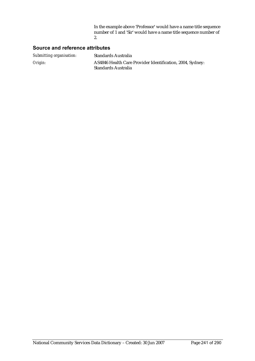In the example above 'Professor' would have a name title sequence number of 1 and 'Sir' would have a name title sequence number of 2.

| Submitting organisation: | <b>Standards Australia</b>                                                       |
|--------------------------|----------------------------------------------------------------------------------|
| Origin:                  | AS4846 Health Care Provider Identification, 2004, Sydney:<br>Standards Australia |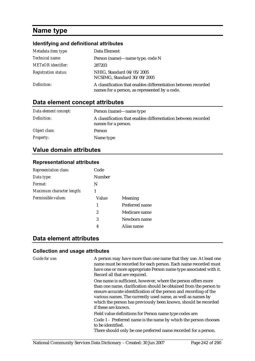# **Name type**

#### **Identifying and definitional attributes**

| Metadata item type:         | Data Element                                                                                                    |
|-----------------------------|-----------------------------------------------------------------------------------------------------------------|
| Technical name:             | Person (name)—name type, code N                                                                                 |
| <b>METeOR</b> identifier:   | 287203                                                                                                          |
| <b>Registration status:</b> | NHIG, Standard 04/05/2005<br>NCSIMG, Standard 30/09/2005                                                        |
| Definition:                 | A classification that enables differentiation between recorded<br>names for a person, as represented by a code. |

# **Data element concept attributes**

| Data element concept: | Person (name)—name type                                                               |
|-----------------------|---------------------------------------------------------------------------------------|
| Definition:           | A classification that enables differentiation between recorded<br>names for a person. |
| Object class:         | Person                                                                                |
| <b>Property:</b>      | Name type                                                                             |

## **Value domain attributes**

#### **Representational attributes**

| <b>Representation class:</b> | Code          |                |
|------------------------------|---------------|----------------|
| Data type:                   | <b>Number</b> |                |
| Format:                      | N             |                |
| Maximum character length:    | 1             |                |
| Permissible values:          | Value         | Meaning        |
|                              | 1             | Preferred name |
|                              | 2             | Medicare name  |
|                              | 3             | Newborn name   |
|                              | 4             | Alias name     |

## **Data element attributes**

#### **Collection and usage attributes**

*Guide for use:* A person may have more than one name that they use. At least one name must be recorded for each person. Each name recorded must have one or more appropriate Person name type associated with it. Record all that are required.

> One name is sufficient, however, where the person offers more than one name, clarification should be obtained from the person to ensure accurate identification of the person and recording of the various names. The currently used name, as well as names by which the person has previously been known, should be recorded if these are known.

Field value definitions for Person name type codes are:

Code 1 - Preferred name is the name by which the person chooses to be identified.

There should only be one preferred name recorded for a person.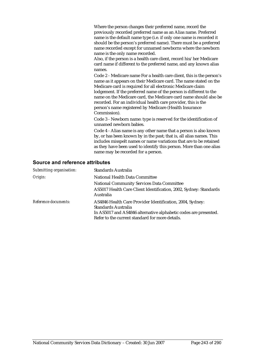Where the person changes their preferred name, record the previously recorded preferred name as an Alias name. Preferred name is the default name type (i.e. if only one name is recorded it should be the person's preferred name). There must be a preferred name recorded except for unnamed newborns where the newborn name is the only name recorded.

Also, if the person is a health care client, record his/her Medicare card name if different to the preferred name, and any known alias names.

Code 2 - Medicare name For a health care client, this is the person's name as it appears on their Medicare card. The name stated on the Medicare card is required for all electronic Medicare claim lodgement. If the preferred name of the person is different to the name on the Medicare card, the Medicare card name should also be recorded. For an individual health care provider, this is the person's name registered by Medicare (Health Insurance Commission).

Code 3 - Newborn name: type is reserved for the identification of unnamed newborn babies.

Code 4 - Alias name is any other name that a person is also known by, or has been known by in the past; that is, all alias names. This includes misspelt names or name variations that are to be retained as they have been used to identify this person. More than one alias name may be recorded for a person.

| Submitting organisation: | Standards Australia                                                                                                                                                                                     |
|--------------------------|---------------------------------------------------------------------------------------------------------------------------------------------------------------------------------------------------------|
| Origin:                  | National Health Data Committee                                                                                                                                                                          |
|                          | <b>National Community Services Data Committee</b>                                                                                                                                                       |
|                          | AS5017 Health Care Client Identification, 2002, Sydney: Standards<br>Australia                                                                                                                          |
| Reference documents:     | AS4846 Health Care Provider Identification, 2004, Sydney:<br>Standards Australia<br>In AS5017 and AS4846 alternative alphabetic codes are presented.<br>Refer to the current standard for more details. |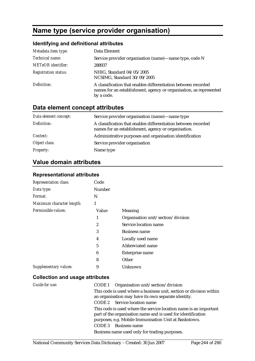# **Name type (service provider organisation)**

## **Identifying and definitional attributes**

| Metadata item type:         | Data Element                                                                                                                                       |
|-----------------------------|----------------------------------------------------------------------------------------------------------------------------------------------------|
| Technical name:             | Service provider organisation (name)—name type, code N                                                                                             |
| <b>METeOR</b> identifier:   | 288937                                                                                                                                             |
| <b>Registration status:</b> | NHIG, Standard 04/05/2005<br>NCSIMG, Standard 30/09/2005                                                                                           |
| Definition:                 | A classification that enables differentiation between recorded<br>names for an establishment, agency or organisation, as represented<br>by a code. |

# **Data element concept attributes**

| Data element concept: | Service provider organisation (name)—name type                                                                        |
|-----------------------|-----------------------------------------------------------------------------------------------------------------------|
| Definition:           | A classification that enables differentiation between recorded<br>names for an establishment, agency or organisation. |
| Context:              | Administrative purposes and organisation identification                                                               |
| Object class:         | Service provider organisation                                                                                         |
| <b>Property:</b>      | Name type                                                                                                             |

# **Value domain attributes**

#### **Representational attributes**

| <b>Representation class:</b> | Code   |                                    |
|------------------------------|--------|------------------------------------|
| Data type:                   | Number |                                    |
| <i>Format:</i>               | N      |                                    |
| Maximum character length:    | 1      |                                    |
| Permissible values:          | Value  | Meaning                            |
|                              | 1      | Organisation unit/section/division |
|                              | 2      | Service location name              |
|                              | 3      | <b>Business name</b>               |
|                              | 4      | Locally used name                  |
|                              | 5      | Abbreviated name                   |
|                              | 6      | Enterprise name                    |
|                              | 8      | Other                              |
| Supplementary values:        | 9      | Unknown                            |

| Guide for use: | CODE 1 Organisation unit/section/division                                                                                                                                                  |
|----------------|--------------------------------------------------------------------------------------------------------------------------------------------------------------------------------------------|
|                | This code is used where a business unit, section or division within<br>an organisation may have its own separate identity.                                                                 |
|                | CODE 2 Service location name                                                                                                                                                               |
|                | This code is used where the service location name is an important<br>part of the organisation name and is used for identification<br>purposes, e.g. Mobile Immunisation Unit at Bankstown. |
|                | <b>Business name</b><br>CODE 3                                                                                                                                                             |
|                | Business name used only for trading purposes.                                                                                                                                              |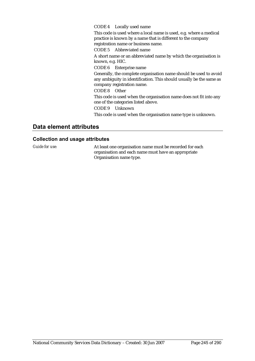#### CODE 4 Locally used name

This code is used where a local name is used, e.g. where a medical practice is known by a name that is different to the company registration name or business name.

CODE 5 Abbreviated name

A short name or an abbreviated name by which the organisation is known, e.g. HIC.

CODE 6 Enterprise name

Generally, the complete organisation name should be used to avoid any ambiguity in identification. This should usually be the same as company registration name.

CODE 8 Other

This code is used when the organisation name does not fit into any one of the categories listed above.

CODE 9 Unknown

This code is used when the organisation name type is unknown.

### **Data element attributes**

#### **Collection and usage attributes**

*Guide for use:* At least one organisation name must be recorded for each organisation and each name must have an appropriate Organisation name type.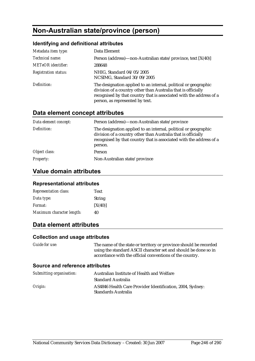# **Non-Australian state/province (person)**

## **Identifying and definitional attributes**

| Metadata item type:         | Data Element                                                                                                                                                                                                                               |
|-----------------------------|--------------------------------------------------------------------------------------------------------------------------------------------------------------------------------------------------------------------------------------------|
| Technical name:             | Person (address)—non-Australian state/province, text [X(40)]                                                                                                                                                                               |
| <b>METeOR</b> identifier:   | 288648                                                                                                                                                                                                                                     |
| <b>Registration status:</b> | NHIG, Standard 04/05/2005<br>NCSIMG, Standard 30/09/2005                                                                                                                                                                                   |
| Definition:                 | The designation applied to an internal, political or geographic<br>division of a country other than Australia that is officially<br>recognised by that country that is associated with the address of a<br>person, as represented by text. |

# **Data element concept attributes**

| Data element concept: | Person (address)—non-Australian state/province                                                                                                                                                                     |
|-----------------------|--------------------------------------------------------------------------------------------------------------------------------------------------------------------------------------------------------------------|
| Definition:           | The designation applied to an internal, political or geographic<br>division of a country other than Australia that is officially<br>recognised by that country that is associated with the address of a<br>person. |
| Object class:         | Person                                                                                                                                                                                                             |
| <b>Property:</b>      | Non-Australian state/province                                                                                                                                                                                      |

## **Value domain attributes**

#### **Representational attributes**

| <b>Representation class:</b> | <b>Text</b>   |
|------------------------------|---------------|
| Data type:                   | <b>String</b> |
| Format:                      | [X(40)]       |
| Maximum character length:    | 40            |

# **Data element attributes**

#### **Collection and usage attributes**

*Guide for use:* The name of the state or territory or province should be recorded using the standard ASCII character set and should be done so in accordance with the official conventions of the country.

| Submitting organisation: | Australian Institute of Health and Welfare                                       |
|--------------------------|----------------------------------------------------------------------------------|
|                          | <b>Standard Australia</b>                                                        |
| Origin:                  | AS4846 Health Care Provider Identification, 2004, Sydney:<br>Standards Australia |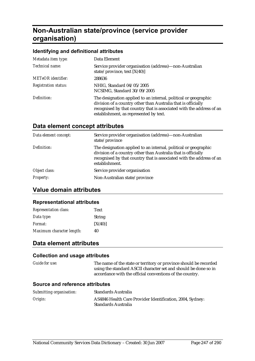# **Non-Australian state/province (service provider organisation)**

#### **Identifying and definitional attributes**

| Metadata item type:         | Data Element                                                                                                                                                                                                                                       |
|-----------------------------|----------------------------------------------------------------------------------------------------------------------------------------------------------------------------------------------------------------------------------------------------|
| Technical name:             | Service provider organisation (address)—non-Australian<br>state/province, text $[X(40)]$                                                                                                                                                           |
| <b>METeOR</b> identifier:   | 288636                                                                                                                                                                                                                                             |
| <b>Registration status:</b> | NHIG, Standard 04/05/2005<br>NCSIMG, Standard 30/09/2005                                                                                                                                                                                           |
| Definition:                 | The designation applied to an internal, political or geographic<br>division of a country other than Australia that is officially<br>recognised by that country that is associated with the address of an<br>establishment, as represented by text. |

# **Data element concept attributes**

| Data element concept: | Service provider organisation (address)-non-Australian<br>state/province                                                                                                                                                   |
|-----------------------|----------------------------------------------------------------------------------------------------------------------------------------------------------------------------------------------------------------------------|
| Definition:           | The designation applied to an internal, political or geographic<br>division of a country other than Australia that is officially<br>recognised by that country that is associated with the address of an<br>establishment. |
| Object class:         | Service provider organisation                                                                                                                                                                                              |
| <b>Property:</b>      | Non-Australian state/province                                                                                                                                                                                              |

# **Value domain attributes**

#### **Representational attributes**

| <b>Representation class:</b> | <b>Text</b>   |
|------------------------------|---------------|
| Data type:                   | <b>String</b> |
| <i>Format:</i>               | [X(40)]       |
| Maximum character length:    | 40            |

## **Data element attributes**

#### **Collection and usage attributes**

*Guide for use:* The name of the state or territory or province should be recorded using the standard ASCII character set and should be done so in accordance with the official conventions of the country.

| Submitting organisation: | <b>Standards Australia</b>                                                       |
|--------------------------|----------------------------------------------------------------------------------|
| Origin:                  | AS4846 Health Care Provider Identification, 2004, Sydney:<br>Standards Australia |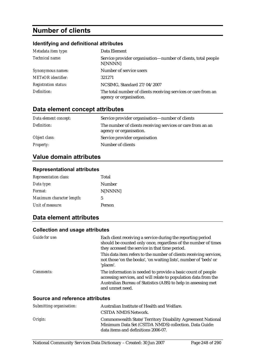# **Number of clients**

## **Identifying and definitional attributes**

| Metadata item type:         | Data Element                                                                              |
|-----------------------------|-------------------------------------------------------------------------------------------|
| Technical name:             | Service provider organisation—number of clients, total people<br>N[NNNN]                  |
| Synonymous names:           | Number of service users                                                                   |
| <b>METeOR</b> identifier:   | 321271                                                                                    |
| <b>Registration status:</b> | NCSIMG, Standard 27/04/2007                                                               |
| Definition:                 | The total number of clients receiving services or care from an<br>agency or organisation. |

# **Data element concept attributes**

| Data element concept: | Service provider organisation—number of clients                                        |
|-----------------------|----------------------------------------------------------------------------------------|
| Definition:           | The number of clients receiving services or care from an an<br>agency or organisation. |
| Object class:         | Service provider organisation                                                          |
| <b>Property:</b>      | Number of clients                                                                      |

# **Value domain attributes**

### **Representational attributes**

| <b>Representation class:</b> | Total   |
|------------------------------|---------|
| Data type:                   | Number  |
| Format:                      | N[NNNN] |
| Maximum character length:    | 5       |
| Unit of measure:             | Person  |

## **Data element attributes**

#### **Collection and usage attributes**

| Each client receiving a service during the reporting period<br>should be counted only once, regardless of the number of times<br>they accessed the service in that time period.                                      |
|----------------------------------------------------------------------------------------------------------------------------------------------------------------------------------------------------------------------|
| This data item refers to the number of clients receiving services,<br>not those 'on the books', 'on waiting lists', number of 'beds' or<br>'places'.                                                                 |
| The information is needed to provide a basic count of people<br>accessing services, and will relate to population data from the<br>Australian Bureau of Statistics (ABS) to help in assessing met<br>and unmet need. |
|                                                                                                                                                                                                                      |

| Submitting organisation: | Australian Institute of Health and Welfare.                                                                                                                |
|--------------------------|------------------------------------------------------------------------------------------------------------------------------------------------------------|
|                          | <b>CSTDA NMDS Network.</b>                                                                                                                                 |
| Origin:                  | Commonwealth State/Territory Disability Agreement National<br>Minimum Data Set (CSTDA NMDS) collection. Data Guide:<br>data items and definitions 2006-07. |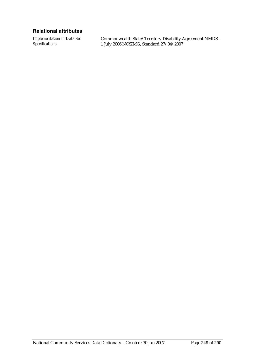### **Relational attributes**

*Implementation in Data Set Specifications:*

Commonwealth State/Territory Disability Agreement NMDS - 1 July 2006 NCSIMG, Standard 27/04/2007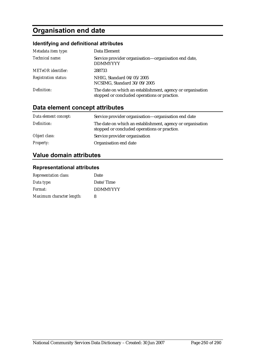# **Organisation end date**

# **Identifying and definitional attributes**

| Metadata item type:         | Data Element                                                                                               |
|-----------------------------|------------------------------------------------------------------------------------------------------------|
| Technical name:             | Service provider organisation-organisation end date,<br><b>DDMMYYYY</b>                                    |
| <b>METeOR</b> identifier:   | 288733                                                                                                     |
| <b>Registration status:</b> | NHIG, Standard 04/05/2005<br>NCSIMG, Standard 30/09/2005                                                   |
| Definition:                 | The date on which an establishment, agency or organisation<br>stopped or concluded operations or practice. |

# **Data element concept attributes**

| Data element concept: | Service provider organisation—organisation end date                                                        |
|-----------------------|------------------------------------------------------------------------------------------------------------|
| Definition:           | The date on which an establishment, agency or organisation<br>stopped or concluded operations or practice. |
| Object class:         | Service provider organisation                                                                              |
| <b>Property:</b>      | Organisation end date                                                                                      |

# **Value domain attributes**

## **Representational attributes**

| <b>Representation class:</b> | Date            |
|------------------------------|-----------------|
| Data type:                   | Date/Time       |
| Format:                      | <b>DDMMYYYY</b> |
| Maximum character length:    | 8               |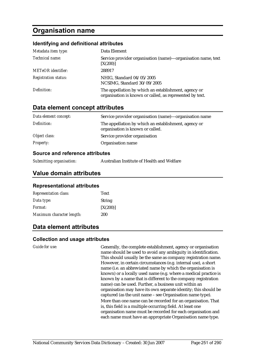# **Organisation name**

#### **Identifying and definitional attributes**

| Metadata item type:         | Data Element                                                                                                     |
|-----------------------------|------------------------------------------------------------------------------------------------------------------|
| Technical name:             | Service provider organisation (name)-organisation name, text<br>[X(200)]                                         |
| <b>METeOR</b> identifier:   | 288917                                                                                                           |
| <b>Registration status:</b> | NHIG, Standard 04/05/2005<br>NCSIMG, Standard 30/09/2005                                                         |
| Definition:                 | The appellation by which an establishment, agency or<br>organisation is known or called, as represented by text. |

#### **Data element concept attributes**

| Data element concept: | Service provider organisation (name)-organisation name                                   |
|-----------------------|------------------------------------------------------------------------------------------|
| Definition:           | The appellation by which an establishment, agency or<br>organisation is known or called. |
| Object class:         | Service provider organisation                                                            |
| <i>Property:</i>      | Organisation name                                                                        |

#### **Source and reference attributes**

| Submitting organisation: | Australian Institute of Health and Welfare |
|--------------------------|--------------------------------------------|
|--------------------------|--------------------------------------------|

## **Value domain attributes**

#### **Representational attributes**

| <b>Representation class:</b> | <b>Text</b>   |
|------------------------------|---------------|
| Data type:                   | <b>String</b> |
| <i>Format:</i>               | [X(200)]      |
| Maximum character length:    | 200           |

## **Data element attributes**

#### **Collection and usage attributes**

*Guide for use:* Generally, the complete establishment, agency or organisation name should be used to avoid any ambiguity in identification. This should usually be the same as company registration name. However, in certain circumstances (e.g. internal use), a short name (i.e. an abbreviated name by which the organisation is known) or a locally used name (e.g. where a medical practice is known by a name that is different to the company registration name) can be used. Further, a business unit within an organisation may have its own separate identity; this should be captured (as the unit name – see Organisation name type). More than one name can be recorded for an organisation. That is, this field is a multiple occurring field. At least one organisation name must be recorded for each organisation and each name must have an appropriate Organisation name type.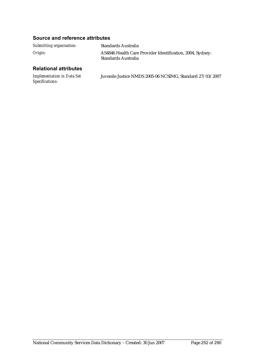## **Source and reference attributes**

| Submitting organisation: | Standards Australia                                                              |
|--------------------------|----------------------------------------------------------------------------------|
| Origin:                  | AS4846 Health Care Provider Identification, 2004, Sydney:<br>Standards Australia |

# **Relational attributes**

| <b>Implementation in Data Set</b> | Juvenile Justice NMDS 2005-06 NCSIMG, Standard 27/03/2007 |
|-----------------------------------|-----------------------------------------------------------|
| <i>Specifications:</i>            |                                                           |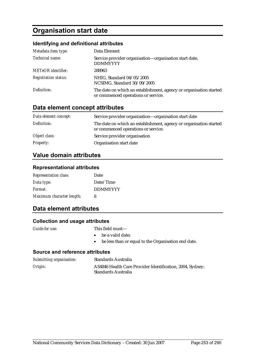# **Organisation start date**

### **Identifying and definitional attributes**

| Metadata item type:         | Data Element                                                                                              |
|-----------------------------|-----------------------------------------------------------------------------------------------------------|
| Technical name:             | Service provider organisation—organisation start date,<br><b>DDMMYYYY</b>                                 |
| <b>METeOR</b> identifier:   | 288963                                                                                                    |
| <b>Registration status:</b> | NHIG, Standard 04/05/2005<br>NCSIMG, Standard 30/09/2005                                                  |
| Definition:                 | The date on which an establishment, agency or organisation started<br>or commenced operations or service. |

# **Data element concept attributes**

| Data element concept: | Service provider organisation-organisation start date                                                     |
|-----------------------|-----------------------------------------------------------------------------------------------------------|
| Definition:           | The date on which an establishment, agency or organisation started<br>or commenced operations or service. |
| Object class:         | Service provider organisation                                                                             |
| <b>Property:</b>      | Organisation start date                                                                                   |

## **Value domain attributes**

#### **Representational attributes**

| <b>Representation class:</b> | Date            |
|------------------------------|-----------------|
| Data type:                   | Date/Time       |
| Format:                      | <b>DDMMYYYY</b> |
| Maximum character length:    | 8               |

## **Data element attributes**

### **Collection and usage attributes**

- *Guide for use:* This field must—
	- be a valid date;
	- be less than or equal to the Organisation end date.

| Submitting organisation: | Standards Australia                                                              |
|--------------------------|----------------------------------------------------------------------------------|
| Origin:                  | AS4846 Health Care Provider Identification, 2004, Sydney:<br>Standards Australia |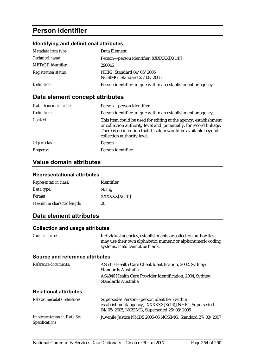# **Person identifier**

## **Identifying and definitional attributes**

| Metadata item type:         | Data Element                                                |
|-----------------------------|-------------------------------------------------------------|
| <i>Technical name:</i>      | Person—person identifier, XXXXXX[X(14)]                     |
| <b>METeOR</b> identifier:   | 290046                                                      |
| <b>Registration status:</b> | NHIG, Standard 04/05/2005<br>NCSIMG, Standard 25/08/2005    |
| Definition:                 | Person identifier unique within an establishment or agency. |

# **Data element concept attributes**

| Data element concept: | Person-person identifier                                                                                                                                                                                                                 |
|-----------------------|------------------------------------------------------------------------------------------------------------------------------------------------------------------------------------------------------------------------------------------|
| Definition:           | Person identifier unique within an establishment or agency.                                                                                                                                                                              |
| Context:              | This item could be used for editing at the agency, establishment<br>or collection authority level and, potentially, for record linkage.<br>There is no intention that this item would be available beyond<br>collection authority level. |
| Object class:         | <b>Person</b>                                                                                                                                                                                                                            |
| <b>Property:</b>      | Person identifier                                                                                                                                                                                                                        |

# **Value domain attributes**

### **Representational attributes**

| <b>Representation class:</b> | <b>Identifier</b> |
|------------------------------|-------------------|
| Data type:                   | <b>String</b>     |
| Format:                      | XXXXX[X(14)]      |
| Maximum character length:    | 20                |

# **Data element attributes**

| Guide for use:                                       | Individual agencies, establishments or collection authorities<br>may use their own alphabetic, numeric or alphanumeric coding<br>systems. Field cannot be blank.   |
|------------------------------------------------------|--------------------------------------------------------------------------------------------------------------------------------------------------------------------|
| Source and reference attributes                      |                                                                                                                                                                    |
| Reference documents:                                 | AS5017 Health Care Client Identification, 2002, Sydney:<br>Standards Australia<br>AS4846 Health Care Provider Identification, 2004, Sydney:<br>Standards Australia |
| <b>Relational attributes</b>                         |                                                                                                                                                                    |
| Related metadata references:                         | Supersedes Person-person identifier (within<br>establishment/agency), XXXXXX[X(14)] NHIG, Superseded<br>04/05/2005, NCSIMG, Superseded 25/08/2005                  |
| <b>Implementation in Data Set</b><br>Specifications: | Juvenile Justice NMDS 2005-06 NCSIMG, Standard 27/03/2007                                                                                                          |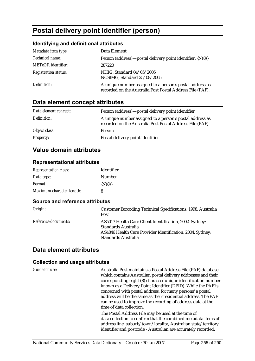# **Postal delivery point identifier (person)**

## **Identifying and definitional attributes**

| Metadata item type:         | Data Element                                                                                                          |
|-----------------------------|-----------------------------------------------------------------------------------------------------------------------|
| Technical name:             | Person (address)—postal delivery point identifier, $\{N(8)\}$                                                         |
| <b>METeOR</b> identifier:   | 287220                                                                                                                |
| <b>Registration status:</b> | NHIG, Standard 04/05/2005<br>NCSIMG, Standard 25/08/2005                                                              |
| Definition:                 | A unique number assigned to a person's postal address as<br>recorded on the Australia Post Postal Address File (PAF). |

# **Data element concept attributes**

| Data element concept: | Person (address)—postal delivery point identifier                                                                     |
|-----------------------|-----------------------------------------------------------------------------------------------------------------------|
| Definition:           | A unique number assigned to a person's postal address as<br>recorded on the Australia Post Postal Address File (PAF). |
| Object class:         | Person                                                                                                                |
| <b>Property:</b>      | Postal delivery point identifier                                                                                      |

## **Value domain attributes**

#### **Representational attributes**

| <b>Representation class:</b> | Identifier  |
|------------------------------|-------------|
| Data type:                   | Number      |
| <i>Format:</i>               | $\{N(8)\}\$ |
| Maximum character length:    | 8           |

#### **Source and reference attributes**

| Origin:              | <b>Customer Barcoding Technical Specifications, 1998: Australia</b><br>Post                                                                                        |
|----------------------|--------------------------------------------------------------------------------------------------------------------------------------------------------------------|
| Reference documents: | AS5017 Health Care Client Identification, 2002, Sydney:<br>Standards Australia<br>AS4846 Health Care Provider Identification, 2004, Sydney:<br>Standards Australia |

## **Data element attributes**

| Guide for use: | Australia Post maintains a Postal Address File (PAF) database<br>which contains Australian postal delivery addresses and their<br>corresponding eight (8) character unique identification number<br>known as a Delivery Point Identifier (DPID). While the PAF is<br>concerned with postal address, for many persons' a postal<br>address will be the same as their residential address. The PAF<br>can be used to improve the recording of address data at the<br>time of data collection. |
|----------------|---------------------------------------------------------------------------------------------------------------------------------------------------------------------------------------------------------------------------------------------------------------------------------------------------------------------------------------------------------------------------------------------------------------------------------------------------------------------------------------------|
|                | The Postal Address File may be used at the time of<br>data collection to confirm that the combined metadata items of<br>address line, suburb/town/locality, Australian state/territory<br>identifier and postcode - Australian are accurately recorded.                                                                                                                                                                                                                                     |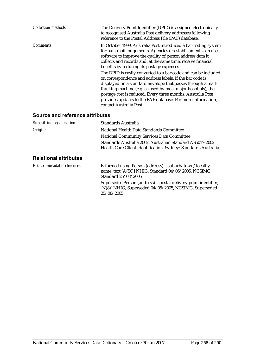| <b>Collection methods:</b>      | The Delivery Point Identifier (DPID) is assigned electronically<br>to recognised Australia Post delivery addresses following<br>reference to the Postal Address File (PAF) database.                                                                                                                                                                                                                                                                                                                                                                                                                                                                                                                                              |
|---------------------------------|-----------------------------------------------------------------------------------------------------------------------------------------------------------------------------------------------------------------------------------------------------------------------------------------------------------------------------------------------------------------------------------------------------------------------------------------------------------------------------------------------------------------------------------------------------------------------------------------------------------------------------------------------------------------------------------------------------------------------------------|
| Comments:                       | In October 1999, Australia Post introduced a bar-coding system<br>for bulk mail lodgements. Agencies or establishments can use<br>software to improve the quality of person address data it<br>collects and records and, at the same time, receive financial<br>benefits by reducing its postage expenses.<br>The DPID is easily converted to a bar code and can be included<br>on correspondence and address labels. If the bar code is<br>displayed on a standard envelope that passes through a mail-<br>franking machine (e.g. as used by most major hospitals), the<br>postage cost is reduced. Every three months, Australia Post<br>provides updates to the PAF database. For more information,<br>contact Australia Post. |
| Source and reference attributes |                                                                                                                                                                                                                                                                                                                                                                                                                                                                                                                                                                                                                                                                                                                                   |
| Submitting organisation:        | Standards Australia                                                                                                                                                                                                                                                                                                                                                                                                                                                                                                                                                                                                                                                                                                               |
| Origin:                         | National Health Data Standards Committee                                                                                                                                                                                                                                                                                                                                                                                                                                                                                                                                                                                                                                                                                          |
|                                 | <b>National Community Services Data Committee</b>                                                                                                                                                                                                                                                                                                                                                                                                                                                                                                                                                                                                                                                                                 |

### **Relational attributes**

*Related metadata references:* Is formed using Person (address)—suburb/town/locality name, text [A(50)] NHIG, Standard 04/05/2005, NCSIMG, Standard 25/08/2005 Supersedes Person (address)—postal delivery point identifier,

Standards Australia 2002. Australian Standard AS5017-2002 Health Care Client Identification. Sydney: Standards Australia

{N(8)} NHIG, Superseded 04/05/2005, NCSIMG, Superseded 25/08/2005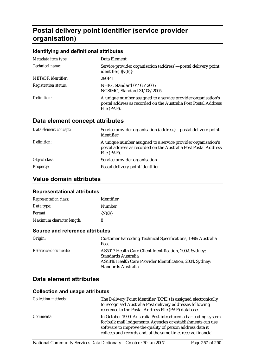# **Postal delivery point identifier (service provider organisation)**

#### **Identifying and definitional attributes**

| Metadata item type:         | Data Element                                                                                                                                    |
|-----------------------------|-------------------------------------------------------------------------------------------------------------------------------------------------|
| Technical name:             | Service provider organisation (address)—postal delivery point<br>identifier, $\{N(8)\}\$                                                        |
| <b>METeOR</b> identifier:   | 290141                                                                                                                                          |
| <b>Registration status:</b> | NHIG, Standard 04/05/2005<br>NCSIMG, Standard 31/08/2005                                                                                        |
| Definition:                 | A unique number assigned to a service provider organisation's<br>postal address as recorded on the Australia Post Postal Address<br>File (PAF). |

# **Data element concept attributes**

| Data element concept: | Service provider organisation (address)—postal delivery point<br>identifier                                                                     |
|-----------------------|-------------------------------------------------------------------------------------------------------------------------------------------------|
| Definition:           | A unique number assigned to a service provider organisation's<br>postal address as recorded on the Australia Post Postal Address<br>File (PAF). |
| Object class:         | Service provider organisation                                                                                                                   |
| <b>Property:</b>      | Postal delivery point identifier                                                                                                                |

## **Value domain attributes**

#### **Representational attributes**

| <b>Representation class:</b> | Identifier  |
|------------------------------|-------------|
| Data type:                   | Number      |
| <i>Format:</i>               | $\{N(8)\}\$ |
| Maximum character length:    | 8           |

#### **Source and reference attributes**

| Origin:                     | <b>Customer Barcoding Technical Specifications, 1998: Australia</b><br>Post                                                                                        |
|-----------------------------|--------------------------------------------------------------------------------------------------------------------------------------------------------------------|
| <i>Reference documents:</i> | AS5017 Health Care Client Identification, 2002, Sydney:<br>Standards Australia<br>AS4846 Health Care Provider Identification, 2004, Sydney:<br>Standards Australia |

## **Data element attributes**

| <b>Collection methods:</b> | The Delivery Point Identifier (DPID) is assigned electronically<br>to recognised Australia Post delivery addresses following<br>reference to the Postal Address File (PAF) database.                                                                         |
|----------------------------|--------------------------------------------------------------------------------------------------------------------------------------------------------------------------------------------------------------------------------------------------------------|
| <i>Comments:</i>           | In October 1999, Australia Post introduced a bar-coding system<br>for bulk mail lodgements. Agencies or establishments can use<br>software to improve the quality of person address data it<br>collects and records and, at the same time, receive financial |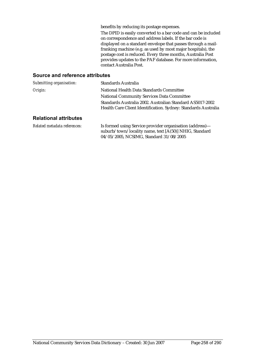benefits by reducing its postage expenses.

The DPID is easily converted to a bar code and can be included on correspondence and address labels. If the bar code is displayed on a standard envelope that passes through a mailfranking machine (e.g. as used by most major hospitals), the postage cost is reduced. Every three months, Australia Post provides updates to the PAF database. For more information, contact Australia Post.

#### **Source and reference attributes**

| Submitting organisation: | Standards Australia                                            |
|--------------------------|----------------------------------------------------------------|
| Origin:                  | National Health Data Standards Committee                       |
|                          | <b>National Community Services Data Committee</b>              |
|                          | Standards Australia 2002. Australian Standard AS5017-2002      |
|                          | Health Care Client Identification. Sydney: Standards Australia |
| Deletianal ettuikutaa    |                                                                |

#### **Relational attributes**

*Related metadata references:* Is formed using Service provider organisation (address) suburb/town/locality name, text [A(50)] NHIG, Standard 04/05/2005, NCSIMG, Standard 31/08/2005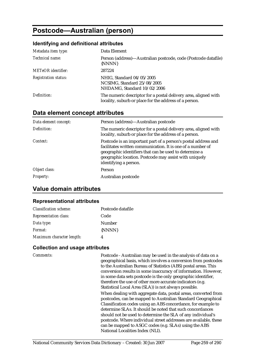# **Postcode—Australian (person)**

#### **Identifying and definitional attributes**

| Metadata item type:         | Data Element                                                                                                              |
|-----------------------------|---------------------------------------------------------------------------------------------------------------------------|
| Technical name:             | Person (address)—Australian postcode, code (Postcode datafile)<br>{NNNN}                                                  |
| <b>METeOR</b> identifier:   | 287224                                                                                                                    |
| <b>Registration status:</b> | NHIG, Standard 04/05/2005<br>NCSIMG, Standard 25/08/2005<br>NHDAMG, Standard 10/02/2006                                   |
| Definition:                 | The numeric descriptor for a postal delivery area, aligned with<br>locality, suburb or place for the address of a person. |

## **Data element concept attributes**

| Data element concept: | Person (address)—Australian postcode                                                                                                                                                                                                                                       |
|-----------------------|----------------------------------------------------------------------------------------------------------------------------------------------------------------------------------------------------------------------------------------------------------------------------|
| Definition:           | The numeric descriptor for a postal delivery area, aligned with<br>locality, suburb or place for the address of a person.                                                                                                                                                  |
| Context:              | Postcode is an important part of a person's postal address and<br>facilitates written communication. It is one of a number of<br>geographic identifiers that can be used to determine a<br>geographic location. Postcode may assist with uniquely<br>identifying a person. |
| Object class:         | <b>Person</b>                                                                                                                                                                                                                                                              |
| <b>Property:</b>      | Australian postcode                                                                                                                                                                                                                                                        |

## **Value domain attributes**

#### **Representational attributes**

| <b>Classification scheme:</b> | Postcode datafile |
|-------------------------------|-------------------|
| <b>Representation class:</b>  | Code              |
| Data type:                    | Number            |
| Format:                       | {NNNN}            |
| Maximum character length:     |                   |

#### **Collection and usage attributes**

*Comments:* Postcode - Australian may be used in the analysis of data on a geographical basis, which involves a conversion from postcodes to the Australian Bureau of Statistics (ABS) postal areas. This conversion results in some inaccuracy of information. However, in some data sets postcode is the only geographic identifier, therefore the use of other more accurate indicators (e.g. Statistical Local Area (SLA)) is not always possible. When dealing with aggregate data, postal areas, converted from postcodes, can be mapped to Australian Standard Geographical Classification codes using an ABS concordance, for example to determine SLAs. It should be noted that such concordances should not be used to determine the SLA of any individual's postcode. Where individual street addresses are available, these can be mapped to ASGC codes (e.g. SLAs) using the ABS

National Localities Index (NLI).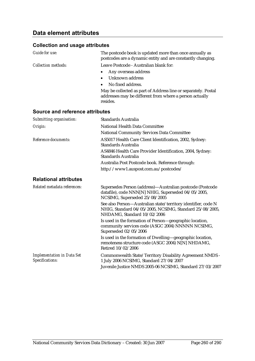| Guide for use:                  | The postcode book is updated more than once annually as<br>postcodes are a dynamic entity and are constantly changing.                |
|---------------------------------|---------------------------------------------------------------------------------------------------------------------------------------|
| <b>Collection methods:</b>      | Leave Postcode - Australian blank for:                                                                                                |
|                                 | Any overseas address<br>$\bullet$                                                                                                     |
|                                 | Unknown address                                                                                                                       |
|                                 | No fixed address.                                                                                                                     |
|                                 | May be collected as part of Address line or separately. Postal<br>addresses may be different from where a person actually<br>resides. |
| Source and reference attributes |                                                                                                                                       |

| Submitting organisation:                             | Standards Australia                                                                                                                                     |
|------------------------------------------------------|---------------------------------------------------------------------------------------------------------------------------------------------------------|
| Origin:                                              | National Health Data Committee                                                                                                                          |
|                                                      | <b>National Community Services Data Committee</b>                                                                                                       |
| Reference documents:                                 | AS5017 Health Care Client Identification, 2002, Sydney:<br>Standards Australia                                                                          |
|                                                      | AS4846 Health Care Provider Identification, 2004, Sydney:<br><b>Standards Australia</b>                                                                 |
|                                                      | Australia Post Postcode book. Reference through:                                                                                                        |
|                                                      | http://www1.auspost.com.au/postcodes/                                                                                                                   |
| <b>Relational attributes</b>                         |                                                                                                                                                         |
| Related metadata references:                         | Supersedes Person (address)-Australian postcode (Postcode<br>datafile), code NNN[N] NHIG, Superseded 04/05/2005,<br>NCSIMG, Superseded 25/08/2005       |
|                                                      | See also Person-Australian state/territory identifier, code N<br>NHIG, Standard 04/05/2005, NCSIMG, Standard 25/08/2005,<br>NHDAMG, Standard 10/02/2006 |
|                                                      | Is used in the formation of Person-geographic location,<br>community services code (ASGC 2004) NNNNN NCSIMG,<br>Superseded 02/05/2006                   |
|                                                      | Is used in the formation of Dwelling-geographic location,<br>remoteness structure code (ASGC 2004) N[N] NHDAMG,<br>Retired 10/02/2006                   |
| <b>Implementation in Data Set</b><br>Specifications: | Commonwealth State/Territory Disability Agreement NMDS -<br>1 July 2006 NCSIMG, Standard 27/04/2007                                                     |
|                                                      | Juvenile Justice NMDS 2005-06 NCSIMG, Standard 27/03/2007                                                                                               |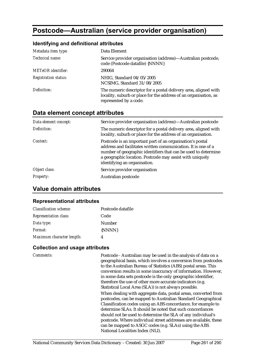# **Postcode—Australian (service provider organisation)**

## **Identifying and definitional attributes**

| Metadata item type:         | Data Element                                                                                                                                                  |
|-----------------------------|---------------------------------------------------------------------------------------------------------------------------------------------------------------|
| Technical name:             | Service provider organisation (address)—Australian postcode,<br>code (Postcode datafile) {NNNN}                                                               |
| <b>METeOR</b> identifier:   | 290064                                                                                                                                                        |
| <b>Registration status:</b> | NHIG, Standard 04/05/2005<br>NCSIMG, Standard 31/08/2005                                                                                                      |
| Definition:                 | The numeric descriptor for a postal delivery area, aligned with<br>locality, suburb or place for the address of an organisation, as<br>represented by a code. |

## **Data element concept attributes**

| Data element concept: | Service provider organisation (address)—Australian postcode                                                                                                                                                                                                                              |
|-----------------------|------------------------------------------------------------------------------------------------------------------------------------------------------------------------------------------------------------------------------------------------------------------------------------------|
| Definition:           | The numeric descriptor for a postal delivery area, aligned with<br>locality, suburb or place for the address of an organisation.                                                                                                                                                         |
| Context:              | Postcode is an important part of an organisation's postal<br>address and facilitates written communication. It is one of a<br>number of geographic identifiers that can be used to determine<br>a geographic location. Postcode may assist with uniquely<br>identifying an organisation. |
| Object class:         | Service provider organisation                                                                                                                                                                                                                                                            |
| <b>Property:</b>      | Australian postcode                                                                                                                                                                                                                                                                      |

## **Value domain attributes**

#### **Representational attributes**

| <b>Classification scheme:</b> | Postcode datafile |
|-------------------------------|-------------------|
| <b>Representation class:</b>  | Code              |
| Data type:                    | Number            |
| Format:                       | {NNNN}            |
| Maximum character length:     |                   |

| Comments: | Postcode - Australian may be used in the analysis of data on a<br>geographical basis, which involves a conversion from postcodes<br>to the Australian Bureau of Statistics (ABS) postal areas. This<br>conversion results in some inaccuracy of information. However,<br>in some data sets postcode is the only geographic identifier,<br>therefore the use of other more accurate indicators (e.g.<br>Statistical Local Area (SLA)) is not always possible.                                 |
|-----------|----------------------------------------------------------------------------------------------------------------------------------------------------------------------------------------------------------------------------------------------------------------------------------------------------------------------------------------------------------------------------------------------------------------------------------------------------------------------------------------------|
|           | When dealing with aggregate data, postal areas, converted from<br>postcodes, can be mapped to Australian Standard Geographical<br>Classification codes using an ABS concordance, for example to<br>determine SLAs. It should be noted that such concordances<br>should not be used to determine the SLA of any individual's<br>postcode. Where individual street addresses are available, these<br>can be mapped to ASGC codes (e.g. SLAs) using the ABS<br>National Localities Index (NLI). |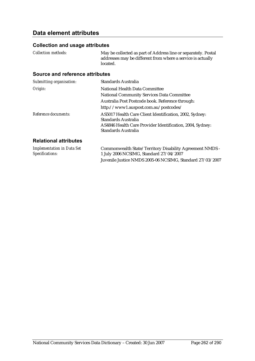## **Data element attributes**

### **Collection and usage attributes**

*Collection methods:* May be collected as part of Address line or separately. Postal addresses may be different from where a service is actually located.

| Submitting organisation:     | Standards Australia                                                                                                                                                       |
|------------------------------|---------------------------------------------------------------------------------------------------------------------------------------------------------------------------|
| Origin:                      | National Health Data Committee                                                                                                                                            |
|                              | <b>National Community Services Data Committee</b>                                                                                                                         |
|                              | Australia Post Postcode book. Reference through:                                                                                                                          |
|                              | http://www1.auspost.com.au/postcodes/                                                                                                                                     |
| Reference documents:         | AS5017 Health Care Client Identification, 2002, Sydney:<br>Standards Australia<br>AS4846 Health Care Provider Identification, 2004, Sydney:<br><b>Standards Australia</b> |
| <b>Relational attributes</b> |                                                                                                                                                                           |

| <b>Implementation in Data Set</b> | Commonwealth State/Territory Disability Agreement NMDS -  |
|-----------------------------------|-----------------------------------------------------------|
| <i>Specifications:</i>            | 1 July 2006 NCSIMG, Standard 27/04/2007                   |
|                                   | Juvenile Justice NMDS 2005-06 NCSIMG, Standard 27/03/2007 |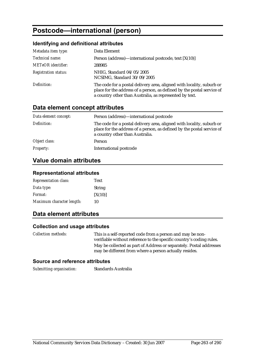# **Postcode—international (person)**

### **Identifying and definitional attributes**

| Metadata item type:         | Data Element                                                                                                                                                                                               |
|-----------------------------|------------------------------------------------------------------------------------------------------------------------------------------------------------------------------------------------------------|
| Technical name:             | Person (address)—international postcode, text $[X(10)]$                                                                                                                                                    |
| <b>METeOR</b> identifier:   | 288985                                                                                                                                                                                                     |
| <b>Registration status:</b> | NHIG, Standard 04/05/2005<br>NCSIMG, Standard 30/09/2005                                                                                                                                                   |
| Definition:                 | The code for a postal delivery area, aligned with locality, suburb or<br>place for the address of a person, as defined by the postal service of<br>a country other than Australia, as represented by text. |

# **Data element concept attributes**

| Data element concept: | Person (address)—international postcode                                                                                                                                            |
|-----------------------|------------------------------------------------------------------------------------------------------------------------------------------------------------------------------------|
| Definition:           | The code for a postal delivery area, aligned with locality, suburb or<br>place for the address of a person, as defined by the postal service of<br>a country other than Australia. |
| Object class:         | Person                                                                                                                                                                             |
| <b>Property:</b>      | International postcode                                                                                                                                                             |

## **Value domain attributes**

#### **Representational attributes**

| <b>Representation class:</b> | Text          |
|------------------------------|---------------|
| Data type:                   | <b>String</b> |
| <i>Format:</i>               | [X(10)]       |
| Maximum character length:    | 10            |

## **Data element attributes**

#### **Collection and usage attributes**

| <i>Collection methods:</i> | This is a self-reported code from a person and may be non-<br>verifiable without reference to the specific country's coding rules. |
|----------------------------|------------------------------------------------------------------------------------------------------------------------------------|
|                            | May be collected as part of Address or separately. Postal addresses<br>may be different from where a person actually resides.      |

#### **Source and reference attributes**

*Submitting organisation:* Standards Australia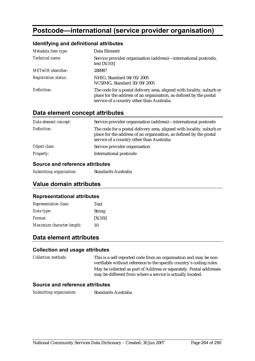# **Postcode—international (service provider organisation)**

#### **Identifying and definitional attributes**

| Metadata item type:         | Data Element                                                                                                                                                                              |
|-----------------------------|-------------------------------------------------------------------------------------------------------------------------------------------------------------------------------------------|
| Technical name:             | Service provider organisation (address)—international postcode,<br>text $[X(10)]$                                                                                                         |
| <b>METeOR</b> identifier:   | 288987                                                                                                                                                                                    |
| <b>Registration status:</b> | NHIG, Standard 04/05/2005<br>NCSIMG, Standard 30/09/2005                                                                                                                                  |
| Definition:                 | The code for a postal delivery area, aligned with locality, suburb or<br>place for the address of an organisation, as defined by the postal<br>service of a country other than Australia. |

## **Data element concept attributes**

| Data element concept: | Service provider organisation (address)—international postcode                                                                                                                            |
|-----------------------|-------------------------------------------------------------------------------------------------------------------------------------------------------------------------------------------|
| Definition:           | The code for a postal delivery area, aligned with locality, suburb or<br>place for the address of an organisation, as defined by the postal<br>service of a country other than Australia. |
| Object class:         | Service provider organisation                                                                                                                                                             |
| <b>Property:</b>      | International postcode                                                                                                                                                                    |

#### **Source and reference attributes**

*Submitting organisation:* Standards Australia

## **Value domain attributes**

#### **Representational attributes**

| <b>Representation class:</b> | <b>Text</b>   |
|------------------------------|---------------|
| Data type:                   | <b>String</b> |
| <i>Format:</i>               | [X(10)]       |
| Maximum character length:    | 10            |

## **Data element attributes**

#### **Collection and usage attributes**

*Collection methods:* This is a self-reported code from an organisation and may be nonverifiable without reference to the specific country's coding rules. May be collected as part of Address or separately. Postal addresses may be different from where a service is actually located.

#### **Source and reference attributes**

*Submitting organisation:* Standards Australia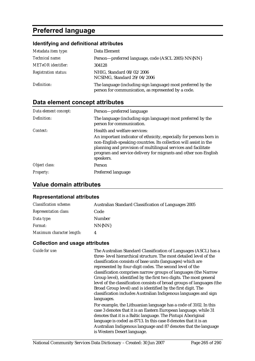# **Preferred language**

## **Identifying and definitional attributes**

| Metadata item type:         | Data Element                                                                                                        |
|-----------------------------|---------------------------------------------------------------------------------------------------------------------|
| Technical name:             | Person-preferred language, code (ASCL 2005) NN{NN}                                                                  |
| <b>METeOR</b> identifier:   | 304128                                                                                                              |
| <b>Registration status:</b> | NHIG, Standard 08/02/2006<br>NCSIMG, Standard 29/04/2006                                                            |
| Definition:                 | The language (including sign language) most preferred by the<br>person for communication, as represented by a code. |

# **Data element concept attributes**

| Data element concept: | Person-preferred language                                                                                                                                                                                                                                                                  |
|-----------------------|--------------------------------------------------------------------------------------------------------------------------------------------------------------------------------------------------------------------------------------------------------------------------------------------|
| Definition:           | The language (including sign language) most preferred by the<br>person for communication.                                                                                                                                                                                                  |
| Context:              | Health and welfare services:                                                                                                                                                                                                                                                               |
|                       | An important indicator of ethnicity, especially for persons born in<br>non-English-speaking countries. Its collection will assist in the<br>planning and provision of multilingual services and facilitate<br>program and service delivery for migrants and other non-English<br>speakers. |
| Object class:         | <b>Person</b>                                                                                                                                                                                                                                                                              |
| <b>Property:</b>      | Preferred language                                                                                                                                                                                                                                                                         |

## **Value domain attributes**

### **Representational attributes**

| <b>Classification scheme:</b> | <b>Australian Standard Classification of Languages 2005</b> |
|-------------------------------|-------------------------------------------------------------|
| <b>Representation class:</b>  | Code                                                        |
| Data type:                    | <b>Number</b>                                               |
| <i>Format:</i>                | NN{NN}                                                      |
| Maximum character length:     | 4                                                           |

| Guide for use: | The Australian Standard Classification of Languages (ASCL) has a       |
|----------------|------------------------------------------------------------------------|
|                | three-level hierarchical structure. The most detailed level of the     |
|                | classification consists of base units (languages) which are            |
|                | represented by four-digit codes. The second level of the               |
|                | classification comprises narrow groups of languages (the Narrow        |
|                | Group level), identified by the first two digits. The most general     |
|                | level of the classification consists of broad groups of languages (the |
|                | Broad Group level) and is identified by the first digit. The           |
|                | classification includes Australian Indigenous languages and sign       |
|                | languages.                                                             |
|                | For example, the Lithuanian language has a code of 3102. In this       |
|                | case 3 denotes that it is an Eastern European language, while 31       |
|                | denotes that it is a Baltic language. The Pintupi Aboriginal           |
|                | language is coded as 8713. In this case 8 denotes that it is an        |
|                | Australian Indigenous language and 87 denotes that the language        |
|                | is Western Desert language.                                            |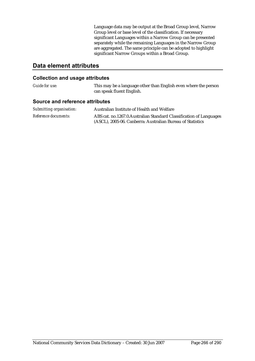Language data may be output at the Broad Group level, Narrow Group level or base level of the classification. If necessary significant Languages within a Narrow Group can be presented separately while the remaining Languages in the Narrow Group are aggregated. The same principle can be adopted to highlight significant Narrow Groups within a Broad Group.

## **Data element attributes**

#### **Collection and usage attributes**

| <i>Guide for use:</i>           | This may be a language other than English even where the person<br>can speak fluent English. |
|---------------------------------|----------------------------------------------------------------------------------------------|
| Source and reference attributes |                                                                                              |

| Submitting organisation:    | Australian Institute of Health and Welfare                                                                                        |
|-----------------------------|-----------------------------------------------------------------------------------------------------------------------------------|
| <i>Reference documents:</i> | ABS cat. no.1267.0. Australian Standard Classification of Languages<br>(ASCL), 2005-06. Canberra: Australian Bureau of Statistics |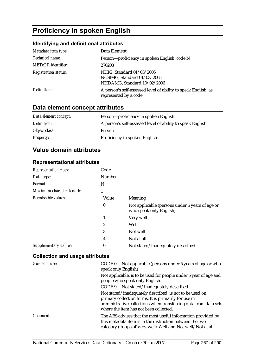# **Proficiency in spoken English**

## **Identifying and definitional attributes**

| Metadata item type:         | Data Element                                                                             |
|-----------------------------|------------------------------------------------------------------------------------------|
| Technical name:             | Person-proficiency in spoken English, code N                                             |
| <b>METeOR</b> identifier:   | 270203                                                                                   |
| <b>Registration status:</b> | NHIG, Standard 01/03/2005<br>NCSIMG, Standard 01/03/2005<br>NHDAMG, Standard 10/02/2006  |
| Definition:                 | A person's self-assessed level of ability to speak English, as<br>represented by a code. |

# **Data element concept attributes**

| Data element concept: | Person-proficiency in spoken English                        |
|-----------------------|-------------------------------------------------------------|
| Definition:           | A person's self-assessed level of ability to speak English. |
| Object class:         | Person                                                      |
| <i>Property:</i>      | Proficiency in spoken English                               |

# **Value domain attributes**

### **Representational attributes**

| <b>Representation class:</b> | Code             |                                                                            |
|------------------------------|------------------|----------------------------------------------------------------------------|
| Data type:                   | Number           |                                                                            |
| Format:                      | N                |                                                                            |
| Maximum character length:    | 1                |                                                                            |
| Permissible values:          | Value            | Meaning                                                                    |
|                              | $\boldsymbol{0}$ | Not applicable (persons under 5 years of age or<br>who speak only English) |
|                              | 1                | Very well                                                                  |
|                              | $\boldsymbol{2}$ | Well                                                                       |
|                              | 3                | Not well                                                                   |
|                              | 4                | Not at all                                                                 |
| Supplementary values:        | 9                | Not stated/inadequately described                                          |

| Guide for use: | Not applicable (persons under 5 years of age or who<br>CODE 0<br>speak only English)                                                                                                                                          |
|----------------|-------------------------------------------------------------------------------------------------------------------------------------------------------------------------------------------------------------------------------|
|                | Not applicable, is to be used for people under 5 year of age and<br>people who speak only English.                                                                                                                            |
|                | CODE 9 Not stated/inadequately described                                                                                                                                                                                      |
|                | Not stated/inadequately described, is not to be used on<br>primary collection forms. It is primarily for use in<br>administrative collections when transferring data from data sets<br>where the item has not been collected. |
| Comments:      | The ABS advises that the most useful information provided by<br>this metadata item is in the distinction between the two<br>category groups of Very well/Well and Not well/Not at all.                                        |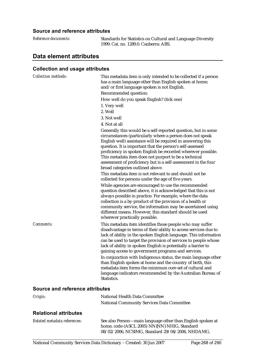#### **Source and reference attributes**

| Reference documents: | Standards for Statistics on Cultu         |
|----------------------|-------------------------------------------|
|                      | 1999. Cat. no. 1289.0. Canberra: <i>1</i> |

*Reference documents:* Standards for Statistics on Cultural and Language Diversity ABS.

# **Data element attributes**

### **Collection and usage attributes**

| <b>Collection methods:</b>      | This metadata item is only intended to be collected if a person<br>has a main language other than English spoken at home;<br>and/or first language spoken is not English.<br>Recommended question:<br>How well do you speak English? (tick one)<br>1. Very well<br>2. Well<br>3. Not well<br>4. Not at all<br>Generally this would be a self-reported question, but in some<br>circumstances (particularly where a person does not speak<br>English well) assistance will be required in answering this<br>question. It is important that the person's self-assessed<br>proficiency in spoken English be recorded wherever possible.<br>This metadata item does not purport to be a technical<br>assessment of proficiency but is a self-assessment in the four<br>broad categories outlined above.<br>This metadata item is not relevant to and should not be<br>collected for persons under the age of five years.<br>While agencies are encouraged to use the recommended<br>question described above, it is acknowledged that this is not<br>always possible in practice. For example, where the data<br>collection is a by-product of the provision of a health or<br>community service, the information may be ascertained using<br>different means. However, this standard should be used |
|---------------------------------|--------------------------------------------------------------------------------------------------------------------------------------------------------------------------------------------------------------------------------------------------------------------------------------------------------------------------------------------------------------------------------------------------------------------------------------------------------------------------------------------------------------------------------------------------------------------------------------------------------------------------------------------------------------------------------------------------------------------------------------------------------------------------------------------------------------------------------------------------------------------------------------------------------------------------------------------------------------------------------------------------------------------------------------------------------------------------------------------------------------------------------------------------------------------------------------------------------------------------------------------------------------------------------------------------|
| Comments:                       | wherever practically possible.<br>This metadata item identifies those people who may suffer<br>disadvantage in terms of their ability to access services due to<br>lack of ability in the spoken English language. This information<br>can be used to target the provision of services to people whose<br>lack of ability in spoken English is potentially a barrier to<br>gaining access to government programs and services.<br>In conjunction with Indigenous status, the main language other<br>than English spoken at home and the country of birth, this<br>metadata item forms the minimum core set of cultural and<br>language indicators recommended by the Australian Bureau of<br>Statistics.                                                                                                                                                                                                                                                                                                                                                                                                                                                                                                                                                                                         |
| Source and reference attributes |                                                                                                                                                                                                                                                                                                                                                                                                                                                                                                                                                                                                                                                                                                                                                                                                                                                                                                                                                                                                                                                                                                                                                                                                                                                                                                  |
| Origin:                         | National Health Data Committee<br><b>National Community Services Data Committee</b>                                                                                                                                                                                                                                                                                                                                                                                                                                                                                                                                                                                                                                                                                                                                                                                                                                                                                                                                                                                                                                                                                                                                                                                                              |

## **Relational attributes**

| Related metadata references: | See also Person-main language other than English spoken at |
|------------------------------|------------------------------------------------------------|
|                              | home, code (ASCL 2005) NN{NN} NHIG, Standard               |
|                              | 08/02/2006, NCSIMG, Standard 29/04/2006, NHDAMG,           |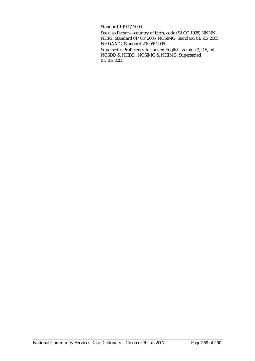Standard 10/02/2006

See also Person—country of birth, code (SACC 1998) NNNN NHIG, Standard 01/03/2005, NCSIMG, Standard 01/03/2005, NHDAMG, Standard 20/06/2005

Supersedes Proficiency in spoken English, version 2, DE, Int. NCSDD & NHDD, NCSIMG & NHIMG, Superseded 01/03/2005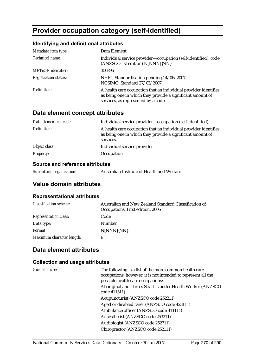# **Provider occupation category (self-identified)**

## **Identifying and definitional attributes**

| Metadata item type:         | Data Element                                                                                                                                                         |
|-----------------------------|----------------------------------------------------------------------------------------------------------------------------------------------------------------------|
| Technical name:             | Individual service provider-occupation (self-identified), code<br>(ANZSCO 1st edition) N[NNN]{NN}                                                                    |
| <b>METeOR</b> identifier:   | 350896                                                                                                                                                               |
| <b>Registration status:</b> | NHIG, Standardisation pending 14/06/2007<br>NCSIMG, Standard 27/03/2007                                                                                              |
| Definition:                 | A health care occupation that an individual provider identifies<br>as being one in which they provide a significant amount of<br>services, as represented by a code. |

## **Data element concept attributes**

| Data element concept: | Individual service provider—occupation (self-identified)                                                                                   |
|-----------------------|--------------------------------------------------------------------------------------------------------------------------------------------|
| Definition:           | A health care occupation that an individual provider identifies<br>as being one in which they provide a significant amount of<br>services. |
| Object class:         | Individual service provider                                                                                                                |
| <b>Property:</b>      | Occupation                                                                                                                                 |
|                       |                                                                                                                                            |

#### **Source and reference attributes**

*Submitting organisation:* Australian Institute of Health and Welfare

## **Value domain attributes**

#### **Representational attributes**

| <b>Classification scheme:</b> | Australian and New Zealand Standard Classification of<br>Occupations, First edition, 2006 |
|-------------------------------|-------------------------------------------------------------------------------------------|
| <b>Representation class:</b>  | Code                                                                                      |
| Data type:                    | Number                                                                                    |
| <i>Format:</i>                | N[NNN]{NN}                                                                                |
| Maximum character length:     | 6                                                                                         |

## **Data element attributes**

| Guide for use: | The following is a list of the more common health care<br>occupations, however, it is not intended to represent all the<br>possible health care occupations: |
|----------------|--------------------------------------------------------------------------------------------------------------------------------------------------------------|
|                | Aboriginal and Torres Strait Islander Health Worker (ANZSCO)<br>code 411511)                                                                                 |
|                | Acupuncturist (ANZSCO code 252211)                                                                                                                           |
|                | Aged or disabled carer (ANZSCO code 423111)                                                                                                                  |
|                | Ambulance officer (ANZSCO code 411111)                                                                                                                       |
|                | Anaesthetist (ANZSCO code 253211)                                                                                                                            |
|                | Audiologist (ANZSCO code 252711)                                                                                                                             |
|                | Chiropractor (ANZSCO code 252111)                                                                                                                            |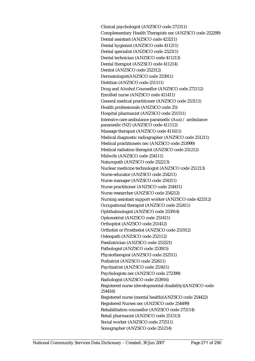Clinical psychologist (ANZSCO code 272311) Complementary Health Therapists nec (ANZSCO code 252299) Dental assistant (ANZSCO code 423211) Dental hygienist (ANZSCO code 411211) Dental specialist (ANZSCO code 252311) Dental technician (ANZSCO code 411213) Dental therapist (ANZSCO code 411214) Dentist (ANZSCO code 252312) Dermatologist(ANZSCO code 253911) Dietitian (ANZSCO code 251111) Drug and Alcohol Counsellor (ANZSCO code 272112) Enrolled nurse (ANZSCO code 411411) General medical practitioner (ANZSCO code 253111) Health professionals (ANZSCO code 25) Hospital pharmacist (ANZSCO code 251511) Intensive care ambulance paramedic (Aus) / ambulance paramedic (NZ) (ANZSCO code 411112) Massage therapist (ANZSCO code 411611) Medical diagnostic radiographer (ANZSCO code 251211) Medical practitioners nec (ANZSCO code 253999) Medical radiation therapist (ANZSCO code 251212) Midwife (ANZSCO code 254111) Naturopath (ANZSCO code 252213) Nuclear medicine technologist (ANZSCO code 251213) Nurse educator (ANZSCO code 254211) Nurse manager (ANZSCO code 254311) Nurse practitioner (ANZSCO code 254411) Nurse researcher (ANZSCO code 254212) Nursing assistant support worker (ANZSCO code 423312) Occupational therapist (ANZSCO code 252411) Ophthalmologist (ANZSCO code 253914) Optometrist (ANZSCO code 251411) Orthoptist (ANZSCO code 251412) Orthotist or Prosthetist (ANZSCO code 251912) Osteopath (ANZSCO code 252112) Paediatrician (ANZSCO code 253321) Pathologist (ANZSCO code 253915) Physiotherapist (ANZSCO code 252511) Podiatrist (ANZSCO code 252611) Psychiatrist (ANZSCO code 253411) Psychologists nec (ANZSCO code 272399) Radiologist (ANZSCO code 253916) Registered nurse (developmental disability)(ANZSCO code 254416) Registered nurse (mental health)(ANZSCO code 254422) Registered Nurses nec (ANZSCO code 254499) Rehabilitation counsellor (ANZSCO code 272114) Retail pharmacist (ANZSCO code 251513) Social worker (ANZSCO code 272511) Sonographer (ANZSCO code 251214)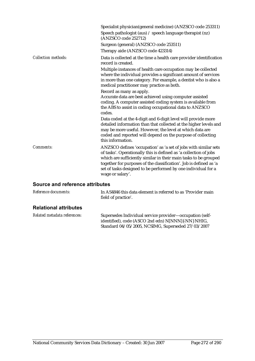|                            | Specialist physician(general medicine) (ANZSCO code 253311)<br>Speech pathologist (aus) / speech language therapist (nz)<br>(ANZSCO code 252712)<br>Surgeon (general) (ANZSCO code 253511)                                                                                                                                                                          |
|----------------------------|---------------------------------------------------------------------------------------------------------------------------------------------------------------------------------------------------------------------------------------------------------------------------------------------------------------------------------------------------------------------|
|                            | Therapy aide (ANZSCO code 423314)                                                                                                                                                                                                                                                                                                                                   |
| <b>Collection methods:</b> | Data is collected at the time a health care provider identification<br>record is created.                                                                                                                                                                                                                                                                           |
|                            | Multiple instances of health care occupation may be collected<br>where the individual provides a significant amount of services<br>in more than one category. For example, a dentist who is also a<br>medical practitioner may practice as both.                                                                                                                    |
|                            | Record as many as apply.<br>Accurate data are best achieved using computer assisted<br>coding. A computer assisted coding system is available from<br>the ABS to assist in coding occupational data to ANZSCO<br>codes.                                                                                                                                             |
|                            | Data coded at the 4-digit and 6-digit level will provide more<br>detailed information than that collected at the higher levels and<br>may be more useful. However, the level at which data are<br>coded and reported will depend on the purpose of collecting<br>this information.                                                                                  |
| <b>Comments:</b>           | ANZSCO defines 'occupation' as 'a set of jobs with similar sets<br>of tasks'. Operationally this is defined as 'a collection of jobs<br>which are sufficiently similar in their main tasks to be grouped<br>together for purposes of the classification'. Job is defined as 'a<br>set of tasks designed to be performed by one individual for a<br>wage or salary'. |

| Reference documents:         | In AS4846 this data element is referred to as 'Provider main<br>field of practice'. |
|------------------------------|-------------------------------------------------------------------------------------|
| <b>Relational attributes</b> |                                                                                     |

| Related metadata references: | Supersedes Individual service provider-occupation (self- |
|------------------------------|----------------------------------------------------------|
|                              | identified), code (ASCO 2nd edn) N[NNN]{-NN} NHIG,       |
|                              | Standard 04/05/2005, NCSIMG, Superseded 27/03/2007       |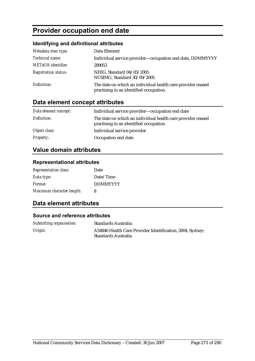# **Provider occupation end date**

## **Identifying and definitional attributes**

| Metadata item type:         | Data Element                                                                                           |
|-----------------------------|--------------------------------------------------------------------------------------------------------|
| Technical name:             | Individual service provider-occupation end date, DDMMYYYY                                              |
| <b>METeOR</b> identifier:   | 289053                                                                                                 |
| <b>Registration status:</b> | NHIG, Standard 04/05/2005<br>NCSIMG, Standard 30/09/2005                                               |
| Definition:                 | The date on which an individual health care provider ceased<br>practising in an identified occupation. |

# **Data element concept attributes**

| Data element concept: | Individual service provider-occupation end date                                                        |
|-----------------------|--------------------------------------------------------------------------------------------------------|
| Definition:           | The date on which an individual health care provider ceased<br>practising in an identified occupation. |
| Object class:         | Individual service provider                                                                            |
| <b>Property:</b>      | Occupation end date                                                                                    |

# **Value domain attributes**

### **Representational attributes**

| <b>Representation class:</b> | Date            |
|------------------------------|-----------------|
| Data type:                   | Date/Time       |
| Format:                      | <b>DDMMYYYY</b> |
| Maximum character length:    | 8               |

# **Data element attributes**

| Submitting organisation: | Standards Australia                                                              |
|--------------------------|----------------------------------------------------------------------------------|
| Origin:                  | AS4846 Health Care Provider Identification, 2004, Sydney:<br>Standards Australia |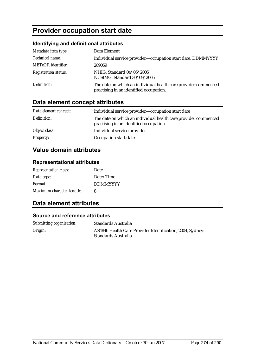# **Provider occupation start date**

## **Identifying and definitional attributes**

| Metadata item type:         | Data Element                                                                                              |
|-----------------------------|-----------------------------------------------------------------------------------------------------------|
| Technical name:             | Individual service provider—occupation start date, DDMMYYYY                                               |
| <b>METeOR</b> identifier:   | 289059                                                                                                    |
| <b>Registration status:</b> | NHIG, Standard 04/05/2005<br>NCSIMG, Standard 30/09/2005                                                  |
| Definition:                 | The date on which an individual health care provider commenced<br>practising in an identified occupation. |

# **Data element concept attributes**

| Data element concept: | Individual service provider-occupation start date                                                         |
|-----------------------|-----------------------------------------------------------------------------------------------------------|
| Definition:           | The date on which an individual health care provider commenced<br>practising in an identified occupation. |
| Object class:         | Individual service provider                                                                               |
| <b>Property:</b>      | Occupation start date                                                                                     |

# **Value domain attributes**

### **Representational attributes**

| <b>Representation class:</b> | Date            |
|------------------------------|-----------------|
| Data type:                   | Date/Time       |
| Format:                      | <b>DDMMYYYY</b> |
| Maximum character length:    | 8               |

# **Data element attributes**

| Submitting organisation: | Standards Australia                                                              |
|--------------------------|----------------------------------------------------------------------------------|
| Origin:                  | AS4846 Health Care Provider Identification, 2004, Sydney:<br>Standards Australia |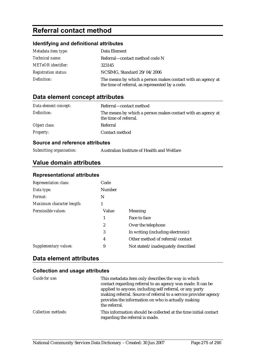# **Referral contact method**

## **Identifying and definitional attributes**

| Metadata item type:         | Data Element                                                                                                   |
|-----------------------------|----------------------------------------------------------------------------------------------------------------|
| <i>Technical name:</i>      | Referral—contact method code N                                                                                 |
| <b>METeOR</b> identifier:   | 323145                                                                                                         |
| <b>Registration status:</b> | NCSIMG, Standard 29/04/2006                                                                                    |
| Definition:                 | The means by which a person makes contact with an agency at<br>the time of referral, as represented by a code. |

## **Data element concept attributes**

| Data element concept: | Referral—contact method                                                              |
|-----------------------|--------------------------------------------------------------------------------------|
| Definition:           | The means by which a person makes contact with an agency at<br>the time of referral. |
| Object class:         | Referral                                                                             |
| <b>Property:</b>      | Contact method                                                                       |

#### **Source and reference attributes**

| Submitting organisation: | Australian I |
|--------------------------|--------------|
|                          |              |

**Institute of Health and Welfare** 

# **Value domain attributes**

#### **Representational attributes**

| Code          |                                   |
|---------------|-----------------------------------|
| <b>Number</b> |                                   |
| N             |                                   |
|               |                                   |
| Value         | <b>Meaning</b>                    |
| 1             | Face to face                      |
| 2             | Over the telephone                |
| 3             | In writing (including electronic) |
| 4             | Other method of referral/contact  |
| 9             | Not stated/inadequately described |
|               |                                   |

## **Data element attributes**

| Guide for use:             | This metadata item only describes the way in which<br>contact regarding referral to an agency was made. It can be<br>applied to anyone, including self referral, or any party |
|----------------------------|-------------------------------------------------------------------------------------------------------------------------------------------------------------------------------|
|                            | making referral. Source of referral to a service provider agency<br>provides the information on who is actually making<br>the referral.                                       |
| <b>Collection methods:</b> | This information should be collected at the time initial contact<br>regarding the referral is made.                                                                           |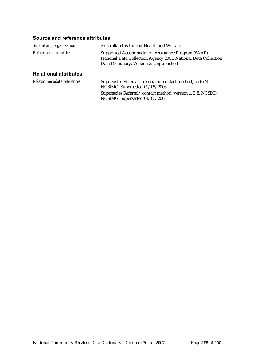| Submitting organisation:     | Australian Institute of Health and Welfare                                                                                                                     |
|------------------------------|----------------------------------------------------------------------------------------------------------------------------------------------------------------|
| <i>Reference documents:</i>  | Supported Accommodation Assistance Program (SAAP)<br>National Data Collection Agency 2001. National Data Collection<br>Data Dictionary. Version 2. Unpublished |
| <b>Relational attributes</b> |                                                                                                                                                                |

| Related metadata references: | Supersedes Referral—referral or contact method, code N<br>NCSIMG, Superseded 02/05/2006    |
|------------------------------|--------------------------------------------------------------------------------------------|
|                              | Supersedes Referral/contact method, version 1, DE, NCSDD,<br>NCSIMG, Superseded 01/03/2005 |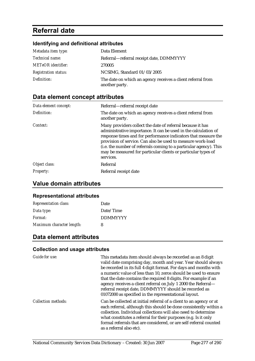# **Referral date**

# **Identifying and definitional attributes**

| Metadata item type:         | Data Element                                                                  |
|-----------------------------|-------------------------------------------------------------------------------|
| <i>Technical name:</i>      | Referral-referral receipt date, DDMMYYYY                                      |
| <b>METeOR</b> identifier:   | 270005                                                                        |
| <b>Registration status:</b> | NCSIMG, Standard 01/03/2005                                                   |
| Definition:                 | The date on which an agency receives a client referral from<br>another party. |

# **Data element concept attributes**

| Data element concept: | Referral—referral receipt date                                                                                                                                                                                                                                                                                                                                                                                     |
|-----------------------|--------------------------------------------------------------------------------------------------------------------------------------------------------------------------------------------------------------------------------------------------------------------------------------------------------------------------------------------------------------------------------------------------------------------|
| Definition:           | The date on which an agency receives a client referral from<br>another party.                                                                                                                                                                                                                                                                                                                                      |
| Context:              | Many providers collect the date of referral because it has<br>administrative importance. It can be used in the calculation of<br>response times and for performance indicators that measure the<br>provision of service. Can also be used to measure work-load<br>(i.e. the number of referrals coming to a particular agency). This<br>may be measured for particular clients or particular types of<br>services. |
| Object class:         | Referral                                                                                                                                                                                                                                                                                                                                                                                                           |
| <b>Property:</b>      | Referral receipt date                                                                                                                                                                                                                                                                                                                                                                                              |

## **Value domain attributes**

#### **Representational attributes**

| <b>Representation class:</b> | Date            |
|------------------------------|-----------------|
| Data type:                   | Date/Time       |
| <i>Format:</i>               | <b>DDMMYYYY</b> |
| Maximum character length:    | 8               |

## **Data element attributes**

| Guide for use:             | This metadata item should always be recorded as an 8 digit<br>valid date comprising day, month and year. Year should always<br>be recorded in its full 4 digit format. For days and months with<br>a numeric value of less than 10, zeros should be used to ensure<br>that the date contains the required 8 digits. For example if an<br>agency receives a client referral on July 1 2000 the Referral-<br>referral receipt date, DDMMYYYY should be recorded as<br>01072000 as specified in the representational layout. |
|----------------------------|---------------------------------------------------------------------------------------------------------------------------------------------------------------------------------------------------------------------------------------------------------------------------------------------------------------------------------------------------------------------------------------------------------------------------------------------------------------------------------------------------------------------------|
| <b>Collection methods:</b> | Can be collected at initial referral of a client to an agency or at<br>each referral, although this should be done consistently within a<br>collection. Individual collections will also need to determine<br>what constitutes a referral for their purposes (e.g. Is it only<br>formal referrals that are considered, or are self-referral counted<br>as a referral also etc).                                                                                                                                           |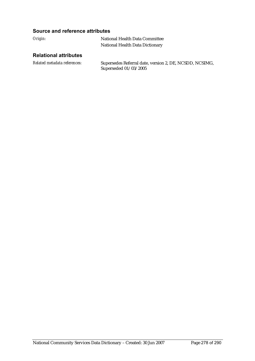### **Source and reference attributes**

| Origin: | National Health Data Committee  |  |
|---------|---------------------------------|--|
|         | National Health Data Dictionary |  |

## **Relational attributes**

*Related metadata references:* Supersedes Referral date, version 2, DE, NCSDD, NCSIMG, Superseded 01/03/2005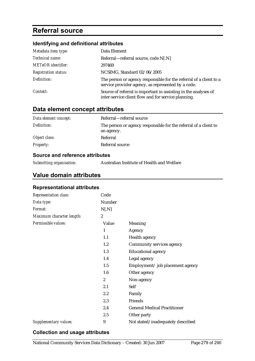# **Referral source**

## **Identifying and definitional attributes**

| Metadata item type:         | Data Element                                                                                                             |
|-----------------------------|--------------------------------------------------------------------------------------------------------------------------|
| Technical name:             | Referral—referral source, code N[.N]                                                                                     |
| <b>METeOR</b> identifier:   | 297469                                                                                                                   |
| <b>Registration status:</b> | NCSIMG, Standard 02/06/2005                                                                                              |
| Definition:                 | The person or agency responsible for the referral of a client to a<br>service provider agency, as represented by a code. |
| Context:                    | Source of referral is important in assisting in the analyses of<br>inter-service client flow and for service planning.   |

# **Data element concept attributes**

| Data element concept: | Referral—referral source                                         |
|-----------------------|------------------------------------------------------------------|
| Definition:           | The person or agency responsible for the referral of a client to |
|                       | an agency.                                                       |
| Object class:         | Referral                                                         |
| <b>Property:</b>      | Referral source                                                  |
|                       |                                                                  |

## **Source and reference attributes**

| Submitting organisation: | Australian Institute of Health and Welfare |  |
|--------------------------|--------------------------------------------|--|
|--------------------------|--------------------------------------------|--|

## **Value domain attributes**

### **Representational attributes**

| Representation class:     | Code             |                                     |
|---------------------------|------------------|-------------------------------------|
| Data type:                | Number           |                                     |
| Format:                   | N[.N]            |                                     |
| Maximum character length: | $\boldsymbol{2}$ |                                     |
| Permissible values:       | Value            | Meaning                             |
|                           | 1                | Agency                              |
|                           | 1.1              | Health agency                       |
|                           | 1.2              | Community services agency           |
|                           | 1.3              | <b>Educational agency</b>           |
|                           | 1.4              | Legal agency                        |
|                           | 1.5              | Employment/job placement agency     |
|                           | 1.6              | Other agency                        |
|                           | $\overline{2}$   | Non-agency                          |
|                           | 2.1              | Self                                |
|                           | 2.2              | Family                              |
|                           | 2.3              | Friends                             |
|                           | 2.4              | <b>General Medical Practitioner</b> |
|                           | 2.5              | Other party                         |
| Supplementary values:     | 9                | Not stated/inadequately described   |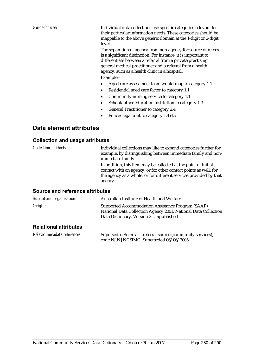*Guide for use:* Individual data collections use specific categories relevant to their particular information needs. These categories should be mappable to the above generic domain at the 1-digit or 2-digit level.

> The separation of agency from non-agency for source of referral is a significant distinction. For instance, it is important to differentiate between a referral from a private practising general medical practitioner and a referral from a health agency, such as a health clinic in a hospital.

#### Examples:

- Aged care assessment team would map to category 1.1
- Residential aged care factor to category 1.1
- Community nursing service to category 1.1
- School/other education institution to category 1.3
- General Practitioner to category 2.4
- Police/legal unit to category 1.4 etc.

## **Data element attributes**

#### **Collection and usage attributes**

| <i>Collection methods:</i>             | Individual collections may like to expand categories further for<br>example, by distinguishing between immediate family and non-<br>immediate family.                                                               |
|----------------------------------------|---------------------------------------------------------------------------------------------------------------------------------------------------------------------------------------------------------------------|
|                                        | In addition, this item may be collected at the point of initial<br>contact with an agency, or for other contact points as well, for<br>the agency as a whole, or for different services provided by that<br>agency. |
| <b>Source and reference attributes</b> |                                                                                                                                                                                                                     |
| Submitting organisation:               | Australian Institute of Health and Welfare                                                                                                                                                                          |

| Origin: | <b>Supported Accommodation Assistance Program (SAAP)</b>       |
|---------|----------------------------------------------------------------|
|         | National Data Collection Agency 2001. National Data Collection |
|         | Data Dictionary. Version 2. Unpublished                        |
|         |                                                                |

#### **Relational attributes**

| Related metadata references: | Supersedes Referral—referral source (community services), |
|------------------------------|-----------------------------------------------------------|
|                              | code N[.N] NCSIMG, Superseded 06/06/2005                  |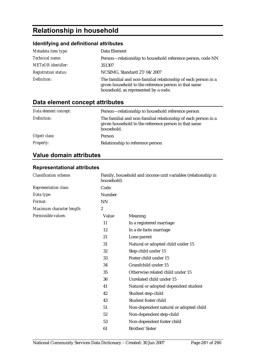# **Relationship in household**

## **Identifying and definitional attributes**

| Metadata item type:         | Data Element                                                                                                                                                   |
|-----------------------------|----------------------------------------------------------------------------------------------------------------------------------------------------------------|
| Technical name:             | Person-relationship to household reference person, code NN                                                                                                     |
| <b>METeOR</b> identifier:   | 351307                                                                                                                                                         |
| <b>Registration status:</b> | NCSIMG, Standard 27/04/2007                                                                                                                                    |
| Definition:                 | The familial and non-familial relationship of each person in a<br>given household to the reference person in that same<br>household, as represented by a code. |

# **Data element concept attributes**

| Data element concept: | Person—relationship to household reference person                                                                                    |
|-----------------------|--------------------------------------------------------------------------------------------------------------------------------------|
| Definition:           | The familial and non-familial relationship of each person in a<br>given household to the reference person in that same<br>household. |
| Object class:         | Person                                                                                                                               |
| <b>Property:</b>      | Relationship to reference person                                                                                                     |

# **Value domain attributes**

### **Representational attributes**

| <b>Classification scheme:</b> | Family, household and income unit variables (relationship in<br>household) |                                        |
|-------------------------------|----------------------------------------------------------------------------|----------------------------------------|
| <b>Representation class:</b>  | Code                                                                       |                                        |
| Data type:                    | Number                                                                     |                                        |
| Format:                       | NN                                                                         |                                        |
| Maximum character length:     | $\boldsymbol{2}$                                                           |                                        |
| Permissible values:           | Value                                                                      | Meaning                                |
|                               | 11                                                                         | In a registered marriage               |
|                               | 12                                                                         | In a de facto marriage                 |
|                               | 21                                                                         | Lone parent                            |
|                               | 31                                                                         | Natural or adopted child under 15      |
|                               | 32                                                                         | Step-child under 15                    |
|                               | 33                                                                         | Foster child under 15                  |
|                               | 34                                                                         | Grandchild under 15                    |
|                               | 35                                                                         | Otherwise related child under 15       |
|                               | 36                                                                         | Unrelated child under 15               |
|                               | 41                                                                         | Natural or adopted dependent student   |
|                               | 42                                                                         | Student step-child                     |
|                               | 43                                                                         | Student foster child                   |
|                               | 51                                                                         | Non-dependent natural or adopted child |
|                               | 52                                                                         | Non-dependent step-child               |
|                               | 53                                                                         | Non-dependent foster child             |
|                               | 61                                                                         | Brother/Sister                         |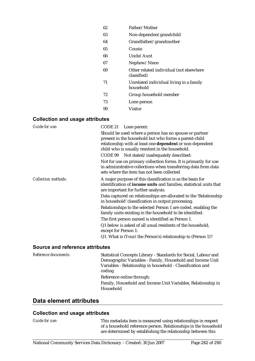| Father/Mother                                          |
|--------------------------------------------------------|
| Non-dependent grandchild                               |
| Grandfather/grandmother                                |
| Cousin                                                 |
| Uncle/Aunt                                             |
| Nephew/Niece                                           |
| Other related individual (not elsewhere<br>classified) |
| Unrelated individual living in a family<br>household   |
| Group household member                                 |
| Lone person                                            |
| Visitor                                                |
|                                                        |

#### **Collection and usage attributes**

| Guide for use:             | CODE 21 Lone parent:                                                                                                                                                                                                            |
|----------------------------|---------------------------------------------------------------------------------------------------------------------------------------------------------------------------------------------------------------------------------|
|                            | Should be used where a person has no spouse or partner<br>present in the household but who forms a parent-child<br>relationship with at least one dependent or non-dependent<br>child who is usually resident in the household. |
|                            | CODE 99 Not stated/inadequately described:                                                                                                                                                                                      |
|                            | Not for use on primary collection forms. It is primarily for use<br>in administrative collections when transferring data from data<br>sets where the item has not been collected                                                |
| <b>Collection methods:</b> | A major purpose of this classification is as the basis for<br>identification of <b>income units</b> and families, statistical units that<br>are important for further analysis.                                                 |
|                            | Data captured on relationships are allocated to the 'Relationship<br>in household' classification in output processing.                                                                                                         |
|                            | Relationships to the selected Person 1 are coded, enabling the<br>family units existing in the household to be identified.                                                                                                      |
|                            | The first person named is identified as Person 1.                                                                                                                                                                               |
|                            | Q1 below is asked of all usual residents of the household,<br>except for Person 1:                                                                                                                                              |
|                            | Q1. What is (Your/the Person's) relationship to (Person 1)?                                                                                                                                                                     |

#### **Source and reference attributes**

| Reference documents: | Statistical Concepts Library - Standards for Social, Labour and<br>Demographic Variables - Family, Household and Income Unit<br>Variables - Relationship in household - Classification and<br>coding<br>Reference online through: |
|----------------------|-----------------------------------------------------------------------------------------------------------------------------------------------------------------------------------------------------------------------------------|
|                      | Family, Household and Income Unit Variables, Relationship in<br>Household                                                                                                                                                         |

## **Data element attributes**

### **Collection and usage attributes**

*Guide for use:* This metadata item is measured using relationships in respect of a household reference person. Relationships in the household are determined by establishing the relationship between this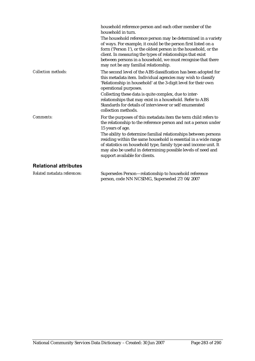|                              | household reference person and each other member of the<br>household in turn.<br>The household reference person may be determined in a variety<br>of ways. For example, it could be the person first listed on a<br>form ('Person 1'), or the oldest person in the household, or the<br>client. In measuring the types of relationships that exist<br>between persons in a household, we must recognise that there<br>may not be any familial relationship.         |
|------------------------------|---------------------------------------------------------------------------------------------------------------------------------------------------------------------------------------------------------------------------------------------------------------------------------------------------------------------------------------------------------------------------------------------------------------------------------------------------------------------|
| <b>Collection methods:</b>   | The second level of the ABS classification has been adopted for<br>this metadata item. Individual agencies may wish to classify<br>'Relationship in household' at the 3-digit level for their own<br>operational purposes.<br>Collecting these data is quite complex, due to inter-<br>relationships that may exist in a household. Refer to ABS<br>Standards for details of interviewer or self enumerated<br>collection methods.                                  |
| Comments:                    | For the purposes of this metadata item the term child refers to<br>the relationship to the reference person and not a person under<br>15 years of age.<br>The ability to determine familial relationships between persons<br>residing within the same household is essential in a wide range<br>of statistics on household type, family type and income unit. It<br>may also be useful in determining possible levels of need and<br>support available for clients. |
| <b>Relational attributes</b> |                                                                                                                                                                                                                                                                                                                                                                                                                                                                     |
| Related metadata references: | Supersedes Person-relationship to household reference                                                                                                                                                                                                                                                                                                                                                                                                               |

person, code NN NCSIMG, Superseded 27/04/2007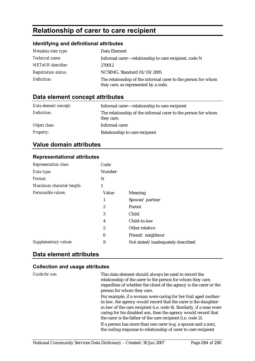# **Relationship of carer to care recipient**

### **Identifying and definitional attributes**

| Metadata item type:         | Data Element                                                                                          |
|-----------------------------|-------------------------------------------------------------------------------------------------------|
| Technical name:             | Informal carer—relationship to care recipient, code N                                                 |
| <b>METeOR</b> identifier:   | 270012                                                                                                |
| <b>Registration status:</b> | NCSIMG, Standard 01/03/2005                                                                           |
| Definition:                 | The relationship of the informal carer to the person for whom<br>they care, as represented by a code. |

## **Data element concept attributes**

| Data element concept: | Informal carer—relationship to care recipient                               |
|-----------------------|-----------------------------------------------------------------------------|
| Definition:           | The relationship of the informal carer to the person for whom<br>they care. |
| Object class:         | Informal carer                                                              |
| <b>Property:</b>      | Relationship to care recipient                                              |

## **Value domain attributes**

### **Representational attributes**

| Code             |                                   |
|------------------|-----------------------------------|
| <b>Number</b>    |                                   |
| N                |                                   |
| 1                |                                   |
| Value            | Meaning                           |
| 1                | Spouse/partner                    |
| 2                | Parent                            |
| 3                | Child                             |
| 4                | Child-in-law                      |
| 5                | Other relative                    |
| $\boldsymbol{6}$ | Friend/neighbour                  |
| 9                | Not stated/inadequately described |
|                  |                                   |

## **Data element attributes**

#### **Collection and usage attributes**

*Guide for use:* This data element should always be used to record the relationship of the carer to the person for whom they care, regardless of whether the client of the agency is the carer or the person for whom they care.

> For example, if a woman were caring for her frail aged motherin-law, the agency would record that the carer is the daughterin-law of the care recipient (i.e. code 4). Similarly, if a man were caring for his disabled son, then the agency would record that the carer is the father of the care recipient (i.e. code 2). If a person has more than one carer (e.g. a spouse and a son), the coding response to relationship of carer to care recipient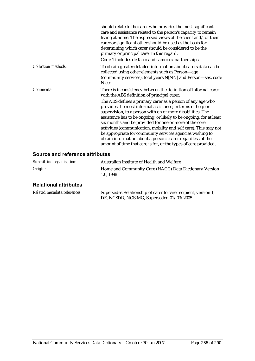|                            | should relate to the carer who provides the most significant<br>care and assistance related to the person's capacity to remain<br>living at home. The expressed views of the client and/or their<br>carer or significant other should be used as the basis for<br>determining which carer should be considered to be the<br>primary or principal carer in this regard.<br>Code 1 includes de facto and same sex partnerships.                                                                                                                                                                                                                                                                                |
|----------------------------|--------------------------------------------------------------------------------------------------------------------------------------------------------------------------------------------------------------------------------------------------------------------------------------------------------------------------------------------------------------------------------------------------------------------------------------------------------------------------------------------------------------------------------------------------------------------------------------------------------------------------------------------------------------------------------------------------------------|
| <b>Collection methods:</b> | To obtain greater detailed information about carers data can be<br>collected using other elements such as Person-age<br>(community services), total years N[NN] and Person-sex, code<br>N etc.                                                                                                                                                                                                                                                                                                                                                                                                                                                                                                               |
| Comments:                  | There is inconsistency between the definition of informal carer<br>with the ABS definition of principal carer.<br>The ABS defines a primary carer as a person of any age who<br>provides the most informal assistance, in terms of help or<br>supervision, to a person with on or more disabilities. The<br>assistance has to be ongoing, or likely to be ongoing, for at least<br>six months and be provided for one or more of the core<br>activities (communication, mobility and self care). This may not<br>be appropriate for community services agencies wishing to<br>obtain information about a person's carer regardless of the<br>amount of time that care is for, or the types of care provided. |

| Submitting organisation:     | Australian Institute of Health and Welfare                         |
|------------------------------|--------------------------------------------------------------------|
| Origin:                      | Home and Community Care (HACC) Data Dictionary Version<br>1.0.1998 |
| <b>Relational attributes</b> |                                                                    |

| Related metadata references: | Supersedes Relationship of carer to care recipient, version 1, |
|------------------------------|----------------------------------------------------------------|
|                              | DE, NCSDD, NCSIMG, Superseded 01/03/2005                       |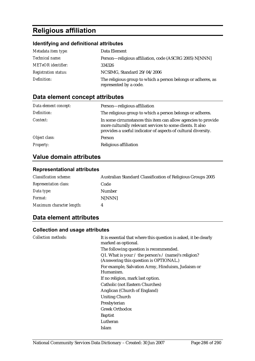# **Religious affiliation**

## **Identifying and definitional attributes**

| Metadata item type:         | Data Element                                                                           |
|-----------------------------|----------------------------------------------------------------------------------------|
| <i>Technical name:</i>      | Person-religious affiliation, code (ASCRG 2005) N[NNN]                                 |
| <b>METeOR</b> identifier:   | 334326                                                                                 |
| <b>Registration status:</b> | NCSIMG, Standard 29/04/2006                                                            |
| Definition:                 | The religious group to which a person belongs or adheres, as<br>represented by a code. |

# **Data element concept attributes**

| Data element concept: | Person-religious affiliation                                                                                                                                                                 |
|-----------------------|----------------------------------------------------------------------------------------------------------------------------------------------------------------------------------------------|
| Definition:           | The religious group to which a person belongs or adheres.                                                                                                                                    |
| Context:              | In some circumstances this item can allow agencies to provide<br>more culturally relevant services to some clients. It also<br>provides a useful indicator of aspects of cultural diversity. |
| Object class:         | Person                                                                                                                                                                                       |
| <b>Property:</b>      | Religious affiliation                                                                                                                                                                        |

# **Value domain attributes**

## **Representational attributes**

| <b>Classification scheme:</b> | Australian Standard Classification of Religious Groups 2005 |
|-------------------------------|-------------------------------------------------------------|
| <b>Representation class:</b>  | Code                                                        |
| Data type:                    | Number                                                      |
| Format:                       | N[NNN]                                                      |
| Maximum character length:     | 4                                                           |

## **Data element attributes**

| <b>Collection methods:</b> | It is essential that where this question is asked, it be clearly<br>marked as optional.                  |
|----------------------------|----------------------------------------------------------------------------------------------------------|
|                            | The following question is recommended.                                                                   |
|                            | Q1. What is your $\ell$ the person's $\ell$ (name)'s religion?<br>(Answering this question is OPTIONAL.) |
|                            | For example, Salvation Army, Hinduism, Judaism or<br>Humanism.                                           |
|                            | If no religion, mark last option.                                                                        |
|                            | Catholic (not Eastern Churches)                                                                          |
|                            | Anglican (Church of England)                                                                             |
|                            | <b>Uniting Church</b>                                                                                    |
|                            | Presbyterian                                                                                             |
|                            | <b>Greek Orthodox</b>                                                                                    |
|                            | <b>Baptist</b>                                                                                           |
|                            | Lutheran                                                                                                 |
|                            | Islam                                                                                                    |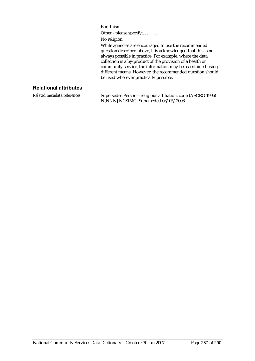Buddhism

Other - please specify:.......

No religion

While agencies are encouraged to use the recommended question described above, it is acknowledged that this is not always possible in practice. For example, where the data collection is a by-product of the provision of a health or community service, the information may be ascertained using different means. However, the recommended question should be used wherever practically possible.

### **Relational attributes**

*Related metadata references:* Supersedes Person—religious affiliation, code (ASCRG 1996) N[NNN] NCSIMG, Superseded 08/05/2006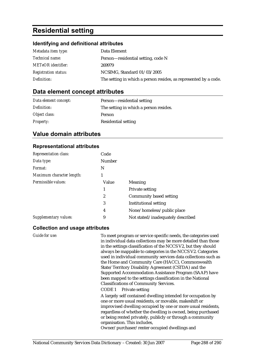# **Residential setting**

## **Identifying and definitional attributes**

| Metadata item type:         | Data Element                                                     |
|-----------------------------|------------------------------------------------------------------|
| <i>Technical name:</i>      | Person—residential setting, code N                               |
| <b>METeOR</b> identifier:   | 269979                                                           |
| <b>Registration status:</b> | NCSIMG, Standard 01/03/2005                                      |
| Definition:                 | The setting in which a person resides, as represented by a code. |

## **Data element concept attributes**

| Data element concept: | Person—residential setting             |
|-----------------------|----------------------------------------|
| Definition:           | The setting in which a person resides. |
| Object class:         | <b>Person</b>                          |
| <b>Property:</b>      | <b>Residential setting</b>             |

# **Value domain attributes**

### **Representational attributes**

| <b>Representation class:</b> | Code   |                                   |
|------------------------------|--------|-----------------------------------|
| Data type:                   | Number |                                   |
| Format:                      | N      |                                   |
| Maximum character length:    |        |                                   |
| Permissible values:          | Value  | Meaning                           |
|                              | 1      | <b>Private setting</b>            |
|                              | 2      | Community based setting           |
|                              | 3      | <b>Institutional setting</b>      |
|                              | 4      | None/homeless/public place        |
| Supplementary values:        | 9      | Not stated/inadequately described |

| Guide for use: | To meet program or service specific needs, the categories used<br>in individual data collections may be more detailed than those<br>in the settings classification of the NCCS V2, but they should<br>always be mappable to categories in the NCCS V2. Categories<br>used in individual community services data collections such as<br>the Home and Community Care (HACC), Commonwealth<br>State/Territory Disability Agreement (CSTDA) and the<br>Supported Accommodation Assistance Program (SAAP) have<br>been mapped to the settings classification in the National<br><b>Classifications of Community Services.</b> |
|----------------|--------------------------------------------------------------------------------------------------------------------------------------------------------------------------------------------------------------------------------------------------------------------------------------------------------------------------------------------------------------------------------------------------------------------------------------------------------------------------------------------------------------------------------------------------------------------------------------------------------------------------|
|                | CODE 1 Private setting<br>A largely self contained dwelling intended for occupation by<br>one or more usual residents, or movable, makeshift or<br>improvised dwelling occupied by one or more usual residents,<br>regardless of whether the dwelling is owned, being purchased<br>or being rented privately, publicly or through a community<br>organisation. This includes,<br>Owner/purchaser/renter occupied dwellings and                                                                                                                                                                                           |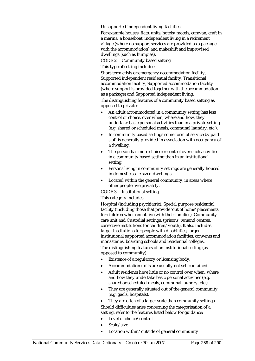Unsupported independent living facilities.

For example houses, flats, units, hotels/motels, caravan, craft in a marina, a houseboat, independent living in a retirement village (where no support services are provided as a package with the accommodation) and makeshift and improvised dwellings (such as humpies).

CODE 2 Community based setting

This type of setting includes:

Short-term crisis or emergency accommodation facility, Supported independent residential facility, Transitional accommodation facility, Supported accommodation facility (where support is provided together with the accommodation as a package) and Supported independent living.

The distinguishing features of a community based setting as opposed to private:

- An adult accommodated in a community setting has less control or choice, over when, where and how, they undertake basic personal activities than in a private setting (e.g. shared or scheduled meals, communal laundry, etc.).
- In community based settings some form of service by paid staff is generally provided in association with occupancy of a dwelling.
- The person has more choice or control over such activities in a community based setting than in an institutional setting.
- Persons living in community settings are generally housed in domestic scale sized dwellings.
- Located within the general community, in areas where other people live privately.

CODE 3 Institutional setting

This category includes:

Hospital (including psychiatric), Special purpose residential facility (including those that provide 'out of home' placements for children who cannot live with their families), Community care unit and Custodial settings, (prisons, remand centres, corrective institutions for children/youth). It also includes larger institutions for people with disabilities, larger institutional supported accommodation facilities, convents and monasteries, boarding schools and residential colleges. The distinguishing features of an institutional setting (as opposed to community):

- Existence of a regulatory or licensing body.
- Accommodation units are usually not self contained.
- Adult residents have little or no control over when, where and how they undertake basic personal activities (e.g. shared or scheduled meals, communal laundry, etc.).
- They are generally situated out of the general community (e.g. gaols, hospitals).
- They are often of a larger scale than community settings. Should difficulties arise concerning the categorisation of a setting, refer to the features listed below for guidance:
- Level of choice/control
- Scale/size
- Location within/outside of general community